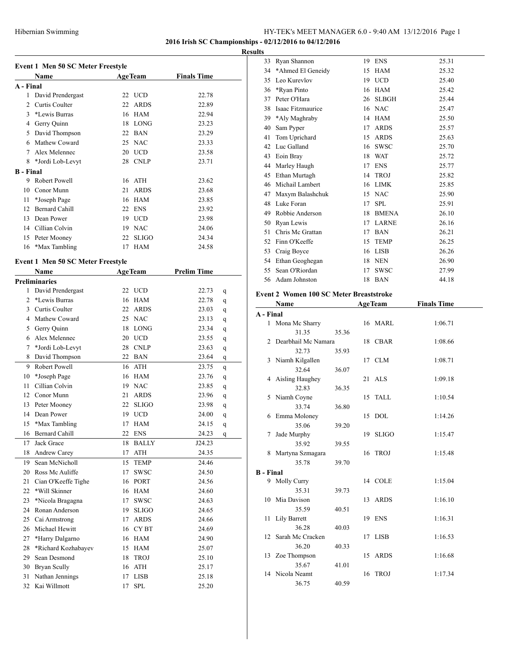### **2016 Irish SC Championships - 02/12/2016 to 04/12/2016**

#### **Results**

|                  | Event 1 Men 50 SC Meter Freestyle        |                |              |                    |  |  |  |  |  |
|------------------|------------------------------------------|----------------|--------------|--------------------|--|--|--|--|--|
|                  | <b>Name</b>                              | <b>AgeTeam</b> |              | <b>Finals Time</b> |  |  |  |  |  |
| A - Final        |                                          |                |              |                    |  |  |  |  |  |
| 1                | David Prendergast                        |                | 22 UCD       | 22.78              |  |  |  |  |  |
| 2                | Curtis Coulter                           | 22             | <b>ARDS</b>  | 22.89              |  |  |  |  |  |
| 3                | *Lewis Burras                            | 16             | <b>HAM</b>   | 22.94              |  |  |  |  |  |
| 4                | Gerry Quinn                              |                | 18 LONG      | 23.23              |  |  |  |  |  |
| 5                | David Thompson                           | 22             | <b>BAN</b>   | 23.29              |  |  |  |  |  |
| 6                | Mathew Coward                            | 25             | <b>NAC</b>   | 23.33              |  |  |  |  |  |
| 7                | Alex Melennec                            | 20             | <b>UCD</b>   | 23.58              |  |  |  |  |  |
| 8                | *Jordi Lob-Levyt                         | 28             | <b>CNLP</b>  | 23.71              |  |  |  |  |  |
| <b>B</b> - Final |                                          |                |              |                    |  |  |  |  |  |
| 9                | Robert Powell                            |                | 16 ATH       | 23.62              |  |  |  |  |  |
| 10               | Conor Munn                               | 21             | <b>ARDS</b>  | 23.68              |  |  |  |  |  |
| 11               | *Joseph Page                             | 16             | <b>HAM</b>   | 23.85              |  |  |  |  |  |
| 12               | <b>Bernard Cahill</b>                    | 22             | <b>ENS</b>   | 23.92              |  |  |  |  |  |
| 13               | Dean Power                               |                | 19 UCD       | 23.98              |  |  |  |  |  |
| 14               | Cillian Colvin                           | 19             | <b>NAC</b>   | 24.06              |  |  |  |  |  |
| 15               | Peter Mooney                             | 22             | <b>SLIGO</b> | 24.34              |  |  |  |  |  |
|                  | 16 *Max Tambling                         | 17             | <b>HAM</b>   | 24.58              |  |  |  |  |  |
|                  | <b>Event 1 Men 50 SC Meter Freestyle</b> |                |              |                    |  |  |  |  |  |
|                  | <b>Name</b>                              | <b>AgeTeam</b> |              | <b>Prelim Time</b> |  |  |  |  |  |
|                  | Dualiminawiga                            |                |              |                    |  |  |  |  |  |

|                | <b>Preliminaries</b>  |    |              |        |   |  |
|----------------|-----------------------|----|--------------|--------|---|--|
| 1              | David Prendergast     |    | 22 UCD       | 22.73  | q |  |
| $\overline{c}$ | *Lewis Burras         | 16 | <b>HAM</b>   | 22.78  | q |  |
| 3              | Curtis Coulter        | 22 | <b>ARDS</b>  | 23.03  | q |  |
| 4              | Mathew Coward         | 25 | <b>NAC</b>   | 23.13  | q |  |
| 5              | Gerry Quinn           | 18 | <b>LONG</b>  | 23.34  | q |  |
| 6              | Alex Melennec         | 20 | <b>UCD</b>   | 23.55  | q |  |
| 7              | *Jordi Lob-Levyt      | 28 | <b>CNLP</b>  | 23.63  | q |  |
| 8              | David Thompson        | 22 | <b>BAN</b>   | 23.64  | q |  |
| 9              | Robert Powell         | 16 | <b>ATH</b>   | 23.75  | q |  |
| 10             | *Joseph Page          | 16 | <b>HAM</b>   | 23.76  | q |  |
| 11             | Cillian Colvin        | 19 | <b>NAC</b>   | 23.85  | q |  |
| 12             | Conor Munn            | 21 | <b>ARDS</b>  | 23.96  | q |  |
| 13             | Peter Mooney          | 22 | <b>SLIGO</b> | 23.98  | q |  |
| 14             | Dean Power            | 19 | <b>UCD</b>   | 24.00  | q |  |
| 15             | *Max Tambling         | 17 | <b>HAM</b>   | 24.15  | q |  |
| 16             | <b>Bernard Cahill</b> | 22 | <b>ENS</b>   | 24.23  | q |  |
| 17             | Jack Grace            | 18 | <b>BALLY</b> | J24.23 |   |  |
| 18             | Andrew Carey          | 17 | <b>ATH</b>   | 24.35  |   |  |
| 19             | Sean McNicholl        | 15 | <b>TEMP</b>  | 24.46  |   |  |
| 20             | Ross Mc Auliffe       | 17 | <b>SWSC</b>  | 24.50  |   |  |
| 21             | Cian O'Keeffe Tighe   | 16 | <b>PORT</b>  | 24.56  |   |  |
| 22             | *Will Skinner         | 16 | <b>HAM</b>   | 24.60  |   |  |
| 23             | *Nicola Bragagna      | 17 | <b>SWSC</b>  | 24.63  |   |  |
| 24             | Ronan Anderson        | 19 | <b>SLIGO</b> | 24.65  |   |  |
| 25             | Cai Armstrong         | 17 | <b>ARDS</b>  | 24.66  |   |  |
| 26             | Michael Hewitt        | 16 | <b>CYBT</b>  | 24.69  |   |  |
| 27             | *Harry Dalgarno       | 16 | <b>HAM</b>   | 24.90  |   |  |
| 28             | *Richard Kozhabayev   | 15 | <b>HAM</b>   | 25.07  |   |  |
| 29             | Sean Desmond          | 18 | <b>TROJ</b>  | 25.10  |   |  |
| 30             | <b>Bryan Scully</b>   | 16 | <b>ATH</b>   | 25.17  |   |  |
| 31             | Nathan Jennings       | 17 | <b>LISB</b>  | 25.18  |   |  |
| 32             | Kai Willmott          | 17 | <b>SPL</b>   | 25.20  |   |  |

| 33 | Ryan Shannon      | 19 | <b>ENS</b>   | 25.31 |
|----|-------------------|----|--------------|-------|
| 34 | *Ahmed El Geneidy | 15 | <b>HAM</b>   | 25.32 |
| 35 | Leo Kurevlov      |    | 19 UCD       | 25.40 |
| 36 | *Ryan Pinto       | 16 | <b>HAM</b>   | 25.42 |
| 37 | Peter O'Hara      | 26 | <b>SLBGH</b> | 25.44 |
| 38 | Isaac Fitzmaurice |    | 16 NAC       | 25.47 |
| 39 | *Aly Maghraby     | 14 | <b>HAM</b>   | 25.50 |
| 40 | Sam Pyper         | 17 | <b>ARDS</b>  | 25.57 |
| 41 | Tom Uprichard     | 15 | <b>ARDS</b>  | 25.63 |
| 42 | Luc Galland       | 16 | <b>SWSC</b>  | 25.70 |
| 43 | Eoin Bray         | 18 | <b>WAT</b>   | 25.72 |
| 44 | Marley Haugh      | 17 | <b>ENS</b>   | 25.77 |
| 45 | Ethan Murtagh     | 14 | <b>TROJ</b>  | 25.82 |
| 46 | Michail Lambert   | 16 | <b>LIMK</b>  | 25.85 |
| 47 | Maxym Balashchuk  | 15 | <b>NAC</b>   | 25.90 |
| 48 | Luke Foran        | 17 | <b>SPL</b>   | 25.91 |
| 49 | Robbie Anderson   | 18 | <b>BMENA</b> | 26.10 |
| 50 | Ryan Lewis        | 17 | <b>LARNE</b> | 26.16 |
| 51 | Chris Mc Grattan  | 17 | <b>BAN</b>   | 26.21 |
| 52 | Finn O'Keeffe     | 15 | <b>TEMP</b>  | 26.25 |
| 53 | Craig Boyce       | 16 | <b>LISB</b>  | 26.26 |
| 54 | Ethan Geoghegan   | 18 | <b>NEN</b>   | 26.90 |
| 55 | Sean O'Riordan    | 17 | <b>SWSC</b>  | 27.99 |
| 56 | Adam Johnston     | 18 | <b>BAN</b>   | 44.18 |

# **Event 2 Women 100 SC Meter Breaststroke**

|                  | Name                |       |    | <b>AgeTeam</b> | <b>Finals Time</b> |
|------------------|---------------------|-------|----|----------------|--------------------|
| A - Final        |                     |       |    |                |                    |
|                  | 1 Mona Mc Sharry    |       |    | 16 MARL        | 1:06.71            |
|                  | 31.35               | 35.36 |    |                |                    |
| $\mathfrak{D}$   | Dearbhail Mc Namara |       |    | 18 CBAR        | 1:08.66            |
|                  | 32.73               | 35.93 |    |                |                    |
|                  | 3 Niamh Kilgallen   |       |    | 17 CLM         | 1:08.71            |
|                  | 32.64               | 36.07 |    |                |                    |
|                  | 4 Aisling Haughey   |       |    | 21 ALS         | 1:09.18            |
|                  | 32.83               | 36.35 |    |                |                    |
|                  | 5 Niamh Coyne       |       |    | 15 TALL        | 1:10.54            |
|                  | 33.74               | 36.80 |    |                |                    |
| 6                | Emma Moloney        |       | 15 | <b>DOL</b>     | 1:14.26            |
|                  | 35.06               | 39.20 |    |                |                    |
| 7                | Jade Murphy         |       |    | 19 SLIGO       | 1:15.47            |
|                  | 35.92               | 39.55 |    |                |                    |
| 8                | Martyna Szmagara    |       |    | 16 TROJ        | 1:15.48            |
|                  | 35.78               | 39.70 |    |                |                    |
| <b>B</b> - Final |                     |       |    |                |                    |
|                  | 9 Molly Curry       |       |    | 14 COLE        | 1:15.04            |
|                  | 35.31               | 39.73 |    |                |                    |
|                  | 10 Mia Davison      |       |    | 13 ARDS        | 1:16.10            |
|                  | 35.59               | 40.51 |    |                |                    |
| 11               | Lily Barrett        |       |    | 19 ENS         | 1:16.31            |
|                  | 36.28               | 40.03 |    |                |                    |
| 12 <sup>12</sup> | Sarah Mc Cracken    |       |    | 17 LISB        | 1:16.53            |
|                  | 36.20               | 40.33 |    |                |                    |
|                  | 13 Zoe Thompson     |       |    | 15 ARDS        | 1:16.68            |
|                  | 35.67               | 41.01 |    |                |                    |
|                  | 14 Nicola Neamt     |       | 16 | TROJ           | 1:17.34            |
|                  | 36.75               | 40.59 |    |                |                    |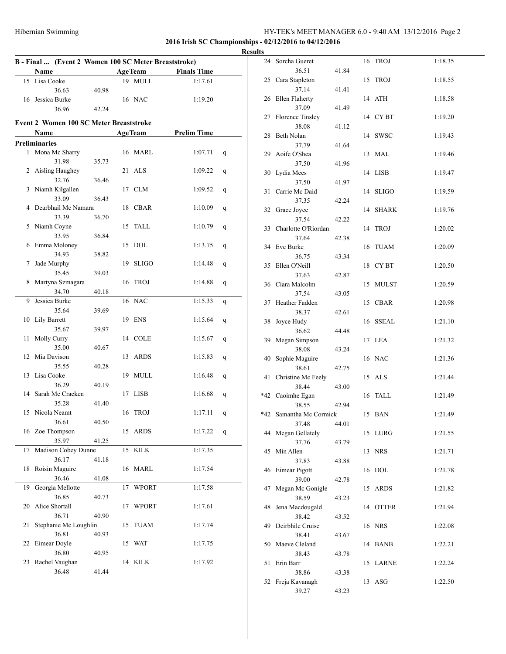|    |                                                      |       |    |                |                    |   | <b>Results</b> |
|----|------------------------------------------------------|-------|----|----------------|--------------------|---|----------------|
|    | B - Final  (Event 2 Women 100 SC Meter Breaststroke) |       |    |                |                    |   |                |
|    | Name                                                 |       |    | <b>AgeTeam</b> | <b>Finals Time</b> |   |                |
|    | 15 Lisa Cooke                                        |       |    | 19 MULL        | 1:17.61            |   |                |
|    | 36.63                                                | 40.98 |    |                |                    |   |                |
|    | 16 Jessica Burke                                     |       |    | 16 NAC         | 1:19.20            |   |                |
|    | 36.96                                                | 42.24 |    |                |                    |   |                |
|    | <b>Event 2 Women 100 SC Meter Breaststroke</b>       |       |    |                |                    |   |                |
|    | Name                                                 |       |    | <b>AgeTeam</b> | <b>Prelim Time</b> |   |                |
|    | <b>Preliminaries</b>                                 |       |    |                |                    |   |                |
|    | 1 Mona Mc Sharry                                     |       |    | 16 MARL        | 1:07.71            | q |                |
|    | 31.98                                                | 35.73 |    |                |                    |   |                |
|    | 2 Aisling Haughey                                    |       |    | 21 ALS         | 1:09.22            | q |                |
|    | 32.76                                                | 36.46 |    |                |                    |   |                |
|    | 3 Niamh Kilgallen                                    |       |    | 17 CLM         | 1:09.52            | q |                |
|    | 33.09                                                | 36.43 |    |                |                    |   |                |
|    | 4 Dearbhail Mc Namara                                |       |    | 18 CBAR        | 1:10.09            | q |                |
|    | 33.39                                                | 36.70 |    |                |                    |   |                |
|    | 5 Niamh Coyne                                        |       |    | 15 TALL        | 1:10.79            | q |                |
|    | 33.95                                                | 36.84 |    |                |                    |   |                |
|    | 6 Emma Moloney                                       |       |    | 15 DOL         | 1:13.75            | q |                |
|    | 34.93                                                | 38.82 |    |                |                    |   |                |
| 7  | Jade Murphy                                          |       |    | 19 SLIGO       | 1:14.48            | q |                |
|    | 35.45                                                | 39.03 |    |                |                    |   |                |
| 8  | Martyna Szmagara                                     |       |    | 16 TROJ        | 1:14.88            | q |                |
|    | 34.70                                                | 40.18 |    |                |                    |   |                |
|    | 9 Jessica Burke                                      |       |    | 16 NAC         | 1:15.33            | q |                |
|    | 35.64                                                | 39.69 |    |                |                    |   |                |
|    | 10 Lily Barrett                                      |       |    | 19 ENS         | 1:15.64            | q |                |
|    | 35.67                                                | 39.97 |    |                |                    |   |                |
| 11 | Molly Curry                                          |       |    | 14 COLE        | 1:15.67            | q |                |
|    | 35.00                                                | 40.67 |    |                |                    |   |                |
|    | 12 Mia Davison                                       |       |    | 13 ARDS        | 1:15.83            | q |                |
|    | 35.55                                                | 40.28 |    |                |                    |   |                |
|    | 13 Lisa Cooke                                        |       |    | 19 MULL        | 1:16.48            | q |                |
|    | 36.29                                                | 40.19 |    |                |                    |   |                |
|    | 14 Sarah Mc Cracken                                  |       |    | 17 LISB        | 1:16.68            | q |                |
|    | 35.28                                                | 41.40 |    |                |                    |   |                |
|    | 15 Nicola Neamt                                      |       |    | 16 TROJ        | 1:17.11            | q | $\ast$         |
|    | 36.61                                                | 40.50 |    |                |                    |   |                |
|    | 16 Zoe Thompson                                      |       |    | 15 ARDS        | 1:17.22            | q |                |
|    | 35.97                                                | 41.25 |    |                |                    |   |                |
| 17 | Madison Cobey Dunne                                  |       |    | 15 KILK        | 1:17.35            |   |                |
|    | 36.17                                                | 41.18 |    |                |                    |   |                |
| 18 | Roisin Maguire                                       |       |    | 16 MARL        | 1:17.54            |   |                |
|    | 36.46                                                | 41.08 |    |                |                    |   |                |
|    | 19 Georgia Mellotte                                  |       |    | 17 WPORT       | 1:17.58            |   |                |
|    | 36.85                                                | 40.73 |    |                |                    |   |                |
| 20 | Alice Shortall<br>36.71                              |       |    | 17 WPORT       | 1:17.61            |   |                |
| 21 |                                                      | 40.90 |    | <b>TUAM</b>    |                    |   |                |
|    | Stephanie Mc Loughlin<br>36.81                       | 40.93 | 15 |                | 1:17.74            |   |                |
| 22 | Eimear Doyle                                         |       |    | 15 WAT         | 1:17.75            |   |                |
|    | 36.80                                                | 40.95 |    |                |                    |   |                |
| 23 | Rachel Vaughan                                       |       |    | 14 KILK        | 1:17.92            |   |                |
|    | 36.48                                                | 41.44 |    |                |                    |   |                |
|    |                                                      |       |    |                |                    |   |                |

|     | 24 Sorcha Gueret    |       | 16 | <b>TROJ</b>  | 1:18.35 |
|-----|---------------------|-------|----|--------------|---------|
|     | 36.51               | 41.84 |    |              |         |
| 25  | Cara Stapleton      |       | 15 | <b>TROJ</b>  | 1:18.55 |
|     | 37.14               | 41.41 |    |              |         |
|     | 26 Ellen Flaherty   |       | 14 | ATH          | 1:18.58 |
|     | 37.09               | 41.49 |    |              |         |
| 27  | Florence Tinsley    |       |    | 14 CYBT      | 1:19.20 |
|     |                     |       |    |              |         |
|     | 38.08               | 41.12 |    |              |         |
| 28  | Beth Nolan          |       |    | 14 SWSC      | 1:19.43 |
|     | 37.79               | 41.64 |    |              |         |
|     | 29 Aoife O'Shea     |       | 13 | MAL          | 1:19.46 |
|     | 37.50               | 41.96 |    |              |         |
|     | 30 Lydia Mees       |       |    | 14 LISB      | 1:19.47 |
|     | 37.50               | 41.97 |    |              |         |
| 31  | Carrie Mc Daid      |       | 14 | SLIGO        | 1:19.59 |
|     | 37.35               | 42.24 |    |              |         |
| 32  | Grace Joyce         |       | 14 | <b>SHARK</b> | 1:19.76 |
|     | 37.54               | 42.22 |    |              |         |
| 33  | Charlotte O'Riordan |       | 14 | <b>TROJ</b>  | 1:20.02 |
|     | 37.64               | 42.38 |    |              |         |
|     | 34 Eve Burke        |       | 16 | TUAM         | 1:20.09 |
|     | 36.75               | 43.34 |    |              |         |
| 35  | Ellen O'Neill       |       | 18 | CY BT        | 1:20.50 |
|     | 37.63               | 42.87 |    |              |         |
|     | 36 Ciara Malcolm    |       | 15 | <b>MULST</b> | 1:20.59 |
|     | 37.54               | 43.05 |    |              |         |
| 37  | Heather Fadden      |       | 15 | <b>CBAR</b>  | 1:20.98 |
|     | 38.37               | 42.61 |    |              |         |
| 38  | Joyce Hudy          |       | 16 | SSEAL        | 1:21.10 |
|     | 36.62               | 44.48 |    |              |         |
| 39  | Megan Simpson       |       | 17 | LEA          | 1:21.32 |
|     | 38.08               | 43.24 |    |              |         |
| 40  | Sophie Maguire      |       |    | 16 NAC       | 1:21.36 |
|     | 38.61               | 42.75 |    |              |         |
| 41  | Christine Mc Feely  |       | 15 | ALS          | 1:21.44 |
|     | 38.44               | 43.00 |    |              |         |
| *42 | Caoimhe Egan        |       | 16 | TALL         | 1:21.49 |
|     | 38.55               | 42.94 |    |              |         |
| *42 | Samantha Mc Cormick |       |    | 15 BAN       | 1:21.49 |
|     | 37.48<br>44.01      |       |    |              |         |
|     | 44 Megan Gellately  |       |    | 15 LURG      | 1:21.55 |
|     | 37.76               | 43.79 |    |              |         |
| 45  | Min Allen           |       | 13 | <b>NRS</b>   | 1:21.71 |
|     | 37.83               | 43.88 |    |              |         |
| 46  | Eimear Pigott       |       | 16 | <b>DOL</b>   | 1:21.78 |
|     | 39.00               | 42.78 |    |              |         |
| 47  | Megan Mc Gonigle    |       | 15 | ARDS         | 1:21.82 |
|     | 38.59               | 43.23 |    |              |         |
| 48  | Jena Macdougald     |       | 14 | <b>OTTER</b> | 1:21.94 |
|     | 38.42               | 43.52 |    |              |         |
| 49  | Deirbhile Cruise    |       |    | 16 NRS       | 1:22.08 |
|     | 38.41               | 43.67 |    |              |         |
| 50  | Maeve Cleland       |       | 14 | BANB         | 1:22.21 |
|     | 38.43               | 43.78 |    |              |         |
| 51  | Erin Barr           |       | 15 | LARNE        | 1:22.24 |
|     | 38.86               | 43.38 |    |              |         |
| 52  | Freja Kavanagh      |       | 13 | ASG          | 1:22.50 |
|     | 39.27               | 43.23 |    |              |         |
|     |                     |       |    |              |         |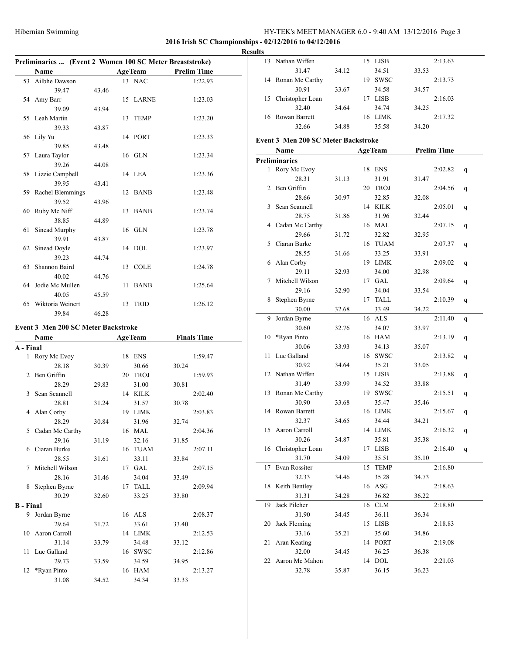### **2016 Irish SC Championships - 02/12/2016 to 04/12/2016**

#### **Results**

|                | Preliminaries  (Event 2 Women 100 SC Meter Breaststroke) |       |    |                |                    |  |  |  |  |
|----------------|----------------------------------------------------------|-------|----|----------------|--------------------|--|--|--|--|
|                | Name                                                     |       |    | <b>AgeTeam</b> | <b>Prelim Time</b> |  |  |  |  |
| 53             | Ailbhe Dawson                                            |       |    | 13 NAC         | 1:22.93            |  |  |  |  |
|                | 39.47                                                    | 43.46 |    |                |                    |  |  |  |  |
| 54             | Amy Barr                                                 |       | 15 | <b>LARNE</b>   | 1:23.03            |  |  |  |  |
|                | 39.09                                                    | 43.94 |    |                |                    |  |  |  |  |
| 55             | Leah Martin                                              |       | 13 | <b>TEMP</b>    | 1:23.20            |  |  |  |  |
|                | 39.33                                                    | 43.87 |    |                |                    |  |  |  |  |
| 56             | Lily Yu                                                  |       |    | 14 PORT        | 1:23.33            |  |  |  |  |
|                | 39.85                                                    | 43.48 |    |                |                    |  |  |  |  |
| 57             | Laura Taylor                                             |       |    | 16 GLN         | 1:23.34            |  |  |  |  |
|                | 39.26                                                    | 44.08 |    |                |                    |  |  |  |  |
| 58             | Lizzie Campbell                                          |       |    | 14 LEA         | 1:23.36            |  |  |  |  |
|                | 39.95                                                    | 43.41 |    |                |                    |  |  |  |  |
| 59             | Rachel Blemmings                                         |       | 12 | <b>BANB</b>    | 1:23.48            |  |  |  |  |
|                | 39.52                                                    | 43.96 |    |                |                    |  |  |  |  |
| 60             | Ruby Mc Niff                                             |       | 13 | <b>BANB</b>    | 1:23.74            |  |  |  |  |
|                | 38.85                                                    | 44.89 |    |                |                    |  |  |  |  |
| 61             | Sinead Murphy                                            |       | 16 | GLN            | 1:23.78            |  |  |  |  |
|                | 39.91                                                    | 43.87 |    |                |                    |  |  |  |  |
| 62             | Sinead Doyle                                             |       | 14 | <b>DOL</b>     | 1:23.97            |  |  |  |  |
|                | 39.23                                                    | 44.74 |    |                |                    |  |  |  |  |
| 63             | Shannon Baird                                            |       | 13 | <b>COLE</b>    | 1:24.78            |  |  |  |  |
|                | 40.02                                                    | 44.76 |    |                |                    |  |  |  |  |
| 64             | Jodie Mc Mullen                                          |       | 11 | <b>BANB</b>    | 1:25.64            |  |  |  |  |
|                | 40.05                                                    | 45.59 |    |                |                    |  |  |  |  |
| 65             | Wiktoria Weinert                                         |       | 13 | <b>TRID</b>    | 1:26.12            |  |  |  |  |
|                | 39.84                                                    | 46.28 |    |                |                    |  |  |  |  |
|                | Event 3 Men 200 SC Meter Backstroke                      |       |    |                |                    |  |  |  |  |
|                | Name                                                     |       |    | <b>AgeTeam</b> | <b>Finals Time</b> |  |  |  |  |
| A - Final      |                                                          |       |    |                |                    |  |  |  |  |
| $\mathbf{1}$   | Rory Mc Evoy                                             |       | 18 | ENS            | 1:59.47            |  |  |  |  |
|                | 28.18                                                    | 30.39 |    | 30.66          | 30.24              |  |  |  |  |
| $\overline{c}$ | Ben Griffin                                              |       |    | 20 TROJ        | 1:59.93            |  |  |  |  |
|                | 28.29                                                    | 29.83 |    | 31.00          | 30.81              |  |  |  |  |
| 3              | Sean Scannell                                            |       |    | 14 KILK        | 2:02.40            |  |  |  |  |
|                | 28.81                                                    | 31.24 |    | 31.57          | 30.78              |  |  |  |  |
| 4              | Alan Corby                                               |       | 19 | <b>LIMK</b>    | 2:03.83            |  |  |  |  |

28.29 30.84 31.96 32.74 5 Cadan Mc Carthy 16 MAL 2:04.36 29.16 31.19 32.16 31.85 6 Ciaran Burke 16 TUAM 2:07.11 28.55 31.61 33.11 33.84 7 Mitchell Wilson 17 GAL 2:07.15 28.16 31.46 34.04 33.49 8 Stephen Byrne 17 TALL 2:09.94 30.29 32.60 33.25 33.80

9 Jordan Byrne 16 ALS 2:08.37 29.64 31.72 33.61 33.40 10 Aaron Carroll 14 LIMK 2:12.53 31.14 33.79 34.48 33.12 11 Luc Galland 16 SWSC 2:12.86 29.73 33.59 34.59 34.95 12 \*Ryan Pinto 16 HAM 2:13.27 31.08 34.52 34.34 33.33

**B - Final**

|    | 13 Nathan Wiffen                    |       |    | 15 LISB        |       | 2:13.63            |   |
|----|-------------------------------------|-------|----|----------------|-------|--------------------|---|
|    | 31.47                               | 34.12 |    | 34.51          | 33.53 |                    |   |
| 14 | Ronan Mc Carthy                     |       |    | 19 SWSC        |       | 2:13.73            |   |
|    | 30.91                               | 33.67 |    | 34.58          | 34.57 |                    |   |
| 15 | Christopher Loan                    |       |    | 17 LISB        |       | 2:16.03            |   |
|    | 32.40                               | 34.64 |    | 34.74          | 34.25 |                    |   |
| 16 | Rowan Barrett                       |       |    | 16 LIMK        |       | 2:17.32            |   |
|    | 32.66                               | 34.88 |    | 35.58          | 34.20 |                    |   |
|    | Event 3 Men 200 SC Meter Backstroke |       |    |                |       |                    |   |
|    | Name                                |       |    | <b>AgeTeam</b> |       | <b>Prelim Time</b> |   |
|    | Preliminaries                       |       |    |                |       |                    |   |
| 1  | Rory Mc Evoy                        |       |    | 18 ENS         |       | 2:02.82            |   |
|    | 28.31                               | 31.13 |    | 31.91          | 31.47 |                    | q |
| 2  | Ben Griffin                         |       |    | 20 TROJ        |       | 2:04.56            |   |
|    | 28.66                               | 30.97 |    | 32.85          | 32.08 |                    | q |
| 3  | Sean Scannell                       |       |    | 14 KILK        |       | 2:05.01            | q |
|    | 28.75                               | 31.86 |    | 31.96          | 32.44 |                    |   |
|    | 4 Cadan Mc Carthy                   |       |    | 16 MAL         |       | 2:07.15            | q |
|    | 29.66                               | 31.72 |    | 32.82          | 32.95 |                    |   |
| 5  | Ciaran Burke                        |       |    | 16 TUAM        |       | 2:07.37            | q |
|    | 28.55                               | 31.66 |    | 33.25          | 33.91 |                    |   |
| 6  | Alan Corby                          |       |    | 19 LIMK        |       | 2:09.02            | q |
|    | 29.11                               | 32.93 |    | 34.00          | 32.98 |                    |   |
| 7  | Mitchell Wilson                     |       |    | 17 GAL         |       | 2:09.64            | q |
|    | 29.16                               | 32.90 |    | 34.04          | 33.54 |                    |   |
| 8  | Stephen Byrne                       |       |    | 17 TALL        |       | 2:10.39            | q |
|    | 30.00                               | 32.68 |    | 33.49          | 34.22 |                    |   |
| 9  | Jordan Byrne                        |       |    | 16 ALS         |       | 2:11.40            | q |
|    | 30.60                               | 32.76 |    | 34.07          | 33.97 |                    |   |
| 10 | *Ryan Pinto                         |       |    | 16 HAM         |       | 2:13.19            | q |
|    | 30.06                               | 33.93 |    | 34.13          | 35.07 |                    |   |
| 11 | Luc Galland                         |       |    | 16 SWSC        |       | 2:13.82            | q |
|    | 30.92                               | 34.64 |    | 35.21          | 33.05 |                    |   |
| 12 | Nathan Wiffen                       |       |    | 15 LISB        |       | 2:13.88            | q |
|    | 31.49                               | 33.99 |    | 34.52          | 33.88 |                    |   |
| 13 | Ronan Mc Carthy                     |       |    | 19 SWSC        |       | 2:15.51            | q |
|    | 30.90                               | 33.68 |    | 35.47          | 35.46 |                    |   |
| 14 | Rowan Barrett                       |       |    | 16 LIMK        |       | 2:15.67            | q |
|    | 32.37                               | 34.65 |    | 34.44          | 34.21 |                    |   |
|    | 15 Aaron Carroll                    |       |    | 14 LIMK        |       | 2:16.32            | q |
|    | 30.26                               | 34.87 |    | 35.81          | 35.38 |                    |   |
| 16 | Christopher Loan                    |       | 17 | <b>LISB</b>    |       | 2:16.40            | q |
|    | 31.70                               | 34.09 |    | 35.51          | 35.10 |                    |   |
| 17 | Evan Rossiter                       |       | 15 | <b>TEMP</b>    |       | 2:16.80            |   |
|    | 32.33                               | 34.46 |    | 35.28          | 34.73 |                    |   |
| 18 | Keith Bentley<br>31.31              |       |    | 16 ASG         | 36.22 | 2:18.63            |   |
|    |                                     | 34.28 |    | 36.82          |       |                    |   |
| 19 | Jack Pilcher                        |       | 16 | <b>CLM</b>     |       | 2:18.80            |   |
| 20 | 31.90<br>Jack Fleming               | 34.45 | 15 | 36.11<br>LISB  | 36.34 | 2:18.83            |   |
|    | 33.16                               | 35.21 |    | 35.60          | 34.86 |                    |   |
| 21 | Aran Keating                        |       |    | 14 PORT        |       | 2:19.08            |   |
|    | 32.00                               | 34.45 |    | 36.25          | 36.38 |                    |   |
| 22 | Aaron Mc Mahon                      |       |    | 14 DOL         |       | 2:21.03            |   |
|    | 32.78                               | 35.87 |    | 36.15          | 36.23 |                    |   |
|    |                                     |       |    |                |       |                    |   |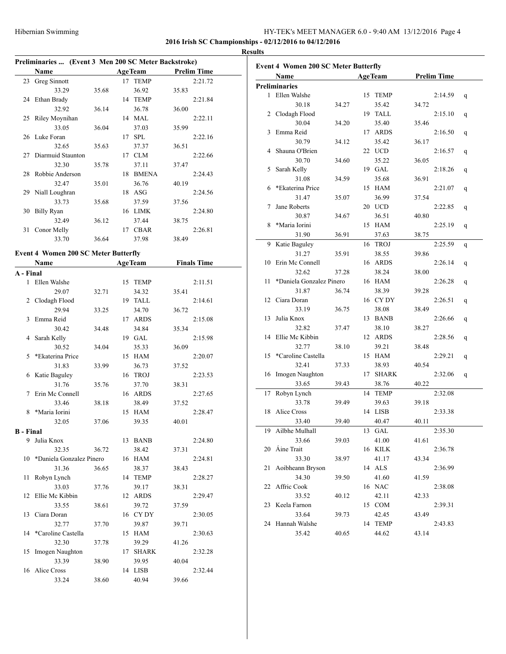### **2016 Irish SC Championships - 02/12/2016 to 04/12/2016**

|                         | 35.78                                                                                                                                                                                                                                                                                                                                                                                                                                                                         |                                                                                                                             | 37.11            |                                                                                                                                                                                                                                                                                                                                                                                                                                                      |                                                                                                 |                                                                                                                                                                                                                           |
|-------------------------|-------------------------------------------------------------------------------------------------------------------------------------------------------------------------------------------------------------------------------------------------------------------------------------------------------------------------------------------------------------------------------------------------------------------------------------------------------------------------------|-----------------------------------------------------------------------------------------------------------------------------|------------------|------------------------------------------------------------------------------------------------------------------------------------------------------------------------------------------------------------------------------------------------------------------------------------------------------------------------------------------------------------------------------------------------------------------------------------------------------|-------------------------------------------------------------------------------------------------|---------------------------------------------------------------------------------------------------------------------------------------------------------------------------------------------------------------------------|
|                         |                                                                                                                                                                                                                                                                                                                                                                                                                                                                               |                                                                                                                             |                  |                                                                                                                                                                                                                                                                                                                                                                                                                                                      | 2:24.43                                                                                         |                                                                                                                                                                                                                           |
| 32.47                   | 35.01                                                                                                                                                                                                                                                                                                                                                                                                                                                                         |                                                                                                                             | 36.76            | 40.19                                                                                                                                                                                                                                                                                                                                                                                                                                                |                                                                                                 |                                                                                                                                                                                                                           |
|                         |                                                                                                                                                                                                                                                                                                                                                                                                                                                                               |                                                                                                                             |                  |                                                                                                                                                                                                                                                                                                                                                                                                                                                      | 2:24.56                                                                                         |                                                                                                                                                                                                                           |
| 33.73                   | 35.68                                                                                                                                                                                                                                                                                                                                                                                                                                                                         |                                                                                                                             | 37.59            | 37.56                                                                                                                                                                                                                                                                                                                                                                                                                                                |                                                                                                 |                                                                                                                                                                                                                           |
|                         |                                                                                                                                                                                                                                                                                                                                                                                                                                                                               |                                                                                                                             |                  |                                                                                                                                                                                                                                                                                                                                                                                                                                                      | 2:24.80                                                                                         |                                                                                                                                                                                                                           |
| 32.49                   | 36.12                                                                                                                                                                                                                                                                                                                                                                                                                                                                         |                                                                                                                             | 37.44            | 38.75                                                                                                                                                                                                                                                                                                                                                                                                                                                |                                                                                                 |                                                                                                                                                                                                                           |
|                         |                                                                                                                                                                                                                                                                                                                                                                                                                                                                               |                                                                                                                             |                  |                                                                                                                                                                                                                                                                                                                                                                                                                                                      | 2:26.81                                                                                         |                                                                                                                                                                                                                           |
| 33.70                   | 36.64                                                                                                                                                                                                                                                                                                                                                                                                                                                                         |                                                                                                                             | 37.98            | 38.49                                                                                                                                                                                                                                                                                                                                                                                                                                                |                                                                                                 |                                                                                                                                                                                                                           |
|                         |                                                                                                                                                                                                                                                                                                                                                                                                                                                                               |                                                                                                                             |                  |                                                                                                                                                                                                                                                                                                                                                                                                                                                      |                                                                                                 |                                                                                                                                                                                                                           |
|                         |                                                                                                                                                                                                                                                                                                                                                                                                                                                                               |                                                                                                                             |                  |                                                                                                                                                                                                                                                                                                                                                                                                                                                      |                                                                                                 |                                                                                                                                                                                                                           |
|                         |                                                                                                                                                                                                                                                                                                                                                                                                                                                                               |                                                                                                                             |                  |                                                                                                                                                                                                                                                                                                                                                                                                                                                      |                                                                                                 |                                                                                                                                                                                                                           |
|                         |                                                                                                                                                                                                                                                                                                                                                                                                                                                                               |                                                                                                                             |                  |                                                                                                                                                                                                                                                                                                                                                                                                                                                      |                                                                                                 |                                                                                                                                                                                                                           |
|                         |                                                                                                                                                                                                                                                                                                                                                                                                                                                                               |                                                                                                                             |                  |                                                                                                                                                                                                                                                                                                                                                                                                                                                      |                                                                                                 |                                                                                                                                                                                                                           |
|                         |                                                                                                                                                                                                                                                                                                                                                                                                                                                                               |                                                                                                                             |                  |                                                                                                                                                                                                                                                                                                                                                                                                                                                      |                                                                                                 |                                                                                                                                                                                                                           |
|                         |                                                                                                                                                                                                                                                                                                                                                                                                                                                                               |                                                                                                                             |                  |                                                                                                                                                                                                                                                                                                                                                                                                                                                      |                                                                                                 |                                                                                                                                                                                                                           |
|                         |                                                                                                                                                                                                                                                                                                                                                                                                                                                                               |                                                                                                                             |                  |                                                                                                                                                                                                                                                                                                                                                                                                                                                      |                                                                                                 |                                                                                                                                                                                                                           |
|                         |                                                                                                                                                                                                                                                                                                                                                                                                                                                                               |                                                                                                                             |                  |                                                                                                                                                                                                                                                                                                                                                                                                                                                      |                                                                                                 |                                                                                                                                                                                                                           |
|                         |                                                                                                                                                                                                                                                                                                                                                                                                                                                                               |                                                                                                                             |                  |                                                                                                                                                                                                                                                                                                                                                                                                                                                      |                                                                                                 |                                                                                                                                                                                                                           |
|                         |                                                                                                                                                                                                                                                                                                                                                                                                                                                                               |                                                                                                                             |                  |                                                                                                                                                                                                                                                                                                                                                                                                                                                      |                                                                                                 |                                                                                                                                                                                                                           |
|                         |                                                                                                                                                                                                                                                                                                                                                                                                                                                                               |                                                                                                                             |                  |                                                                                                                                                                                                                                                                                                                                                                                                                                                      |                                                                                                 |                                                                                                                                                                                                                           |
|                         |                                                                                                                                                                                                                                                                                                                                                                                                                                                                               |                                                                                                                             |                  |                                                                                                                                                                                                                                                                                                                                                                                                                                                      |                                                                                                 |                                                                                                                                                                                                                           |
|                         |                                                                                                                                                                                                                                                                                                                                                                                                                                                                               |                                                                                                                             |                  |                                                                                                                                                                                                                                                                                                                                                                                                                                                      |                                                                                                 |                                                                                                                                                                                                                           |
|                         |                                                                                                                                                                                                                                                                                                                                                                                                                                                                               |                                                                                                                             |                  |                                                                                                                                                                                                                                                                                                                                                                                                                                                      |                                                                                                 |                                                                                                                                                                                                                           |
|                         |                                                                                                                                                                                                                                                                                                                                                                                                                                                                               |                                                                                                                             |                  | 38.31                                                                                                                                                                                                                                                                                                                                                                                                                                                |                                                                                                 |                                                                                                                                                                                                                           |
|                         |                                                                                                                                                                                                                                                                                                                                                                                                                                                                               |                                                                                                                             |                  |                                                                                                                                                                                                                                                                                                                                                                                                                                                      | 2:27.65                                                                                         |                                                                                                                                                                                                                           |
| 33.46                   | 38.18                                                                                                                                                                                                                                                                                                                                                                                                                                                                         |                                                                                                                             | 38.49            | 37.52                                                                                                                                                                                                                                                                                                                                                                                                                                                |                                                                                                 |                                                                                                                                                                                                                           |
| *Maria Iorini           |                                                                                                                                                                                                                                                                                                                                                                                                                                                                               |                                                                                                                             |                  |                                                                                                                                                                                                                                                                                                                                                                                                                                                      | 2:28.47                                                                                         |                                                                                                                                                                                                                           |
| 32.05                   | 37.06                                                                                                                                                                                                                                                                                                                                                                                                                                                                         |                                                                                                                             | 39.35            | 40.01                                                                                                                                                                                                                                                                                                                                                                                                                                                |                                                                                                 |                                                                                                                                                                                                                           |
|                         |                                                                                                                                                                                                                                                                                                                                                                                                                                                                               |                                                                                                                             |                  |                                                                                                                                                                                                                                                                                                                                                                                                                                                      |                                                                                                 |                                                                                                                                                                                                                           |
|                         |                                                                                                                                                                                                                                                                                                                                                                                                                                                                               |                                                                                                                             |                  |                                                                                                                                                                                                                                                                                                                                                                                                                                                      | 2:24.80                                                                                         |                                                                                                                                                                                                                           |
| 32.35                   | 36.72                                                                                                                                                                                                                                                                                                                                                                                                                                                                         |                                                                                                                             | 38.42            | 37.31                                                                                                                                                                                                                                                                                                                                                                                                                                                |                                                                                                 |                                                                                                                                                                                                                           |
|                         |                                                                                                                                                                                                                                                                                                                                                                                                                                                                               |                                                                                                                             |                  |                                                                                                                                                                                                                                                                                                                                                                                                                                                      | 2:24.81                                                                                         |                                                                                                                                                                                                                           |
| 31.36                   | 36.65                                                                                                                                                                                                                                                                                                                                                                                                                                                                         |                                                                                                                             | 38.37            | 38.43                                                                                                                                                                                                                                                                                                                                                                                                                                                |                                                                                                 |                                                                                                                                                                                                                           |
| Robyn Lynch             |                                                                                                                                                                                                                                                                                                                                                                                                                                                                               |                                                                                                                             |                  |                                                                                                                                                                                                                                                                                                                                                                                                                                                      | 2:28.27                                                                                         |                                                                                                                                                                                                                           |
| 33.03                   | 37.76                                                                                                                                                                                                                                                                                                                                                                                                                                                                         |                                                                                                                             | 39.17            | 38.31                                                                                                                                                                                                                                                                                                                                                                                                                                                |                                                                                                 |                                                                                                                                                                                                                           |
| Ellie Mc Kibbin         |                                                                                                                                                                                                                                                                                                                                                                                                                                                                               |                                                                                                                             |                  |                                                                                                                                                                                                                                                                                                                                                                                                                                                      | 2:29.47                                                                                         |                                                                                                                                                                                                                           |
| 33.55                   | 38.61                                                                                                                                                                                                                                                                                                                                                                                                                                                                         |                                                                                                                             | 39.72            | 37.59                                                                                                                                                                                                                                                                                                                                                                                                                                                |                                                                                                 |                                                                                                                                                                                                                           |
| Ciara Doran             |                                                                                                                                                                                                                                                                                                                                                                                                                                                                               |                                                                                                                             |                  |                                                                                                                                                                                                                                                                                                                                                                                                                                                      | 2:30.05                                                                                         |                                                                                                                                                                                                                           |
| 32.77                   | 37.70                                                                                                                                                                                                                                                                                                                                                                                                                                                                         |                                                                                                                             | 39.87            | 39.71                                                                                                                                                                                                                                                                                                                                                                                                                                                |                                                                                                 |                                                                                                                                                                                                                           |
| *Caroline Castella      |                                                                                                                                                                                                                                                                                                                                                                                                                                                                               |                                                                                                                             |                  |                                                                                                                                                                                                                                                                                                                                                                                                                                                      | 2:30.63                                                                                         |                                                                                                                                                                                                                           |
|                         |                                                                                                                                                                                                                                                                                                                                                                                                                                                                               |                                                                                                                             |                  |                                                                                                                                                                                                                                                                                                                                                                                                                                                      |                                                                                                 |                                                                                                                                                                                                                           |
| Imogen Naughton         |                                                                                                                                                                                                                                                                                                                                                                                                                                                                               |                                                                                                                             |                  |                                                                                                                                                                                                                                                                                                                                                                                                                                                      | 2:32.28                                                                                         |                                                                                                                                                                                                                           |
|                         |                                                                                                                                                                                                                                                                                                                                                                                                                                                                               |                                                                                                                             |                  |                                                                                                                                                                                                                                                                                                                                                                                                                                                      |                                                                                                 |                                                                                                                                                                                                                           |
|                         |                                                                                                                                                                                                                                                                                                                                                                                                                                                                               |                                                                                                                             |                  |                                                                                                                                                                                                                                                                                                                                                                                                                                                      |                                                                                                 |                                                                                                                                                                                                                           |
| 33.39<br>16 Alice Cross | 38.90                                                                                                                                                                                                                                                                                                                                                                                                                                                                         |                                                                                                                             | 39.95<br>14 LISB | 40.04                                                                                                                                                                                                                                                                                                                                                                                                                                                | 2:32.44                                                                                         |                                                                                                                                                                                                                           |
|                         | Name<br>23 Greg Sinnott<br>33.29<br>24 Ethan Brady<br>32.92<br>25 Riley Moynihan<br>33.05<br>26 Luke Foran<br>32.65<br>Diarmuid Staunton<br>32.30<br>28 Robbie Anderson<br>29 Niall Loughran<br>Billy Ryan<br>31 Conor Melly<br>Name<br>A - Final<br>1 Ellen Walshe<br>29.07<br>Clodagh Flood<br>29.94<br>Emma Reid<br>30.42<br>Sarah Kelly<br>30.52<br>*Ekaterina Price<br>31.83<br>6 Katie Baguley<br>31.76<br>Erin Mc Connell<br><b>B</b> - Final<br>9 Julia Knox<br>32.30 | 35.68<br>36.14<br>36.04<br>35.63<br>32.71<br>33.25<br>34.48<br>34.04<br>33.99<br>35.76<br>*Daniela Gonzalez Pinero<br>37.78 |                  | <b>AgeTeam</b><br>17 TEMP<br>36.92<br>14 TEMP<br>36.78<br>14 MAL<br>37.03<br>17 SPL<br>37.37<br>17 CLM<br>18 BMENA<br>18 ASG<br>16 LIMK<br>17 CBAR<br><b>Event 4 Women 200 SC Meter Butterfly</b><br><b>AgeTeam</b><br>15 TEMP<br>34.32<br>19 TALL<br>34.70<br>17 ARDS<br>34.84<br>19 GAL<br>35.33<br>15 HAM<br>36.73<br>16 TROJ<br>37.70<br>16 ARDS<br>15 HAM<br>13 BANB<br>16 HAM<br>14 TEMP<br>12 ARDS<br>16 CY DY<br>15 HAM<br>39.29<br>17 SHARK | 35.83<br>36.00<br>35.99<br>36.51<br>37.47<br>35.41<br>36.72<br>35.34<br>36.09<br>37.52<br>41.26 | Preliminaries  (Event 3 Men 200 SC Meter Backstroke)<br><b>Prelim Time</b><br>2:21.72<br>2:21.84<br>2:22.11<br>2:22.16<br>2:22.66<br><b>Finals Time</b><br>2:11.51<br>2:14.61<br>2:15.08<br>2:15.98<br>2:20.07<br>2:23.53 |

| <b>Event 4 Women 200 SC Meter Butterfly</b> |                          |       |    |                |       |                    |   |  |
|---------------------------------------------|--------------------------|-------|----|----------------|-------|--------------------|---|--|
|                                             | Name                     |       |    | <b>AgeTeam</b> |       | <b>Prelim Time</b> |   |  |
|                                             | <b>Preliminaries</b>     |       |    |                |       |                    |   |  |
|                                             | 1 Ellen Walshe           |       |    | 15 TEMP        |       | 2:14.59            | q |  |
|                                             | 30.18                    | 34.27 |    | 35.42          | 34.72 |                    |   |  |
| 2                                           | Clodagh Flood            |       |    | 19 TALL        |       | 2:15.10            | q |  |
|                                             | 30.04                    | 34.20 |    | 35.40          | 35.46 |                    |   |  |
| 3                                           | Emma Reid                |       | 17 | <b>ARDS</b>    |       | 2:16.50            | q |  |
|                                             | 30.79                    | 34.12 |    | 35.42          | 36.17 |                    |   |  |
| 4                                           | Shauna O'Brien           |       |    | 22 UCD         |       | 2:16.57            | q |  |
|                                             | 30.70                    | 34.60 |    | 35.22          | 36.05 |                    |   |  |
| 5                                           | Sarah Kelly              |       |    | 19 GAL         |       | 2:18.26            | q |  |
|                                             | 31.08                    | 34.59 |    | 35.68          | 36.91 |                    |   |  |
| 6                                           | *Ekaterina Price         |       |    | 15 HAM         |       | 2:21.07            | q |  |
|                                             | 31.47                    | 35.07 |    | 36.99          | 37.54 |                    |   |  |
| 7                                           | Jane Roberts             |       |    | 20 UCD         |       | 2:22.85            | q |  |
|                                             | 30.87                    | 34.67 |    | 36.51          | 40.80 |                    |   |  |
| 8                                           | *Maria Iorini            |       |    | 15 HAM         |       | 2:25.19            | q |  |
|                                             | 31.90                    | 36.91 |    | 37.63          | 38.75 |                    |   |  |
| 9                                           | Katie Baguley            |       | 16 | <b>TROJ</b>    |       | 2:25.59            | q |  |
|                                             | 31.27                    | 35.91 |    | 38.55          | 39.86 |                    |   |  |
| 10                                          | Erin Mc Connell          |       | 16 | ARDS           |       | 2:26.14            | q |  |
|                                             | 32.62                    | 37.28 |    | 38.24          | 38.00 |                    |   |  |
| 11                                          | *Daniela Gonzalez Pinero |       |    | 16 HAM         |       | 2:26.28            | q |  |
|                                             | 31.87                    | 36.74 |    | 38.39          | 39.28 |                    |   |  |
| 12                                          | Ciara Doran              |       |    | 16 CYDY        |       | 2:26.51            | q |  |
|                                             | 33.19                    | 36.75 |    | 38.08          | 38.49 |                    |   |  |
| 13                                          | Julia Knox               |       |    | 13 BANB        |       | 2:26.66            | q |  |
|                                             | 32.82                    | 37.47 |    | 38.10          | 38.27 |                    |   |  |
| 14                                          | Ellie Mc Kibbin          |       | 12 | <b>ARDS</b>    |       | 2:28.56            | q |  |
|                                             | 32.77                    | 38.10 |    | 39.21          | 38.48 |                    |   |  |
| 15                                          | *Caroline Castella       |       | 15 | HAM            |       | 2:29.21            | q |  |
|                                             | 32.41                    | 37.33 |    | 38.93          | 40.54 |                    |   |  |
| 16                                          | Imogen Naughton          |       | 17 | <b>SHARK</b>   |       | 2:32.06            | q |  |
|                                             | 33.65                    | 39.43 |    | 38.76          | 40.22 |                    |   |  |
| 17                                          | Robyn Lynch              |       | 14 | <b>TEMP</b>    |       | 2:32.08            |   |  |
|                                             | 33.78                    | 39.49 |    | 39.63          | 39.18 |                    |   |  |
| 18                                          | Alice Cross              |       | 14 | LISB           |       | 2:33.38            |   |  |
|                                             | 33.40                    | 39.40 |    | 40.47          | 40.11 |                    |   |  |
|                                             |                          |       |    |                |       |                    |   |  |
|                                             | 19 Ailbhe Mulhall        | 39.03 |    | 13 GAL         |       | 2:35.30            |   |  |
| 20                                          | 33.66<br>Áine Trait      |       |    | 41.00          | 41.61 |                    |   |  |
|                                             | 33.30                    |       |    | 16 KILK        | 43.34 | 2:36.78            |   |  |
|                                             |                          | 38.97 |    | 41.17          |       |                    |   |  |
| 21                                          | Aoibheann Bryson         |       |    | 14 ALS         |       | 2:36.99            |   |  |
|                                             | 34.30                    | 39.50 |    | 41.60          | 41.59 |                    |   |  |
| 22                                          | Affric Cook              |       |    | 16 NAC         |       | 2:38.08            |   |  |
|                                             | 33.52                    | 40.12 |    | 42.11          | 42.33 |                    |   |  |
| 23                                          | Keela Farnon             |       |    | 15 COM         |       | 2:39.31            |   |  |
|                                             | 33.64                    | 39.73 |    | 42.45          | 43.49 |                    |   |  |
|                                             | 24 Hannah Walshe         |       |    | 14 TEMP        |       | 2:43.83            |   |  |
|                                             | 35.42                    | 40.65 |    | 44.62          | 43.14 |                    |   |  |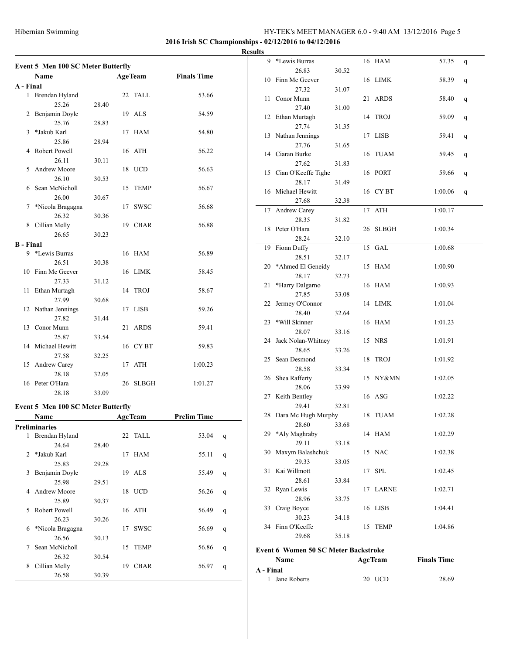**2016 Irish SC Championships - 02/12/2016 to 04/12/2016**

#### **Results**

|                  | <b>Event 5 Men 100 SC Meter Butterfly</b> |       |    |                |                    |              |  |  |  |
|------------------|-------------------------------------------|-------|----|----------------|--------------------|--------------|--|--|--|
|                  | <b>Name</b>                               |       |    | <b>AgeTeam</b> | <b>Finals Time</b> |              |  |  |  |
| A - Final        |                                           |       |    |                |                    |              |  |  |  |
| $\mathbf{1}$     | Brendan Hyland                            |       |    | 22 TALL        | 53.66              |              |  |  |  |
|                  | 25.26                                     | 28.40 |    |                |                    |              |  |  |  |
|                  | 2 Benjamin Doyle                          |       |    | 19 ALS         | 54.59              |              |  |  |  |
|                  | 25.76                                     | 28.83 |    |                |                    |              |  |  |  |
| 3                | *Jakub Karl                               |       |    | 17 HAM         | 54.80              |              |  |  |  |
|                  | 25.86                                     | 28.94 |    |                |                    |              |  |  |  |
| 4                | Robert Powell                             |       |    | 16 ATH         | 56.22              |              |  |  |  |
|                  | 26.11                                     | 30.11 |    |                |                    |              |  |  |  |
| 5                | Andrew Moore                              |       |    | 18 UCD         | 56.63              |              |  |  |  |
|                  | 26.10                                     | 30.53 |    |                |                    |              |  |  |  |
|                  | 6 Sean McNicholl                          |       |    | 15 TEMP        | 56.67              |              |  |  |  |
|                  | 26.00                                     | 30.67 |    |                |                    |              |  |  |  |
| 7                | *Nicola Bragagna                          |       |    | 17 SWSC        | 56.68              |              |  |  |  |
|                  | 26.32                                     | 30.36 |    |                |                    |              |  |  |  |
|                  | 8 Cillian Melly                           |       |    | 19 CBAR        | 56.88              |              |  |  |  |
|                  | 26.65                                     | 30.23 |    |                |                    |              |  |  |  |
| <b>B</b> - Final |                                           |       |    |                |                    |              |  |  |  |
|                  | 9 *Lewis Burras                           |       |    | 16 HAM         | 56.89              |              |  |  |  |
|                  | 26.51                                     | 30.38 |    |                |                    |              |  |  |  |
|                  | 10 Finn Mc Geever                         |       |    | 16 LIMK        | 58.45              |              |  |  |  |
|                  | 27.33                                     | 31.12 |    |                |                    |              |  |  |  |
| 11               | Ethan Murtagh                             |       |    | 14 TROJ        | 58.67              |              |  |  |  |
|                  | 27.99                                     | 30.68 |    |                |                    |              |  |  |  |
|                  | 12 Nathan Jennings                        |       |    | 17 LISB        | 59.26              |              |  |  |  |
|                  | 27.82                                     | 31.44 |    |                |                    |              |  |  |  |
|                  | 13 Conor Munn                             |       |    | 21 ARDS        | 59.41              |              |  |  |  |
|                  | 25.87                                     | 33.54 |    |                |                    |              |  |  |  |
|                  | 14 Michael Hewitt                         |       |    | 16 CYBT        | 59.83              |              |  |  |  |
|                  | 27.58                                     | 32.25 |    |                |                    |              |  |  |  |
|                  | 15 Andrew Carey                           |       |    | 17 ATH         | 1:00.23            |              |  |  |  |
|                  | 28.18                                     | 32.05 |    |                |                    |              |  |  |  |
|                  | 16 Peter O'Hara                           |       |    | 26 SLBGH       | 1:01.27            |              |  |  |  |
|                  | 28.18                                     | 33.09 |    |                |                    |              |  |  |  |
|                  |                                           |       |    |                |                    |              |  |  |  |
|                  | Event 5 Men 100 SC Meter Butterfly        |       |    |                |                    |              |  |  |  |
|                  | Name                                      |       |    | <b>AgeTeam</b> | <b>Prelim Time</b> |              |  |  |  |
|                  | Preliminaries                             |       |    |                |                    |              |  |  |  |
|                  | 1 Brendan Hyland                          |       |    | 22 TALL        | 53.04              | q            |  |  |  |
|                  | 24.64                                     | 28.40 |    |                |                    |              |  |  |  |
| 2                | *Jakub Karl                               |       | 17 | <b>HAM</b>     | 55.11              | q            |  |  |  |
|                  | 25.83                                     | 29.28 |    |                |                    |              |  |  |  |
| 3                | Benjamin Doyle                            |       | 19 | ALS            | 55.49              | q            |  |  |  |
|                  | 25.98                                     | 29.51 |    |                |                    |              |  |  |  |
| 4                | Andrew Moore                              |       |    | 18 UCD         | 56.26              | q            |  |  |  |
|                  | 25.89                                     | 30.37 |    |                |                    |              |  |  |  |
| 5                | Robert Powell                             |       | 16 | ATH            | 56.49              | $\mathbf{q}$ |  |  |  |
|                  | 26.23                                     | 30.26 |    |                |                    |              |  |  |  |
| 6                | *Nicola Bragagna                          |       | 17 | SWSC           | 56.69              | q            |  |  |  |

26.56 30.13

26.32 30.54

26.58 30.39

7 Sean McNicholl 15 TEMP 56.86 q

8 Cillian Melly 19 CBAR 56.97 q

| นเเร      |                                             |       |    |                |                    |   |
|-----------|---------------------------------------------|-------|----|----------------|--------------------|---|
| 9         | *Lewis Burras                               |       |    | 16 HAM         | 57.35              | q |
|           | 26.83                                       | 30.52 |    |                |                    |   |
| 10        | Finn Mc Geever                              |       |    | 16 LIMK        | 58.39              | q |
|           | 27.32                                       | 31.07 |    |                |                    |   |
| 11        | Conor Munn                                  |       |    | 21 ARDS        | 58.40              | q |
|           | 27.40                                       | 31.00 |    |                |                    |   |
|           | 12 Ethan Murtagh                            |       |    | 14 TROJ        | 59.09              | q |
|           | 27.74                                       | 31.35 |    |                |                    |   |
|           | 13 Nathan Jennings                          |       | 17 | <b>LISB</b>    | 59.41              | q |
|           | 27.76                                       | 31.65 |    |                |                    |   |
|           | 14 Ciaran Burke                             |       |    | 16 TUAM        | 59.45              | q |
|           | 27.62                                       | 31.83 |    |                |                    |   |
|           | 15 Cian O'Keeffe Tighe                      |       |    | 16 PORT        | 59.66              | q |
|           | 28.17                                       | 31.49 |    |                |                    |   |
|           | 16 Michael Hewitt                           |       |    | 16 CYBT        | 1:00.06            | q |
|           | 27.68                                       | 32.38 |    |                |                    |   |
| 17        | Andrew Carey                                |       | 17 | ATH            | 1:00.17            |   |
|           | 28.35                                       | 31.82 |    |                |                    |   |
|           | 18 Peter O'Hara                             |       |    | 26 SLBGH       | 1:00.34            |   |
|           | 28.24                                       | 32.10 |    |                |                    |   |
| 19        | Fionn Duffy                                 |       | 15 | GAL            | 1:00.68            |   |
|           | 28.51                                       | 32.17 |    |                |                    |   |
| 20        | *Ahmed El Geneidy                           |       |    | 15 HAM         | 1:00.90            |   |
|           | 28.17                                       | 32.73 |    |                |                    |   |
| 21        | *Harry Dalgarno                             |       |    | 16 HAM         | 1:00.93            |   |
|           | 27.85                                       | 33.08 |    |                |                    |   |
| 22        | Jermey O'Connor                             |       |    | 14 LIMK        | 1:01.04            |   |
|           | 28.40                                       | 32.64 |    |                |                    |   |
| 23        | *Will Skinner                               |       |    | 16 HAM         | 1:01.23            |   |
|           | 28.07                                       | 33.16 |    |                |                    |   |
|           | 24 Jack Nolan-Whitney                       |       |    | 15 NRS         | 1:01.91            |   |
|           | 28.65                                       | 33.26 |    |                |                    |   |
| 25        | Sean Desmond                                |       | 18 | <b>TROJ</b>    | 1:01.92            |   |
|           | 28.58                                       | 33.34 |    |                |                    |   |
|           | 26 Shea Rafferty                            |       |    | 15 NY&MN       | 1:02.05            |   |
|           | 28.06<br>27 Keith Bentley                   | 33.99 |    | 16 ASG         | 1:02.22            |   |
|           | 29.41                                       | 32.81 |    |                |                    |   |
|           | 28 Dara Mc Hugh Murphy                      |       |    | 18 TUAM        | 1:02.28            |   |
|           | 28.60                                       | 33.68 |    |                |                    |   |
| 29        | *Aly Maghraby                               |       |    | 14 HAM         | 1:02.29            |   |
|           | 29.11                                       | 33.18 |    |                |                    |   |
| 30        | Maxym Balashchuk                            |       |    | 15 NAC         | 1:02.38            |   |
|           | 29.33                                       | 33.05 |    |                |                    |   |
| 31        | Kai Willmott                                |       | 17 | <b>SPL</b>     | 1:02.45            |   |
|           | 28.61                                       | 33.84 |    |                |                    |   |
| 32        | Ryan Lewis                                  |       | 17 | LARNE          | 1:02.71            |   |
|           | 28.96                                       | 33.75 |    |                |                    |   |
| 33        | Craig Boyce                                 |       |    | 16 LISB        | 1:04.41            |   |
|           | 30.23                                       | 34.18 |    |                |                    |   |
|           | 34 Finn O'Keeffe                            |       | 15 | <b>TEMP</b>    | 1:04.86            |   |
|           | 29.68                                       | 35.18 |    |                |                    |   |
|           |                                             |       |    |                |                    |   |
|           | <b>Event 6 Women 50 SC Meter Backstroke</b> |       |    |                |                    |   |
|           | Name                                        |       |    | <b>AgeTeam</b> | <b>Finals Time</b> |   |
| A - Final |                                             |       |    |                |                    |   |

| A - Final      |        |       |  |  |  |  |  |  |  |  |
|----------------|--------|-------|--|--|--|--|--|--|--|--|
| 1 Jane Roberts | 20 UCD | 28.69 |  |  |  |  |  |  |  |  |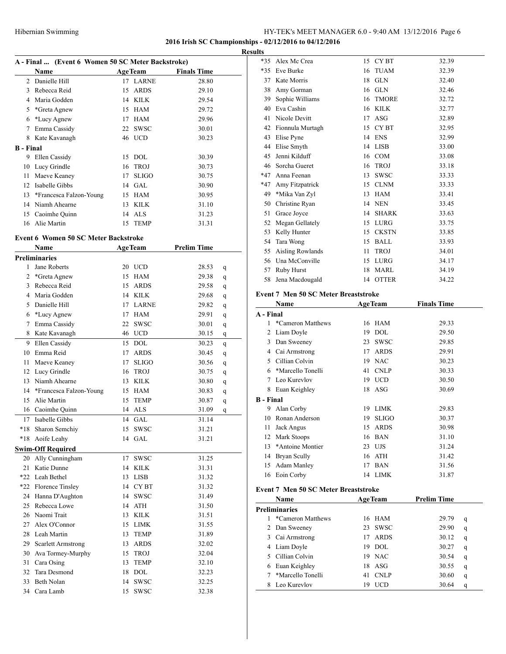#### **2016 Irish SC Championships - 02/12/2016 to 04/12/2016**

|                  |                         | A - Final  (Event 6 Women 50 SC Meter Backstroke) |                |                    |  |  |  |  |  |  |
|------------------|-------------------------|---------------------------------------------------|----------------|--------------------|--|--|--|--|--|--|
|                  | <b>Name</b>             |                                                   | <b>AgeTeam</b> | <b>Finals Time</b> |  |  |  |  |  |  |
| $\mathfrak{D}$   | Danielle Hill           |                                                   | 17 LARNE       | 28.80              |  |  |  |  |  |  |
| 3                | Rebecca Reid            | 15                                                | <b>ARDS</b>    | 29.10              |  |  |  |  |  |  |
| 4                | Maria Godden            | 14                                                | <b>KILK</b>    | 29.54              |  |  |  |  |  |  |
| 5                | *Greta Agnew            | 15                                                | HAM            | 29.72              |  |  |  |  |  |  |
| 6                | *Lucy Agnew             | 17                                                | <b>HAM</b>     | 29.96              |  |  |  |  |  |  |
| 7                | Emma Cassidy            | 22                                                | SWSC           | 30.01              |  |  |  |  |  |  |
| 8                | Kate Kavanagh           |                                                   | 46 UCD         | 30.23              |  |  |  |  |  |  |
| <b>B</b> - Final |                         |                                                   |                |                    |  |  |  |  |  |  |
| 9                | Ellen Cassidy           | 15                                                | <b>DOL</b>     | 30.39              |  |  |  |  |  |  |
| 10               | Lucy Grindle            | 16                                                | <b>TROJ</b>    | 30.73              |  |  |  |  |  |  |
| 11               | Maeve Keaney            | 17                                                | <b>SLIGO</b>   | 30.75              |  |  |  |  |  |  |
| 12               | Isabelle Gibbs          | 14                                                | GAL.           | 30.90              |  |  |  |  |  |  |
| 13               | *Francesca Falzon-Young | 15                                                | HAM            | 30.95              |  |  |  |  |  |  |
| 14               | Niamh Ahearne           | 13                                                | KILK           | 31.10              |  |  |  |  |  |  |
| 15               | Caoimhe Quinn           |                                                   | 14 ALS         | 31.23              |  |  |  |  |  |  |
|                  | 16 Alie Martin          |                                                   | 15 TEMP        | 31.31              |  |  |  |  |  |  |

#### **Event 6 Women 50 SC Meter Backstroke**

|                | <b>Name</b>               |    | <b>AgeTeam</b> | <b>Prelim Time</b> |              |
|----------------|---------------------------|----|----------------|--------------------|--------------|
|                | Preliminaries             |    |                |                    |              |
| 1              | Jane Roberts              | 20 | <b>UCD</b>     | 28.53              | q            |
| $\overline{c}$ | *Greta Agnew              | 15 | <b>HAM</b>     | 29.38              | q            |
| 3              | Rebecca Reid              | 15 | <b>ARDS</b>    | 29.58              | q            |
| 4              | Maria Godden              |    | 14 KILK        | 29.68              | q            |
| 5              | Danielle Hill             | 17 | <b>LARNE</b>   | 29.82              | q            |
| 6              | *Lucy Agnew               | 17 | <b>HAM</b>     | 29.91              | q            |
| 7              | Emma Cassidy              | 22 | <b>SWSC</b>    | 30.01              | $\mathbf{q}$ |
| 8              | Kate Kavanagh             | 46 | <b>UCD</b>     | 30.15              | $\mathbf{q}$ |
| 9              | Ellen Cassidy             | 15 | <b>DOL</b>     | 30.23              | q            |
| 10             | Emma Reid                 | 17 | <b>ARDS</b>    | 30.45              | $\mathbf{q}$ |
| 11             | Maeve Keaney              | 17 | <b>SLIGO</b>   | 30.56              | $\mathbf{q}$ |
| 12             | Lucy Grindle              | 16 | <b>TROJ</b>    | 30.75              | q            |
| 13             | Niamh Ahearne             | 13 | <b>KILK</b>    | 30.80              | q            |
| 14             | *Francesca Falzon-Young   | 15 | <b>HAM</b>     | 30.83              | q            |
| 15             | Alie Martin               | 15 | <b>TEMP</b>    | 30.87              | q            |
| 16             | Caoimhe Quinn             | 14 | <b>ALS</b>     | 31.09              | q            |
| 17             | Isabelle Gibbs            | 14 | GAL            | 31.14              |              |
| $*18$          | Sharon Semchiy            | 15 | <b>SWSC</b>    | 31.21              |              |
| $*18$          | Aoife Leahy               | 14 | <b>GAL</b>     | 31.21              |              |
|                | <b>Swim-Off Required</b>  |    |                |                    |              |
| 20             | Ally Cunningham           | 17 | <b>SWSC</b>    | 31.25              |              |
| 21             | Katie Dunne               | 14 | <b>KILK</b>    | 31.31              |              |
| $*22$          | Leah Bethel               | 13 | <b>LISB</b>    | 31.32              |              |
| $*22$          | Florence Tinsley          |    | 14 CYBT        | 31.32              |              |
| 24             | Hanna D'Aughton           | 14 | <b>SWSC</b>    | 31.49              |              |
| 25             | Rebecca Lowe              | 14 | <b>ATH</b>     | 31.50              |              |
| 26             | Naomi Trait               | 13 | <b>KILK</b>    | 31.51              |              |
| 27             | Alex O'Connor             |    | 15 LIMK        | 31.55              |              |
| 28             | Leah Martin               | 13 | <b>TEMP</b>    | 31.89              |              |
| 29             | <b>Scarlett Armstrong</b> | 13 | <b>ARDS</b>    | 32.02              |              |
| 30             | Ava Tormey-Murphy         | 15 | <b>TROJ</b>    | 32.04              |              |
| 31             | Cara Osing                | 13 | <b>TEMP</b>    | 32.10              |              |
| 32             | Tara Desmond              | 18 | <b>DOL</b>     | 32.23              |              |
| 33             | Beth Nolan                | 14 | <b>SWSC</b>    | 32.25              |              |
| 34             | Cara Lamb                 | 15 | <b>SWSC</b>    | 32.38              |              |

| <b>Results</b> |                  |    |              |       |
|----------------|------------------|----|--------------|-------|
| *35            | Alex Mc Crea     |    | 15 CYBT      | 32.39 |
| *35            | Eve Burke        | 16 | <b>TUAM</b>  | 32.39 |
| 37             | Kate Morris      | 18 | <b>GLN</b>   | 32.40 |
| 38             | Amy Gorman       | 16 | <b>GLN</b>   | 32.46 |
| 39             | Sophie Williams  | 16 | <b>TMORE</b> | 32.72 |
| 40             | Eva Cashin       | 16 | <b>KILK</b>  | 32.77 |
| 41             | Nicole Devitt    | 17 | ASG          | 32.89 |
| 42             | Fionnula Murtagh | 15 | CY BT        | 32.95 |
| 43             | Elise Pyne       |    | 14 ENS       | 32.99 |
| 44             | Elise Smyth      | 14 | LISB         | 33.00 |
| 45             | Jenni Kilduff    | 16 | <b>COM</b>   | 33.08 |
| 46             | Sorcha Gueret    | 16 | <b>TROJ</b>  | 33.18 |
| $*47$          | Anna Feenan      | 13 | <b>SWSC</b>  | 33.33 |
| $*47$          | Amy Fitzpatrick  | 15 | <b>CLNM</b>  | 33.33 |
| 49             | *Mika Van Zyl    | 13 | <b>HAM</b>   | 33.41 |
| 50             | Christine Ryan   | 14 | <b>NEN</b>   | 33.45 |
| 51             | Grace Joyce      | 14 | <b>SHARK</b> | 33.63 |
| 52             | Megan Gellately  | 15 | <b>LURG</b>  | 33.75 |
| 53             | Kelly Hunter     | 15 | <b>CKSTN</b> | 33.85 |
| 54             | Tara Wong        | 15 | <b>BALL</b>  | 33.93 |
| 55             | Aisling Rowlands | 11 | <b>TROJ</b>  | 34.01 |
| 56             | Una McConville   | 15 | LURG         | 34.17 |
| 57             | Ruby Hurst       | 18 | <b>MARL</b>  | 34.19 |
| 58             | Jena Macdougald  |    | 14 OTTER     | 34.22 |

#### **Event 7 Men 50 SC Meter Breaststroke**

|                  | Name                                        | <b>AgeTeam</b>     | <b>Finals Time</b> |   |
|------------------|---------------------------------------------|--------------------|--------------------|---|
| A - Final        |                                             |                    |                    |   |
| 1                | *Cameron Matthews                           | 16 HAM             | 29.33              |   |
| 2                | Liam Doyle                                  | <b>DOL</b><br>19   | 29.50              |   |
| 3                | Dan Sweeney                                 | <b>SWSC</b><br>23  | 29.85              |   |
|                  | 4 Cai Armstrong                             | <b>ARDS</b><br>17  | 29.91              |   |
| 5                | Cillian Colvin                              | <b>NAC</b><br>19   | 30.23              |   |
| 6                | *Marcello Tonelli                           | <b>CNLP</b><br>41  | 30.33              |   |
| 7                | Leo Kurevlov                                | 19 UCD             | 30.50              |   |
| 8                | Euan Keighley                               | 18 ASG             | 30.69              |   |
| <b>B</b> - Final |                                             |                    |                    |   |
| 9                | Alan Corby                                  | <b>LIMK</b><br>19  | 29.83              |   |
| 10               | Ronan Anderson                              | <b>SLIGO</b><br>19 | 30.37              |   |
| 11               | Jack Angus                                  | <b>ARDS</b><br>15  | 30.98              |   |
| 12               | Mark Stoops                                 | <b>BAN</b><br>16   | 31.10              |   |
| 13               | *Antoine Montier                            | 23 UJS             | 31.24              |   |
| 14               | Bryan Scully                                | <b>ATH</b><br>16   | 31.42              |   |
| 15               | <b>Adam Manley</b>                          | <b>BAN</b><br>17   | 31.56              |   |
| 16               | Eoin Corby                                  | 14 LIMK            | 31.87              |   |
|                  | <b>Event 7 Men 50 SC Meter Breaststroke</b> |                    |                    |   |
|                  | Name                                        | <b>AgeTeam</b>     | <b>Prelim Time</b> |   |
|                  | <b>Preliminaries</b>                        |                    |                    |   |
| 1                | *Cameron Matthews                           | 16<br><b>HAM</b>   | 29.79              | q |
| 2                | Dan Sweeney                                 | <b>SWSC</b><br>23  | 29.90              | q |
| 3                | Cai Armstrong                               | 17<br><b>ARDS</b>  | 30.12              | q |
| 4                | Liam Doyle                                  | <b>DOL</b><br>19   | 30.27              | q |
| 5                | Cillian Colvin                              | <b>NAC</b><br>19   | 30.54              | q |
| 6                | Euan Keighley                               | ASG<br>18          | 30.55              | q |
| 7                | *Marcello Tonelli                           | <b>CNLP</b><br>41  | 30.60              | q |
| 8                | Leo Kurevlov                                | <b>UCD</b><br>19   | 30.64              | q |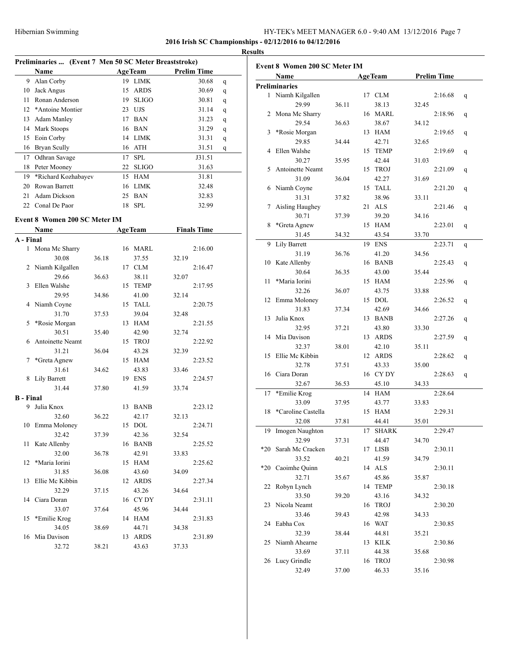**2016 Irish SC Championships - 02/12/2016 to 04/12/2016**

|                 |                                                       |     |                |                    |   | <b>Results</b> |
|-----------------|-------------------------------------------------------|-----|----------------|--------------------|---|----------------|
|                 | Preliminaries  (Event 7 Men 50 SC Meter Breaststroke) |     |                |                    |   |                |
|                 | <b>Name</b>                                           |     | <b>AgeTeam</b> | <b>Prelim Time</b> |   | Evo            |
| 9               | Alan Corby                                            | 19  | LIMK           | 30.68              | q |                |
| 10              | Jack Angus                                            | 15  | <b>ARDS</b>    | 30.69              | q | Pre            |
| 11              | Ronan Anderson                                        | 19  | <b>SLIGO</b>   | 30.81              | q |                |
| 12 <sub>1</sub> | *Antoine Montier                                      | 23  | UJS            | 31.14              | q |                |
| 13              | Adam Manley                                           | 17  | <b>BAN</b>     | 31.23              | q |                |
| 14              | Mark Stoops                                           |     | 16 BAN         | 31.29              | q |                |
| 15              | Eoin Corby                                            | 14  | LIMK           | 31.31              | q |                |
| 16              | Bryan Scully                                          |     | 16 ATH         | 31.51              | q |                |
| 17              | Odhran Savage                                         | 17  | <b>SPL</b>     | J31.51             |   |                |
| 18              | Peter Mooney                                          | 22  | <b>SLIGO</b>   | 31.63              |   |                |
| 19              | *Richard Kozhabayev                                   | 15  | <b>HAM</b>     | 31.81              |   |                |
| 20              | Rowan Barrett                                         | 16  | <b>LIMK</b>    | 32.48              |   |                |
| 21              | Adam Dickson                                          | 25  | <b>BAN</b>     | 32.83              |   |                |
| 22              | Conal De Paor                                         | 18. | <b>SPL</b>     | 32.99              |   |                |

#### **Event 8 Women 200 SC Meter IM**

|                  | Name             |       |    | <b>AgeTeam</b> | <b>Finals Time</b> |         |  |
|------------------|------------------|-------|----|----------------|--------------------|---------|--|
| A - Final        |                  |       |    |                |                    |         |  |
| $\mathbf{1}$     | Mona Mc Sharry   |       |    | 16 MARL        |                    | 2:16.00 |  |
|                  | 30.08            | 36.18 |    | 37.55          | 32.19              |         |  |
| 2                | Niamh Kilgallen  |       | 17 | <b>CLM</b>     |                    | 2:16.47 |  |
|                  | 29.66            | 36.63 |    | 38.11          | 32.07              |         |  |
| 3                | Ellen Walshe     |       | 15 | <b>TEMP</b>    |                    | 2:17.95 |  |
|                  | 29.95            | 34.86 |    | 41.00          | 32.14              |         |  |
| 4                | Niamh Coyne      |       | 15 | <b>TALL</b>    |                    | 2:20.75 |  |
|                  | 31.70            | 37.53 |    | 39.04          | 32.48              |         |  |
| 5                | *Rosie Morgan    |       | 13 | <b>HAM</b>     |                    | 2:21.55 |  |
|                  | 30.51            | 35.40 |    | 42.90          | 32.74              |         |  |
| 6                | Antoinette Neamt |       | 15 | <b>TROJ</b>    |                    | 2:22.92 |  |
|                  | 31.21            | 36.04 |    | 43.28          | 32.39              |         |  |
| 7                | *Greta Agnew     |       | 15 | <b>HAM</b>     |                    | 2:23.52 |  |
|                  | 31.61            | 34.62 |    | 43.83          | 33.46              |         |  |
| 8                | Lily Barrett     |       |    | 19 ENS         |                    | 2:24.57 |  |
|                  | 31.44            | 37.80 |    | 41.59          | 33.74              |         |  |
| <b>B</b> - Final |                  |       |    |                |                    |         |  |
| 9                | Julia Knox       |       | 13 | <b>BANB</b>    |                    | 2:23.12 |  |
|                  | 32.60            | 36.22 |    | 42.17          | 32.13              |         |  |
| 10               | Emma Moloney     |       |    | 15 DOL         |                    | 2:24.71 |  |
|                  | 32.42            | 37.39 |    | 42.36          | 32.54              |         |  |
| 11               | Kate Allenby     |       | 16 | <b>BANB</b>    |                    | 2:25.52 |  |
|                  | 32.00            | 36.78 |    | 42.91          | 33.83              |         |  |
| 12               | *Maria Iorini    |       | 15 | <b>HAM</b>     |                    | 2:25.62 |  |
|                  | 31.85            | 36.08 |    | 43.60          | 34.09              |         |  |
| 13               | Ellie Mc Kibbin  |       | 12 | <b>ARDS</b>    |                    | 2:27.34 |  |
|                  | 32.29            | 37.15 |    | 43.26          | 34.64              |         |  |
|                  | 14 Ciara Doran   |       |    | 16 CY DY       |                    | 2:31.11 |  |
|                  | 33.07            | 37.64 |    | 45.96          | 34.44              |         |  |
| 15               | *Emilie Krog     |       |    | 14 HAM         |                    | 2:31.83 |  |
|                  | 34.05            | 38.69 |    | 44.71          | 34.38              |         |  |
| 16               | Mia Davison      |       | 13 | <b>ARDS</b>    |                    | 2:31.89 |  |
|                  | 32.72            | 38.21 |    | 43.63          | 37.33              |         |  |

| <b>Event 8 Women 200 SC Meter IM</b> |                      |       |    |                |       |                    |   |  |  |  |  |
|--------------------------------------|----------------------|-------|----|----------------|-------|--------------------|---|--|--|--|--|
|                                      | Name                 |       |    | <b>AgeTeam</b> |       | <b>Prelim Time</b> |   |  |  |  |  |
|                                      | <b>Preliminaries</b> |       |    |                |       |                    |   |  |  |  |  |
|                                      | 1 Niamh Kilgallen    |       |    | 17 CLM         |       | 2:16.68            | q |  |  |  |  |
|                                      | 29.99                | 36.11 |    | 38.13          | 32.45 |                    |   |  |  |  |  |
| 2                                    | Mona Mc Sharry       |       |    | 16 MARL        |       | 2:18.96            | q |  |  |  |  |
|                                      | 29.54                | 36.63 |    | 38.67          | 34.12 |                    |   |  |  |  |  |
| 3                                    | *Rosie Morgan        |       |    | 13 HAM         |       | 2:19.65            | q |  |  |  |  |
|                                      | 29.85                | 34.44 |    | 42.71          | 32.65 |                    |   |  |  |  |  |
| 4                                    | Ellen Walshe         |       | 15 | <b>TEMP</b>    |       | 2:19.69            | q |  |  |  |  |
|                                      | 30.27                | 35.95 |    | 42.44          | 31.03 |                    |   |  |  |  |  |
| 5                                    | Antoinette Neamt     |       | 15 | <b>TROJ</b>    |       | 2:21.09            | q |  |  |  |  |
|                                      | 31.09                | 36.04 |    | 42.27          | 31.69 |                    |   |  |  |  |  |
| 6                                    | Niamh Coyne          |       | 15 | <b>TALL</b>    |       | 2:21.20            | q |  |  |  |  |
|                                      | 31.31                | 37.82 |    | 38.96          | 33.11 |                    |   |  |  |  |  |
| 7                                    | Aisling Haughey      |       | 21 | <b>ALS</b>     |       | 2:21.46            | q |  |  |  |  |
|                                      | 30.71                | 37.39 |    | 39.20          | 34.16 |                    |   |  |  |  |  |
| 8                                    | *Greta Agnew         |       | 15 | HAM            |       | 2:23.01            | q |  |  |  |  |
|                                      | 31.45                | 34.32 |    | 43.54          | 33.70 |                    |   |  |  |  |  |
| 9                                    | Lily Barrett         |       |    | 19 ENS         |       | 2:23.71            | q |  |  |  |  |
|                                      | 31.19                | 36.76 |    | 41.20          | 34.56 |                    |   |  |  |  |  |
|                                      | 10 Kate Allenby      |       |    | 16 BANB        |       | 2:25.43            | q |  |  |  |  |
|                                      | 30.64                | 36.35 |    | 43.00          | 35.44 |                    |   |  |  |  |  |
| 11                                   | *Maria Iorini        |       |    | 15 HAM         |       | 2:25.96            |   |  |  |  |  |
|                                      | 32.26                | 36.07 |    | 43.75          | 33.88 |                    | q |  |  |  |  |
| 12                                   | Emma Moloney         |       |    | 15 DOL         |       | 2:26.52            |   |  |  |  |  |
|                                      |                      |       |    |                |       |                    | q |  |  |  |  |
|                                      | 31.83<br>Julia Knox  | 37.34 |    | 42.69          | 34.66 |                    |   |  |  |  |  |
| 13                                   |                      |       |    | 13 BANB        |       | 2:27.26            | q |  |  |  |  |
|                                      | 32.95                | 37.21 |    | 43.80          | 33.30 |                    |   |  |  |  |  |
| 14                                   | Mia Davison          |       | 13 | <b>ARDS</b>    |       | 2:27.59            | q |  |  |  |  |
|                                      | 32.37                | 38.01 |    | 42.10          | 35.11 |                    |   |  |  |  |  |
| 15                                   | Ellie Mc Kibbin      |       | 12 | <b>ARDS</b>    |       | 2:28.62            | q |  |  |  |  |
|                                      | 32.78                | 37.51 |    | 43.33          | 35.00 |                    |   |  |  |  |  |
| 16                                   | Ciara Doran          |       | 16 | CY DY          |       | 2:28.63            | q |  |  |  |  |
|                                      | 32.67                | 36.53 |    | 45.10          | 34.33 |                    |   |  |  |  |  |
| 17                                   | *Emilie Krog         |       | 14 | HAM            |       | 2:28.64            |   |  |  |  |  |
|                                      | 33.09                | 37.95 |    | 43.77          | 33.83 |                    |   |  |  |  |  |
| 18                                   | *Caroline Castella   |       | 15 | <b>HAM</b>     |       | 2:29.31            |   |  |  |  |  |
|                                      | 32.08                | 37.81 |    | 44.41          | 35.01 |                    |   |  |  |  |  |
| 19                                   | Imogen Naughton      |       |    | 17 SHARK       |       | 2:29.47            |   |  |  |  |  |
|                                      | 32.99                | 37.31 |    | 44.47          | 34.70 |                    |   |  |  |  |  |
| $*20$                                | Sarah Mc Cracken     |       | 17 | <b>LISB</b>    |       | 2:30.11            |   |  |  |  |  |
|                                      | 33.52                | 40.21 |    | 41.59          | 34.79 |                    |   |  |  |  |  |
| $*20$                                | Caoimhe Quinn        |       |    | 14 ALS         |       | 2:30.11            |   |  |  |  |  |
|                                      | 32.71                | 35.67 |    | 45.86          | 35.87 |                    |   |  |  |  |  |
| 22                                   | Robyn Lynch          |       |    | 14 TEMP        |       | 2:30.18            |   |  |  |  |  |
|                                      | 33.50                | 39.20 |    | 43.16          | 34.32 |                    |   |  |  |  |  |
| 23                                   | Nicola Neamt         |       | 16 | <b>TROJ</b>    |       | 2:30.20            |   |  |  |  |  |
|                                      | 33.46                | 39.43 |    | 42.98          | 34.33 |                    |   |  |  |  |  |
| 24                                   | Eabha Cox            |       | 16 | WAT            |       | 2:30.85            |   |  |  |  |  |
|                                      | 32.39                | 38.44 |    | 44.81          | 35.21 |                    |   |  |  |  |  |
| 25                                   | Niamh Ahearne        |       | 13 | <b>KILK</b>    |       | 2:30.86            |   |  |  |  |  |
|                                      | 33.69                | 37.11 |    | 44.38          | 35.68 |                    |   |  |  |  |  |
| 26                                   | Lucy Grindle         |       | 16 | <b>TROJ</b>    |       | 2:30.98            |   |  |  |  |  |
|                                      | 32.49                | 37.00 |    | 46.33          | 35.16 |                    |   |  |  |  |  |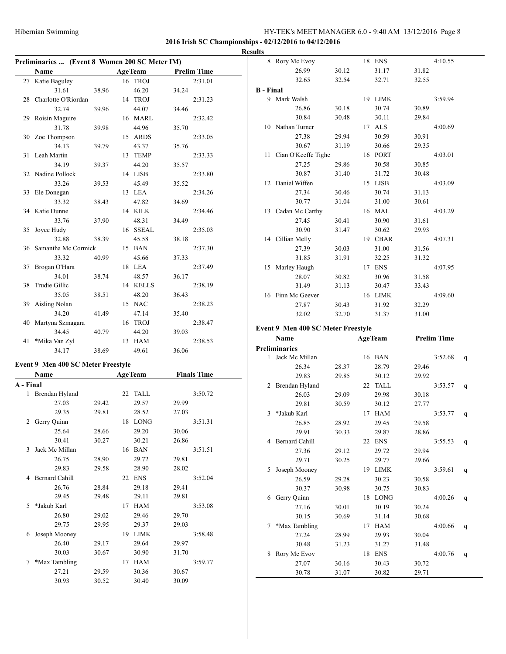# **2016 Irish SC Championships - 02/12/2016 to 04/12/2016**

|           |                                                |       |                |       |                    | <b>Results</b> |
|-----------|------------------------------------------------|-------|----------------|-------|--------------------|----------------|
|           | Preliminaries  (Event 8 Women 200 SC Meter IM) |       |                |       |                    |                |
|           | Name                                           |       | <b>AgeTeam</b> |       | <b>Prelim Time</b> |                |
|           | 27 Katie Baguley                               |       | 16 TROJ        |       | 2:31.01            |                |
|           | 31.61                                          | 38.96 | 46.20          | 34.24 |                    | $B - I$        |
|           | 28 Charlotte O'Riordan                         |       | 14 TROJ        |       | 2:31.23            |                |
|           | 32.74                                          | 39.96 | 44.07          | 34.46 |                    |                |
|           | 29 Roisin Maguire                              |       | 16 MARL        |       | 2:32.42            |                |
|           | 31.78                                          | 39.98 | 44.96          | 35.70 |                    |                |
|           | 30 Zoe Thompson                                |       | 15 ARDS        |       | 2:33.05            |                |
|           | 34.13                                          | 39.79 | 43.37          | 35.76 |                    |                |
|           | 31 Leah Martin                                 |       | 13 TEMP        |       | 2:33.33            |                |
|           | 34.19                                          | 39.37 | 44.20          | 35.57 |                    |                |
|           | 32 Nadine Pollock                              |       | 14 LISB        |       | 2:33.80            |                |
|           | 33.26                                          | 39.53 | 45.49          | 35.52 |                    |                |
| 33        | Ele Donegan                                    |       | 13 LEA         |       | 2:34.26            |                |
|           | 33.32                                          | 38.43 | 47.82          | 34.69 |                    |                |
|           | 34 Katie Dunne                                 |       | 14 KILK        |       | 2:34.46            |                |
|           | 33.76                                          | 37.90 | 48.31          | 34.49 |                    |                |
| 35        | Joyce Hudy                                     |       | 16 SSEAL       |       | 2:35.03            |                |
|           | 32.88                                          | 38.39 | 45.58          | 38.18 |                    |                |
|           | 36 Samantha Mc Cormick                         |       | 15 BAN         |       | 2:37.30            |                |
|           | 33.32                                          | 40.99 | 45.66          | 37.33 |                    |                |
|           | 37 Brogan O'Hara                               |       | 18 LEA         |       | 2:37.49            |                |
|           | 34.01                                          | 38.74 | 48.57          | 36.17 |                    |                |
| 38        | Trudie Gillic                                  |       | 14 KELLS       |       | 2:38.19            |                |
|           | 35.05                                          | 38.51 | 48.20          | 36.43 |                    |                |
|           | 39 Aisling Nolan                               |       | 15 NAC         |       | 2:38.23            |                |
|           | 34.20                                          | 41.49 | 47.14          | 35.40 |                    |                |
|           | 40 Martyna Szmagara                            |       | 16 TROJ        |       | 2:38.47            |                |
|           | 34.45                                          | 40.79 | 44.20          | 39.03 |                    | Ever           |
| 41        | *Mika Van Zyl                                  |       | 13 HAM         |       | 2:38.53            |                |
|           | 34.17                                          | 38.69 | 49.61          | 36.06 |                    | Prel           |
|           | Event 9 Men 400 SC Meter Freestyle             |       |                |       |                    |                |
|           | Name                                           |       | <b>AgeTeam</b> |       | <b>Finals Time</b> |                |
| A - Final |                                                |       |                |       |                    |                |
| 1         | Brendan Hyland                                 |       | 22 TALL        |       | 3:50.72            |                |
|           | 27.03                                          | 29.42 | 29.57          | 29.99 |                    |                |
|           | 29.35                                          | 29.81 | 28.52          | 27.03 |                    |                |
|           | 2 Gerry Quinn                                  |       | 18 LONG        |       | 3:51.31            |                |
|           | 25.64                                          | 28.66 | 29.20          | 30.06 |                    |                |
|           | 30.41                                          | 30.27 | 30.21          | 26.86 |                    |                |
|           | 3 Jack Mc Millan                               |       | 16 BAN         |       | 3:51.51            |                |
|           | 26.75                                          | 28.90 | 29.72          | 29.81 |                    |                |
|           | 29.83                                          | 29.58 | 28.90          | 28.02 |                    |                |
|           |                                                |       |                |       |                    |                |
|           | 4 Bernard Cahill                               |       | 22 ENS         |       | 3:52.04            |                |
|           | 26.76                                          | 28.84 | 29.18          | 29.41 |                    |                |
|           | 29.45                                          | 29.48 | 29.11          | 29.81 |                    |                |
| 5         | *Jakub Karl                                    |       | 17 HAM         |       | 3:53.08            |                |
|           | 26.80                                          | 29.02 | 29.46          | 29.70 |                    |                |
|           | 29.75                                          | 29.95 | 29.37          | 29.03 |                    |                |
|           | 6 Joseph Mooney                                |       | 19 LIMK        |       | 3:58.48            |                |
|           | 26.40                                          | 29.17 | 29.64          | 29.97 |                    |                |
|           | 30.03                                          | 30.67 | 30.90          | 31.70 |                    |                |
| 7         | *Max Tambling                                  |       | 17 HAM         |       | 3:59.77            |                |
|           | 27.21                                          | 29.59 | 30.36          | 30.67 |                    |                |
|           | 30.93                                          | 30.52 | 30.40          | 30.09 |                    |                |

|           | Name AgeTeam                              |       |    |                  |       | <b>Drolim Time</b> |
|-----------|-------------------------------------------|-------|----|------------------|-------|--------------------|
|           | <b>Event 9 Men 400 SC Meter Freestyle</b> |       |    |                  |       |                    |
|           | 32.02                                     | 32.70 |    | 31.37            | 31.00 |                    |
|           | 27.87                                     | 30.43 |    | 31.92            | 32.29 |                    |
| 16        | Finn Mc Geever                            |       | 16 | LIMK             |       | 4:09.60            |
|           | 31.49                                     | 31.13 |    | 30.47            | 33.43 |                    |
|           | 28.07                                     | 30.82 |    | 30.96            | 31.58 |                    |
|           | 15 Marley Haugh                           |       | 17 | <b>ENS</b>       |       | 4:07.95            |
|           | 31.85                                     | 31.91 |    | 32.25            | 31.32 |                    |
|           | 27.39                                     | 30.03 |    | 31.00            | 31.56 |                    |
|           | 14 Cillian Melly                          |       | 19 | <b>CBAR</b>      |       | 4:07.31            |
|           | 30.90                                     | 31.47 |    | 30.62            | 29.93 |                    |
|           | 27.45                                     | 30.41 |    | 30.90            | 31.61 |                    |
|           | 13 Cadan Mc Carthy                        |       | 16 | MAL              |       | 4:03.29            |
|           | 30.77                                     | 31.04 |    | 31.00            | 30.61 |                    |
|           | 27.34                                     | 30.46 |    | 30.74            | 31.13 |                    |
| 12        | Daniel Wiffen                             |       |    | 15 LISB          |       | 4:03.09            |
|           | 30.87                                     | 31.40 |    | 31.72            | 30.48 |                    |
|           | 27.25                                     | 29.86 |    | 30.58            | 30.85 |                    |
| 11        | Cian O'Keeffe Tighe                       |       | 16 | <b>PORT</b>      |       | 4:03.01            |
|           | 30.67                                     | 31.19 |    | 30.66            | 29.35 |                    |
|           | 27.38                                     | 29.94 |    | 30.59            | 30.91 |                    |
|           | 10 Nathan Turner                          |       | 17 | <b>ALS</b>       |       | 4:00.69            |
|           | 30.84                                     | 30.48 |    | 30.11            | 29.84 |                    |
|           | 9 Mark Walsh<br>26.86                     | 30.18 |    | 19 LIMK<br>30.74 | 30.89 | 3:59.94            |
| B - Final |                                           |       |    |                  |       |                    |
|           | 32.65                                     | 32.54 |    | 32.71            | 32.55 |                    |
|           | 26.99                                     | 30.12 |    | 31.17            | 31.82 |                    |
|           | 8 Rory Mc Evoy                            |       | 18 | <b>ENS</b>       |       | 4:10.55            |
|           |                                           |       |    |                  |       |                    |

#### **Event 9 Men 400 SC Meter Freestyle**

|   | Name                  |       |    | Age Ieam    |       | Prelim Time |   |  |  |
|---|-----------------------|-------|----|-------------|-------|-------------|---|--|--|
|   | Preliminaries         |       |    |             |       |             |   |  |  |
| 1 | Jack Mc Millan        |       |    | 16 BAN      |       | 3:52.68     | q |  |  |
|   | 26.34                 | 28.37 |    | 28.79       | 29.46 |             |   |  |  |
|   | 29.83                 | 29.85 |    | 30.12       | 29.92 |             |   |  |  |
| 2 | Brendan Hyland        |       | 22 | <b>TALL</b> |       | 3:53.57     | q |  |  |
|   | 26.03                 | 29.09 |    | 29.98       | 30.18 |             |   |  |  |
|   | 29.81                 | 30.59 |    | 30.12       | 27.77 |             |   |  |  |
| 3 | *Jakub Karl           |       | 17 | <b>HAM</b>  |       | 3:53.77     | q |  |  |
|   | 26.85                 | 28.92 |    | 29.45       | 29.58 |             |   |  |  |
|   | 29.91                 | 30.33 |    | 29.87       | 28.86 |             |   |  |  |
| 4 | <b>Bernard Cahill</b> |       | 22 | <b>ENS</b>  |       | 3:55.53     | q |  |  |
|   | 27.36                 | 29.12 |    | 29.72       | 29.94 |             |   |  |  |
|   | 29.71                 | 30.25 |    | 29.77       | 29.66 |             |   |  |  |
| 5 | Joseph Mooney         |       | 19 | <b>LIMK</b> |       | 3:59.61     | q |  |  |
|   | 26.59                 | 29.28 |    | 30.23       | 30.58 |             |   |  |  |
|   | 30.37                 | 30.98 |    | 30.75       | 30.83 |             |   |  |  |
| 6 | Gerry Quinn           |       | 18 | <b>LONG</b> |       | 4:00.26     | q |  |  |
|   | 27.16                 | 30.01 |    | 30.19       | 30.24 |             |   |  |  |
|   | 30.15                 | 30.69 |    | 31.14       | 30.68 |             |   |  |  |
| 7 | *Max Tambling         |       | 17 | <b>HAM</b>  |       | 4:00.66     | q |  |  |
|   | 27.24                 | 28.99 |    | 29.93       | 30.04 |             |   |  |  |
|   | 30.48                 | 31.23 |    | 31.27       | 31.48 |             |   |  |  |
| 8 | Rory Mc Evoy          |       | 18 | <b>ENS</b>  |       | 4:00.76     | q |  |  |
|   | 27.07                 | 30.16 |    | 30.43       | 30.72 |             |   |  |  |
|   | 30.78                 | 31.07 |    | 30.82       | 29.71 |             |   |  |  |
|   |                       |       |    |             |       |             |   |  |  |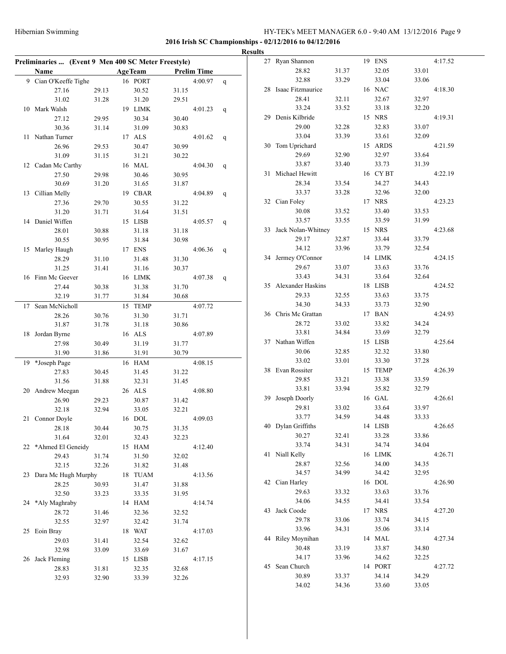| <b>Results</b>                                      |       |  |                |       |                    |              |  |                       |       |  |            |       |         |
|-----------------------------------------------------|-------|--|----------------|-------|--------------------|--------------|--|-----------------------|-------|--|------------|-------|---------|
| Preliminaries  (Event 9 Men 400 SC Meter Freestyle) |       |  |                |       |                    |              |  | 27 Ryan Shannon       |       |  | 19 ENS     |       | 4:17.52 |
| Name                                                |       |  | <b>AgeTeam</b> |       | <b>Prelim Time</b> |              |  | 28.82                 | 31.37 |  | 32.05      | 33.01 |         |
| 9 Cian O'Keeffe Tighe                               |       |  | 16 PORT        |       | 4:00.97 $q$        |              |  | 32.88                 | 33.29 |  | 33.04      | 33.06 |         |
| 27.16                                               | 29.13 |  | 30.52          | 31.15 |                    |              |  | 28 Isaac Fitzmaurice  |       |  | 16 NAC     |       | 4:18.30 |
| 31.02                                               | 31.28 |  | 31.20          | 29.51 |                    |              |  | 28.41                 | 32.11 |  | 32.67      | 32.97 |         |
| 10 Mark Walsh                                       |       |  | 19 LIMK        |       | 4:01.23            | $\mathsf{q}$ |  | 33.24                 | 33.52 |  | 33.18      | 32.20 |         |
| 27.12                                               | 29.95 |  | 30.34          | 30.40 |                    |              |  | 29 Denis Kilbride     |       |  | 15 NRS     |       | 4:19.31 |
| 30.36                                               | 31.14 |  | 31.09          | 30.83 |                    |              |  | 29.00                 | 32.28 |  | 32.83      | 33.07 |         |
| 11 Nathan Turner                                    |       |  | 17 ALS         |       | 4:01.62            | $\mathbf{q}$ |  | 33.04                 | 33.39 |  | 33.61      | 32.09 |         |
| 26.96                                               | 29.53 |  | 30.47          | 30.99 |                    |              |  | 30 Tom Uprichard      |       |  | 15 ARDS    |       | 4:21.59 |
| 31.09                                               | 31.15 |  | 31.21          | 30.22 |                    |              |  | 29.69                 | 32.90 |  | 32.97      | 33.64 |         |
| 12 Cadan Mc Carthy                                  |       |  | 16 MAL         |       | 4:04.30            | $\mathbf{q}$ |  | 33.87                 | 33.40 |  | 33.73      | 31.39 |         |
| 27.50                                               | 29.98 |  | 30.46          | 30.95 |                    |              |  | 31 Michael Hewitt     |       |  | 16 CY BT   |       | 4:22.19 |
| 30.69                                               | 31.20 |  | 31.65          | 31.87 |                    |              |  | 28.34                 | 33.54 |  | 34.27      | 34.43 |         |
| 13 Cillian Melly                                    |       |  | 19 CBAR        |       | 4:04.89            | q            |  | 33.37                 | 33.28 |  | 32.96      | 32.00 |         |
| 27.36                                               | 29.70 |  | 30.55          | 31.22 |                    |              |  | 32 Cian Foley         |       |  | 17 NRS     |       | 4:23.23 |
| 31.20                                               | 31.71 |  | 31.64          | 31.51 |                    |              |  | 30.08                 | 33.52 |  | 33.40      | 33.53 |         |
| 14 Daniel Wiffen                                    |       |  | 15 LISB        |       | 4:05.57            | q            |  | 33.57                 | 33.55 |  | 33.59      | 31.99 |         |
| 28.01                                               | 30.88 |  | 31.18          | 31.18 |                    |              |  | 33 Jack Nolan-Whitney |       |  | 15 NRS     |       | 4:23.68 |
| 30.55                                               | 30.95 |  | 31.84          | 30.98 |                    |              |  | 29.17                 | 32.87 |  | 33.44      | 33.79 |         |
| 15 Marley Haugh                                     |       |  | 17 ENS         |       | 4:06.36            | $\mathbf{q}$ |  | 34.12                 | 33.96 |  | 33.79      | 32.54 |         |
| 28.29                                               | 31.10 |  | 31.48          | 31.30 |                    |              |  | 34 Jermey O'Connor    |       |  | 14 LIMK    |       | 4:24.15 |
| 31.25                                               | 31.41 |  | 31.16          | 30.37 |                    |              |  | 29.67                 | 33.07 |  | 33.63      | 33.76 |         |
| 16 Finn Mc Geever                                   |       |  | 16 LIMK        |       | 4:07.38            | $\mathsf{q}$ |  | 33.43                 | 34.31 |  | 33.64      | 32.64 |         |
| 27.44                                               | 30.38 |  | 31.38          | 31.70 |                    |              |  | 35 Alexander Haskins  |       |  | 18 LISB    |       | 4:24.52 |
| 32.19                                               | 31.77 |  | 31.84          | 30.68 |                    |              |  | 29.33                 | 32.55 |  | 33.63      | 33.75 |         |
| 17 Sean McNicholl                                   |       |  | 15 TEMP        |       | 4:07.72            |              |  | 34.30                 | 34.33 |  | 33.73      | 32.90 |         |
| 28.26                                               | 30.76 |  | 31.30          | 31.71 |                    |              |  | 36 Chris Mc Grattan   |       |  | 17 BAN     |       | 4:24.93 |
| 31.87                                               | 31.78 |  | 31.18          | 30.86 |                    |              |  | 28.72                 | 33.02 |  | 33.82      | 34.24 |         |
| 18 Jordan Byrne                                     |       |  | 16 ALS         |       | 4:07.89            |              |  | 33.81                 | 34.84 |  | 33.69      | 32.79 |         |
| 27.98                                               | 30.49 |  | 31.19          | 31.77 |                    |              |  | 37 Nathan Wiffen      |       |  | 15 LISB    |       | 4:25.64 |
| 31.90                                               | 31.86 |  | 31.91          | 30.79 |                    |              |  | 30.06                 | 32.85 |  | 32.32      | 33.80 |         |
| 19 *Joseph Page                                     |       |  | 16 HAM         |       | 4:08.15            |              |  | 33.02                 | 33.01 |  | 33.30      | 37.28 |         |
| 27.83                                               | 30.45 |  | 31.45          | 31.22 |                    |              |  | 38 Evan Rossiter      |       |  | 15 TEMP    |       | 4:26.39 |
| 31.56                                               | 31.88 |  | 32.31          | 31.45 |                    |              |  | 29.85                 | 33.21 |  | 33.38      | 33.59 |         |
| 20 Andrew Meegan                                    |       |  | 26 ALS         |       | 4:08.80            |              |  | 33.81                 | 33.94 |  | 35.82      | 32.79 |         |
| 26.90                                               | 29.23 |  | 30.87          | 31.42 |                    |              |  | 39 Joseph Doorly      |       |  | $16\;$ GAL |       | 4:26.61 |
| 32.18                                               | 32.94 |  | 33.05          | 32.21 |                    |              |  | 29.81                 | 33.02 |  | 33.64      | 33.97 |         |
| 21 Connor Doyle                                     |       |  | 16 DOL         |       | 4:09.03            |              |  | 33.77                 | 34.59 |  | 34.48      | 33.33 |         |
| 28.18                                               | 30.44 |  | 30.75          | 31.35 |                    |              |  | 40 Dylan Griffiths    |       |  | 14 LISB    |       | 4:26.65 |
| 31.64                                               | 32.01 |  | 32.43          | 32.23 |                    |              |  | 30.27                 | 32.41 |  | 33.28      | 33.86 |         |
| 22 *Ahmed El Geneidy                                |       |  | 15 HAM         |       | 4:12.40            |              |  | 33.74                 | 34.31 |  | 34.74      | 34.04 |         |
| 29.43                                               | 31.74 |  | 31.50          | 32.02 |                    |              |  | 41 Niall Kelly        |       |  | 16 LIMK    |       | 4:26.71 |
| 32.15                                               | 32.26 |  | 31.82          | 31.48 |                    |              |  | 28.87                 | 32.56 |  | 34.00      | 34.35 |         |
| 23 Dara Mc Hugh Murphy                              |       |  | 18 TUAM        |       | 4:13.56            |              |  | 34.57                 | 34.99 |  | 34.42      | 32.95 |         |
| 28.25                                               | 30.93 |  | 31.47          | 31.88 |                    |              |  | 42 Cian Harley        |       |  | 16 DOL     |       | 4:26.90 |
| 32.50                                               | 33.23 |  | 33.35          | 31.95 |                    |              |  | 29.63                 | 33.32 |  | 33.63      | 33.76 |         |
| 24 *Aly Maghraby                                    |       |  | 14 HAM         |       | 4:14.74            |              |  | 34.06                 | 34.55 |  | 34.41      | 33.54 |         |
| 28.72                                               | 31.46 |  | 32.36          | 32.52 |                    |              |  | 43 Jack Coode         |       |  | 17 NRS     |       | 4:27.20 |
| 32.55                                               | 32.97 |  | 32.42          | 31.74 |                    |              |  | 29.78                 | 33.06 |  | 33.74      | 34.15 |         |
| 25 Eoin Bray                                        |       |  | 18 WAT         |       | 4:17.03            |              |  | 33.96                 | 34.31 |  | 35.06      | 33.14 |         |
| 29.03                                               | 31.41 |  | 32.54          | 32.62 |                    |              |  | 44 Riley Moynihan     |       |  | 14 MAL     |       | 4:27.34 |
| 32.98                                               | 33.09 |  | 33.69          | 31.67 |                    |              |  | 30.48                 | 33.19 |  | 33.87      | 34.80 |         |
| 26 Jack Fleming                                     |       |  | 15 LISB        |       | 4:17.15            |              |  | 34.17                 | 33.96 |  | 34.62      | 32.25 |         |
| 28.83                                               | 31.81 |  | 32.35          | 32.68 |                    |              |  | 45 Sean Church        |       |  | 14 PORT    |       | 4:27.72 |
| 32.93                                               | 32.90 |  | 33.39          | 32.26 |                    |              |  | 30.89                 | 33.37 |  | 34.14      | 34.29 |         |
|                                                     |       |  |                |       |                    |              |  | 34.02                 | 34.36 |  | 33.60      | 33.05 |         |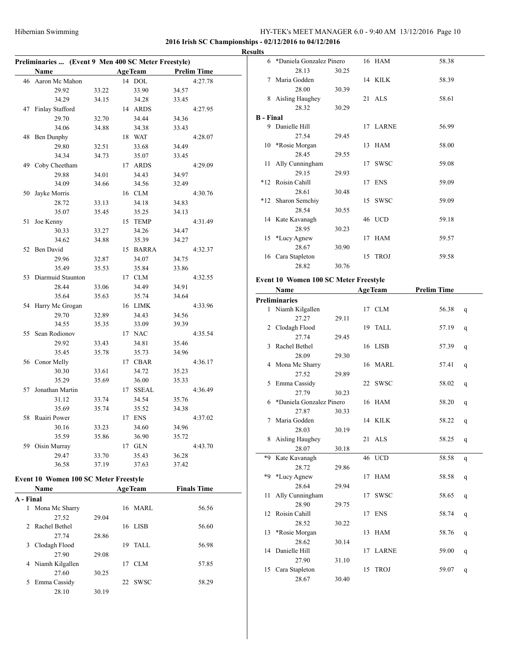#### **2016 Irish SC Championships - 02/12/2016 to 04/12/2016**

|    | Preliminaries  (Event 9 Men 400 SC Meter Freestyle) |       |    |                |       |                    |  |  |  |  |  |  |  |
|----|-----------------------------------------------------|-------|----|----------------|-------|--------------------|--|--|--|--|--|--|--|
|    | <b>Name</b>                                         |       |    | <b>AgeTeam</b> |       | <b>Prelim Time</b> |  |  |  |  |  |  |  |
| 46 | Aaron Mc Mahon                                      |       | 14 | $\rm DOL$      |       | 4:27.78            |  |  |  |  |  |  |  |
|    | 29.92                                               | 33.22 |    | 33.90          | 34.57 |                    |  |  |  |  |  |  |  |
|    | 34.29                                               | 34.15 |    | 34.28          | 33.45 |                    |  |  |  |  |  |  |  |
| 47 | Finlay Stafford                                     |       |    | 14 ARDS        |       | 4:27.95            |  |  |  |  |  |  |  |
|    | 29.70                                               | 32.70 |    | 34.44          | 34.36 |                    |  |  |  |  |  |  |  |
|    | 34.06                                               | 34.88 |    | 34.38          | 33.43 |                    |  |  |  |  |  |  |  |
| 48 | <b>Ben Dunphy</b>                                   |       | 18 | <b>WAT</b>     |       | 4:28.07            |  |  |  |  |  |  |  |
|    | 29.80                                               | 32.51 |    | 33.68          | 34.49 |                    |  |  |  |  |  |  |  |
|    | 34.34                                               | 34.73 |    | 35.07          | 33.45 |                    |  |  |  |  |  |  |  |
| 49 | Coby Cheetham                                       |       | 17 | <b>ARDS</b>    |       | 4:29.09            |  |  |  |  |  |  |  |
|    | 29.88                                               | 34.01 |    | 34.43          | 34.97 |                    |  |  |  |  |  |  |  |
|    | 34.09                                               | 34.66 |    | 34.56          | 32.49 |                    |  |  |  |  |  |  |  |
| 50 | Jayke Morris                                        |       |    | 16 CLM         |       | 4:30.76            |  |  |  |  |  |  |  |
|    | 28.72                                               | 33.13 |    | 34.18          | 34.83 |                    |  |  |  |  |  |  |  |
|    | 35.07                                               | 35.45 |    | 35.25          | 34.13 |                    |  |  |  |  |  |  |  |
| 51 | Joe Kenny                                           |       | 15 | <b>TEMP</b>    |       | 4:31.49            |  |  |  |  |  |  |  |
|    | 30.33                                               | 33.27 |    | 34.26          | 34.47 |                    |  |  |  |  |  |  |  |
|    | 34.62                                               | 34.88 |    | 35.39          | 34.27 |                    |  |  |  |  |  |  |  |
| 52 | Ben David                                           |       | 15 | <b>BARRA</b>   |       | 4:32.37            |  |  |  |  |  |  |  |
|    | 29.96                                               | 32.87 |    | 34.07          | 34.75 |                    |  |  |  |  |  |  |  |
|    | 35.49                                               | 35.53 |    | 35.84          | 33.86 |                    |  |  |  |  |  |  |  |
| 53 | Diarmuid Staunton                                   |       | 17 | <b>CLM</b>     |       | 4:32.55            |  |  |  |  |  |  |  |
|    | 28.44                                               | 33.06 |    | 34.49          | 34.91 |                    |  |  |  |  |  |  |  |
|    | 35.64                                               | 35.63 |    | 35.74          | 34.64 |                    |  |  |  |  |  |  |  |
| 54 | Harry Mc Grogan                                     |       |    | 16 LIMK        |       | 4:33.96            |  |  |  |  |  |  |  |
|    | 29.70                                               | 32.89 |    | 34.43          | 34.56 |                    |  |  |  |  |  |  |  |
|    | 34.55                                               | 35.35 |    | 33.09          | 39.39 |                    |  |  |  |  |  |  |  |
| 55 | Sean Rodionov                                       |       |    | 17 NAC         |       | 4:35.54            |  |  |  |  |  |  |  |
|    | 29.92                                               | 33.43 |    | 34.81          | 35.46 |                    |  |  |  |  |  |  |  |
|    | 35.45                                               | 35.78 |    | 35.73          | 34.96 |                    |  |  |  |  |  |  |  |
|    | 56 Conor Melly                                      |       | 17 | <b>CBAR</b>    |       | 4:36.17            |  |  |  |  |  |  |  |
|    | 30.30                                               | 33.61 |    | 34.72          | 35.23 |                    |  |  |  |  |  |  |  |
|    | 35.29                                               | 35.69 |    | 36.00          | 35.33 |                    |  |  |  |  |  |  |  |
| 57 | Jonathan Martin                                     |       | 17 | <b>SSEAL</b>   |       | 4:36.49            |  |  |  |  |  |  |  |
|    | 31.12                                               | 33.74 |    | 34.54          | 35.76 |                    |  |  |  |  |  |  |  |
|    | 35.69                                               | 35.74 |    | 35.52          | 34.38 |                    |  |  |  |  |  |  |  |
| 58 | Ruairi Power                                        |       | 17 | <b>ENS</b>     |       | 4:37.02            |  |  |  |  |  |  |  |
|    | 30.16                                               | 33.23 |    | 34.60          | 34.96 |                    |  |  |  |  |  |  |  |
|    | 35.59                                               | 35.86 |    | 36.90          | 35.72 |                    |  |  |  |  |  |  |  |
| 59 | Oisin Murray                                        |       | 17 | GLN            |       | 4:43.70            |  |  |  |  |  |  |  |
|    | 29.47                                               | 33.70 |    | 35.43          | 36.28 |                    |  |  |  |  |  |  |  |
|    | 36.58                                               | 37.19 |    | 37.63          | 37.42 |                    |  |  |  |  |  |  |  |
|    |                                                     |       |    |                |       |                    |  |  |  |  |  |  |  |

## **Event 10 Women 100 SC Meter Freestyle**

| Name            |                                        |    |             | <b>Finals Time</b>        |  |
|-----------------|----------------------------------------|----|-------------|---------------------------|--|
|                 |                                        |    |             |                           |  |
| Mona Mc Sharry  |                                        | 16 | <b>MARL</b> | 56.56                     |  |
| 27.52           | 29.04                                  |    |             |                           |  |
|                 |                                        |    |             | 56.60                     |  |
| 27.74           | 28.86                                  |    |             |                           |  |
| Clodagh Flood   |                                        | 19 | TALL.       | 56.98                     |  |
| 27.90           | 29.08                                  |    |             |                           |  |
| Niamh Kilgallen |                                        | 17 | CLM         | 57.85                     |  |
| 27.60           | 30.25                                  |    |             |                           |  |
| Emma Cassidy    |                                        | 22 | <b>SWSC</b> | 58.29                     |  |
| 28.10           | 30.19                                  |    |             |                           |  |
| 4               | A - Final<br>2 Rachel Bethel<br>3<br>5 |    |             | <b>AgeTeam</b><br>16 LISB |  |

| <b>Results</b>   |                            |       |          |       |
|------------------|----------------------------|-------|----------|-------|
|                  | 6 *Daniela Gonzalez Pinero |       | 16 HAM   | 58.38 |
|                  | 28.13                      | 30.25 |          |       |
|                  | 7 Maria Godden             |       | 14 KILK  | 58.39 |
|                  | 28.00                      | 30.39 |          |       |
|                  | 8 Aisling Haughey          |       | 21 ALS   | 58.61 |
|                  | 28.32                      | 30.29 |          |       |
| <b>B</b> - Final |                            |       |          |       |
|                  | 9 Danielle Hill            |       | 17 LARNE | 56.99 |
|                  | 27.54                      | 29.45 |          |       |
|                  | 10 *Rosie Morgan           |       | 13 HAM   | 58.00 |
|                  | 28.45                      | 29.55 |          |       |
|                  | 11 Ally Cunningham         |       | 17 SWSC  | 59.08 |
|                  | 29.15                      | 29.93 |          |       |
|                  | *12 Roisin Cahill          |       | 17 ENS   | 59.09 |
|                  | 28.61                      | 30.48 |          |       |
|                  | *12 Sharon Semchiy         |       | 15 SWSC  | 59.09 |
|                  | 28.54                      | 30.55 |          |       |
|                  | 14 Kate Kavanagh           |       | 46 UCD   | 59.18 |
|                  | 28.95                      | 30.23 |          |       |
|                  | 15 *Lucy Agnew             |       | 17 HAM   | 59.57 |
|                  | 28.67                      | 30.90 |          |       |
|                  | 16 Cara Stapleton          |       | 15 TROJ  | 59.58 |
|                  | 28.82                      | 30.76 |          |       |

#### **Event 10 Women 100 SC Meter Freestyle**

|    | Name                     |       |    | <b>AgeTeam</b> | <b>Prelim Time</b> |              |
|----|--------------------------|-------|----|----------------|--------------------|--------------|
|    | <b>Preliminaries</b>     |       |    |                |                    |              |
|    | 1 Niamh Kilgallen        |       |    | 17 CLM         | 56.38              | $\mathsf{q}$ |
|    | 27.27                    | 29.11 |    |                |                    |              |
|    | 2 Clodagh Flood          |       |    | 19 TALL        | 57.19              | q            |
|    | 27.74                    | 29.45 |    |                |                    |              |
| 3  | Rachel Bethel            |       |    | 16 LISB        | 57.39              | q            |
|    | 28.09                    | 29.30 |    |                |                    |              |
| 4  | Mona Mc Sharry           |       |    | 16 MARL        | 57.41              | q            |
|    | 27.52                    | 29.89 |    |                |                    |              |
| 5  | Emma Cassidy             |       |    | 22 SWSC        | 58.02              | q            |
|    | 27.79                    | 30.23 |    |                |                    |              |
| 6. | *Daniela Gonzalez Pinero |       |    | 16 HAM         | 58.20              | q            |
|    | 27.87                    | 30.33 |    |                |                    |              |
| 7  | Maria Godden             |       |    | 14 KILK        | 58.22              | q            |
|    | 28.03                    | 30.19 |    |                |                    |              |
| 8  | Aisling Haughey          |       |    | 21 ALS         | 58.25              | q            |
|    | 28.07                    | 30.18 |    |                |                    |              |
| *9 | Kate Kavanagh            |       |    | 46 UCD         | 58.58              | q            |
|    | 28.72                    | 29.86 |    |                |                    |              |
| *Q | *Lucy Agnew              |       | 17 | <b>HAM</b>     | 58.58              | q            |
|    | 28.64                    | 29.94 |    |                |                    |              |
| 11 | Ally Cunningham          |       | 17 | <b>SWSC</b>    | 58.65              | q            |
|    | 28.90                    | 29.75 |    |                |                    |              |
| 12 | Roisin Cahill            |       |    | 17 ENS         | 58.74              | q            |
|    | 28.52                    | 30.22 |    |                |                    |              |
| 13 | *Rosie Morgan            |       | 13 | HAM            | 58.76              | q            |
|    | 28.62                    | 30.14 |    |                |                    |              |
| 14 | Danielle Hill            |       | 17 | LARNE          | 59.00              | q            |
|    | 27.90                    | 31.10 |    |                |                    |              |
| 15 | Cara Stapleton           |       | 15 | <b>TROJ</b>    | 59.07              | q            |
|    | 28.67                    | 30.40 |    |                |                    |              |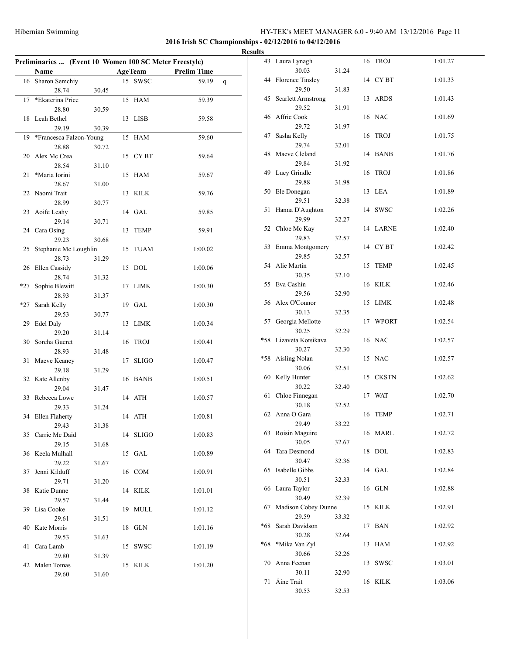**2016 Irish SC Championships - 02/12/2016 to 04/12/2016**

| Preliminaries  (Event 10 Women 100 SC Meter Freestyle)<br><b>AgeTeam</b> |                         |       |    |              |                    |   |  |  |  |  |
|--------------------------------------------------------------------------|-------------------------|-------|----|--------------|--------------------|---|--|--|--|--|
|                                                                          | Name                    |       |    |              | <b>Prelim Time</b> |   |  |  |  |  |
| 16                                                                       | Sharon Semchiy          |       |    | 15 SWSC      | 59.19              | q |  |  |  |  |
|                                                                          | 28.74                   | 30.45 |    |              |                    |   |  |  |  |  |
| 17                                                                       | *Ekaterina Price        |       | 15 | <b>HAM</b>   | 59.39              |   |  |  |  |  |
|                                                                          | 28.80                   | 30.59 |    |              |                    |   |  |  |  |  |
|                                                                          | 18 Leah Bethel          |       | 13 | <b>LISB</b>  | 59.58              |   |  |  |  |  |
|                                                                          | 29.19                   | 30.39 |    |              |                    |   |  |  |  |  |
| 19                                                                       | *Francesca Falzon-Young |       | 15 | HAM          | 59.60              |   |  |  |  |  |
|                                                                          | 28.88                   | 30.72 |    |              |                    |   |  |  |  |  |
| 20                                                                       | Alex Mc Crea            |       |    | 15 CYBT      | 59.64              |   |  |  |  |  |
|                                                                          | 28.54                   | 31.10 |    |              |                    |   |  |  |  |  |
| 21                                                                       | *Maria Iorini           |       | 15 | HAM          | 59.67              |   |  |  |  |  |
|                                                                          | 28.67                   | 31.00 |    |              |                    |   |  |  |  |  |
| 22                                                                       | Naomi Trait             |       | 13 | <b>KILK</b>  | 59.76              |   |  |  |  |  |
|                                                                          | 28.99                   | 30.77 |    |              |                    |   |  |  |  |  |
| 23                                                                       | Aoife Leahy             |       |    | 14 GAL       | 59.85              |   |  |  |  |  |
|                                                                          | 29.14                   | 30.71 |    |              |                    |   |  |  |  |  |
| 24                                                                       | Cara Osing              |       | 13 | <b>TEMP</b>  | 59.91              |   |  |  |  |  |
|                                                                          | 29.23                   | 30.68 |    |              |                    |   |  |  |  |  |
| 25                                                                       | Stephanie Mc Loughlin   |       | 15 | <b>TUAM</b>  | 1:00.02            |   |  |  |  |  |
|                                                                          | 28.73                   | 31.29 |    |              |                    |   |  |  |  |  |
| 26                                                                       | Ellen Cassidy           |       | 15 | <b>DOL</b>   | 1:00.06            |   |  |  |  |  |
|                                                                          | 28.74                   | 31.32 |    |              |                    |   |  |  |  |  |
| *27                                                                      | Sophie Blewitt          |       | 17 | <b>LIMK</b>  | 1:00.30            |   |  |  |  |  |
|                                                                          | 28.93                   |       |    |              |                    |   |  |  |  |  |
|                                                                          |                         | 31.37 |    | 19 GAL       |                    |   |  |  |  |  |
| *27                                                                      | Sarah Kelly             |       |    |              | 1:00.30            |   |  |  |  |  |
|                                                                          | 29.53                   | 30.77 |    |              |                    |   |  |  |  |  |
| 29                                                                       | Edel Daly               |       | 13 | <b>LIMK</b>  | 1:00.34            |   |  |  |  |  |
|                                                                          | 29.20                   | 31.14 |    |              |                    |   |  |  |  |  |
| 30                                                                       | Sorcha Gueret           |       | 16 | <b>TROJ</b>  | 1:00.41            |   |  |  |  |  |
|                                                                          | 28.93                   | 31.48 |    |              |                    |   |  |  |  |  |
| 31                                                                       | Maeve Keaney            |       | 17 | <b>SLIGO</b> | 1:00.47            |   |  |  |  |  |
|                                                                          | 29.18                   | 31.29 |    |              |                    |   |  |  |  |  |
| 32                                                                       | Kate Allenby            |       |    | 16 BANB      | 1:00.51            |   |  |  |  |  |
|                                                                          | 29.04                   | 31.47 |    |              |                    |   |  |  |  |  |
| 33                                                                       | Rebecca Lowe            |       |    | 14 ATH       | 1:00.57            |   |  |  |  |  |
|                                                                          | 29.33                   | 31.24 |    |              |                    |   |  |  |  |  |
| 34                                                                       | Ellen Flaherty          |       |    | 14 ATH       | 1:00.81            |   |  |  |  |  |
|                                                                          | 29.43                   | 31.38 |    |              |                    |   |  |  |  |  |
|                                                                          | 35 Carrie Mc Daid       |       |    | 14 SLIGO     | 1:00.83            |   |  |  |  |  |
|                                                                          | 29.15                   | 31.68 |    |              |                    |   |  |  |  |  |
| 36                                                                       | Keela Mulhall           |       | 15 | GAL          | 1:00.89            |   |  |  |  |  |
|                                                                          | 29.22                   | 31.67 |    |              |                    |   |  |  |  |  |
| 37                                                                       | Jenni Kilduff           |       | 16 | <b>COM</b>   | 1:00.91            |   |  |  |  |  |
|                                                                          | 29.71                   | 31.20 |    |              |                    |   |  |  |  |  |
| 38                                                                       | Katie Dunne             |       |    | 14 KILK      | 1:01.01            |   |  |  |  |  |
|                                                                          | 29.57                   | 31.44 |    |              |                    |   |  |  |  |  |
| 39                                                                       | Lisa Cooke              |       | 19 | <b>MULL</b>  | 1:01.12            |   |  |  |  |  |
|                                                                          | 29.61                   | 31.51 |    |              |                    |   |  |  |  |  |
| 40                                                                       | Kate Morris             |       | 18 | GLN          | 1:01.16            |   |  |  |  |  |
|                                                                          | 29.53                   | 31.63 |    |              |                    |   |  |  |  |  |
| 41                                                                       | Cara Lamb               |       | 15 | SWSC         | 1:01.19            |   |  |  |  |  |
|                                                                          | 29.80                   | 31.39 |    |              |                    |   |  |  |  |  |
| 42                                                                       | Malen Tomas             |       |    | 15 KILK      | 1:01.20            |   |  |  |  |  |
|                                                                          |                         |       |    |              |                    |   |  |  |  |  |

29.60 31.60

|    | <b>Results</b> |                                 |       |          |         |
|----|----------------|---------------------------------|-------|----------|---------|
|    |                | 43 Laura Lynagh<br>30.03        | 31.24 | 16 TROJ  | 1:01.27 |
| -  |                | 44 Florence Tinsley             |       | 14 CYBT  | 1:01.33 |
| -  |                | 29.50<br>45 Scarlett Armstrong  | 31.83 | 13 ARDS  | 1:01.43 |
|    |                | 29.52<br>46 Affric Cook         | 31.91 | 16 NAC   | 1:01.69 |
| i, |                | 29.72                           | 31.97 |          |         |
|    |                | 47 Sasha Kelly<br>29.74         | 32.01 | 16 TROJ  | 1:01.75 |
|    |                | 48 Maeve Cleland<br>29.84       | 31.92 | 14 BANB  | 1:01.76 |
|    |                | 49 Lucy Grindle                 |       | 16 TROJ  | 1:01.86 |
|    |                | 29.88<br>50 Ele Donegan         | 31.98 | 13 LEA   | 1:01.89 |
|    |                | 29.51<br>51 Hanna D'Aughton     | 32.38 | 14 SWSC  | 1:02.26 |
|    |                | 29.99<br>52 Chloe Mc Kay        | 32.27 | 14 LARNE | 1:02.40 |
|    |                | 29.83                           | 32.57 |          |         |
|    |                | 53 Emma Montgomery<br>29.85     | 32.57 | 14 CYBT  | 1:02.42 |
|    |                | 54 Alie Martin<br>30.35         | 32.10 | 15 TEMP  | 1:02.45 |
|    |                | 55 Eva Cashin<br>29.56          |       | 16 KILK  | 1:02.46 |
|    |                | 56 Alex O'Connor                | 32.90 | 15 LIMK  | 1:02.48 |
|    |                | 30.13<br>57 Georgia Mellotte    | 32.35 | 17 WPORT | 1:02.54 |
|    |                | 30.25<br>*58 Lizaveta Kotsikava | 32.29 | 16 NAC   | 1:02.57 |
|    |                | 30.27<br>*58 Aisling Nolan      | 32.30 | 15 NAC   | 1:02.57 |
|    |                | 30.06                           | 32.51 |          |         |
|    |                | 60 Kelly Hunter<br>30.22        | 32.40 | 15 CKSTN | 1:02.62 |
|    |                | 61 Chloe Finnegan<br>30.18      | 32.52 | 17 WAT   | 1:02.70 |
|    |                | 62 Anna O Gara                  |       | 16 TEMP  | 1:02.71 |
|    |                | 29.49<br>63 Roisin Maguire      | 33.22 | 16 MARL  | 1:02.72 |
|    | 64             | 30.05<br>Tara Desmond           | 32.67 | 18 DOL   | 1:02.83 |
|    | 65             | 30.47<br>Isabelle Gibbs         | 32.36 | 14 GAL   | 1:02.84 |
|    |                | 30.51                           | 32.33 |          |         |
|    |                | 66 Laura Taylor<br>30.49        | 32.39 | 16 GLN   | 1:02.88 |
|    |                | 67 Madison Cobey Dunne<br>29.59 | 33.32 | 15 KILK  | 1:02.91 |
|    | $*68$          | Sarah Davidson<br>30.28         |       | 17 BAN   | 1:02.92 |
|    | *68            | *Mika Van Zyl                   | 32.64 | 13 HAM   | 1:02.92 |
|    |                | 30.66<br>70 Anna Feenan         | 32.26 | 13 SWSC  | 1:03.01 |
|    |                | 30.11<br>71 Áine Trait          | 32.90 | 16 KILK  | 1:03.06 |
|    |                | 30.53                           | 32.53 |          |         |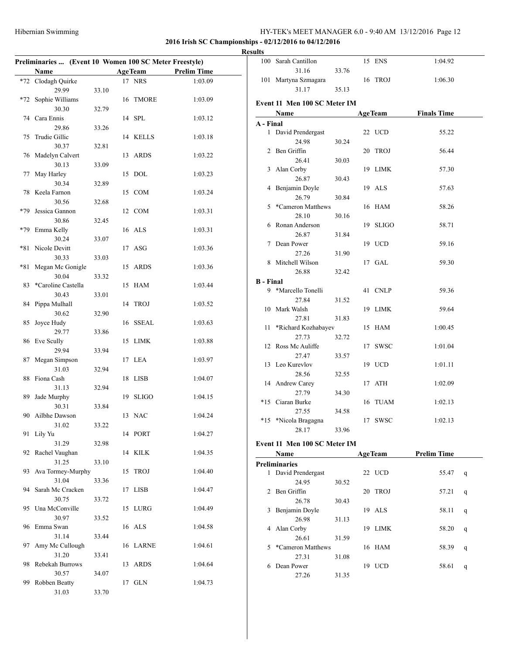### **2016 Irish SC Championships - 02/12/2016 to 04/12/2016**

# **Results**

|       | Preliminaries  (Event 10 Women 100 SC Meter Freestyle) |       |    |                |                    |
|-------|--------------------------------------------------------|-------|----|----------------|--------------------|
|       | Name                                                   |       |    | <b>AgeTeam</b> | <b>Prelim Time</b> |
| $*72$ | Clodagh Quirke                                         |       |    | 17 NRS         | 1:03.09            |
|       | 29.99                                                  | 33.10 |    |                |                    |
| *72   | Sophie Williams                                        |       | 16 | <b>TMORE</b>   | 1:03.09            |
|       | 30.30                                                  | 32.79 |    |                |                    |
| 74    | Cara Ennis                                             |       |    | 14 SPL         | 1:03.12            |
|       | 29.86                                                  | 33.26 |    |                |                    |
| 75    | Trudie Gillic                                          |       |    | 14 KELLS       | 1:03.18            |
|       | 30.37                                                  | 32.81 |    |                |                    |
|       | 76 Madelyn Calvert                                     |       | 13 | <b>ARDS</b>    | 1:03.22            |
|       |                                                        |       |    |                |                    |
|       | 30.13                                                  | 33.09 |    | <b>DOL</b>     |                    |
| 77    | May Harley                                             |       | 15 |                | 1:03.23            |
|       | 30.34                                                  | 32.89 |    |                |                    |
| 78    | Keela Farnon                                           |       | 15 | <b>COM</b>     | 1:03.24            |
|       | 30.56                                                  | 32.68 |    |                |                    |
| *79   | Jessica Gannon                                         |       |    | 12 COM         | 1:03.31            |
|       | 30.86                                                  | 32.45 |    |                |                    |
| *79   | Emma Kelly                                             |       | 16 | ALS            | 1:03.31            |
|       | 30.24                                                  | 33.07 |    |                |                    |
| *81   | Nicole Devitt                                          |       | 17 | ASG            | 1:03.36            |
|       | 30.33                                                  | 33.03 |    |                |                    |
| *81   | Megan Mc Gonigle                                       |       | 15 | ARDS           | 1:03.36            |
|       | 30.04                                                  | 33.32 |    |                |                    |
| 83    | *Caroline Castella                                     |       | 15 | <b>HAM</b>     | 1:03.44            |
|       | 30.43                                                  | 33.01 |    |                |                    |
| 84    | Pippa Mulhall                                          |       | 14 | <b>TROJ</b>    | 1:03.52            |
|       | 30.62                                                  | 32.90 |    |                |                    |
| 85    | Joyce Hudy                                             |       | 16 | <b>SSEAL</b>   | 1:03.63            |
|       | 29.77                                                  | 33.86 |    |                |                    |
| 86    | Eve Scully                                             |       | 15 | <b>LIMK</b>    | 1:03.88            |
|       | 29.94                                                  | 33.94 |    |                |                    |
| 87    | Megan Simpson                                          |       | 17 | <b>LEA</b>     | 1:03.97            |
|       | 31.03                                                  | 32.94 |    |                |                    |
| 88    | Fiona Cash                                             |       | 18 | <b>LISB</b>    | 1:04.07            |
|       | 31.13                                                  | 32.94 |    |                |                    |
| 89    | Jade Murphy                                            |       | 19 | <b>SLIGO</b>   | 1:04.15            |
|       | 30.31                                                  | 33.84 |    |                |                    |
| 90    | Ailbhe Dawson                                          |       |    | 13 NAC         | 1:04.24            |
|       | 31.02                                                  | 33.22 |    |                |                    |
| 91    | Lily Yu                                                |       |    | 14 PORT        | 1:04.27            |
|       | 31.29                                                  | 32.98 |    |                |                    |
| 92    | Rachel Vaughan                                         |       |    | 14 KILK        | 1:04.35            |
|       | 31.25                                                  | 33.10 |    |                |                    |
| 93    | Ava Tormey-Murphy                                      |       | 15 | <b>TROJ</b>    | 1:04.40            |
|       | 31.04                                                  | 33.36 |    |                |                    |
| 94    | Sarah Mc Cracken                                       |       | 17 | <b>LISB</b>    | 1:04.47            |
|       | 30.75                                                  | 33.72 |    |                |                    |
| 95    | Una McConville                                         |       | 15 | LURG           | 1:04.49            |
|       | 30.97                                                  | 33.52 |    |                |                    |
| 96    | Emma Swan                                              |       |    | 16 ALS         | 1:04.58            |
|       | 31.14                                                  | 33.44 |    |                |                    |
| 97    | Amy Mc Cullough                                        |       | 16 | LARNE          | 1:04.61            |
|       | 31.20                                                  | 33.41 |    |                |                    |
| 98    | Rebekah Burrows                                        |       | 13 | <b>ARDS</b>    | 1:04.64            |
|       | 30.57                                                  | 34.07 |    |                |                    |
| 99    | Robben Beatty                                          |       | 17 | <b>GLN</b>     | 1:04.73            |
|       | 31.03                                                  | 33.70 |    |                |                    |
|       |                                                        |       |    |                |                    |

|                  | 100 Sarah Cantillon          |       |    | 15 ENS         | 1:04.92             |   |
|------------------|------------------------------|-------|----|----------------|---------------------|---|
|                  | 31.16                        | 33.76 |    |                |                     |   |
|                  | 101 Martyna Szmagara         |       |    | 16 TROJ        | 1:06.30             |   |
|                  | 31.17                        | 35.13 |    |                |                     |   |
|                  |                              |       |    |                |                     |   |
|                  | Event 11 Men 100 SC Meter IM |       |    |                |                     |   |
|                  | Name                         |       |    |                | AgeTeam Finals Time |   |
| A - Final        |                              |       |    |                |                     |   |
|                  | 1 David Prendergast          |       |    | 22 UCD         | 55.22               |   |
|                  | 24.98                        | 30.24 |    |                |                     |   |
|                  | 2 Ben Griffin                |       |    | 20 TROJ        | 56.44               |   |
|                  | 26.41                        | 30.03 |    |                |                     |   |
|                  | 3 Alan Corby                 |       |    | 19 LIMK        | 57.30               |   |
|                  | 26.87                        | 30.43 |    |                |                     |   |
|                  | 4 Benjamin Doyle             |       |    | 19 ALS         | 57.63               |   |
|                  | 26.79                        | 30.84 |    |                |                     |   |
|                  | 5 *Cameron Matthews          |       |    | 16 HAM         | 58.26               |   |
|                  | 28.10                        | 30.16 |    |                |                     |   |
|                  | 6 Ronan Anderson             |       |    | 19 SLIGO       | 58.71               |   |
|                  | 26.87                        | 31.84 |    |                |                     |   |
|                  | 7 Dean Power                 |       |    | 19 UCD         | 59.16               |   |
|                  | 27.26                        | 31.90 |    |                |                     |   |
|                  |                              |       |    | 17 GAL         |                     |   |
|                  | 8 Mitchell Wilson            |       |    |                | 59.30               |   |
|                  | 26.88                        | 32.42 |    |                |                     |   |
| <b>B</b> - Final |                              |       |    |                |                     |   |
|                  | 9 *Marcello Tonelli          |       |    | 41 CNLP        | 59.36               |   |
|                  | 27.84                        | 31.52 |    |                |                     |   |
|                  | 10 Mark Walsh                |       |    | 19 LIMK        | 59.64               |   |
|                  | 27.81                        | 31.83 |    |                |                     |   |
|                  | 11 *Richard Kozhabayev       |       |    | 15 HAM         | 1:00.45             |   |
|                  | 27.73                        | 32.72 |    |                |                     |   |
|                  | 12 Ross Mc Auliffe           |       |    | 17 SWSC        | 1:01.04             |   |
|                  | 27.47                        | 33.57 |    |                |                     |   |
|                  | 13 Leo Kurevlov              |       |    | 19 UCD         | 1:01.11             |   |
|                  | 28.56                        | 32.55 |    |                |                     |   |
|                  | 14 Andrew Carey              |       |    | 17 ATH         | 1:02.09             |   |
|                  | 27.79                        | 34.30 |    |                |                     |   |
|                  | *15 Ciaran Burke             |       |    | 16 TUAM        | 1:02.13             |   |
|                  | 27.55                        | 34.58 |    |                |                     |   |
|                  | *15 *Nicola Bragagna         |       |    | 17 SWSC        | 1:02.13             |   |
|                  | 28.17                        | 33.96 |    |                |                     |   |
|                  |                              |       |    |                |                     |   |
|                  | Event 11 Men 100 SC Meter IM |       |    |                |                     |   |
|                  | Name                         |       |    | <b>AgeTeam</b> | <b>Prelim Time</b>  |   |
|                  | <b>Preliminaries</b>         |       |    |                |                     |   |
|                  | 1 David Prendergast          |       |    | 22 UCD         | 55.47               | q |
|                  | 24.95                        | 30.52 |    |                |                     |   |
|                  | 2 Ben Griffin                |       | 20 | <b>TROJ</b>    | 57.21               | q |
|                  | 26.78                        | 30.43 |    |                |                     |   |
| 3                | Benjamin Doyle               |       |    | 19 ALS         | 58.11               | q |
|                  | 26.98                        | 31.13 |    |                |                     |   |
|                  | 4 Alan Corby                 |       |    | 19 LIMK        | 58.20               | q |
|                  | 26.61                        | 31.59 |    |                |                     |   |
|                  |                              |       |    |                |                     |   |

|   | Name              |       |    | Age Team    | Prelim Time |   |  |
|---|-------------------|-------|----|-------------|-------------|---|--|
|   | reliminaries      |       |    |             |             |   |  |
| 1 | David Prendergast |       |    | 22 UCD      | 55.47       | q |  |
|   | 24.95             | 30.52 |    |             |             |   |  |
| 2 | Ben Griffin       |       | 20 | <b>TROJ</b> | 57.21       | q |  |
|   | 26.78             | 30.43 |    |             |             |   |  |
| 3 | Benjamin Doyle    |       |    | 19 ALS      | 58.11       | q |  |
|   | 26.98             | 31.13 |    |             |             |   |  |
| 4 | Alan Corby        |       | 19 | <b>LIMK</b> | 58.20       | q |  |
|   | 26.61             | 31.59 |    |             |             |   |  |
| 5 | *Cameron Matthews |       |    | 16 HAM      | 58.39       | q |  |
|   | 27.31             | 31.08 |    |             |             |   |  |
| 6 | Dean Power        |       | 19 | <b>UCD</b>  | 58.61       | q |  |
|   | 27.26             | 31.35 |    |             |             |   |  |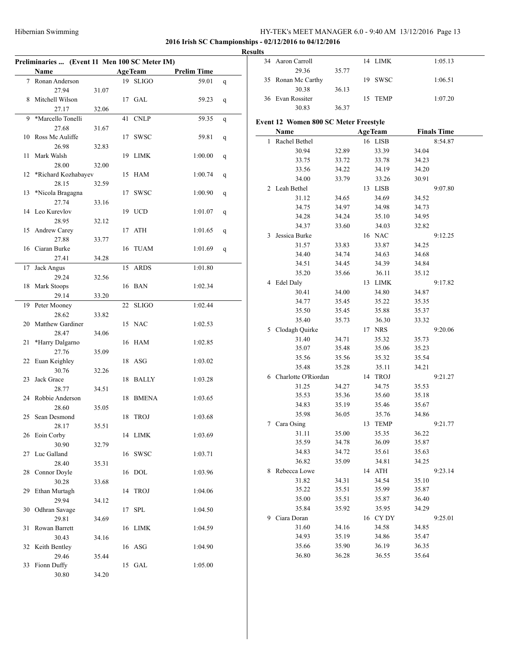|    |                                               |       |                |                    |   | <b>Results</b> |          |
|----|-----------------------------------------------|-------|----------------|--------------------|---|----------------|----------|
|    | Preliminaries  (Event 11 Men 100 SC Meter IM) |       |                |                    |   |                | 34 Aaron |
|    | Name                                          |       | <b>AgeTeam</b> | <b>Prelim Time</b> |   |                |          |
|    | 7 Ronan Anderson                              |       | 19 SLIGO       | 59.01              | q |                | 35 Ronar |
|    | 27.94                                         | 31.07 |                |                    |   |                |          |
|    | 8 Mitchell Wilson                             |       | 17 GAL         | 59.23              | q |                | 36 Evan  |
|    | 27.17                                         | 32.06 |                |                    |   |                |          |
| 9. | *Marcello Tonelli                             |       | 41 CNLP        | 59.35              | q | Event 12 V     |          |
|    | 27.68                                         | 31.67 |                |                    |   |                |          |
|    | 10 Ross Mc Auliffe                            |       | 17 SWSC        | 59.81              | q |                | Nam      |
|    | 26.98                                         | 32.83 |                |                    |   |                | 1 Rach   |
|    | 11 Mark Walsh                                 |       | 19 LIMK        | 1:00.00            | q |                |          |
|    | 28.00                                         | 32.00 |                |                    |   |                |          |
|    | 12 *Richard Kozhabayev                        |       | 15 HAM         | 1:00.74            | q |                |          |
|    | 28.15                                         | 32.59 |                |                    |   |                |          |
| 13 | *Nicola Bragagna                              |       | 17 SWSC        | 1:00.90            | q |                | 2 Leah   |
|    | 27.74                                         | 33.16 |                |                    |   |                |          |
|    | 14 Leo Kurevlov                               |       | 19 UCD         | 1:01.07            |   |                |          |
|    | 28.95                                         |       |                |                    | q |                |          |
|    |                                               | 32.12 |                |                    |   |                |          |
|    | 15 Andrew Carey                               |       | 17 ATH         | 1:01.65            | q | 3              | Jessic   |
|    | 27.88                                         | 33.77 |                |                    |   |                |          |
|    | 16 Ciaran Burke                               |       | 16 TUAM        | 1:01.69            | q |                |          |
|    | 27.41                                         | 34.28 |                |                    |   |                |          |
|    | 17 Jack Angus                                 |       | 15 ARDS        | 1:01.80            |   |                |          |
|    | 29.24                                         | 32.56 |                |                    |   |                | 4 Edel 1 |
|    | 18 Mark Stoops                                |       | 16 BAN         | 1:02.34            |   |                |          |
|    | 29.14                                         | 33.20 |                |                    |   |                |          |
|    | 19 Peter Mooney                               |       | 22 SLIGO       | 1:02.44            |   |                |          |
|    | 28.62                                         | 33.82 |                |                    |   |                |          |
|    | 20 Matthew Gardiner                           |       | 15 NAC         | 1:02.53            |   |                |          |
|    | 28.47                                         | 34.06 |                |                    |   |                | 5 Cloda  |
| 21 | *Harry Dalgarno                               |       | 16 HAM         | 1:02.85            |   |                |          |
|    | 27.76                                         | 35.09 |                |                    |   |                |          |
|    | 22 Euan Keighley                              |       | 18 ASG         | 1:03.02            |   |                |          |
|    | 30.76                                         | 32.26 |                |                    |   |                |          |
| 23 | Jack Grace                                    |       | 18 BALLY       | 1:03.28            |   |                | 6 Charl  |
|    | 28.77                                         | 34.51 |                |                    |   |                |          |
|    | 24 Robbie Anderson                            |       | 18 BMENA       | 1:03.65            |   |                |          |
|    | 28.60                                         | 35.05 |                |                    |   |                |          |
|    | 25 Sean Desmond                               |       | 18 TROJ        | 1:03.68            |   |                |          |
|    | 28.17                                         | 35.51 |                |                    |   |                | 7 Cara   |
|    | 26 Eoin Corby                                 |       | 14 LIMK        | 1:03.69            |   |                |          |
|    | 30.90                                         | 32.79 |                |                    |   |                |          |
|    | 27 Luc Galland                                |       | 16 SWSC        | 1:03.71            |   |                |          |
|    | 28.40                                         | 35.31 |                |                    |   |                |          |
|    |                                               |       |                |                    |   |                | 8 Rebeo  |
|    | 28 Connor Doyle                               |       | 16 DOL         | 1:03.96            |   |                |          |
|    | 30.28                                         | 33.68 |                |                    |   |                |          |
|    | 29 Ethan Murtagh                              |       | 14 TROJ        | 1:04.06            |   |                |          |
|    | 29.94                                         | 34.12 |                |                    |   |                |          |
|    | 30 Odhran Savage                              |       | 17 SPL         | 1:04.50            |   |                |          |
|    | 29.81                                         | 34.69 |                |                    |   |                | 9 Ciara  |
|    | 31 Rowan Barrett                              |       | 16 LIMK        | 1:04.59            |   |                |          |
|    | 30.43                                         | 34.16 |                |                    |   |                |          |
|    | 32 Keith Bentley                              |       | 16 ASG         | 1:04.90            |   |                |          |
|    | 29.46                                         | 35.44 |                |                    |   |                |          |
|    | 33 Fionn Duffy                                |       | 15 GAL         | 1:05.00            |   |                |          |
|    | 30.80                                         | 34.20 |                |                    |   |                |          |
|    |                                               |       |                |                    |   |                |          |

| 34 | Aaron Carroll                                |                | 14 | LIMK           | 1:05.13            |  |
|----|----------------------------------------------|----------------|----|----------------|--------------------|--|
|    | 29.36                                        | 35.77          |    |                |                    |  |
| 35 | Ronan Mc Carthy                              |                |    | 19 SWSC        | 1:06.51            |  |
|    | 30.38                                        | 36.13          |    |                |                    |  |
|    | 36 Evan Rossiter                             |                | 15 | TEMP           | 1:07.20            |  |
|    | 30.83                                        | 36.37          |    |                |                    |  |
|    |                                              |                |    |                |                    |  |
|    | <b>Event 12 Women 800 SC Meter Freestyle</b> |                |    |                |                    |  |
|    | Name                                         |                |    | <b>AgeTeam</b> | <b>Finals Time</b> |  |
| 1  | Rachel Bethel                                |                |    | 16 LISB        | 8:54.87            |  |
|    | 30.94                                        | 32.89          |    | 33.39          | 34.04              |  |
|    | 33.75                                        | 33.72          |    | 33.78          | 34.23              |  |
|    | 33.56                                        | 34.22          |    | 34.19          | 34.20              |  |
|    | 34.00                                        | 33.79          |    | 33.26          | 30.91              |  |
| 2  | Leah Bethel                                  |                |    | 13 LISB        | 9:07.80            |  |
|    | 31.12                                        | 34.65          |    | 34.69          | 34.52              |  |
|    | 34.75                                        | 34.97          |    | 34.98          | 34.73              |  |
|    | 34.28                                        | 34.24          |    | 35.10          | 34.95              |  |
|    | 34.37                                        | 33.60          |    | 34.03          | 32.82              |  |
| 3  | Jessica Burke                                |                |    | 16 NAC         | 9:12.25            |  |
|    | 31.57                                        | 33.83          |    | 33.87          | 34.25              |  |
|    | 34.40                                        | 34.74          |    | 34.63          | 34.68              |  |
|    | 34.51                                        | 34.45          |    | 34.39          | 34.84              |  |
|    | 35.20                                        | 35.66          |    | 36.11          | 35.12              |  |
|    | 4 Edel Daly                                  |                |    | 13 LIMK        | 9:17.82            |  |
|    | 30.41                                        | 34.00          |    | 34.80          | 34.87              |  |
|    | 34.77                                        | 35.45          |    | 35.22          | 35.35              |  |
|    | 35.50                                        | 35.45          |    | 35.88          | 35.37              |  |
|    | 35.40                                        | 35.73          |    | 36.30          | 33.32              |  |
| 5  | Clodagh Quirke                               |                |    | 17 NRS         | 9:20.06            |  |
|    | 31.40                                        |                |    | 35.32          |                    |  |
|    | 35.07                                        | 34.71<br>35.48 |    | 35.06          | 35.73<br>35.23     |  |
|    |                                              |                |    |                |                    |  |
|    | 35.56                                        | 35.56          |    | 35.32          | 35.54              |  |
|    | 35.48                                        | 35.28          |    | 35.11          | 34.21              |  |
| 6  | Charlotte O'Riordan                          |                |    | 14 TROJ        | 9:21.27            |  |
|    | 31.25                                        | 34.27          |    | 34.75          | 35.53              |  |
|    | 35.53                                        | 35.36          |    | 35.60          | 35.18              |  |
|    | 34.83                                        | 35.19          |    | 35.46          | 35.67              |  |
|    | 35.98                                        | 36.05          |    | 35.76          | 34.86              |  |
| 7  | Cara Osing                                   |                |    | 13 TEMP        | 9:21.77            |  |
|    | 31.11                                        | 35.00          |    | 35.35          | 36.22              |  |
|    | 35.59                                        | 34.78          |    | 36.09          | 35.87              |  |
|    | 34.83                                        | 34.72          |    | 35.61          | 35.63              |  |
|    | 36.82                                        | 35.09          |    | 34.81          | 34.25              |  |
| 8  | Rebecca Lowe                                 |                | 14 | ATH            | 9:23.14            |  |
|    | 31.82                                        | 34.31          |    | 34.54          | 35.10              |  |
|    | 35.22                                        | 35.51          |    | 35.99          | 35.87              |  |
|    | 35.00                                        | 35.51          |    | 35.87          | 36.40              |  |
|    | 35.84                                        | 35.92          |    | 35.95          | 34.29              |  |
| 9  | Ciara Doran                                  |                |    | 16 CYDY        | 9:25.01            |  |
|    | 31.60                                        | 34.16          |    | 34.58          | 34.85              |  |
|    | 34.93                                        | 35.19          |    | 34.86          | 35.47              |  |
|    | 35.66                                        | 35.90          |    | 36.19          | 36.35              |  |
|    | 36.80                                        | 36.28          |    | 36.55          | 35.64              |  |
|    |                                              |                |    |                |                    |  |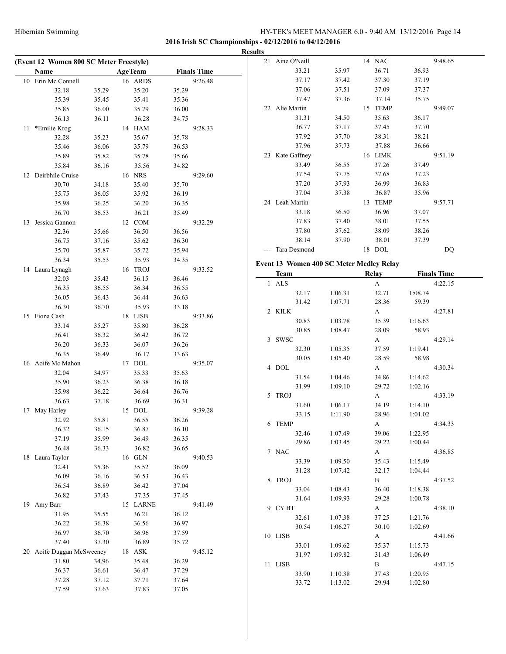|                                         |       |                |                |                    | <b>Results</b> |                                          |                    |                |         |                    |
|-----------------------------------------|-------|----------------|----------------|--------------------|----------------|------------------------------------------|--------------------|----------------|---------|--------------------|
| (Event 12 Women 800 SC Meter Freestyle) |       |                |                |                    |                | 21 Aine O'Neill                          |                    | 14 NAC         |         | 9:48.65            |
| Name                                    |       | <b>AgeTeam</b> |                | <b>Finals Time</b> |                | 33.21                                    | 35.97              | 36.71          | 36.93   |                    |
| 10 Erin Mc Connell                      |       | 16 ARDS        |                | 9:26.48            |                | 37.17                                    | 37.42              | 37.30          | 37.19   |                    |
| 32.18                                   | 35.29 | 35.20          | 35.29          |                    |                | 37.06                                    | 37.51              | 37.09          | 37.37   |                    |
| 35.39                                   | 35.45 | 35.41          | 35.36          |                    |                | 37.47                                    | 37.36              | 37.14          | 35.75   |                    |
| 35.85                                   | 36.00 | 35.79          | 36.00          |                    |                | 22 Alie Martin                           |                    | 15 TEMP        |         | 9:49.07            |
| 36.13                                   | 36.11 | 36.28          | 34.75          |                    |                | 31.31                                    | 34.50              | 35.63          | 36.17   |                    |
| 11 *Emilie Krog                         |       | 14 HAM         |                | 9:28.33            |                | 36.77                                    | 37.17              | 37.45          | 37.70   |                    |
| 32.28                                   | 35.23 | 35.67          | 35.78          |                    |                | 37.92                                    | 37.70              | 38.31          | 38.21   |                    |
| 35.46                                   | 36.06 | 35.79          | 36.53          |                    |                | 37.96                                    | 37.73              | 37.88          | 36.66   |                    |
| 35.89                                   | 35.82 | 35.78          | 35.66          |                    |                | 23 Kate Gaffney                          |                    | 16 LIMK        |         | 9:51.19            |
| 35.84                                   | 36.16 | 35.56          | 34.82          |                    |                | 33.49                                    | 36.55              | 37.26          | 37.49   |                    |
| 12 Deirbhile Cruise                     |       | 16 NRS         |                | 9:29.60            |                | 37.54                                    | 37.75              | 37.68          | 37.23   |                    |
| 30.70                                   | 34.18 | 35.40          | 35.70          |                    |                | 37.20                                    | 37.93              | 36.99          | 36.83   |                    |
| 35.75                                   | 36.05 | 35.92          | 36.19          |                    |                | 37.04                                    | 37.38              | 36.87          | 35.96   |                    |
| 35.98                                   | 36.25 | 36.20          | 36.35          |                    |                | 24 Leah Martin                           |                    | 13 TEMP        |         | 9:57.71            |
| 36.70                                   | 36.53 | 36.21          | 35.49          |                    |                | 33.18                                    | 36.50              | 36.96          | 37.07   |                    |
| 13 Jessica Gannon                       |       | 12 COM         |                | 9:32.29            |                | 37.83                                    | 37.40              | 38.01          | 37.55   |                    |
| 32.36                                   | 35.66 | 36.50          | 36.56          |                    |                | 37.80                                    | 37.62              | 38.09          | 38.26   |                    |
| 36.75                                   | 37.16 | 35.62          | 36.30          |                    |                | 38.14                                    | 37.90              | 38.01          | 37.39   |                    |
| 35.70                                   | 35.87 | 35.72          | 35.94          |                    |                | --- Tara Desmond                         |                    | 18 DOL         |         | DQ                 |
| 36.34                                   | 35.53 | 35.93          | 34.35          |                    |                |                                          |                    |                |         |                    |
|                                         |       | 16 TROJ        |                | 9:33.52            |                | Event 13 Women 400 SC Meter Medley Relay |                    |                |         |                    |
| 14 Laura Lynagh                         |       |                |                |                    |                | <b>Team</b>                              |                    | <b>Relay</b>   |         | <b>Finals Time</b> |
| 32.03                                   | 35.43 | 36.15          | 36.46<br>36.55 |                    |                | 1 ALS                                    |                    | $\mathbf A$    |         | 4:22.15            |
| 36.35                                   | 36.55 | 36.34          |                |                    |                | 32.17                                    | 1:06.31            | 32.71          | 1:08.74 |                    |
| 36.05                                   | 36.43 | 36.44          | 36.63          |                    |                | 31.42                                    | 1:07.71            | 28.36          | 59.39   |                    |
| 36.30                                   | 36.70 | 35.93          | 33.18          |                    |                | 2 KILK                                   |                    | $\mathbf{A}$   |         | 4:27.81            |
| 15 Fiona Cash                           |       | 18 LISB        |                | 9:33.86            |                | 30.83                                    | 1:03.78            | 35.39          | 1:16.63 |                    |
| 33.14                                   | 35.27 | 35.80          | 36.28          |                    |                | 30.85                                    | 1:08.47            | 28.09          | 58.93   |                    |
| 36.41                                   | 36.32 | 36.42          | 36.72          |                    |                | 3 SWSC                                   |                    | A              |         | 4:29.14            |
| 36.20                                   | 36.33 | 36.07          | 36.26          |                    |                | 32.30                                    | 1:05.35            | 37.59          | 1:19.41 |                    |
| 36.35                                   | 36.49 | 36.17          | 33.63          |                    |                | 30.05                                    | 1:05.40            | 28.59          | 58.98   |                    |
| 16 Aoife Mc Mahon                       |       | 17 DOL         |                | 9:35.07            |                | 4 DOL                                    |                    | $\mathbf{A}$   |         | 4:30.34            |
| 32.04                                   | 34.97 | 35.33          | 35.63          |                    |                | 31.54                                    | 1:04.46            | 34.86          | 1:14.62 |                    |
| 35.90                                   | 36.23 | 36.38          | 36.18          |                    |                | 31.99                                    | 1:09.10            | 29.72          | 1:02.16 |                    |
| 35.98                                   | 36.22 | 36.64          | 36.76          |                    |                | 5 TROJ                                   |                    | $\mathbf{A}$   |         | 4:33.19            |
| 36.63                                   | 37.18 | 36.69          | 36.31          |                    |                | 31.60                                    | 1:06.17            | 34.19          | 1:14.10 |                    |
| 17 May Harley                           |       | 15 DOL         |                | 9:39.28            |                | 33.15                                    | 1:11.90            | 28.96          | 1:01.02 |                    |
| 32.92                                   | 35.81 | 36.55          | 36.26          |                    |                | 6 TEMP                                   |                    | A              |         | 4:34.33            |
| 36.32                                   | 36.15 | 36.87          | 36.10          |                    |                | 32.46                                    | 1:07.49            | 39.06          | 1:22.95 |                    |
| 37.19                                   | 35.99 | 36.49          | 36.35          |                    |                | 29.86                                    | 1:03.45            | 29.22          | 1:00.44 |                    |
| 36.48                                   | 36.33 | 36.82          | 36.65          |                    |                | 7 NAC                                    |                    | $\mathbf{A}$   |         | 4:36.85            |
| 18 Laura Taylor                         |       | 16 GLN         |                | 9:40.53            |                | 33.39                                    | 1:09.50            | 35.43          | 1:15.49 |                    |
| 32.41                                   | 35.36 | 35.52          | 36.09          |                    |                | 31.28                                    | 1:07.42            | 32.17          | 1:04.44 |                    |
| 36.09                                   | 36.16 | 36.53          | 36.43          |                    |                | 8 TROJ                                   |                    | $\mathbf{B}$   |         | 4:37.52            |
| 36.54                                   | 36.89 | 36.42          | 37.04          |                    |                | 33.04                                    | 1:08.43            | 36.40          | 1:18.38 |                    |
| 36.82                                   | 37.43 | 37.35          | 37.45          |                    |                | 31.64                                    | 1:09.93            | 29.28          | 1:00.78 |                    |
| 19 Amy Barr                             |       | 15 LARNE       |                | 9:41.49            |                | 9 CYBT                                   |                    | A              |         | 4:38.10            |
| 31.95                                   | 35.55 | 36.21          | 36.12          |                    |                | 32.61                                    | 1:07.38            | 37.25          | 1:21.76 |                    |
| 36.22                                   | 36.38 | 36.56          | 36.97          |                    |                | 30.54                                    | 1:06.27            | 30.10          | 1:02.69 |                    |
| 36.97                                   | 36.70 | 36.96          | 37.59          |                    |                | 10 LISB                                  |                    | $\mathbf{A}$   |         | 4:41.66            |
| 37.40                                   | 37.30 | 36.89          | 35.72          |                    |                | 33.01                                    | 1:09.62            | 35.37          | 1:15.73 |                    |
| 20 Aoife Duggan McSweeney               |       | $18$ $\,$ ASK  |                | 9:45.12            |                | 31.97                                    | 1:09.82            | 31.43          | 1:06.49 |                    |
| 31.80                                   | 34.96 | 35.48          | 36.29          |                    |                | 11 LISB                                  |                    | $\mathbf{B}$   |         | 4:47.15            |
| 36.37                                   | 36.61 | 36.47          | 37.29          |                    |                | 33.90                                    |                    |                | 1:20.95 |                    |
| 37.28                                   | 37.12 | 37.71          | 37.64          |                    |                | 33.72                                    | 1:10.38<br>1:13.02 | 37.43<br>29.94 | 1:02.80 |                    |
| 37.59                                   | 37.63 | 37.83          | 37.05          |                    |                |                                          |                    |                |         |                    |
|                                         |       |                |                |                    |                |                                          |                    |                |         |                    |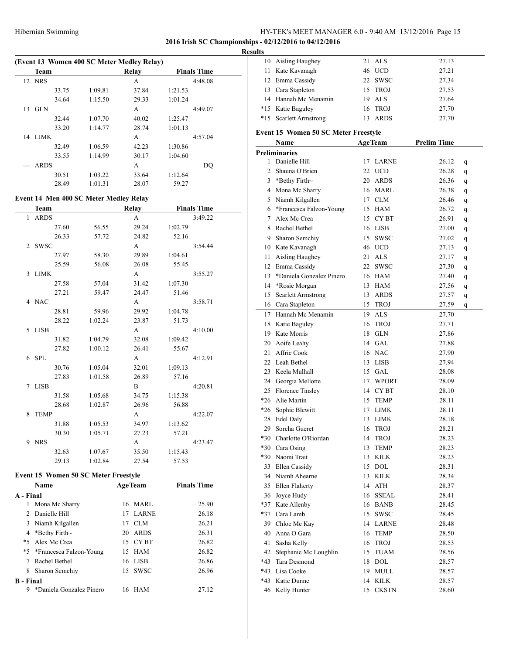#### **2016 Irish SC Championships - 02/12/2016 to 04/12/2016**

#### **Results**

 $\mathbb{R}^2$ 

| (Event 13 Women 400 SC Meter Medley Relay) |             |       |         |       |         |                    |  |  |
|--------------------------------------------|-------------|-------|---------|-------|---------|--------------------|--|--|
|                                            | <b>Team</b> |       |         | Relay |         | <b>Finals Time</b> |  |  |
|                                            | 12 NRS      |       |         | A     |         | 4:48.08            |  |  |
|                                            |             | 33.75 | 1:09.81 | 37.84 | 1:21.53 |                    |  |  |
|                                            |             | 34.64 | 1:15.50 | 29.33 | 1:01.24 |                    |  |  |
| 13                                         | <b>GLN</b>  |       |         | A     |         | 4:49.07            |  |  |
|                                            |             | 32.44 | 1:07.70 | 40.02 | 1:25.47 |                    |  |  |
|                                            |             | 33.20 | 1:14.77 | 28.74 | 1:01.13 |                    |  |  |
|                                            | 14 LIMK     |       |         | A     |         | 4:57.04            |  |  |
|                                            |             | 32.49 | 1:06.59 | 42.23 | 1:30.86 |                    |  |  |
|                                            |             | 33.55 | 1:14.99 | 30.17 | 1:04.60 |                    |  |  |
|                                            | <b>ARDS</b> |       |         | A     |         | DO                 |  |  |
|                                            |             | 30.51 | 1:03.22 | 33.64 | 1:12.64 |                    |  |  |
|                                            |             | 28.49 | 1:01.31 | 28.07 | 59.27   |                    |  |  |

#### **Event 14 Men 400 SC Meter Medley Relay**

| Team    |                  | Relay        |         | <b>Finals Time</b> |
|---------|------------------|--------------|---------|--------------------|
| 1 ARDS  |                  | A            |         | 3:49.22            |
|         | 27.60<br>56.55   | 29.24        | 1:02.79 |                    |
|         | 26.33<br>57.72   | 24.82        | 52.16   |                    |
| 2 SWSC  |                  | $\mathbf{A}$ |         | 3:54.44            |
|         | 27.97<br>58.30   | 29.89        | 1:04.61 |                    |
|         | 25.59<br>56.08   | 26.08        | 55.45   |                    |
| 3 LIMK  |                  | $\mathbf{A}$ |         | 3:55.27            |
|         | 27.58<br>57.04   | 31.42        | 1:07.30 |                    |
|         | 27.21<br>59.47   | 24.47        | 51.46   |                    |
| 4 NAC   |                  | A            |         | 3:58.71            |
|         | 28.81<br>59.96   | 29.92        | 1:04.78 |                    |
|         | 28.22<br>1:02.24 | 23.87        | 51.73   |                    |
| 5 LISB  |                  | A            |         | 4:10.00            |
|         | 31.82<br>1:04.79 | 32.08        | 1:09.42 |                    |
|         | 27.82<br>1:00.12 | 26.41        | 55.67   |                    |
| $6$ SPL |                  | A            |         | 4:12.91            |
|         | 30.76<br>1:05.04 | 32.01        | 1:09.13 |                    |
|         | 27.83<br>1:01.58 | 26.89        | 57.16   |                    |
| 7 LISB  |                  | $\mathbf{B}$ |         | 4:20.81            |
|         | 31.58<br>1:05.68 | 34.75        | 1:15.38 |                    |
|         | 28.68<br>1:02.87 | 26.96        | 56.88   |                    |
| 8 TEMP  |                  | A            |         | 4:22.07            |
|         | 31.88<br>1:05.53 | 34.97        | 1:13.62 |                    |
|         | 30.30<br>1:05.71 | 27.23        | 57.21   |                    |
| 9 NRS   |                  | $\mathbf{A}$ |         | 4:23.47            |
|         | 32.63<br>1:07.67 | 35.50        | 1:15.43 |                    |
|         | 29.13<br>1:02.84 | 27.54        | 57.53   |                    |

#### **Event 15 Women 50 SC Meter Freestyle**

|           | <b>Name</b>                | <b>AgeTeam</b> | <b>Finals Time</b> |
|-----------|----------------------------|----------------|--------------------|
| A - Final |                            |                |                    |
|           | Mona Mc Sharry             | 16 MARL        | 25.90              |
|           | 2 Danielle Hill            | 17 LARNE       | 26.18              |
|           | 3 Niamh Kilgallen          | CLM<br>17      | 26.21              |
|           | 4 *Bethy Firth $\sim$      | 20 ARDS        | 26.31              |
|           | *5 Alex Mc Crea            | 15 CYBT        | 26.82              |
|           | *5 *Francesca Falzon-Young | 15 HAM         | 26.82              |
|           | Rachel Bethel              | 16 LISB        | 26.86              |
| 8         | Sharon Semchiy             | 15 SWSC        | 26.96              |
| B - Final |                            |                |                    |
| 9         | *Daniela Gonzalez Pinero   | 16 HAM         | 27.12              |

| 10       | Aisling Haughey                             | 21 | ALS            | 27.13              |        |
|----------|---------------------------------------------|----|----------------|--------------------|--------|
| 11       | Kate Kavanagh                               |    | 46 UCD         | 27.21              |        |
| 12       | Emma Cassidy                                |    | 22 SWSC        | 27.34              |        |
| 13       | Cara Stapleton                              |    | 15 TROJ        | 27.53              |        |
|          | 14 Hannah Mc Menamin                        | 19 | ALS            | 27.64              |        |
| $*15$    | Katie Baguley                               |    | 16 TROJ        | 27.70              |        |
| *15      | <b>Scarlett Armstrong</b>                   | 13 | <b>ARDS</b>    | 27.70              |        |
|          |                                             |    |                |                    |        |
|          | <b>Event 15 Women 50 SC Meter Freestyle</b> |    |                | <b>Prelim Time</b> |        |
|          | Name                                        |    | <b>AgeTeam</b> |                    |        |
| 1        | <b>Preliminaries</b><br>Danielle Hill       | 17 | LARNE          | 26.12              |        |
| 2        |                                             |    | 22 UCD         |                    | q      |
| 3        | Shauna O'Brien<br>*Bethy Firth~             |    | 20 ARDS        | 26.28              | q      |
| 4        | Mona Mc Sharry                              |    | 16 MARL        | 26.36<br>26.38     | q      |
| 5        | Niamh Kilgallen                             |    | 17 CLM         | 26.46              | q      |
| 6        | *Francesca Falzon-Young                     |    | 15 HAM         | 26.72              | q      |
| 7        | Alex Mc Crea                                |    | 15 CYBT        | 26.91              | q      |
| 8        | Rachel Bethel                               |    | 16 LISB        | 27.00              | q      |
| 9        | Sharon Semchiy                              |    | 15 SWSC        |                    | q      |
|          |                                             |    | 46 UCD         | 27.02<br>27.13     | q      |
| 10<br>11 | Kate Kavanagh<br>Aisling Haughey            | 21 | ALS            | 27.17              | q      |
| 12       | Emma Cassidy                                |    | 22 SWSC        | 27.30              | q      |
| 13       | *Daniela Gonzalez Pinero                    |    | 16 HAM         | 27.40              | q      |
| 14       | *Rosie Morgan                               |    | 13 HAM         | 27.56              | q      |
| 15       | <b>Scarlett Armstrong</b>                   |    | 13 ARDS        | 27.57              | q      |
| 16       | Cara Stapleton                              |    | 15 TROJ        | 27.59              | q<br>q |
| 17       | Hannah Mc Menamin                           |    | 19 ALS         | 27.70              |        |
| 18       | Katie Baguley                               | 16 | <b>TROJ</b>    | 27.71              |        |
| 19       | Kate Morris                                 | 18 | <b>GLN</b>     | 27.86              |        |
| 20       | Aoife Leahy                                 |    | 14 GAL         | 27.88              |        |
| 21       | Affric Cook                                 |    | 16 NAC         | 27.90              |        |
| 22       | Leah Bethel                                 |    | 13 LISB        | 27.94              |        |
| 23       | Keela Mulhall                               |    | 15 GAL         | 28.08              |        |
| 24       | Georgia Mellotte                            |    | 17 WPORT       | 28.09              |        |
| 25       | Florence Tinsley                            |    | 14 CYBT        | 28.10              |        |
| $*26$    | Alie Martin                                 |    | 15 TEMP        | 28.11              |        |
| *26      | Sophie Blewitt                              | 17 | <b>LIMK</b>    | 28.11              |        |
| 28       | <b>Edel Daly</b>                            | 13 | <b>LIMK</b>    | 28.18              |        |
| 29       | Sorcha Gueret                               | 16 | <b>TROJ</b>    | 28.21              |        |
| *30      | Charlotte O'Riordan                         | 14 | TROJ           | 28.23              |        |
| $*30$    | Cara Osing                                  | 13 | TEMP           | 28.23              |        |
| *30      | Naomi Trait                                 |    | 13 KILK        | 28.23              |        |
| 33       | Ellen Cassidy                               |    | 15 DOL         | 28.31              |        |
| 34       | Niamh Ahearne                               |    | 13 KILK        | 28.34              |        |
| 35       | Ellen Flaherty                              |    | 14 ATH         | 28.37              |        |
| 36       | Joyce Hudy                                  |    | 16 SSEAL       | 28.41              |        |
| *37      | Kate Allenby                                |    | 16 BANB        | 28.45              |        |
| *37      | Cara Lamb                                   |    | 15 SWSC        | 28.45              |        |
| 39       | Chloe Mc Kay                                |    | 14 LARNE       | 28.48              |        |
| 40       | Anna O Gara                                 | 16 | TEMP           | 28.50              |        |
| 41       | Sasha Kelly                                 |    | 16 TROJ        | 28.53              |        |
| 42       | Stephanie Mc Loughlin                       | 15 | <b>TUAM</b>    | 28.56              |        |
| *43      | Tara Desmond                                |    | 18 DOL         | 28.57              |        |
| *43      | Lisa Cooke                                  | 19 | MULL           | 28.57              |        |
| $*43$    | Katie Dunne                                 | 14 | <b>KILK</b>    | 28.57              |        |
| 46       | Kelly Hunter                                |    | 15 CKSTN       | 28.60              |        |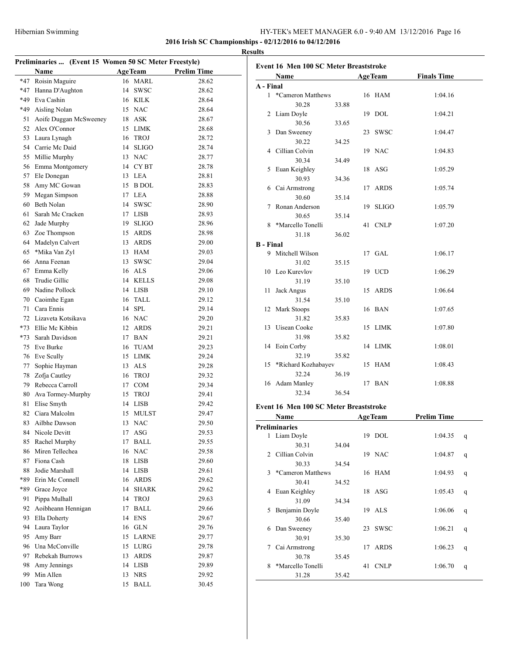|       | Preliminaries  (Event 15 Women 50 SC Meter Freestyle) |    |                    |                    |                |            |
|-------|-------------------------------------------------------|----|--------------------|--------------------|----------------|------------|
|       | Name                                                  |    | <b>AgeTeam</b>     | <b>Prelim Time</b> |                | Evo        |
| $*47$ | Roisin Maguire                                        |    | 16 MARL            |                    | 28.62          |            |
| $*47$ | Hanna D'Aughton                                       | 14 | <b>SWSC</b>        |                    | 28.62          | $A -$      |
|       | *49 Eva Cashin                                        |    | 16 KILK            |                    | 28.64          |            |
|       | *49 Aisling Nolan                                     |    | 15 NAC             |                    | 28.64          |            |
| 51    | Aoife Duggan McSweeney                                |    | 18 ASK             |                    | 28.67          |            |
|       | 52 Alex O'Connor                                      |    | 15 LIMK            |                    | 28.68          |            |
|       | 53 Laura Lynagh                                       | 16 | <b>TROJ</b>        |                    | 28.72          |            |
|       | 54 Carrie Mc Daid                                     | 14 | <b>SLIGO</b>       |                    | 28.74          |            |
|       | 55 Millie Murphy                                      |    | 13 NAC             |                    | 28.77          |            |
|       | 56 Emma Montgomery                                    |    | 14 CYBT            |                    | 28.78          |            |
|       | 57 Ele Donegan                                        |    | 13 LEA             |                    | 28.81          |            |
|       | 58 Amy MC Gowan                                       |    | 15 B DOL           |                    | 28.83          |            |
|       | 59 Megan Simpson                                      |    | 17 LEA             |                    | 28.88          |            |
|       | 60 Beth Nolan                                         |    | 14 SWSC            |                    | 28.90          |            |
| 61    | Sarah Mc Cracken                                      |    | 17 LISB            |                    | 28.93          |            |
| 62    | Jade Murphy                                           | 19 | <b>SLIGO</b>       |                    | 28.96          |            |
| 63    | Zoe Thompson                                          |    | 15 ARDS            |                    | 28.98          |            |
|       | 64 Madelyn Calvert                                    |    | 13 ARDS            |                    | 29.00          |            |
| 65    | *Mika Van Zyl                                         |    | 13 HAM             |                    | 29.03          | $\bf{B}$ - |
| 66    | Anna Feenan                                           | 13 | <b>SWSC</b>        |                    | 29.04          |            |
| 67    | Emma Kelly                                            |    | 16 ALS             |                    | 29.06          |            |
| 68    | Trudie Gillic                                         |    | 14 KELLS           |                    | 29.08          |            |
|       | 69 Nadine Pollock                                     |    | 14 LISB            |                    | 29.10          |            |
|       | 70 Caoimhe Egan                                       |    | 16 TALL            |                    | 29.12          |            |
|       | 71 Cara Ennis                                         |    | 14 SPL             |                    | 29.14          |            |
|       | 72 Lizaveta Kotsikava                                 |    | 16 NAC             |                    | 29.20          |            |
|       | *73 Ellie Mc Kibbin                                   |    | 12 ARDS            |                    | 29.21          |            |
| $*73$ | Sarah Davidson                                        |    | 17 BAN             |                    | 29.21          |            |
| 75    | Eve Burke                                             |    | 16 TUAM            |                    | 29.23          |            |
|       | 76 Eve Scully                                         |    | 15 LIMK            |                    | 29.24          |            |
| 77    | Sophie Hayman                                         |    | 13 ALS             |                    | 29.28          |            |
| 78    | Zofia Cautley                                         | 16 | <b>TROJ</b>        |                    | 29.32          |            |
|       | 79 Rebecca Carroll                                    |    | 17 COM             |                    | 29.34          |            |
|       | 80 Ava Tormey-Murphy                                  |    | 15 TROJ            |                    | 29.41          |            |
| 81    | Elise Smyth                                           |    | 14 LISB            |                    | 29.42          |            |
| 82    | Ciara Malcolm                                         | 15 | <b>MULST</b>       |                    | 29.47          | Evo        |
| 83    | Ailbhe Dawson                                         |    | 13 NAC             |                    | 29.50          |            |
|       | 84 Nicole Devitt                                      | 17 | ASG                |                    | 29.53          | Pre        |
| 85    | Rachel Murphy                                         | 17 | BALL               |                    | 29.55          |            |
| 86    | Miren Tellechea                                       |    | 16 NAC             |                    | 29.58          |            |
| 87    | Fiona Cash                                            |    | 18 LISB            |                    | 29.60          |            |
| 88    | Jodie Marshall                                        |    | 14 LISB            |                    | 29.61          |            |
| *89   | Erin Mc Connell                                       | 16 | <b>ARDS</b>        |                    | 29.62          |            |
| *89   | Grace Joyce                                           | 14 | <b>SHARK</b>       |                    | 29.62          |            |
| 91    | Pippa Mulhall                                         | 14 | <b>TROJ</b>        |                    | 29.63          |            |
| 92    | Aoibheann Hennigan                                    | 17 | <b>BALL</b>        |                    | 29.66          |            |
| 93    | Ella Doherty                                          | 14 | <b>ENS</b>         |                    | 29.67          |            |
|       | 94 Laura Taylor                                       |    | 16 GLN             |                    | 29.76          |            |
| 95    | Amy Barr                                              |    | 15 LARNE           |                    | 29.77          |            |
|       | 96 Una McConville                                     |    |                    |                    |                |            |
| 97    | Rebekah Burrows                                       |    | 15 LURG<br>13 ARDS |                    | 29.78<br>29.87 |            |
| 98    | Amy Jennings                                          |    | 14 LISB            |                    | 29.89          |            |
| 99    | Min Allen                                             |    | 13 NRS             |                    |                |            |
|       |                                                       |    |                    |                    | 29.92          |            |
| 100   | Tara Wong                                             |    | 15 BALL            |                    | 30.45          |            |

| Name                                           |                                                                                                                                                                                                                                                                                                                                                                     |                                                                                                                                 |                            |                                                                                                                                                                         |
|------------------------------------------------|---------------------------------------------------------------------------------------------------------------------------------------------------------------------------------------------------------------------------------------------------------------------------------------------------------------------------------------------------------------------|---------------------------------------------------------------------------------------------------------------------------------|----------------------------|-------------------------------------------------------------------------------------------------------------------------------------------------------------------------|
|                                                |                                                                                                                                                                                                                                                                                                                                                                     |                                                                                                                                 | <b>AgeTeam</b>             | <b>Finals Time</b>                                                                                                                                                      |
| A - Final<br>$\mathbf{1}$<br>*Cameron Matthews |                                                                                                                                                                                                                                                                                                                                                                     |                                                                                                                                 | 16 HAM                     |                                                                                                                                                                         |
|                                                |                                                                                                                                                                                                                                                                                                                                                                     |                                                                                                                                 |                            | 1:04.16                                                                                                                                                                 |
|                                                |                                                                                                                                                                                                                                                                                                                                                                     |                                                                                                                                 |                            |                                                                                                                                                                         |
|                                                |                                                                                                                                                                                                                                                                                                                                                                     |                                                                                                                                 |                            | 1:04.21                                                                                                                                                                 |
|                                                |                                                                                                                                                                                                                                                                                                                                                                     |                                                                                                                                 |                            |                                                                                                                                                                         |
|                                                |                                                                                                                                                                                                                                                                                                                                                                     |                                                                                                                                 |                            | 1:04.47                                                                                                                                                                 |
|                                                |                                                                                                                                                                                                                                                                                                                                                                     |                                                                                                                                 |                            | 1:04.83                                                                                                                                                                 |
|                                                |                                                                                                                                                                                                                                                                                                                                                                     |                                                                                                                                 |                            |                                                                                                                                                                         |
|                                                |                                                                                                                                                                                                                                                                                                                                                                     |                                                                                                                                 |                            | 1:05.29                                                                                                                                                                 |
|                                                |                                                                                                                                                                                                                                                                                                                                                                     |                                                                                                                                 |                            |                                                                                                                                                                         |
|                                                |                                                                                                                                                                                                                                                                                                                                                                     |                                                                                                                                 |                            | 1:05.74                                                                                                                                                                 |
|                                                |                                                                                                                                                                                                                                                                                                                                                                     |                                                                                                                                 |                            |                                                                                                                                                                         |
|                                                |                                                                                                                                                                                                                                                                                                                                                                     |                                                                                                                                 |                            | 1:05.79                                                                                                                                                                 |
|                                                |                                                                                                                                                                                                                                                                                                                                                                     |                                                                                                                                 |                            |                                                                                                                                                                         |
|                                                |                                                                                                                                                                                                                                                                                                                                                                     |                                                                                                                                 |                            | 1:07.20                                                                                                                                                                 |
|                                                |                                                                                                                                                                                                                                                                                                                                                                     |                                                                                                                                 |                            |                                                                                                                                                                         |
|                                                |                                                                                                                                                                                                                                                                                                                                                                     |                                                                                                                                 |                            |                                                                                                                                                                         |
|                                                |                                                                                                                                                                                                                                                                                                                                                                     |                                                                                                                                 |                            | 1:06.17                                                                                                                                                                 |
|                                                |                                                                                                                                                                                                                                                                                                                                                                     |                                                                                                                                 |                            |                                                                                                                                                                         |
|                                                |                                                                                                                                                                                                                                                                                                                                                                     |                                                                                                                                 |                            | 1:06.29                                                                                                                                                                 |
|                                                |                                                                                                                                                                                                                                                                                                                                                                     |                                                                                                                                 |                            |                                                                                                                                                                         |
|                                                |                                                                                                                                                                                                                                                                                                                                                                     |                                                                                                                                 |                            | 1:06.64                                                                                                                                                                 |
|                                                |                                                                                                                                                                                                                                                                                                                                                                     |                                                                                                                                 |                            |                                                                                                                                                                         |
|                                                |                                                                                                                                                                                                                                                                                                                                                                     |                                                                                                                                 |                            | 1:07.65                                                                                                                                                                 |
|                                                |                                                                                                                                                                                                                                                                                                                                                                     |                                                                                                                                 |                            |                                                                                                                                                                         |
| Uisean Cooke                                   |                                                                                                                                                                                                                                                                                                                                                                     | 15                                                                                                                              |                            | 1:07.80                                                                                                                                                                 |
| 31.98                                          | 35.82                                                                                                                                                                                                                                                                                                                                                               |                                                                                                                                 |                            |                                                                                                                                                                         |
|                                                |                                                                                                                                                                                                                                                                                                                                                                     |                                                                                                                                 |                            | 1:08.01                                                                                                                                                                 |
|                                                | 35.82                                                                                                                                                                                                                                                                                                                                                               |                                                                                                                                 |                            |                                                                                                                                                                         |
|                                                |                                                                                                                                                                                                                                                                                                                                                                     |                                                                                                                                 |                            | 1:08.43                                                                                                                                                                 |
| 32.24                                          | 36.19                                                                                                                                                                                                                                                                                                                                                               |                                                                                                                                 |                            |                                                                                                                                                                         |
|                                                |                                                                                                                                                                                                                                                                                                                                                                     |                                                                                                                                 |                            | 1:08.88                                                                                                                                                                 |
| 32.34                                          | 36.54                                                                                                                                                                                                                                                                                                                                                               |                                                                                                                                 |                            |                                                                                                                                                                         |
| 6<br>7<br>8<br>10                              | 30.28<br>2 Liam Doyle<br>30.56<br>Dan Sweeney<br>30.22<br>4 Cillian Colvin<br>30.34<br>Euan Keighley<br>30.93<br>Cai Armstrong<br>30.60<br>Ronan Anderson<br>30.65<br>*Marcello Tonelli<br>31.18<br><b>B</b> - Final<br>9 Mitchell Wilson<br>31.02<br>Leo Kurevlov<br>31.19<br>Jack Angus<br>31.54<br>Mark Stoops<br>31.82<br>Eoin Corby<br>32.19<br>16 Adam Manley | 33.88<br>33.65<br>34.25<br>34.49<br>34.36<br>35.14<br>35.14<br>36.02<br>35.15<br>35.10<br>35.10<br>35.83<br>*Richard Kozhabayev | 23<br>18<br>17<br>41<br>15 | 19 DOL<br><b>SWSC</b><br>19 NAC<br>ASG<br><b>ARDS</b><br><b>SLIGO</b><br>19<br><b>CNLP</b><br>17 GAL<br>19 UCD<br>ARDS<br>16 BAN<br>LIMK<br>14 LIMK<br>15 HAM<br>17 BAN |

| Name          |                      |       | <b>AgeTeam</b> |             | <b>Prelim Time</b> |   |
|---------------|----------------------|-------|----------------|-------------|--------------------|---|
|               | <b>Preliminaries</b> |       |                |             |                    |   |
| 1             | Liam Doyle           |       |                | 19 DOL      | 1:04.35            | q |
|               | 30.31                | 34.04 |                |             |                    |   |
| $\mathcal{L}$ | Cillian Colvin       |       |                | 19 NAC      | 1:04.87            | q |
|               | 30.33                | 34.54 |                |             |                    |   |
| 3             | *Cameron Matthews    |       |                | 16 HAM      | 1:04.93            | q |
|               | 30.41                | 34.52 |                |             |                    |   |
| 4             | Euan Keighley        |       |                | 18 ASG      | 1:05.43            | q |
|               | 31.09                | 34.34 |                |             |                    |   |
| 5             | Benjamin Doyle       |       |                | $19$ ALS    | 1:06.06            | q |
|               | 30.66                | 35.40 |                |             |                    |   |
| 6             | Dan Sweeney          |       | 23             | <b>SWSC</b> | 1:06.21            | q |
|               | 30.91                | 35.30 |                |             |                    |   |
| 7             | Cai Armstrong        |       | 17             | <b>ARDS</b> | 1:06.23            | q |
|               | 30.78                | 35.45 |                |             |                    |   |
| 8             | *Marcello Tonelli    |       | 41             | <b>CNLP</b> | 1:06.70            | q |
|               | 31.28                | 35.42 |                |             |                    |   |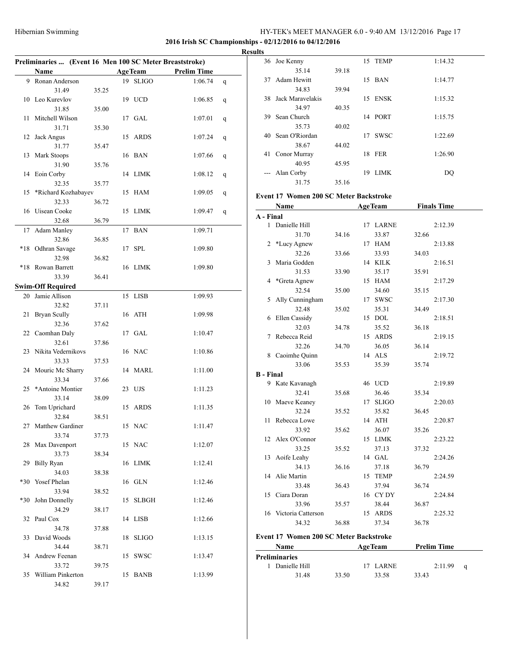#### **2016 Irish SC Championships - 02/12/2016 to 04/12/2016**

|       | Preliminaries  (Event 16 Men 100 SC Meter Breaststroke) |       |    |                |                    |   |
|-------|---------------------------------------------------------|-------|----|----------------|--------------------|---|
|       | Name                                                    |       |    | <b>AgeTeam</b> | <b>Prelim Time</b> |   |
|       | 9 Ronan Anderson                                        |       |    | 19 SLIGO       | 1:06.74            | q |
|       | 31.49                                                   | 35.25 |    |                |                    |   |
|       | 10 Leo Kurevlov                                         |       |    | 19 UCD         | 1:06.85            | q |
|       | 31.85                                                   | 35.00 |    |                |                    |   |
| 11    | Mitchell Wilson                                         |       | 17 | GAL            | 1:07.01            | q |
|       | 31.71                                                   | 35.30 |    |                |                    |   |
| 12    | Jack Angus                                              |       |    | 15 ARDS        | 1:07.24            |   |
|       |                                                         |       |    |                |                    | q |
|       | 31.77                                                   | 35.47 |    |                |                    |   |
| 13    | Mark Stoops                                             |       |    | 16 BAN         | 1:07.66            | q |
|       | 31.90                                                   | 35.76 |    |                |                    |   |
| 14    | Eoin Corby                                              |       |    | 14 LIMK        | 1:08.12            | q |
|       | 32.35                                                   | 35.77 |    |                |                    |   |
| 15    | *Richard Kozhabayev                                     |       |    | 15 HAM         | 1:09.05            | q |
|       | 32.33                                                   | 36.72 |    |                |                    |   |
| 16    | Uisean Cooke                                            |       | 15 | LIMK           | 1:09.47            | q |
|       | 32.68                                                   | 36.79 |    |                |                    |   |
| 17    | <b>Adam Manley</b>                                      |       |    | 17 BAN         | 1:09.71            |   |
|       | 32.86                                                   | 36.85 |    |                |                    |   |
|       | *18 Odhran Savage                                       |       |    | 17 SPL         | 1:09.80            |   |
|       | 32.98                                                   | 36.82 |    |                |                    |   |
|       | *18 Rowan Barrett                                       |       |    | 16 LIMK        | 1:09.80            |   |
|       | 33.39                                                   | 36.41 |    |                |                    |   |
|       |                                                         |       |    |                |                    |   |
|       | <b>Swim-Off Required</b>                                |       |    |                |                    |   |
| 20    | Jamie Allison                                           |       |    | 15 LISB        | 1:09.93            |   |
|       | 32.82                                                   | 37.11 |    |                |                    |   |
| 21    | Bryan Scully                                            |       |    | 16 ATH         | 1:09.98            |   |
|       | 32.36                                                   | 37.62 |    |                |                    |   |
| 22    | Caomhan Daly                                            |       |    | 17 GAL         | 1:10.47            |   |
|       | 32.61                                                   | 37.86 |    |                |                    |   |
| 23    | Nikita Vedernikovs                                      |       |    | 16 NAC         | 1:10.86            |   |
|       | 33.33                                                   | 37.53 |    |                |                    |   |
| 24    | Mouric Mc Sharry                                        |       |    | 14 MARL        | 1:11.00            |   |
|       | 33.34                                                   | 37.66 |    |                |                    |   |
| 25    | *Antoine Montier                                        |       |    | 23 UJS         | 1:11.23            |   |
|       | 33.14                                                   | 38.09 |    |                |                    |   |
| 26    | Tom Uprichard                                           |       |    | 15 ARDS        | 1:11.35            |   |
|       |                                                         |       |    |                |                    |   |
|       | 32.84                                                   | 38.51 |    |                |                    |   |
|       | 27 Matthew Gardiner                                     |       |    | 15 NAC         | 1:11.47            |   |
|       | 33.74                                                   | 37.73 |    |                |                    |   |
| 28    | Max Davenport                                           |       |    | 15 NAC         | 1:12.07            |   |
|       | 33.73                                                   | 38.34 |    |                |                    |   |
| 29    | <b>Billy Ryan</b>                                       |       |    | 16 LIMK        | 1:12.41            |   |
|       | 34.03                                                   | 38.38 |    |                |                    |   |
| $*30$ | Yosef Phelan                                            |       |    | 16 GLN         | 1:12.46            |   |
|       | 33.94                                                   | 38.52 |    |                |                    |   |
| $*30$ | John Donnelly                                           |       | 15 | <b>SLBGH</b>   | 1:12.46            |   |
|       | 34.29                                                   | 38.17 |    |                |                    |   |
| 32    | Paul Cox                                                |       | 14 | <b>LISB</b>    | 1:12.66            |   |
|       | 34.78                                                   | 37.88 |    |                |                    |   |
| 33    | David Woods                                             |       | 18 | <b>SLIGO</b>   | 1:13.15            |   |
|       | 34.44                                                   | 38.71 |    |                |                    |   |
| 34    | Andrew Feenan                                           |       | 15 | <b>SWSC</b>    | 1:13.47            |   |
|       | 33.72                                                   |       |    |                |                    |   |
| 35    | William Pinkerton                                       | 39.75 | 15 | <b>BANB</b>    |                    |   |
|       |                                                         |       |    |                | 1:13.99            |   |
|       | 34.82                                                   | 39.17 |    |                |                    |   |

| <b>Results</b>         |                   |       |    |             |         |
|------------------------|-------------------|-------|----|-------------|---------|
|                        | 36 Joe Kenny      |       |    | 15 TEMP     | 1:14.32 |
|                        | 35.14             | 39.18 |    |             |         |
| 37                     | Adam Hewitt       |       |    | 15 BAN      | 1:14.77 |
|                        | 34.83             | 39.94 |    |             |         |
| 38                     | Jack Maravelakis  |       | 15 | ENSK        | 1:15.32 |
|                        | 34.97             | 40.35 |    |             |         |
| 39                     | Sean Church       |       |    | 14 PORT     | 1:15.75 |
|                        | 35.73             | 40.02 |    |             |         |
|                        | 40 Sean O'Riordan |       | 17 | <b>SWSC</b> | 1:22.69 |
|                        | 38.67             | 44.02 |    |             |         |
| 41                     | Conor Murray      |       |    | 18 FER      | 1:26.90 |
|                        | 40.95             | 45.95 |    |             |         |
| $\qquad \qquad \cdots$ | Alan Corby        |       | 19 | LIMK        | DQ      |
|                        | 31.75             | 35.16 |    |             |         |

# **Event 17 Women 200 SC Meter Backstroke**

|                  | Name                                          |       |    | <b>AgeTeam</b> |       | <b>Finals Time</b> |   |
|------------------|-----------------------------------------------|-------|----|----------------|-------|--------------------|---|
| A - Final        |                                               |       |    |                |       |                    |   |
| $\mathbf{1}$     | Danielle Hill                                 |       |    | 17 LARNE       |       | 2:12.39            |   |
|                  | 31.70                                         | 34.16 |    | 33.87          | 32.66 |                    |   |
| 2                | *Lucy Agnew                                   |       |    | 17 HAM         |       | 2:13.88            |   |
|                  | 32.26                                         | 33.66 |    | 33.93          | 34.03 |                    |   |
| 3                | Maria Godden                                  |       |    | 14 KILK        |       | 2:16.51            |   |
|                  | 31.53                                         | 33.90 |    | 35.17          | 35.91 |                    |   |
| 4                | *Greta Agnew                                  |       |    | 15 HAM         |       | 2:17.29            |   |
|                  | 32.54                                         | 35.00 |    | 34.60          | 35.15 |                    |   |
| 5                | Ally Cunningham                               |       |    | 17 SWSC        |       | 2:17.30            |   |
|                  | 32.48                                         | 35.02 |    | 35.31          | 34.49 |                    |   |
| 6                | Ellen Cassidy                                 |       | 15 | <b>DOL</b>     |       | 2:18.51            |   |
|                  | 32.03                                         | 34.78 |    | 35.52          | 36.18 |                    |   |
| 7                | Rebecca Reid                                  |       |    | 15 ARDS        |       | 2:19.15            |   |
|                  | 32.26                                         | 34.70 |    | 36.05          | 36.14 |                    |   |
| 8                | Caoimhe Quinn                                 |       |    | 14 ALS         |       | 2:19.72            |   |
|                  | 33.06                                         | 35.53 |    | 35.39          | 35.74 |                    |   |
| <b>B</b> - Final |                                               |       |    |                |       |                    |   |
|                  | 9 Kate Kavanagh                               |       |    | 46 UCD         |       | 2:19.89            |   |
|                  | 32.41                                         | 35.68 |    | 36.46          | 35.34 |                    |   |
| 10               | Maeve Keaney                                  |       |    | 17 SLIGO       |       | 2:20.03            |   |
|                  | 32.24                                         | 35.52 |    | 35.82          | 36.45 |                    |   |
| 11               | Rebecca Lowe                                  |       |    | 14 ATH         |       | 2:20.87            |   |
|                  | 33.92                                         | 35.62 |    | 36.07          | 35.26 |                    |   |
| 12               | Alex O'Connor                                 |       |    | 15 LIMK        |       | 2:23.22            |   |
|                  | 33.25                                         | 35.52 |    | 37.13          | 37.32 |                    |   |
| 13               | Aoife Leahy                                   |       |    | 14 GAL         |       | 2:24.26            |   |
|                  | 34.13                                         | 36.16 |    | 37.18          | 36.79 |                    |   |
| 14               | Alie Martin                                   |       | 15 | <b>TEMP</b>    |       | 2:24.59            |   |
|                  | 33.48                                         | 36.43 |    | 37.94          | 36.74 |                    |   |
| 15               | Ciara Doran                                   |       |    | 16 CYDY        |       | 2:24.84            |   |
|                  | 33.96                                         | 35.57 |    | 38.44          | 36.87 |                    |   |
| 16               | Victoria Catterson                            |       |    | 15 ARDS        |       | 2:25.32            |   |
|                  | 34.32                                         | 36.88 |    | 37.34          | 36.78 |                    |   |
|                  | <b>Event 17 Women 200 SC Meter Backstroke</b> |       |    |                |       |                    |   |
|                  | Name                                          |       |    | <b>AgeTeam</b> |       | <b>Prelim Time</b> |   |
|                  | <b>Preliminaries</b>                          |       |    |                |       |                    |   |
| 1                | Danielle Hill                                 |       | 17 | <b>LARNE</b>   |       | 2:11.99            | q |
|                  | 31.48                                         | 33.50 |    | 33.58          | 33.43 |                    |   |
|                  |                                               |       |    |                |       |                    |   |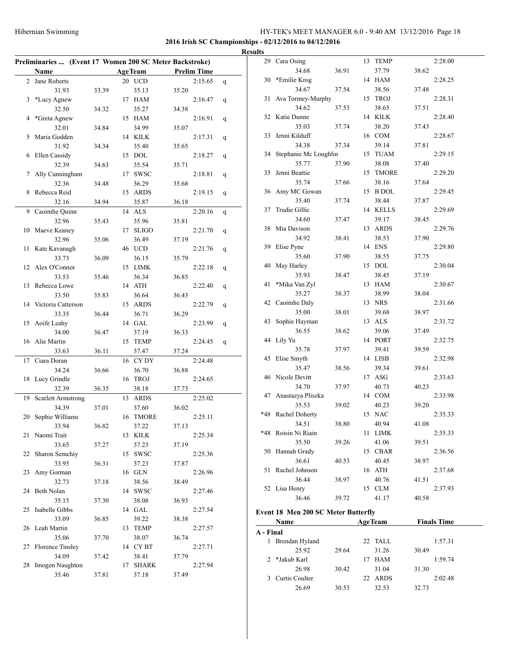### **2016 Irish SC Championships - 02/12/2016 to 04/12/2016**

# **Results**

| Preliminaries  (Event 17 Women 200 SC Meter Backstroke) |                           |       |    |                 |                    |   |
|---------------------------------------------------------|---------------------------|-------|----|-----------------|--------------------|---|
|                                                         | <b>Name</b>               |       |    | <b>AgeTeam</b>  | <b>Prelim Time</b> |   |
| 2                                                       | Jane Roberts              |       |    | 20 UCD          | 2:15.65            | q |
|                                                         | 31.93                     | 33.39 |    | 35.13           | 35.20              |   |
| 3                                                       | *Lucy Agnew               |       |    | 17 HAM          | 2:16.47            | q |
|                                                         | 32.50                     | 34.32 |    | 35.27           | 34.38              |   |
| 4                                                       | *Greta Agnew              |       |    | 15 HAM          | 2:16.91            | q |
|                                                         | 32.01                     | 34.84 |    | 34.99           | 35.07              |   |
| 5                                                       | Maria Godden              |       |    | 14 KILK         | 2:17.31            |   |
|                                                         | 31.92                     | 34.34 |    | 35.40           | 35.65              | q |
| 6                                                       | Ellen Cassidy             |       |    | 15 DOL          | 2:18.27            |   |
|                                                         | 32.39                     | 34.63 |    | 35.54           |                    | q |
|                                                         |                           |       |    |                 | 35.71              |   |
| 7                                                       | Ally Cunningham           |       |    | 17 SWSC         | 2:18.81            | q |
|                                                         | 32.36                     | 34.48 |    | 36.29           | 35.68              |   |
| 8                                                       | Rebecca Reid              |       | 15 | ARDS            | 2:19.15            | q |
|                                                         | 32.16                     | 34.94 |    | 35.87           | 36.18              |   |
| 9                                                       | Caoimhe Quinn             |       |    | 14 ALS          | 2:20.16            | q |
|                                                         | 32.96                     | 35.43 |    | 35.96           | 35.81              |   |
| 10                                                      | Maeve Keaney              |       | 17 | <b>SLIGO</b>    | 2:21.70            | q |
|                                                         | 32.96                     | 35.06 |    | 36.49           | 37.19              |   |
| 11                                                      | Kate Kavanagh             |       |    | 46 UCD          | 2:21.76            | q |
|                                                         | 33.73                     | 36.09 |    | 36.15           | 35.79              |   |
| 12                                                      | Alex O'Connor             |       |    | 15 LIMK         | 2:22.18            | q |
|                                                         | 33.53                     | 35.46 |    | 36.34           | 36.85              |   |
| 13                                                      | Rebecca Lowe              |       |    | 14 ATH          | 2:22.40            | q |
|                                                         | 33.50                     | 35.83 |    | 36.64           | 36.43              |   |
| 14                                                      | Victoria Catterson        |       |    | 15 ARDS         | 2:22.79            | q |
|                                                         | 33.35                     | 36.44 |    | 36.71           | 36.29              |   |
| 15                                                      | Aoife Leahy               |       |    | 14 GAL          | 2:23.99            | q |
|                                                         | 34.00                     | 36.47 |    | 37.19           | 36.33              |   |
| 16                                                      | Alie Martin               |       |    | 15 TEMP         | 2:24.45            | q |
|                                                         | 33.63                     | 36.11 |    | 37.47           | 37.24              |   |
| 17                                                      | Ciara Doran               |       |    | 16 CYDY         | 2:24.48            |   |
|                                                         | 34.24                     | 36.66 |    | 36.70           | 36.88              |   |
| 18                                                      | Lucy Grindle              |       |    | 16 TROJ         | 2:24.65            |   |
|                                                         | 32.39                     | 36.35 |    | 38.18           | 37.73              |   |
| 19                                                      | <b>Scarlett Armstrong</b> |       | 13 | ARDS            | 2:25.02            |   |
|                                                         | 34.39                     | 37.01 |    | 37.60           | 36.02              |   |
| 20                                                      | Sophie Williams           |       |    | 16 TMORE        | 2:25.11            |   |
|                                                         | 33.94                     | 36.82 |    | 37.22           | 37.13              |   |
| 21                                                      | Naomi Trait               |       |    | 13 KILK         | 2:25.34            |   |
|                                                         | 33.65                     | 37.27 |    | 37.23           | 37.19              |   |
| 22                                                      | Sharon Semchiy            |       |    | 15 SWSC         | 2:25.36            |   |
|                                                         | 33.95                     | 36.31 |    | 37.23           | 37.87              |   |
| 23                                                      | Amy Gorman                |       |    | 16 GLN          | 2:26.96            |   |
|                                                         | 32.73                     | 37.18 |    | 38.56           | 38.49              |   |
| 24                                                      | Beth Nolan                |       |    | 14 SWSC         | 2:27.46            |   |
|                                                         | 35.15                     |       |    | 38.08           |                    |   |
|                                                         | Isabelle Gibbs            | 37.30 |    |                 | 36.93<br>2:27.54   |   |
| 25                                                      |                           |       |    | 14 GAL<br>39.22 |                    |   |
|                                                         | 33.09                     | 36.85 |    |                 | 38.38              |   |
| 26                                                      | Leah Martin               |       |    | 13 TEMP         | 2:27.57            |   |
|                                                         | 35.06                     | 37.70 |    | 38.07           | 36.74              |   |
| 27                                                      | Florence Tinsley          |       |    | 14 CYBT         | 2:27.71            |   |
|                                                         | 34.09                     | 37.42 |    | 38.41           | 37.79              |   |
| 28                                                      | Imogen Naughton           |       | 17 | <b>SHARK</b>    | 2:27.94            |   |
|                                                         | 35.46                     | 37.81 |    | 37.18           | 37.49              |   |

| սււծ      |                                     |       |    |                |       |                    |
|-----------|-------------------------------------|-------|----|----------------|-------|--------------------|
| 29        | Cara Osing                          |       | 13 | <b>TEMP</b>    |       | 2:28.00            |
|           | 34.68                               | 36.91 |    | 37.79          | 38.62 |                    |
| 30        | *Emilie Krog                        |       |    | 14 HAM         |       | 2:28.25            |
|           | 34.67                               | 37.54 |    | 38.56          | 37.48 |                    |
| 31        | Ava Tormey-Murphy                   |       |    | 15 TROJ        |       | 2:28.31            |
|           | 34.62                               | 37.53 |    | 38.65          | 37.51 |                    |
|           | 32 Katie Dunne                      |       |    | 14 KILK        |       | 2:28.40            |
|           | 35.03                               |       |    | 38.20          |       |                    |
| 33        | Jenni Kilduff                       | 37.74 |    |                | 37.43 |                    |
|           |                                     |       |    | 16 COM         |       | 2:28.67            |
|           | 34.38                               | 37.34 |    | 39.14          | 37.81 |                    |
|           | 34 Stephanie Mc Loughlin            |       |    | 15 TUAM        |       | 2:29.15            |
|           | 35.77                               | 37.90 |    | 38.08          | 37.40 |                    |
| 35        | Jenni Beattie                       |       |    | 15 TMORE       |       | 2:29.20            |
|           | 35.74                               | 37.66 |    | 38.16          | 37.64 |                    |
|           | 36 Amy MC Gowan                     |       |    | 15 B DOL       |       | 2:29.45            |
|           | 35.40                               | 37.74 |    | 38.44          | 37.87 |                    |
| 37        | Trudie Gillic                       |       |    | 14 KELLS       |       | 2:29.69            |
|           | 34.60                               | 37.47 |    | 39.17          | 38.45 |                    |
| 38        | Mia Davison                         |       |    | 13 ARDS        |       | 2:29.76            |
|           | 34.92                               | 38.41 |    | 38.53          | 37.90 |                    |
| 39        | Elise Pyne                          |       |    | 14 ENS         |       | 2:29.80            |
|           | 35.60                               | 37.90 |    | 38.55          | 37.75 |                    |
| 40        | May Harley                          |       |    | 15 DOL         |       | 2:30.04            |
|           | 35.93                               | 38.47 |    | 38.45          | 37.19 |                    |
| 41        | *Mika Van Zyl                       |       |    | 13 HAM         |       | 2:30.67            |
|           | 35.27                               | 38.37 |    | 38.99          | 38.04 |                    |
|           | 42 Caoimhe Daly                     |       |    | 13 NRS         |       | 2:31.66            |
|           | 35.00                               | 38.01 |    | 39.68          | 38.97 |                    |
|           | 43 Sophie Hayman                    |       |    | 13 ALS         |       | 2:31.72            |
|           | 36.55                               | 38.62 |    | 39.06          | 37.49 |                    |
|           | 44 Lily Yu                          |       |    | 14 PORT        |       | 2:32.75            |
|           | 35.78                               | 37.97 |    | 39.41          | 39.59 |                    |
| 45        | Elise Smyth                         |       |    | 14 LISB        |       | 2:32.98            |
|           | 35.47                               | 38.56 |    | 39.34          | 39.61 |                    |
|           | 46 Nicole Devitt                    |       |    | 17 ASG         |       | 2:33.63            |
|           | 34.70                               | 37.97 |    | 40.73          | 40.23 |                    |
| 47        | Anastazya Pliszka                   |       |    | 14 COM         |       | 2:33.98            |
|           | 35.53                               | 39.02 |    | 40.23          | 39.20 |                    |
|           | *48 Rachel Doherty                  |       |    | 15 NAC         |       | 2:35.33            |
|           | 34.51                               | 38.80 |    | 40.94          | 41.08 |                    |
|           | *48 Roisin Ni Riain                 |       |    | 11 LIMK        |       | 2:35.33            |
|           | 35.50                               | 39.26 |    | 41.06          | 39.51 |                    |
|           | 50 Hannah Grady                     |       |    | 15 CBAR        |       | 2:36.56            |
|           | 36.61                               | 40.53 |    | 40.45          | 38.97 |                    |
| 51        | Rachel Johnson                      |       |    | 16 ATH         |       | 2:37.68            |
|           | 36.44                               | 38.97 |    | 40.76          | 41.51 |                    |
|           | 52 Lisa Henry                       |       |    | 15 CLM         |       | 2:37.93            |
|           | 36.46                               | 39.72 |    | 41.17          | 40.58 |                    |
|           | Event 18 Men 200 SC Meter Butterfly |       |    |                |       |                    |
|           |                                     |       |    |                |       |                    |
| A - Final | Name                                |       |    | <b>AgeTeam</b> |       | <b>Finals Time</b> |
|           | 1 Brendan Hyland                    |       |    | 22 TALL        |       | 1:57.31            |
|           | 25.92                               |       |    | 31.26          |       |                    |
| 2         | *Jakub Karl                         | 29.64 |    | 17 HAM         | 30.49 | 1:59.74            |
|           | 26.98                               | 30.42 |    | 31.04          | 31.30 |                    |
| 3         | Curtis Coulter                      |       |    | 22 ARDS        |       | 2:02.48            |
|           | 26.69                               | 30.53 |    | 32.53          | 32.73 |                    |
|           |                                     |       |    |                |       |                    |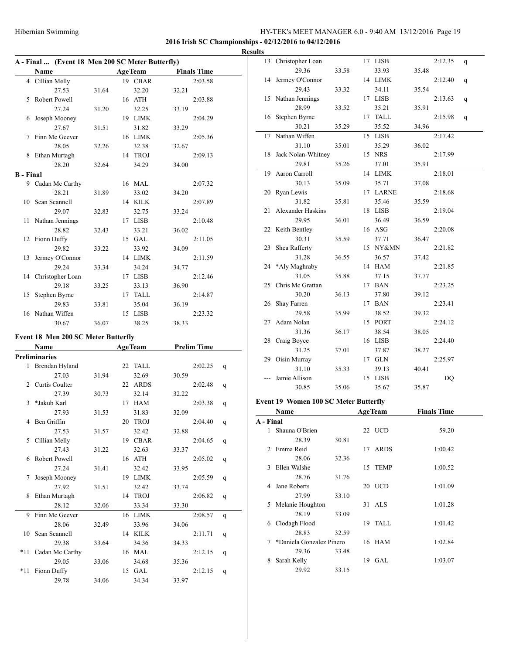# **2016 Irish SC Championships - 02/12/2016 to 04/12/2016**

|                  | A - Final  (Event 18 Men 200 SC Meter Butterfly) |       |                  |       |                    |   |
|------------------|--------------------------------------------------|-------|------------------|-------|--------------------|---|
|                  | Name                                             |       | <b>AgeTeam</b>   |       | <b>Finals Time</b> |   |
|                  | 4 Cillian Melly                                  |       | 19 CBAR          |       | 2:03.58            |   |
|                  | 27.53                                            | 31.64 | 32.20            | 32.21 |                    |   |
| 5                | Robert Powell                                    |       | 16 ATH           |       | 2:03.88            |   |
|                  | 27.24                                            | 31.20 | 32.25            | 33.19 |                    |   |
| 6                | Joseph Mooney                                    |       | 19 LIMK          |       | 2:04.29            |   |
|                  | 27.67                                            | 31.51 | 31.82            | 33.29 |                    |   |
| 7                | Finn Mc Geever                                   |       | 16 LIMK          |       | 2:05.36            |   |
|                  | 28.05                                            | 32.26 | 32.38            | 32.67 |                    |   |
| 8                | Ethan Murtagh                                    |       | 14 TROJ          |       | 2:09.13            |   |
|                  | 28.20                                            | 32.64 | 34.29            | 34.00 |                    |   |
| <b>B</b> - Final |                                                  |       |                  |       |                    |   |
|                  | 9 Cadan Mc Carthy                                |       | 16 MAL           |       | 2:07.32            |   |
|                  | 28.21                                            | 31.89 | 33.02            | 34.20 |                    |   |
| 10               | Sean Scannell                                    |       | 14 KILK          |       | 2:07.89            |   |
|                  | 29.07                                            | 32.83 | 32.75            | 33.24 |                    |   |
| 11               | Nathan Jennings                                  |       | 17 LISB          |       | 2:10.48            |   |
|                  | 28.82                                            | 32.43 | 33.21            | 36.02 |                    |   |
| 12               | Fionn Duffy                                      |       | 15 GAL           |       | 2:11.05            |   |
|                  | 29.82                                            | 33.22 | 33.92            | 34.09 |                    |   |
| 13               | Jermey O'Connor                                  |       | 14 LIMK          |       | 2:11.59            |   |
|                  | 29.24                                            | 33.34 | 34.24            | 34.77 |                    |   |
| 14               | Christopher Loan                                 |       | 17 LISB          |       | 2:12.46            |   |
|                  | 29.18                                            | 33.25 | 33.13            | 36.90 |                    |   |
| 15               | Stephen Byrne                                    |       | 17 TALL          |       | 2:14.87            |   |
|                  | 29.83                                            | 33.81 | 35.04            | 36.19 |                    |   |
| 16               | Nathan Wiffen                                    |       | 15 LISB          |       | 2:23.32            |   |
|                  | 30.67                                            | 36.07 | 38.25            | 38.33 |                    |   |
|                  | <b>Event 18 Men 200 SC Meter Butterfly</b>       |       |                  |       |                    |   |
|                  | Name                                             |       | <b>AgeTeam</b>   |       | <b>Prelim Time</b> |   |
|                  | <b>Preliminaries</b>                             |       |                  |       |                    |   |
| 1                | Brendan Hyland                                   |       | 22 TALL          |       | 2:02.25            |   |
|                  | 27.03                                            | 31.94 | 32.69            |       |                    | q |
|                  | 2 Curtis Coulter                                 |       | 22 ARDS          | 30.59 | 2:02.48            |   |
|                  | 27.39                                            | 30.73 | 32.14            | 32.22 |                    | q |
| 3                | *Jakub Karl                                      |       | 17 HAM           |       | 2:03.38            |   |
|                  | 27.93                                            | 31.53 |                  | 32.09 |                    | q |
| 4                | Ben Griffin                                      |       | 31.83<br>20 TROJ |       | 2:04.40            |   |
|                  | 27.53                                            | 31.57 | 32.42            | 32.88 |                    | q |
| 5.               | Cillian Melly                                    |       | 19 CBAR          |       | 2:04.65            |   |
|                  | 27.43                                            | 31.22 | 32.63            | 33.37 |                    | q |
| 6                | Robert Powell                                    |       | 16 ATH           |       | 2:05.02            |   |
|                  | 27.24                                            | 31.41 | 32.42            | 33.95 |                    | q |
| 7                | Joseph Mooney                                    |       | 19 LIMK          |       | 2:05.59            |   |
|                  | 27.92                                            | 31.51 | 32.42            | 33.74 |                    | q |
| 8                | Ethan Murtagh                                    |       | 14 TROJ          |       | 2:06.82            |   |
|                  | 28.12                                            | 32.06 | 33.34            | 33.30 |                    | q |
| 9                | Finn Mc Geever                                   |       |                  |       | 2:08.57            |   |
|                  | 28.06                                            |       | 16 LIMK          | 34.06 |                    | q |
|                  |                                                  | 32.49 | 33.96            |       |                    |   |
| 10               | Sean Scannell<br>29.38                           | 33.64 | 14 KILK          |       | 2:11.71            | q |
|                  |                                                  |       | 34.36            | 34.33 |                    |   |
| *11              | Cadan Mc Carthy<br>29.05                         |       | 16 MAL           |       | 2:12.15            | q |
| *11              | Fionn Duffy                                      | 33.06 | 34.68<br>15 GAL  | 35.36 | 2:12.15            |   |
|                  | 29.78                                            | 34.06 | 34.34            | 33.97 |                    | q |
|                  |                                                  |       |                  |       |                    |   |

| <b>Results</b> |                                              |       |                  |       |                    |   |
|----------------|----------------------------------------------|-------|------------------|-------|--------------------|---|
|                | 13 Christopher Loan                          |       | 17 LISB          |       | 2:12.35            | q |
|                | 29.36                                        | 33.58 | 33.93            | 35.48 |                    |   |
|                | 14 Jermey O'Connor                           |       | 14 LIMK          |       | 2:12.40            | q |
|                | 29.43                                        | 33.32 | 34.11            | 35.54 |                    |   |
|                | 15 Nathan Jennings                           |       | 17 LISB          |       | 2:13.63            | q |
|                | 28.99                                        | 33.52 | 35.21            | 35.91 |                    |   |
|                | 16 Stephen Byrne                             |       | 17 TALL          |       | 2:15.98            | q |
|                | 30.21                                        | 35.29 | 35.52            | 34.96 |                    |   |
| 17             | Nathan Wiffen                                |       | 15 LISB          |       | 2:17.42            |   |
|                | 31.10                                        | 35.01 | 35.29            | 36.02 |                    |   |
| 18             | Jack Nolan-Whitney                           |       | 15 NRS           |       | 2:17.99            |   |
|                | 29.81                                        | 35.26 | 37.01            | 35.91 |                    |   |
| 19             | Aaron Carroll                                |       | 14 LIMK          |       | 2:18.01            |   |
|                | 30.13                                        | 35.09 | 35.71            | 37.08 |                    |   |
| 20             | Ryan Lewis                                   |       | 17 LARNE         |       | 2:18.68            |   |
|                | 31.82                                        | 35.81 | 35.46            | 35.59 |                    |   |
| 21             | Alexander Haskins                            |       | 18 LISB          |       | 2:19.04            |   |
|                | 29.95                                        | 36.01 | 36.49            | 36.59 |                    |   |
|                | 22 Keith Bentley                             |       | 16 ASG           |       | 2:20.08            |   |
|                | 30.31                                        | 35.59 | 37.71            | 36.47 |                    |   |
| 23             | Shea Rafferty                                |       | 15 NY&MN         |       | 2:21.82            |   |
|                | 31.28                                        | 36.55 | 36.57            | 37.42 |                    |   |
|                | 24 *Aly Maghraby                             |       | 14 HAM           |       | 2:21.85            |   |
|                | 31.05                                        | 35.88 | 37.15            | 37.77 |                    |   |
| 25             | Chris Mc Grattan                             |       | 17 BAN           |       | 2:23.25            |   |
|                | 30.20                                        | 36.13 | 37.80            | 39.12 |                    |   |
| 26             | Shay Farren                                  |       | 17 BAN           |       | 2:23.41            |   |
| 27             | 29.58<br>Adam Nolan                          | 35.99 | 38.52<br>15 PORT | 39.32 |                    |   |
|                |                                              |       |                  |       | 2:24.12            |   |
|                | 31.36                                        | 36.17 | 38.54            | 38.05 | 2:24.40            |   |
| 28             | Craig Boyce<br>31.25                         | 37.01 | 16 LISB          | 38.27 |                    |   |
| 29             | Oisin Murray                                 |       | 37.87<br>17 GLN  |       | 2:25.97            |   |
|                | 31.10                                        | 35.33 | 39.13            | 40.41 |                    |   |
|                | Jamie Allison                                |       | 15 LISB          |       | DQ                 |   |
|                | 30.85                                        | 35.06 | 35.67            | 35.87 |                    |   |
|                |                                              |       |                  |       |                    |   |
|                | <b>Event 19 Women 100 SC Meter Butterfly</b> |       |                  |       |                    |   |
|                | Name                                         |       | <b>AgeTeam</b>   |       | <b>Finals Time</b> |   |
| A - Final      |                                              |       |                  |       |                    |   |
| $\mathbf{1}$   | Shauna O'Brien                               |       | 22 UCD           |       | 59.20              |   |
|                | 28.39                                        | 30.81 |                  |       |                    |   |
|                | 2 Emma Reid                                  |       | 17 ARDS          |       | 1:00.42            |   |
|                | 28.06                                        | 32.36 |                  |       |                    |   |
|                | 3 Ellen Walshe                               |       | 15 TEMP          |       | 1:00.52            |   |
|                |                                              |       |                  |       |                    |   |
|                | 28.76                                        | 31.76 |                  |       |                    |   |
|                | 4 Jane Roberts                               |       | 20 UCD           |       | 1:01.09            |   |
|                | 27.99                                        | 33.10 |                  |       |                    |   |
|                | 5 Melanie Houghton                           |       | 31 ALS           |       | 1:01.28            |   |
|                | 28.19                                        | 33.09 |                  |       |                    |   |
|                | 6 Clodagh Flood                              |       | 19 TALL          |       | 1:01.42            |   |
|                | 28.83                                        | 32.59 |                  |       |                    |   |
|                | 7 *Daniela Gonzalez Pinero                   |       | 16 HAM           |       | 1:02.84            |   |
|                | 29.36                                        | 33.48 |                  |       |                    |   |
|                | 8 Sarah Kelly<br>29.92                       | 33.15 | 19 GAL           |       | 1:03.07            |   |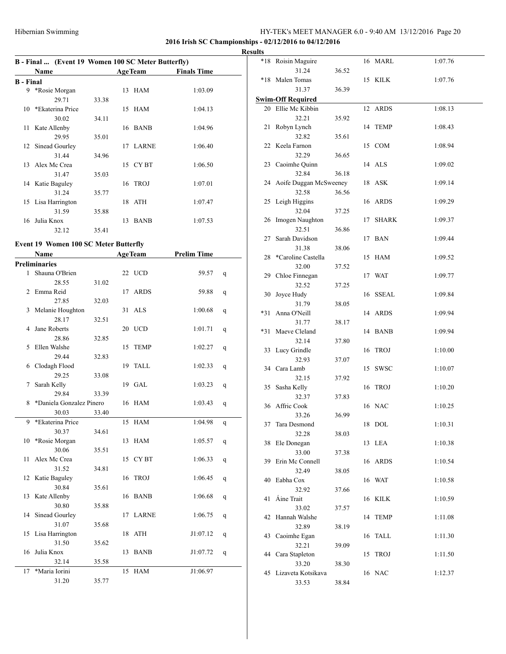### **2016 Irish SC Championships - 02/12/2016 to 04/12/2016**

| <b>Results</b> |  |
|----------------|--|
|----------------|--|

|                  | B - Final  (Event 19 Women 100 SC Meter Butterfly) |       |    |                |                    |
|------------------|----------------------------------------------------|-------|----|----------------|--------------------|
|                  | Name                                               |       |    | <b>AgeTeam</b> | <b>Finals Time</b> |
| <b>B</b> - Final |                                                    |       |    |                |                    |
| 9                | *Rosie Morgan                                      |       |    | 13 HAM         | 1:03.09            |
|                  | 29.71                                              | 33.38 |    |                |                    |
|                  | 10 *Ekaterina Price                                |       |    | 15 HAM         | 1:04.13            |
|                  | 30.02                                              | 34.11 |    |                |                    |
|                  | 11 Kate Allenby                                    |       |    | 16 BANB        | 1:04.96            |
|                  | 29.95                                              | 35.01 |    |                |                    |
|                  | 12 Sinead Gourley                                  |       |    | 17 LARNE       | 1:06.40            |
|                  | 31.44                                              | 34.96 |    |                |                    |
|                  | 13 Alex Mc Crea                                    |       |    | 15 CYBT        | 1:06.50            |
|                  | 31.47                                              | 35.03 |    |                |                    |
|                  | 14 Katie Baguley                                   |       |    | 16 TROJ        | 1:07.01            |
|                  | 31.24                                              | 35.77 |    |                |                    |
|                  | 15 Lisa Harrington                                 |       |    | 18 ATH         | 1:07.47            |
|                  | 31.59                                              | 35.88 |    |                |                    |
|                  | 16 Julia Knox                                      |       | 13 | BANB           | 1:07.53            |
|                  | 32.12                                              | 35.41 |    |                |                    |
|                  |                                                    |       |    |                |                    |

#### **Event 19 Women 100 SC Meter Butterfly**

|              | Name                     |       |    | <b>AgeTeam</b> | <b>Prelim Time</b> |              |
|--------------|--------------------------|-------|----|----------------|--------------------|--------------|
|              | <b>Preliminaries</b>     |       |    |                |                    |              |
| $\mathbf{1}$ | Shauna O'Brien           |       |    | 22 UCD         | 59.57              | $\mathsf{q}$ |
|              | 28.55                    | 31.02 |    |                |                    |              |
| $\mathbf{2}$ | Emma Reid                |       | 17 | <b>ARDS</b>    | 59.88              | q            |
|              | 27.85                    | 32.03 |    |                |                    |              |
| 3            | Melanie Houghton         |       |    | 31 ALS         | 1:00.68            | q            |
|              | 28.17                    | 32.51 |    |                |                    |              |
| 4            | Jane Roberts             |       |    | 20 UCD         | 1:01.71            | q            |
|              | 28.86                    | 32.85 |    |                |                    |              |
| 5            | Ellen Walshe             |       | 15 | <b>TEMP</b>    | 1:02.27            | q            |
|              | 29.44                    | 32.83 |    |                |                    |              |
| 6            | Clodagh Flood            |       |    | 19 TALL        | 1:02.33            | q            |
|              | 29.25                    | 33.08 |    |                |                    |              |
| $\tau$       | Sarah Kelly              |       |    | 19 GAL         | 1:03.23            | q            |
|              | 29.84                    | 33.39 |    |                |                    |              |
| 8            | *Daniela Gonzalez Pinero |       |    | 16 HAM         | 1:03.43            | q            |
|              | 30.03                    | 33.40 |    |                |                    |              |
| 9            | *Ekaterina Price         |       |    | 15 HAM         | 1:04.98            | q            |
|              | 30.37                    | 34.61 |    |                |                    |              |
| 10           | *Rosie Morgan            |       |    | 13 HAM         | 1:05.57            | q            |
|              | 30.06                    | 35.51 |    |                |                    |              |
| 11           | Alex Mc Crea             |       |    | 15 CYBT        | 1:06.33            | q            |
|              | 31.52                    | 34.81 |    |                |                    |              |
|              | 12 Katie Baguley         |       | 16 | <b>TROJ</b>    | 1:06.45            | q            |
|              | 30.84                    | 35.61 |    |                |                    |              |
|              | 13 Kate Allenby          |       |    | 16 BANB        | 1:06.68            | q            |
|              | 30.80                    | 35.88 |    |                |                    |              |
| 14           | Sinead Gourley           |       |    | 17 LARNE       | 1:06.75            | q            |
|              | 31.07                    | 35.68 |    |                |                    |              |
|              | 15 Lisa Harrington       |       |    | 18 ATH         | J1:07.12           | q            |
|              | 31.50                    | 35.62 |    |                |                    |              |
| 16           | Julia Knox               |       | 13 | <b>BANB</b>    | J1:07.72           | q            |
|              | 32.14                    | 35.58 |    |                |                    |              |
| 17           | *Maria Iorini            |       | 15 | <b>HAM</b>     | J1:06.97           |              |
|              | 31.20                    | 35.77 |    |                |                    |              |

| 11 L.J |                                    |       |    |              |         |
|--------|------------------------------------|-------|----|--------------|---------|
|        | *18 Roisin Maguire                 |       |    | 16 MARL      | 1:07.76 |
|        | 31.24                              | 36.52 |    |              |         |
| $*18$  | Malen Tomas                        |       |    | 15 KILK      | 1:07.76 |
|        | 31.37                              | 36.39 |    |              |         |
|        | <b>Swim-Off Required</b>           |       |    |              |         |
|        | 20 Ellie Mc Kibbin                 |       |    | 12 ARDS      | 1:08.13 |
|        | 32.21                              | 35.92 |    |              |         |
| 21     | Robyn Lynch                        |       | 14 | <b>TEMP</b>  | 1:08.43 |
|        | 32.82                              | 35.61 |    |              |         |
| 22     | Keela Farnon                       |       |    | 15 COM       | 1:08.94 |
|        | 32.29                              | 36.65 |    |              |         |
|        | 23 Caoimhe Quinn                   |       |    | 14 ALS       | 1:09.02 |
|        | 32.84                              | 36.18 |    |              |         |
|        | 24 Aoife Duggan McSweeney<br>32.58 | 36.56 |    | 18 ASK       | 1:09.14 |
|        | 25 Leigh Higgins                   |       | 16 | ARDS         | 1:09.29 |
|        | 32.04                              | 37.25 |    |              |         |
|        | 26 Imogen Naughton                 |       | 17 | <b>SHARK</b> | 1:09.37 |
|        | 32.51                              | 36.86 |    |              |         |
| 27     | Sarah Davidson                     |       |    | 17 BAN       | 1:09.44 |
|        | 31.38                              | 38.06 |    |              |         |
| 28     | *Caroline Castella                 |       |    | 15 HAM       | 1:09.52 |
|        | 32.00                              | 37.52 |    |              |         |
| 29     | Chloe Finnegan                     |       | 17 | WAT          | 1:09.77 |
|        | 32.52                              | 37.25 |    |              |         |
| 30     | Joyce Hudy                         |       |    | 16 SSEAL     | 1:09.84 |
|        | 31.79                              | 38.05 |    |              |         |
| *31    | Anna O'Neill                       |       |    | 14 ARDS      | 1:09.94 |
|        | 31.77                              | 38.17 |    |              |         |
| *31    | Maeve Cleland                      |       | 14 | <b>BANB</b>  | 1:09.94 |
|        | 32.14                              | 37.80 |    |              |         |
| 33     | Lucy Grindle                       |       | 16 | <b>TROJ</b>  | 1:10.00 |
|        | 32.93                              | 37.07 |    |              |         |
|        | 34 Cara Lamb                       |       | 15 | SWSC         | 1:10.07 |
|        | 32.15                              | 37.92 |    |              |         |
| 35     | Sasha Kelly                        |       | 16 | <b>TROJ</b>  | 1:10.20 |
|        | 32.37                              | 37.83 |    |              |         |
|        | 36 Affric Cook                     |       |    | 16 NAC       | 1:10.25 |
|        | 33.26                              | 36.99 |    |              |         |
| 37     | Tara Desmond                       |       |    | 18 DOL       | 1:10.31 |
| 38     | 32.28<br>Ele Donegan               | 38.03 |    | 13 LEA       | 1:10.38 |
|        | 33.00                              | 37.38 |    |              |         |
| 39     | Erin Mc Connell                    |       |    | 16 ARDS      | 1:10.54 |
|        | 32.49                              | 38.05 |    |              |         |
| 40     | Eabha Cox                          |       |    | 16 WAT       | 1:10.58 |
|        | 32.92                              | 37.66 |    |              |         |
| 41     | Áine Trait                         |       |    | 16 KILK      | 1:10.59 |
|        | 33.02                              | 37.57 |    |              |         |
| 42     | Hannah Walshe                      |       | 14 | <b>TEMP</b>  | 1:11.08 |
|        | 32.89                              | 38.19 |    |              |         |
| 43     | Caoimhe Egan                       |       | 16 | <b>TALL</b>  | 1:11.30 |
|        | 32.21                              | 39.09 |    |              |         |
|        | 44 Cara Stapleton                  |       | 15 | <b>TROJ</b>  | 1:11.50 |
|        | 33.20                              | 38.30 |    |              |         |
| 45     | Lizaveta Kotsikava                 |       |    | 16 NAC       | 1:12.37 |
|        | 33.53                              | 38.84 |    |              |         |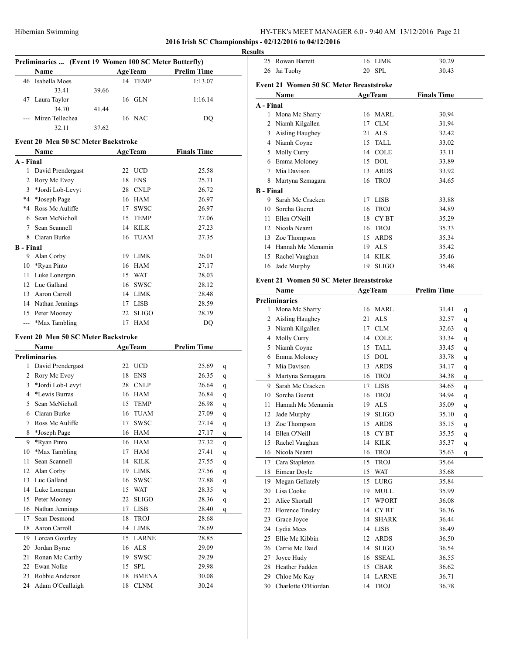|                  |                                                        |       |          |                |                    | <b>Results</b> |
|------------------|--------------------------------------------------------|-------|----------|----------------|--------------------|----------------|
|                  | Preliminaries  (Event 19 Women 100 SC Meter Butterfly) |       |          |                |                    |                |
|                  | <b>Name</b>                                            |       |          | <b>AgeTeam</b> | <b>Prelim Time</b> |                |
|                  | 46 Isabella Moes                                       |       |          | 14 TEMP        | 1:13.07            |                |
|                  | 33.41                                                  | 39.66 |          |                |                    |                |
|                  | 47 Laura Taylor                                        |       |          | $16$ GLN       | 1:16.14            |                |
|                  | 34.70                                                  | 41.44 |          |                |                    |                |
|                  | --- Miren Tellechea                                    |       |          | 16 NAC         | DQ                 |                |
|                  | 32.11                                                  | 37.62 |          |                |                    |                |
|                  | <b>Event 20 Men 50 SC Meter Backstroke</b>             |       |          |                |                    |                |
|                  | Name                                                   |       |          | <b>AgeTeam</b> | <b>Finals Time</b> |                |
| A - Final        |                                                        |       |          |                |                    |                |
|                  | 1 David Prendergast                                    |       |          | 22 UCD         | 25.58              |                |
|                  | 2 Rory Mc Evoy                                         |       |          | 18 ENS         | 25.71              |                |
|                  | 3 *Jordi Lob-Levyt                                     |       |          | 28 CNLP        | 26.72              |                |
|                  | *4 *Joseph Page                                        |       |          | 16 HAM         | 26.97              |                |
|                  | *4 Ross Mc Auliffe                                     |       |          | 17 SWSC        | 26.97              |                |
|                  | 6 Sean McNicholl                                       |       | 15       | <b>TEMP</b>    | 27.06              |                |
|                  | 7 Sean Scannell                                        |       |          | 14 KILK        | 27.23              |                |
|                  | 8 Ciaran Burke                                         |       |          | 16 TUAM        | 27.35              |                |
| <b>B</b> - Final |                                                        |       |          |                |                    |                |
|                  | 9 Alan Corby                                           |       |          | 19 LIMK        | 26.01              |                |
|                  | 10 *Ryan Pinto                                         |       |          | 16 HAM         | 27.17              |                |
|                  | 11 Luke Lonergan                                       |       |          | 15 WAT         | 28.03              |                |
|                  | 12 Luc Galland                                         |       |          | 16 SWSC        | 28.12              |                |
|                  | 13 Aaron Carroll                                       |       |          | 14 LIMK        | 28.48              |                |
|                  | 14 Nathan Jennings                                     |       |          | 17 LISB        | 28.59              |                |
|                  | 15 Peter Mooney                                        |       |          | 22 SLIGO       | 28.79              |                |
|                  | --- *Max Tambling                                      |       |          | 17 HAM         | DQ                 |                |
|                  | <b>Event 20 Men 50 SC Meter Backstroke</b>             |       |          |                |                    |                |
|                  | Name                                                   |       |          |                | <b>Prelim Time</b> |                |
|                  | <b>Preliminaries</b>                                   |       |          | <b>AgeTeam</b> |                    |                |
| 1                | David Prendergast                                      |       |          | 22 UCD         | 25.69              |                |
|                  | 2 Rory Mc Evoy                                         |       |          | 18 ENS         | 26.35              | q              |
|                  | 3 *Jordi Lob-Levyt                                     |       |          | 28 CNLP        | 26.64              | q              |
|                  | 4 *Lewis Burras                                        |       |          | 16 HAM         | 26.84              | q              |
|                  | 5 Sean McNicholl                                       |       | 15       | <b>TEMP</b>    | 26.98              | q              |
|                  | 6 Ciaran Burke                                         |       | 16       | TUAM           | 27.09              | q              |
| 7                | Ross Mc Auliffe                                        |       | 17       | <b>SWSC</b>    | 27.14              | q              |
| 8                | *Joseph Page                                           |       | 16       | HAM            | 27.17              | q              |
| 9                | *Ryan Pinto                                            |       | 16       | HAM            | 27.32              | q              |
| 10               | *Max Tambling                                          |       | 17       | <b>HAM</b>     | 27.41              | $\mathbf{q}$   |
| 11               | Sean Scannell                                          |       | 14       | <b>KILK</b>    | 27.55              | q              |
| 12               | Alan Corby                                             |       | 19       | <b>LIMK</b>    | 27.56              | q              |
| 13               | Luc Galland                                            |       | 16       | <b>SWSC</b>    | 27.88              | q              |
|                  | 14 Luke Lonergan                                       |       | 15       | <b>WAT</b>     | 28.35              | q              |
| 15               | Peter Mooney                                           |       | 22       | $\rm SLIGO$    | 28.36              | q              |
|                  | 16 Nathan Jennings                                     |       | 17       | <b>LISB</b>    | 28.40              | q              |
| 17               | Sean Desmond                                           |       |          | <b>TROJ</b>    |                    | q              |
|                  | Aaron Carroll                                          |       | 18<br>14 |                | 28.68              |                |
| 18               |                                                        |       |          | LIMK           | 28.69              |                |
|                  | 19 Lorcan Gourley                                      |       | 15       | <b>LARNE</b>   | 28.85              |                |
| 20               | Jordan Byrne                                           |       | 16       | <b>ALS</b>     | 29.09              |                |
| 21               | Ronan Mc Carthy                                        |       | 19       | <b>SWSC</b>    | 29.29              |                |
|                  | 22 Ewan Nolke                                          |       | 15       | <b>SPL</b>     | 29.98              |                |
| 23               | Robbie Anderson                                        |       | 18       | <b>BMENA</b>   | 30.08              |                |
|                  | 24 Adam O'Ceallaigh                                    |       | 18       | <b>CLNM</b>    | 30.24              |                |

|                  | 25 Rowan Barrett                               |    | 16 LIMK          | 30.29              |   |
|------------------|------------------------------------------------|----|------------------|--------------------|---|
|                  | 26 Jai Tuohy                                   |    | 20 SPL           | 30.43              |   |
|                  |                                                |    |                  |                    |   |
|                  | <b>Event 21 Women 50 SC Meter Breaststroke</b> |    |                  |                    |   |
|                  | Name                                           |    | <b>AgeTeam</b>   | <b>Finals Time</b> |   |
| A - Final        |                                                |    |                  |                    |   |
|                  | 1 Mona Mc Sharry                               | 16 | <b>MARL</b>      | 30.94              |   |
|                  | 2 Niamh Kilgallen                              | 17 | <b>CLM</b>       | 31.94              |   |
|                  | 3 Aisling Haughey                              | 21 | <b>ALS</b>       | 32.42              |   |
|                  | 4 Niamh Coyne                                  | 15 | <b>TALL</b>      | 33.02              |   |
|                  | 5 Molly Curry                                  | 14 | <b>COLE</b>      | 33.11              |   |
|                  | 6 Emma Moloney                                 |    | 15 DOL           | 33.89              |   |
|                  | 7 Mia Davison                                  | 13 | <b>ARDS</b>      | 33.92              |   |
|                  | 8 Martyna Szmagara                             | 16 | <b>TROJ</b>      | 34.65              |   |
| <b>B</b> - Final |                                                |    |                  |                    |   |
|                  | 9 Sarah Mc Cracken                             |    | 17 LISB          | 33.88              |   |
|                  | 10 Sorcha Gueret                               | 16 | <b>TROJ</b>      | 34.89              |   |
|                  | 11 Ellen O'Neill                               | 18 | CY <sub>BT</sub> | 35.29              |   |
|                  | 12 Nicola Neamt                                | 16 | <b>TROJ</b>      | 35.33              |   |
|                  | 13 Zoe Thompson                                | 15 | <b>ARDS</b>      | 35.34              |   |
|                  | 14 Hannah Mc Menamin                           | 19 | <b>ALS</b>       | 35.42              |   |
|                  | 15 Rachel Vaughan                              | 14 | <b>KILK</b>      | 35.46              |   |
|                  | 16 Jade Murphy                                 | 19 | <b>SLIGO</b>     | 35.48              |   |
|                  | <b>Event 21 Women 50 SC Meter Breaststroke</b> |    |                  |                    |   |
|                  | Name                                           |    | <b>AgeTeam</b>   | <b>Prelim Time</b> |   |
|                  | <b>Preliminaries</b>                           |    |                  |                    |   |
|                  | 1 Mona Mc Sharry                               |    | 16 MARL          | 31.41              |   |
|                  | 2 Aisling Haughey                              | 21 | <b>ALS</b>       | 32.57              | q |
|                  | 3 Niamh Kilgallen                              |    | 17 CLM           | 32.63              | q |
|                  |                                                |    | 14 COLE          |                    | q |
|                  | 4 Molly Curry                                  | 15 | <b>TALL</b>      | 33.34              | q |
|                  | 5 Niamh Coyne                                  |    |                  | 33.45              | q |
|                  | 6 Emma Moloney                                 | 15 | <b>DOL</b>       | 33.78              | q |
|                  | 7 Mia Davison                                  | 13 | <b>ARDS</b>      | 34.17              | q |
|                  | 8 Martyna Szmagara                             | 16 | <b>TROJ</b>      | 34.38              | q |
| 9                | Sarah Mc Cracken                               | 17 | <b>LISB</b>      | 34.65              | q |
| 10               | Sorcha Gueret                                  | 16 | <b>TROJ</b>      | 34.94              | q |
| 11 -             | Hannah Mc Menamin                              | 19 | <b>ALS</b>       | 35.09              | q |
|                  | 12 Jade Murphy                                 | 19 | SLIGO            | 35.10              | q |
| 13               | Zoe Thompson                                   | 15 | ARDS             | 35.15              | q |
|                  | 14 Ellen O'Neill                               |    | 18 CYBT          | 35.35              | q |
| 15               | Rachel Vaughan                                 | 14 | <b>KILK</b>      | 35.37              | q |
| 16               | Nicola Neamt                                   | 16 | <b>TROJ</b>      | 35.63              | q |
|                  | 17 Cara Stapleton                              | 15 | TROJ             | 35.64              |   |
| 18               | Eimear Doyle                                   | 15 | WAT              | 35.68              |   |
| 19               | Megan Gellately                                | 15 | LURG             | 35.84              |   |
| 20               | Lisa Cooke                                     | 19 | <b>MULL</b>      | 35.99              |   |
| 21               | Alice Shortall                                 | 17 | <b>WPORT</b>     | 36.08              |   |
| 22               | Florence Tinsley                               | 14 | CY BT            | 36.36              |   |
| 23               | Grace Joyce                                    | 14 | <b>SHARK</b>     | 36.44              |   |
| 24               | Lydia Mees                                     | 14 | <b>LISB</b>      | 36.49              |   |
| 25               | Ellie Mc Kibbin                                | 12 | ARDS             | 36.50              |   |
|                  | 26 Carrie Mc Daid                              | 14 | SLIGO            | 36.54              |   |
| 27               | Joyce Hudy                                     | 16 | SSEAL            | 36.55              |   |
|                  | 28 Heather Fadden                              | 15 | <b>CBAR</b>      | 36.62              |   |
|                  | 29 Chloe Mc Kay                                |    | 14 LARNE         | 36.71              |   |
| 30               | Charlotte O'Riordan                            | 14 | <b>TROJ</b>      | 36.78              |   |
|                  |                                                |    |                  |                    |   |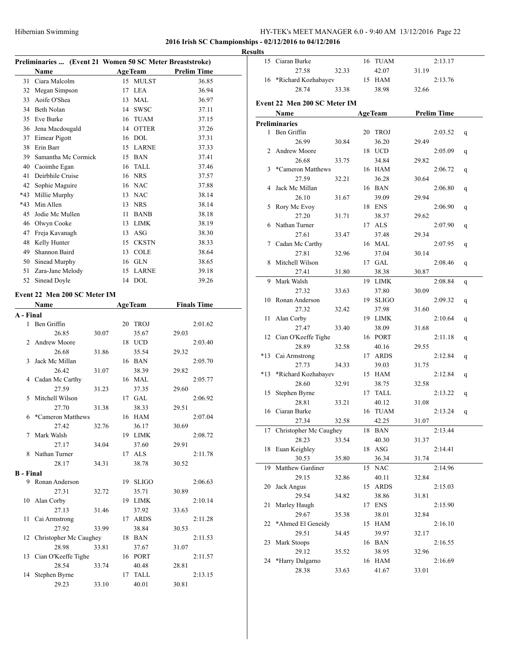# **2016 Irish SC Championships - 02/12/2016 to 04/12/2016**

#### **Results**

|           | Preliminaries  (Event 21 Women 50 SC Meter Breaststroke) |       |                |              |                    |  |
|-----------|----------------------------------------------------------|-------|----------------|--------------|--------------------|--|
|           | <b>Name</b>                                              |       | <b>AgeTeam</b> |              | <b>Prelim Time</b> |  |
| 31        | Ciara Malcolm                                            |       |                | 15 MULST     | 36.85              |  |
| 32        | Megan Simpson                                            |       | 17             | <b>LEA</b>   | 36.94              |  |
| 33        | Aoife O'Shea                                             |       | 13             | MAL          | 36.97              |  |
| 34        | Beth Nolan                                               |       | 14             | <b>SWSC</b>  | 37.11              |  |
| 35        | Eve Burke                                                |       | 16             | <b>TUAM</b>  | 37.15              |  |
| 36        | Jena Macdougald                                          |       | 14             | <b>OTTER</b> | 37.26              |  |
| 37        | Eimear Pigott                                            |       |                | 16 DOL       | 37.31              |  |
| 38        | Erin Barr                                                |       |                | 15 LARNE     | 37.33              |  |
| 39        | Samantha Mc Cormick                                      |       | 15             | <b>BAN</b>   | 37.41              |  |
| 40        | Caoimhe Egan                                             |       | 16             | <b>TALL</b>  | 37.46              |  |
| 41        | Deirbhile Cruise                                         |       |                | 16 NRS       | 37.57              |  |
| 42        | Sophie Maguire                                           |       |                | 16 NAC       | 37.88              |  |
| $*43$     | Millie Murphy                                            |       | 13             | <b>NAC</b>   | 38.14              |  |
| $*43$     | Min Allen                                                |       | 13             | <b>NRS</b>   | 38.14              |  |
| 45        | Jodie Mc Mullen                                          |       | 11             | <b>BANB</b>  | 38.18              |  |
| 46        | Olwyn Cooke                                              |       | 13             | <b>LIMK</b>  | 38.19              |  |
| 47        | Freja Kavanagh                                           |       | 13             | <b>ASG</b>   | 38.30              |  |
| 48        | Kelly Hunter                                             |       | 15             | <b>CKSTN</b> | 38.33              |  |
| 49        | Shannon Baird                                            |       | 13             | <b>COLE</b>  | 38.64              |  |
| 50        | Sinead Murphy                                            |       | 16             | <b>GLN</b>   | 38.65              |  |
| 51        | Zara-Jane Melody                                         |       | 15             | <b>LARNE</b> | 39.18              |  |
| 52        | Sinead Doyle                                             |       |                | 14 DOL       | 39.26              |  |
|           | Event 22 Men 200 SC Meter IM                             |       |                |              |                    |  |
|           | Name                                                     |       | <b>AgeTeam</b> |              | <b>Finals Time</b> |  |
| A - Final |                                                          |       |                |              |                    |  |
| 1         | Ben Griffin                                              |       | 20             | <b>TROJ</b>  | 2:01.62            |  |
|           | 26.85                                                    | 30.07 |                | 35.67        | 29.03              |  |
|           |                                                          |       |                |              |                    |  |

| T                | Ben Griffin               |       | ZU | <b>TROJ</b> |       | 2:01.62 |
|------------------|---------------------------|-------|----|-------------|-------|---------|
|                  | 26.85                     | 30.07 |    | 35.67       | 29.03 |         |
| $\mathbf{2}$     | <b>Andrew Moore</b>       |       |    | 18 UCD      |       | 2:03.40 |
|                  | 26.68                     | 31.86 |    | 35.54       | 29.32 |         |
| 3                | Jack Mc Millan            |       |    | 16 BAN      |       | 2:05.70 |
|                  | 26.42                     | 31.07 |    | 38.39       | 29.82 |         |
|                  | 4 Cadan Mc Carthy         |       |    | 16 MAL      |       | 2:05.77 |
|                  | 27.59                     | 31.23 |    | 37.35       | 29.60 |         |
| 5                | Mitchell Wilson           |       |    | 17 GAL      |       | 2:06.92 |
|                  | 27.70                     | 31.38 |    | 38.33       | 29.51 |         |
| 6                | *Cameron Matthews         |       |    | 16 HAM      |       | 2:07.04 |
|                  | 27.42                     | 32.76 |    | 36.17       | 30.69 |         |
| 7                | Mark Walsh                |       |    | 19 LIMK     |       | 2:08.72 |
|                  | 27.17                     | 34.04 |    | 37.60       | 29.91 |         |
| 8                | Nathan Turner             |       |    | 17 ALS      |       | 2:11.78 |
|                  | 28.17                     | 34.31 |    | 38.78       | 30.52 |         |
| <b>B</b> - Final |                           |       |    |             |       |         |
|                  | 9 Ronan Anderson          |       |    | 19 SLIGO    |       | 2:06.63 |
|                  | 27.31                     | 32.72 |    | 35.71       | 30.89 |         |
| 10               | Alan Corby                |       |    | 19 LIMK     |       | 2:10.14 |
|                  | 27.13                     | 31.46 |    | 37.92       | 33.63 |         |
| 11 -             | Cai Armstrong             |       |    | 17 ARDS     |       | 2:11.28 |
|                  | 27.92                     | 33.99 |    | 38.84       | 30.53 |         |
|                  | 12 Christopher Mc Caughey |       |    | 18 BAN      |       | 2:11.53 |
|                  | 28.98                     | 33.81 |    | 37.67       | 31.07 |         |
|                  | 13 Cian O'Keeffe Tighe    |       |    | 16 PORT     |       | 2:11.57 |
|                  | 28.54                     | 33.74 |    | 40.48       | 28.81 |         |
| 14               | Stephen Byrne             |       |    | 17 TALL     |       | 2:13.15 |
|                  | 29.23                     | 33.10 |    | 40.01       | 30.81 |         |

| 15    | Ciaran Burke                 |       | 16 | <b>TUAM</b>    |       | 2:13.17            |   |
|-------|------------------------------|-------|----|----------------|-------|--------------------|---|
|       |                              |       |    |                |       |                    |   |
|       | 27.58                        | 32.33 |    | 42.07          | 31.19 |                    |   |
| 16    | *Richard Kozhabayev          |       |    | 15 HAM         |       | 2:13.76            |   |
|       | 28.74                        | 33.38 |    | 38.98          | 32.66 |                    |   |
|       | Event 22 Men 200 SC Meter IM |       |    |                |       |                    |   |
|       |                              |       |    |                |       |                    |   |
|       | Name                         |       |    | <b>AgeTeam</b> |       | <b>Prelim Time</b> |   |
|       | <b>Preliminaries</b>         |       |    |                |       |                    |   |
| 1     | Ben Griffin                  |       |    | 20 TROJ        |       | 2:03.52            | q |
|       | 26.99                        | 30.84 |    | 36.20          | 29.49 |                    |   |
| 2     | Andrew Moore                 |       |    | 18 UCD         |       | 2:05.09            | q |
|       | 26.68                        | 33.75 |    | 34.84          | 29.82 |                    |   |
| 3     | *Cameron Matthews            |       |    | 16 HAM         |       | 2:06.72            | q |
|       | 27.59                        | 32.21 |    | 36.28          | 30.64 |                    |   |
| 4     | Jack Mc Millan               |       |    | 16 BAN         |       | 2:06.80            | q |
|       | 26.10                        | 31.67 |    | 39.09          | 29.94 |                    |   |
|       |                              |       |    |                |       |                    |   |
| 5     | Rory Mc Evoy                 |       |    | 18 ENS         |       | 2:06.90            | q |
|       | 27.20                        | 31.71 |    | 38.37          | 29.62 |                    |   |
| 6     | Nathan Turner                |       |    | 17 ALS         |       | 2:07.90            | q |
|       | 27.61                        | 33.47 |    | 37.48          | 29.34 |                    |   |
|       | 7 Cadan Mc Carthy            |       |    | 16 MAL         |       | 2:07.95            | q |
|       | 27.81                        | 32.96 |    | 37.04          | 30.14 |                    |   |
| 8     | Mitchell Wilson              |       |    | 17 GAL         |       | 2:08.46            | q |
|       | 27.41                        | 31.80 |    | 38.38          | 30.87 |                    |   |
| 9     | Mark Walsh                   |       |    | 19 LIMK        |       | 2:08.84            | q |
|       | 27.32                        | 33.63 |    | 37.80          | 30.09 |                    |   |
| 10    | Ronan Anderson               |       |    | 19 SLIGO       |       | 2:09.32            |   |
|       | 27.32                        | 32.42 |    | 37.98          |       |                    | q |
|       |                              |       |    |                | 31.60 |                    |   |
| 11    | Alan Corby                   |       |    | 19 LIMK        |       | 2:10.64            | q |
|       | 27.47                        | 33.40 |    | 38.09          | 31.68 |                    |   |
|       | 12 Cian O'Keeffe Tighe       |       |    | 16 PORT        |       | 2:11.18            | q |
|       | 28.89                        | 32.58 |    | 40.16          | 29.55 |                    |   |
| $*13$ | Cai Armstrong                |       |    | 17 ARDS        |       | 2:12.84            | q |
|       | 27.73                        | 34.33 |    | 39.03          | 31.75 |                    |   |
| $*13$ | *Richard Kozhabayev          |       |    | 15 HAM         |       | 2:12.84            | q |
|       | 28.60                        | 32.91 |    | 38.75          | 32.58 |                    |   |
| 15    | Stephen Byrne                |       |    | 17 TALL        |       | 2:13.22            | q |
|       | 28.81                        | 33.21 |    | 40.12          | 31.08 |                    |   |
| 16    | Ciaran Burke                 |       | 16 | TUAM           |       | 2:13.24            | q |
|       | 27.34                        | 32.58 |    | 42.25          | 31.07 |                    |   |
| 17    | Christopher Mc Caughey       |       |    | 18 BAN         |       | 2:13.44            |   |
|       |                              |       |    |                |       |                    |   |
|       | 28.23                        | 33.54 |    | 40.30          | 31.37 |                    |   |
| 18    | Euan Keighley                |       | 18 | ASG            |       | 2:14.41            |   |
|       | 30.53                        | 35.80 |    | 36.34          | 31.74 |                    |   |
| 19    | Matthew Gardiner             |       | 15 | NAC            |       | 2:14.96            |   |
|       | 29.15                        | 32.86 |    | 40.11          | 32.84 |                    |   |
| 20    | Jack Angus                   |       | 15 | <b>ARDS</b>    |       | 2:15.03            |   |
|       | 29.54                        | 34.82 |    | 38.86          | 31.81 |                    |   |
| 21    | Marley Haugh                 |       | 17 | <b>ENS</b>     |       | 2:15.90            |   |
|       | 29.67                        | 35.38 |    | 38.01          | 32.84 |                    |   |
| 22    | *Ahmed El Geneidy            |       |    | 15 HAM         |       | 2:16.10            |   |
|       | 29.51                        | 34.45 |    | 39.97          | 32.17 |                    |   |
| 23    | Mark Stoops                  |       |    | 16 BAN         |       | 2:16.55            |   |
|       | 29.12                        |       |    |                |       |                    |   |
|       |                              | 35.52 |    | 38.95          | 32.96 |                    |   |
| 24    | *Harry Dalgarno              |       | 16 | <b>HAM</b>     |       | 2:16.69            |   |
|       | 28.38                        | 33.63 |    | 41.67          | 33.01 |                    |   |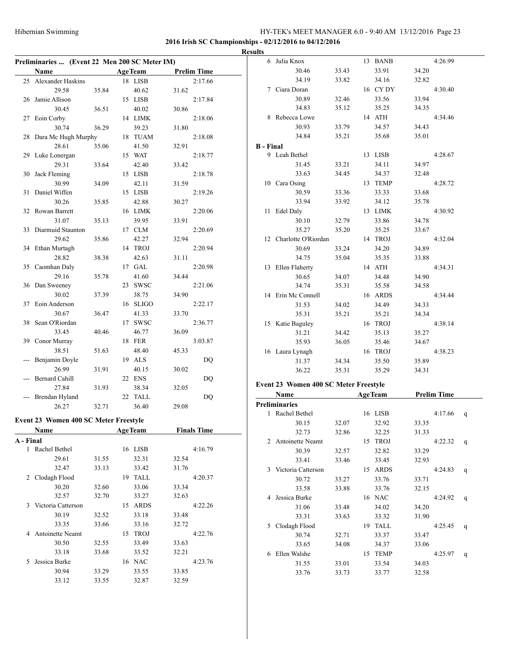|           |                                               |       |                |       |                    | <b>Results</b>   |                                       |       |                |       |                    |
|-----------|-----------------------------------------------|-------|----------------|-------|--------------------|------------------|---------------------------------------|-------|----------------|-------|--------------------|
|           | Preliminaries  (Event 22 Men 200 SC Meter IM) |       |                |       |                    |                  | 6 Julia Knox                          |       | 13 BANB        |       | 4:26.99            |
|           | Name                                          |       | <b>AgeTeam</b> |       | <b>Prelim Time</b> |                  | 30.46                                 | 33.43 | 33.91          | 34.20 |                    |
|           | 25 Alexander Haskins                          |       | 18 LISB        |       | 2:17.66            |                  | 34.19                                 | 33.82 | 34.16          | 32.82 |                    |
|           | 29.58                                         | 35.84 | 40.62          | 31.62 |                    |                  | 7 Ciara Doran                         |       | 16 CY DY       |       | 4:30.40            |
|           | 26 Jamie Allison                              |       | 15 LISB        |       | 2:17.84            |                  | 30.89                                 | 32.46 | 33.56          | 33.94 |                    |
|           | 30.45                                         | 36.51 | 40.02          | 30.86 |                    |                  | 34.83                                 | 35.12 | 35.25          | 34.35 |                    |
|           | 27 Eoin Corby                                 |       | 14 LIMK        |       | 2:18.06            |                  | 8 Rebecca Lowe                        |       | 14 ATH         |       | 4:34.46            |
|           | 30.74                                         | 36.29 | 39.23          | 31.80 |                    |                  | 30.93                                 | 33.79 | 34.57          | 34.43 |                    |
|           | 28 Dara Mc Hugh Murphy                        |       | 18 TUAM        |       | 2:18.08            |                  | 34.84                                 | 35.21 | 35.68          | 35.01 |                    |
|           | 28.61                                         | 35.06 | 41.50          | 32.91 |                    | <b>B</b> - Final |                                       |       |                |       |                    |
|           | 29 Luke Lonergan                              |       | 15 WAT         |       | 2:18.77            |                  | 9 Leah Bethel                         |       | 13 LISB        |       | 4:28.67            |
|           | 29.31                                         | 33.64 | 42.40          | 33.42 |                    |                  | 31.45                                 | 33.21 | 34.11          | 34.97 |                    |
|           | 30 Jack Fleming                               |       | 15 LISB        |       | 2:18.78            |                  | 33.63                                 | 34.45 | 34.37          | 32.48 |                    |
|           | 30.99                                         | 34.09 | 42.11          | 31.59 |                    |                  | 10 Cara Osing                         |       | 13 TEMP        |       | 4:28.72            |
|           | 31 Daniel Wiffen                              |       | 15 LISB        |       | 2:19.26            |                  | 30.59                                 | 33.36 | 33.33          | 33.68 |                    |
|           | 30.26                                         | 35.85 | 42.88          | 30.27 |                    |                  | 33.94                                 | 33.92 | 34.12          | 35.78 |                    |
|           | 32 Rowan Barrett                              |       | 16 LIMK        |       | 2:20.06            |                  | 11 Edel Daly                          |       | 13 LIMK        |       | 4:30.92            |
|           | 31.07                                         | 35.13 | 39.95          | 33.91 |                    |                  | 30.10                                 | 32.79 | 33.86          | 34.78 |                    |
|           | 33 Diarmuid Staunton                          |       | 17 CLM         |       | 2:20.69            |                  | 35.27                                 | 35.20 | 35.25          | 33.67 |                    |
|           | 29.62                                         | 35.86 | 42.27          | 32.94 |                    |                  | 12 Charlotte O'Riordan                |       | 14 TROJ        |       | 4:32.04            |
|           | 34 Ethan Murtagh                              |       | 14 TROJ        |       | 2:20.94            |                  |                                       |       |                |       |                    |
|           |                                               |       |                |       |                    |                  | 30.69                                 | 33.24 | 34.20          | 34.89 |                    |
|           | 28.82                                         | 38.38 | 42.63          | 31.11 |                    |                  | 34.75                                 | 35.04 | 35.35          | 33.88 |                    |
|           | 35 Caomhan Daly                               |       | 17 GAL         |       | 2:20.98            |                  | 13 Ellen Flaherty                     |       | 14 ATH         |       | 4:34.31            |
|           | 29.16                                         | 35.78 | 41.60          | 34.44 |                    |                  | 30.65                                 | 34.07 | 34.48          | 34.90 |                    |
|           | 36 Dan Sweeney                                |       | 23 SWSC        |       | 2:21.06            |                  | 34.74                                 | 35.31 | 35.58          | 34.58 |                    |
|           | 30.02                                         | 37.39 | 38.75          | 34.90 |                    |                  | 14 Erin Mc Connell                    |       | 16 ARDS        |       | 4:34.44            |
|           | 37 Eoin Anderson                              |       | 16 SLIGO       |       | 2:22.17            |                  | 31.53                                 | 34.02 | 34.49          | 34.33 |                    |
|           | 30.67                                         | 36.47 | 41.33          | 33.70 |                    |                  | 35.31                                 | 35.21 | 35.21          | 34.34 |                    |
|           | 38 Sean O'Riordan                             |       | 17 SWSC        |       | 2:36.77            |                  | 15 Katie Baguley                      |       | 16 TROJ        |       | 4:38.14            |
|           | 33.45                                         | 40.46 | 46.77          | 36.09 |                    |                  | 31.21                                 | 34.42 | 35.13          | 35.27 |                    |
|           | 39 Conor Murray                               |       | 18 FER         |       | 3:03.87            |                  | 35.93                                 | 36.05 | 35.46          | 34.67 |                    |
|           | 38.51                                         | 51.63 | 48.40          | 45.33 |                    |                  | 16 Laura Lynagh                       |       | 16 TROJ        |       | 4:38.23            |
|           | --- Benjamin Doyle                            |       | 19 ALS         |       | DQ                 |                  | 31.37                                 | 34.34 | 35.50          | 35.89 |                    |
|           | 26.99                                         | 31.91 | 40.15          | 30.02 |                    |                  | 36.22                                 | 35.31 | 35.29          | 34.31 |                    |
|           | --- Bernard Cahill                            |       | 22 ENS         |       | <b>DQ</b>          |                  |                                       |       |                |       |                    |
|           | 27.84                                         | 31.93 | 38.34          | 32.05 |                    |                  | Event 23 Women 400 SC Meter Freestyle |       |                |       |                    |
|           | --- Brendan Hyland                            |       | 22 TALL        |       | DQ                 |                  | Name                                  |       | <b>AgeTeam</b> |       | <b>Prelim Time</b> |
|           | 26.27                                         | 32.71 | 36.40          | 29.08 |                    |                  | Preliminaries                         |       |                |       |                    |
|           |                                               |       |                |       |                    |                  | 1 Rachel Bethel                       |       | 16 LISB        |       | 4:17.66            |
|           | Event 23 Women 400 SC Meter Freestyle         |       |                |       |                    |                  | 30.15                                 | 32.07 | 32.92          | 33.35 |                    |
|           | <b>Name</b>                                   |       | <b>AgeTeam</b> |       | <b>Finals Time</b> |                  | 32.73                                 | 32.86 | 32.25          | 31.33 |                    |
| A - Final |                                               |       |                |       |                    |                  | 2 Antoinette Neamt                    |       | 15 TROJ        |       | 4:22.32 q          |
|           | 1 Rachel Bethel                               |       | 16 LISB        |       | 4:16.79            |                  | 30.39                                 | 32.57 | 32.82          | 33.29 |                    |
|           | 29.61                                         | 31.55 | 32.31          | 32.54 |                    |                  | 33.41                                 | 33.46 | 33.45          | 32.93 |                    |
|           | 32.47                                         | 33.13 | 33.42          | 31.76 |                    |                  | 3 Victoria Catterson                  |       | 15 ARDS        |       | 4:24.83            |
|           | 2 Clodagh Flood                               |       | 19 TALL        |       | 4:20.37            |                  | 30.72                                 | 33.27 | 33.76          | 33.71 |                    |
|           | 30.20                                         | 32.60 | 33.06          | 33.34 |                    |                  | 33.58                                 | 33.88 | 33.76          | 32.15 |                    |
|           | 32.57                                         | 32.70 | 33.27          | 32.63 |                    |                  | 4 Jessica Burke                       |       | 16 NAC         |       | 4:24.92            |
|           | 3 Victoria Catterson                          |       | 15 ARDS        |       | 4:22.26            |                  | 31.06                                 | 33.48 | 34.02          | 34.20 |                    |
|           | 30.19                                         | 32.52 | 33.18          | 33.48 |                    |                  | 33.31                                 | 33.63 | 33.32          | 31.90 |                    |
|           | 33.35                                         | 33.66 | 33.16          | 32.72 |                    |                  | 5 Clodagh Flood                       |       | 19 TALL        |       | 4:25.45            |
|           | 4 Antoinette Neamt                            |       | 15 TROJ        |       | 4:22.76            |                  | 30.74                                 | 32.71 | 33.37          | 33.47 |                    |
|           | 30.50                                         | 32.55 | 33.49          | 33.63 |                    |                  | 33.65                                 | 34.08 | 34.37          | 33.06 |                    |
|           | 33.18                                         | 33.68 | 33.52          | 32.21 |                    |                  | 6 Ellen Walshe                        |       | 15 TEMP        |       | 4:25.97            |
|           | 5 Jessica Burke                               |       | 16 NAC         |       | 4:23.76            |                  |                                       |       |                |       |                    |
|           | 30.94                                         | 33.29 | 33.55          | 33.85 |                    |                  | 31.55                                 | 33.01 | 33.54          | 34.03 |                    |
|           | 33.12                                         | 33.55 | 32.87          | 32.59 |                    |                  | 33.76                                 | 33.73 | 33.77          | 32.58 |                    |
|           |                                               |       |                |       |                    |                  |                                       |       |                |       |                    |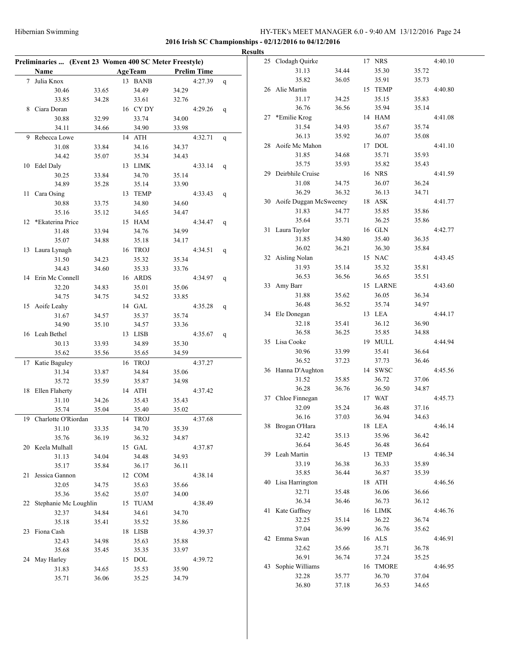|                                                        |       |                |       |                    |              | <b>Results</b> |                           |       |          |       |         |
|--------------------------------------------------------|-------|----------------|-------|--------------------|--------------|----------------|---------------------------|-------|----------|-------|---------|
| Preliminaries  (Event 23 Women 400 SC Meter Freestyle) |       |                |       |                    |              |                | 25 Clodagh Quirke         |       | 17 NRS   |       | 4:40.10 |
| Name                                                   |       | <b>AgeTeam</b> |       | <b>Prelim Time</b> |              |                | 31.13                     | 34.44 | 35.30    | 35.72 |         |
| 7 Julia Knox                                           |       | 13 BANB        |       | 4:27.39            | $\mathsf{q}$ |                | 35.82                     | 36.05 | 35.91    | 35.73 |         |
| 30.46                                                  | 33.65 | 34.49          | 34.29 |                    |              |                | 26 Alie Martin            |       | 15 TEMP  |       | 4:40.80 |
| 33.85                                                  | 34.28 | 33.61          | 32.76 |                    |              |                | 31.17                     | 34.25 | 35.15    | 35.83 |         |
| 8 Ciara Doran                                          |       | 16 CY DY       |       | 4:29.26            | q            |                | 36.76                     | 36.56 | 35.94    | 35.14 |         |
| 30.88                                                  | 32.99 | 33.74          | 34.00 |                    |              |                | 27 *Emilie Krog           |       | 14 HAM   |       | 4:41.08 |
| 34.11                                                  | 34.66 | 34.90          | 33.98 |                    |              |                | 31.54                     | 34.93 | 35.67    | 35.74 |         |
| 9 Rebecca Lowe                                         |       | 14 ATH         |       | 4:32.71            | q            |                | 36.13                     | 35.92 | 36.07    | 35.08 |         |
| 31.08                                                  | 33.84 | 34.16          | 34.37 |                    |              |                | 28 Aoife Mc Mahon         |       | 17 DOL   |       | 4:41.10 |
| 34.42                                                  | 35.07 | 35.34          | 34.43 |                    |              |                | 31.85                     | 34.68 | 35.71    | 35.93 |         |
| 10 Edel Daly                                           |       | 13 LIMK        |       | 4:33.14 $q$        |              |                | 35.75                     | 35.93 | 35.82    | 35.43 |         |
| 30.25                                                  | 33.84 | 34.70          | 35.14 |                    |              |                | 29 Deirbhile Cruise       |       | 16 NRS   |       | 4:41.59 |
| 34.89                                                  | 35.28 | 35.14          | 33.90 |                    |              |                | 31.08                     | 34.75 | 36.07    | 36.24 |         |
| 11 Cara Osing                                          |       | 13 TEMP        |       | 4:33.43            | q            |                | 36.29                     | 36.32 | 36.13    | 34.71 |         |
| 30.88                                                  | 33.75 | 34.80          | 34.60 |                    |              |                | 30 Aoife Duggan McSweeney |       | 18 ASK   |       | 4:41.77 |
| 35.16                                                  | 35.12 | 34.65          | 34.47 |                    |              |                | 31.83                     | 34.77 | 35.85    | 35.86 |         |
| 12 *Ekaterina Price                                    |       | 15 HAM         |       | 4:34.47            |              |                | 35.64                     | 35.71 | 36.25    | 35.86 |         |
| 31.48                                                  |       |                |       |                    | q            |                | 31 Laura Taylor           |       | 16 GLN   |       | 4:42.77 |
|                                                        | 33.94 | 34.76          | 34.99 |                    |              |                | 31.85                     | 34.80 | 35.40    | 36.35 |         |
| 35.07                                                  | 34.88 | 35.18          | 34.17 |                    |              |                | 36.02                     | 36.21 | 36.30    | 35.84 |         |
| 13 Laura Lynagh                                        |       | 16 TROJ        |       | 4:34.51            | q            |                | 32 Aisling Nolan          |       | 15 NAC   |       | 4:43.45 |
| 31.50                                                  | 34.23 | 35.32          | 35.34 |                    |              |                | 31.93                     | 35.14 | 35.32    | 35.81 |         |
| 34.43                                                  | 34.60 | 35.33          | 33.76 |                    |              |                | 36.53                     | 36.56 | 36.65    | 35.51 |         |
| 14 Erin Mc Connell                                     |       | 16 ARDS        |       | 4:34.97            | q            |                |                           |       |          |       |         |
| 32.20                                                  | 34.83 | 35.01          | 35.06 |                    |              |                | 33 Amy Barr               |       | 15 LARNE |       | 4:43.60 |
| 34.75                                                  | 34.75 | 34.52          | 33.85 |                    |              |                | 31.88                     | 35.62 | 36.05    | 36.34 |         |
| 15 Aoife Leahy                                         |       | 14 GAL         |       | 4:35.28            | q            |                | 36.48                     | 36.52 | 35.74    | 34.97 |         |
| 31.67                                                  | 34.57 | 35.37          | 35.74 |                    |              |                | 34 Ele Donegan            |       | 13 LEA   |       | 4:44.17 |
| 34.90                                                  | 35.10 | 34.57          | 33.36 |                    |              |                | 32.18                     | 35.41 | 36.12    | 36.90 |         |
| 16 Leah Bethel                                         |       | 13 LISB        |       | 4:35.67            | q            |                | 36.58                     | 36.25 | 35.85    | 34.88 |         |
| 30.13                                                  | 33.93 | 34.89          | 35.30 |                    |              |                | 35 Lisa Cooke             |       | 19 MULL  |       | 4:44.94 |
| 35.62                                                  | 35.56 | 35.65          | 34.59 |                    |              |                | 30.96                     | 33.99 | 35.41    | 36.64 |         |
| 17 Katie Baguley                                       |       | 16 TROJ        |       | 4:37.27            |              |                | 36.52                     | 37.23 | 37.73    | 36.46 |         |
| 31.34                                                  | 33.87 | 34.84          | 35.06 |                    |              |                | 36 Hanna D'Aughton        |       | 14 SWSC  |       | 4:45.56 |
| 35.72                                                  | 35.59 | 35.87          | 34.98 |                    |              |                | 31.52                     | 35.85 | 36.72    | 37.06 |         |
| 18 Ellen Flaherty                                      |       | 14 ATH         |       | 4:37.42            |              |                | 36.28                     | 36.76 | 36.50    | 34.87 |         |
| 31.10                                                  | 34.26 | 35.43          | 35.43 |                    |              |                | 37 Chloe Finnegan         |       | 17 WAT   |       | 4:45.73 |
| 35.74                                                  | 35.04 | 35.40          | 35.02 |                    |              |                | 32.09                     | 35.24 | 36.48    | 37.16 |         |
| 19 Charlotte O'Riordan                                 |       | 14 TROJ        |       | 4:37.68            |              |                | 36.16                     | 37.03 | 36.94    | 34.63 |         |
| 31.10                                                  | 33.35 | 34.70          | 35.39 |                    |              |                | 38 Brogan O'Hara          |       | 18 LEA   |       | 4:46.14 |
| 35.76                                                  | 36.19 | 36.32          | 34.87 |                    |              |                | 32.42                     | 35.13 | 35.96    | 36.42 |         |
| 20 Keela Mulhall                                       |       | 15 GAL         |       | 4:37.87            |              |                | 36.64                     | 36.45 | 36.48    | 36.64 |         |
| 31.13                                                  | 34.04 | 34.48          | 34.93 |                    |              |                | 39 Leah Martin            |       | 13 TEMP  |       | 4:46.34 |
| 35.17                                                  | 35.84 | 36.17          | 36.11 |                    |              |                | 33.19                     | 36.38 | 36.33    | 35.89 |         |
|                                                        |       |                |       |                    |              |                | 35.85                     | 36.44 | 36.87    | 35.39 |         |
| 21 Jessica Gannon                                      |       | 12 COM         |       | 4:38.14            |              |                | 40 Lisa Harrington        |       | 18 ATH   |       | 4:46.56 |
| 32.05                                                  | 34.75 | 35.63          | 35.66 |                    |              |                | 32.71                     | 35.48 | 36.06    | 36.66 |         |
| 35.36                                                  | 35.62 | 35.07          | 34.00 |                    |              |                | 36.34                     | 36.46 | 36.73    | 36.12 |         |
| 22 Stephanie Mc Loughlin                               |       | 15 TUAM        |       | 4:38.49            |              |                | 41 Kate Gaffney           |       | 16 LIMK  |       | 4:46.76 |
| 32.37                                                  | 34.84 | 34.61          | 34.70 |                    |              |                | 32.25                     | 35.14 | 36.22    | 36.74 |         |
| 35.18                                                  | 35.41 | 35.52          | 35.86 |                    |              |                | 37.04                     |       |          |       |         |
| 23 Fiona Cash                                          |       | 18 LISB        |       | 4:39.37            |              |                |                           | 36.99 | 36.76    | 35.62 |         |
| 32.43                                                  | 34.98 | 35.63          | 35.88 |                    |              |                | 42 Emma Swan              |       | 16 ALS   |       | 4:46.91 |
| 35.68                                                  | 35.45 | 35.35          | 33.97 |                    |              |                | 32.62                     | 35.66 | 35.71    | 36.78 |         |
| 24 May Harley                                          |       | 15 DOL         |       | 4:39.72            |              |                | 36.91                     | 36.74 | 37.24    | 35.25 |         |
| 31.83                                                  | 34.65 | 35.53          | 35.90 |                    |              |                | 43 Sophie Williams        |       | 16 TMORE |       | 4:46.95 |
| 35.71                                                  | 36.06 | 35.25          | 34.79 |                    |              |                | 32.28                     | 35.77 | 36.70    | 37.04 |         |
|                                                        |       |                |       |                    |              |                | 36.80                     | 37.18 | 36.53    | 34.65 |         |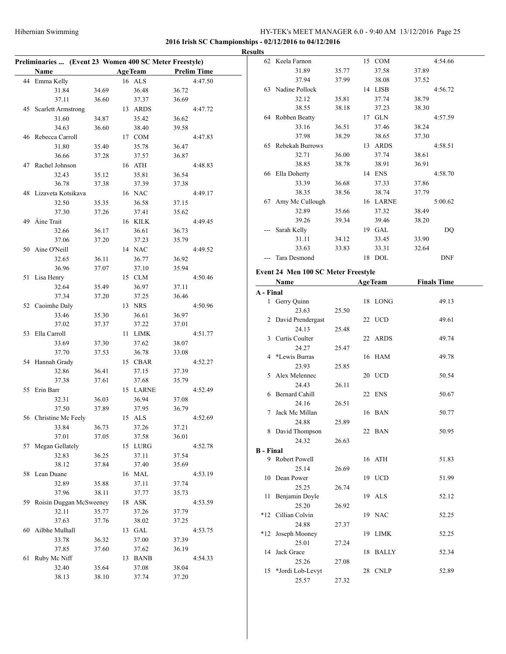$\overline{a}$ 

#### HY-TEK's MEET MANAGER 6.0 - 9:40 AM 13/12/2016 Page 25

|    | Preliminaries  (Event 23 Women 400 SC Meter Freestyle) |       |                |       |                    |       |
|----|--------------------------------------------------------|-------|----------------|-------|--------------------|-------|
|    | Name                                                   |       | <b>AgeTeam</b> |       | <b>Prelim Time</b> |       |
|    | 44 Emma Kelly                                          |       | 16 ALS         |       | 4:47.50            |       |
|    | 31.84                                                  | 34.69 | 36.48          | 36.72 |                    |       |
|    | 37.11                                                  | 36.60 | 37.37          | 36.69 |                    |       |
|    | 45 Scarlett Armstrong                                  |       | 13 ARDS        |       | 4:47.72            |       |
|    | 31.60                                                  | 34.87 | 35.42          | 36.62 |                    |       |
|    | 34.63                                                  | 36.60 | 38.40          | 39.58 |                    |       |
|    | 46 Rebecca Carroll                                     |       | 17 COM         |       | 4:47.83            |       |
|    | 31.80                                                  | 35.40 | 35.78          | 36.47 |                    |       |
|    | 36.66                                                  | 37.28 | 37.57          | 36.87 |                    |       |
|    | 47 Rachel Johnson                                      |       | 16 ATH         |       | 4:48.83            |       |
|    | 32.43                                                  | 35.12 | 35.81          | 36.54 |                    |       |
|    | 36.78                                                  | 37.38 | 37.39          | 37.38 |                    |       |
|    | 48 Lizaveta Kotsikava                                  |       | 16 NAC         |       | 4:49.17            |       |
|    | 32.50                                                  | 35.35 | 36.58          | 37.15 |                    |       |
|    | 37.30                                                  | 37.26 | 37.41          | 35.62 |                    |       |
|    | 49 Áine Trait                                          |       | 16 KILK        |       | 4:49.45            |       |
|    | 32.66                                                  | 36.17 | 36.61          | 36.73 |                    |       |
|    | 37.06                                                  | 37.20 | 37.23          | 35.79 |                    |       |
|    | 50 Aine O'Neill                                        |       | 14 NAC         |       | 4:49.52            |       |
|    | 32.65                                                  | 36.11 | 36.77          | 36.92 |                    |       |
|    | 36.96                                                  | 37.07 | 37.10          | 35.94 |                    | Ev    |
|    | 51 Lisa Henry                                          |       | 15 CLM         |       | 4:50.46            |       |
|    | 32.64                                                  | 35.49 | 36.97          | 37.11 |                    |       |
|    | 37.34                                                  | 37.20 | 37.25          | 36.46 |                    | $A -$ |
|    | 52 Caoimhe Daly                                        |       | 13 NRS         |       | 4:50.96            |       |
|    | 33.46                                                  | 35.30 | 36.61          | 36.97 |                    |       |
|    | 37.02                                                  | 37.37 | 37.22          | 37.01 |                    |       |
|    | 53 Ella Carroll                                        |       | 11 LIMK        |       | 4:51.77            |       |
|    | 33.69                                                  | 37.30 | 37.62          | 38.07 |                    |       |
|    | 37.70                                                  | 37.53 | 36.78          | 33.08 |                    |       |
|    | 54 Hannah Grady                                        |       | 15 CBAR        |       | 4:52.27            |       |
|    | 32.86                                                  | 36.41 | 37.15          | 37.39 |                    |       |
|    | 37.38                                                  | 37.61 | 37.68          | 35.79 |                    |       |
|    | 55 Erin Barr                                           |       | 15 LARNE       |       | 4:52.49            |       |
|    | 32.31                                                  | 36.03 | 36.94          | 37.08 |                    |       |
|    | 37.50                                                  | 37.89 | 37.95          | 36.79 |                    |       |
|    | 56 Christine Mc Feely                                  |       | 15 ALS         |       | 4:52.69            |       |
|    | 33.84                                                  | 36.73 | 37.26          | 37.21 |                    |       |
|    | 37.01                                                  | 37.05 | 37.58          | 36.01 |                    |       |
| 57 | Megan Gellately                                        |       | 15 LURG        |       | 4:52.78            | В -   |
|    | 32.83                                                  | 36.25 | 37.11          | 37.54 |                    |       |
|    | 38.12                                                  | 37.84 | 37.40          | 35.69 |                    |       |
|    | 58 Lean Duane                                          |       | 16 MAL         |       | 4:53.19            |       |
|    | 32.89                                                  | 35.88 | 37.11          | 37.74 |                    |       |
|    | 37.96                                                  | 38.11 | 37.77          | 35.73 |                    |       |
|    | 59 Roisin Duggan McSweeney                             |       | 18 ASK         |       | 4:53.59            |       |
|    | 32.11                                                  | 35.77 | 37.26          | 37.79 |                    | $*$ 1 |
|    | 37.63                                                  | 37.76 | 38.02          | 37.25 |                    |       |
|    | 60 Ailbhe Mulhall                                      |       | 13 GAL         |       | 4:53.75            |       |
|    | 33.78                                                  | 36.32 | 37.00          | 37.39 |                    |       |
|    | 37.85                                                  | 37.60 | 37.62          | 36.19 |                    |       |
| 61 | Ruby Mc Niff                                           |       | 13 BANB        |       | 4:54.33            |       |
|    | 32.40                                                  | 35.64 | 37.08          | 38.04 |                    |       |
|    | 38.13                                                  | 38.10 | 37.74          | 37.20 |                    |       |

|                  | 62 Keela Farnon                     |       |    | 15 COM         |       | 4:54.66            |  |
|------------------|-------------------------------------|-------|----|----------------|-------|--------------------|--|
|                  | 31.89                               | 35.77 |    | 37.58          | 37.89 |                    |  |
|                  | 37.94                               | 37.99 |    | 38.08          | 37.52 |                    |  |
|                  | 63 Nadine Pollock                   |       |    | 14 LISB        |       | 4:56.72            |  |
|                  | 32.12                               | 35.81 |    | 37.74          | 38.79 |                    |  |
|                  | 38.55                               | 38.18 |    | 37.23          | 38.30 |                    |  |
|                  | 64 Robben Beatty                    |       |    | 17 GLN         |       | 4:57.59            |  |
|                  | 33.16                               | 36.51 |    | 37.46          | 38.24 |                    |  |
|                  | 37.98                               | 38.29 |    | 38.65          | 37.30 |                    |  |
|                  | 65 Rebekah Burrows                  |       |    | 13 ARDS        |       | 4:58.51            |  |
|                  | 32.71                               | 36.00 |    | 37.74          | 38.61 |                    |  |
|                  | 38.85                               | 38.78 |    | 38.91          | 36.91 |                    |  |
|                  | 66 Ella Doherty                     |       |    | 14 ENS         |       | 4:58.70            |  |
|                  | 33.39                               | 36.68 |    | 37.33          | 37.86 |                    |  |
|                  | 38.35                               | 38.56 |    | 38.74          | 37.79 |                    |  |
|                  | 67 Amy Mc Cullough                  |       |    | 16 LARNE       |       | 5:00.62            |  |
|                  | 32.89                               | 35.66 |    | 37.32          | 38.49 |                    |  |
|                  | 39.26                               | 39.34 |    | 39.46          | 38.20 |                    |  |
|                  | --- Sarah Kelly                     |       |    | 19 GAL         |       | DQ                 |  |
|                  | 31.11                               | 34.12 |    | 33.45          | 33.90 |                    |  |
|                  | 33.63                               | 33.83 |    | 33.31          | 32.64 |                    |  |
|                  | --- Tara Desmond                    |       |    | 18 DOL         |       | <b>DNF</b>         |  |
|                  |                                     |       |    |                |       |                    |  |
|                  | Event 24 Men 100 SC Meter Freestyle |       |    |                |       |                    |  |
|                  | Name                                |       |    | <b>AgeTeam</b> |       | <b>Finals Time</b> |  |
| A - Final        |                                     |       |    |                |       |                    |  |
|                  | 1 Gerry Quinn                       |       | 18 | LONG           |       | 49.13              |  |
|                  | 23.63                               | 25.50 |    |                |       |                    |  |
|                  |                                     |       |    |                |       |                    |  |
|                  | 2 David Prendergast                 |       |    | 22 UCD         |       | 49.61              |  |
|                  | 24.13                               | 25.48 |    |                |       |                    |  |
|                  | 3 Curtis Coulter                    |       |    | 22 ARDS        |       | 49.74              |  |
|                  | 24.27                               | 25.47 |    |                |       |                    |  |
|                  | 4 *Lewis Burras                     |       |    | 16 HAM         |       | 49.78              |  |
|                  | 23.93                               | 25.85 |    |                |       |                    |  |
|                  | 5 Alex Melennec                     |       |    | 20 UCD         |       | 50.54              |  |
| 6                | 24.43                               | 26.11 |    |                |       |                    |  |
|                  | <b>Bernard Cahill</b>               |       |    | 22 ENS         |       | 50.67              |  |
| 7                | 24.16<br>Jack Mc Millan             | 26.51 |    | 16 BAN         |       | 50.77              |  |
|                  | 24.88                               | 25.89 |    |                |       |                    |  |
|                  |                                     |       |    | 22 BAN         |       | 50.95              |  |
|                  | 8 David Thompson<br>24.32           | 26.63 |    |                |       |                    |  |
| <b>B</b> - Final |                                     |       |    |                |       |                    |  |
| 9                | Robert Powell                       |       |    | 16 ATH         |       | 51.83              |  |
|                  | 25.14                               | 26.69 |    |                |       |                    |  |
| 10               | Dean Power                          |       |    | 19 UCD         |       | 51.99              |  |
|                  | 25.25                               | 26.74 |    |                |       |                    |  |
| 11               | Benjamin Doyle                      |       |    | 19 ALS         |       | 52.12              |  |
|                  | 25.20                               | 26.92 |    |                |       |                    |  |
| *12              | Cillian Colvin                      |       |    | 19 NAC         |       | 52.25              |  |
|                  | 24.88                               | 27.37 |    |                |       |                    |  |
| $*12$            | Joseph Mooney                       |       | 19 | <b>LIMK</b>    |       | 52.25              |  |
|                  | 25.01                               | 27.24 |    |                |       |                    |  |
| 14               | Jack Grace                          |       | 18 | <b>BALLY</b>   |       | 52.34              |  |
|                  | 25.26                               | 27.08 |    |                |       |                    |  |
| 15               | *Jordi Lob-Levyt<br>25.57           | 27.32 |    | 28 CNLP        |       | 52.89              |  |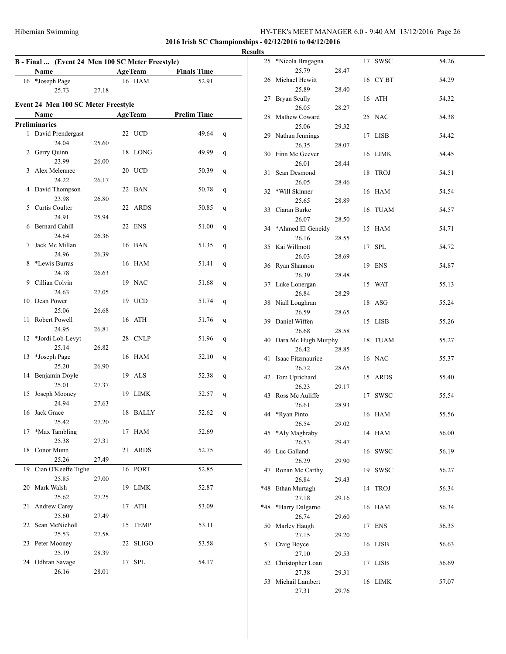| B - Final  (Event 24 Men 100 SC Meter Freestyle)<br><b>AgeTeam</b> |                                     |       |    |                |                    |   |  |  |
|--------------------------------------------------------------------|-------------------------------------|-------|----|----------------|--------------------|---|--|--|
|                                                                    | Name                                |       |    |                | <b>Finals Time</b> |   |  |  |
|                                                                    | 16 *Joseph Page                     |       |    | 16 HAM         | 52.91              |   |  |  |
|                                                                    | 25.73                               | 27.18 |    |                |                    |   |  |  |
|                                                                    | Event 24 Men 100 SC Meter Freestyle |       |    |                |                    |   |  |  |
|                                                                    |                                     |       |    |                |                    |   |  |  |
|                                                                    | Name                                |       |    | <b>AgeTeam</b> | <b>Prelim Time</b> |   |  |  |
|                                                                    | <b>Preliminaries</b>                |       |    |                |                    |   |  |  |
|                                                                    | 1 David Prendergast                 |       |    | 22 UCD         | 49.64              | q |  |  |
|                                                                    | 24.04                               | 25.60 |    |                |                    |   |  |  |
| 2                                                                  | Gerry Quinn                         |       | 18 | <b>LONG</b>    | 49.99              | q |  |  |
|                                                                    | 23.99                               | 26.00 |    |                |                    |   |  |  |
| 3                                                                  | Alex Melennec                       |       |    | 20 UCD         | 50.39              | q |  |  |
|                                                                    | 24.22                               | 26.17 |    |                |                    |   |  |  |
| 4                                                                  | David Thompson                      |       |    | 22 BAN         | 50.78              | q |  |  |
|                                                                    | 23.98                               | 26.80 |    |                |                    |   |  |  |
| 5                                                                  | Curtis Coulter                      |       |    | 22 ARDS        | 50.85              | q |  |  |
|                                                                    | 24.91                               | 25.94 |    |                |                    |   |  |  |
| 6                                                                  | Bernard Cahill                      |       | 22 | ENS            | 51.00              | q |  |  |
|                                                                    | 24.64                               | 26.36 |    |                |                    |   |  |  |
| 7                                                                  | Jack Mc Millan                      |       |    | 16 BAN         | 51.35              | q |  |  |
|                                                                    | 24.96                               | 26.39 |    |                |                    |   |  |  |
| 8                                                                  | *Lewis Burras                       |       |    | 16 HAM         | 51.41              | q |  |  |
|                                                                    | 24.78                               | 26.63 |    |                |                    |   |  |  |
| 9                                                                  | Cillian Colvin                      |       |    | 19 NAC         | 51.68              |   |  |  |
|                                                                    |                                     |       |    |                |                    | q |  |  |
|                                                                    | 24.63                               | 27.05 |    |                |                    |   |  |  |
|                                                                    | 10 Dean Power                       |       |    | 19 UCD         | 51.74              | q |  |  |
|                                                                    | 25.06                               | 26.68 |    |                |                    |   |  |  |
| 11                                                                 | Robert Powell                       |       |    | 16 ATH         | 51.76              | q |  |  |
|                                                                    | 24.95                               | 26.81 |    |                |                    |   |  |  |
| 12                                                                 | *Jordi Lob-Levyt                    |       |    | 28 CNLP        | 51.96              | q |  |  |
|                                                                    | 25.14                               | 26.82 |    |                |                    |   |  |  |
| 13                                                                 | *Joseph Page                        |       |    | 16 HAM         | 52.10              | q |  |  |
|                                                                    | 25.20                               | 26.90 |    |                |                    |   |  |  |
| 14                                                                 | Benjamin Doyle                      |       |    | 19 ALS         | 52.38              | q |  |  |
|                                                                    | 25.01                               | 27.37 |    |                |                    |   |  |  |
| 15                                                                 | Joseph Mooney                       |       | 19 | LIMK           | 52.57              | q |  |  |
|                                                                    | 24.94                               | 27.63 |    |                |                    |   |  |  |
| 16                                                                 | Jack Grace                          |       | 18 | BALLY          | 52.62              | q |  |  |
|                                                                    | 25.42                               | 27.20 |    |                |                    |   |  |  |
| 17                                                                 | *Max Tambling                       |       |    | 17 HAM         | 52.69              |   |  |  |
|                                                                    | 25.38                               | 27.31 |    |                |                    |   |  |  |
| 18                                                                 | Conor Munn                          |       | 21 | <b>ARDS</b>    | 52.75              |   |  |  |
|                                                                    | 25.26                               | 27.49 |    |                |                    |   |  |  |
| 19                                                                 | Cian O'Keeffe Tighe                 |       |    | 16 PORT        | 52.85              |   |  |  |
|                                                                    | 25.85                               | 27.00 |    |                |                    |   |  |  |
|                                                                    | 20 Mark Walsh                       |       |    | 19 LIMK        | 52.87              |   |  |  |
|                                                                    | 25.62                               | 27.25 |    |                |                    |   |  |  |
| 21                                                                 | Andrew Carey                        |       |    | 17 ATH         | 53.09              |   |  |  |
|                                                                    | 25.60                               | 27.49 |    |                |                    |   |  |  |
| 22                                                                 | Sean McNicholl                      |       | 15 | <b>TEMP</b>    | 53.11              |   |  |  |
|                                                                    | 25.53                               | 27.58 |    |                |                    |   |  |  |
|                                                                    | 23 Peter Mooney                     |       | 22 | <b>SLIGO</b>   | 53.58              |   |  |  |
|                                                                    | 25.19                               | 28.39 |    |                |                    |   |  |  |
|                                                                    | 24 Odhran Savage                    |       |    | 17 SPL         |                    |   |  |  |
|                                                                    |                                     |       |    |                | 54.17              |   |  |  |
|                                                                    | 26.16                               | 28.01 |    |                |                    |   |  |  |

|   | <b>Results</b> |                                 |       |    |          |       |
|---|----------------|---------------------------------|-------|----|----------|-------|
|   |                | 25 *Nicola Bragagna<br>25.79    | 28.47 |    | 17 SWSC  | 54.26 |
| - |                | 26 Michael Hewitt               |       |    | 16 CY BT | 54.29 |
|   |                | 25.89<br>27 Bryan Scully        | 28.40 |    | 16 ATH   | 54.32 |
|   |                | 26.05<br>28 Mathew Coward       | 28.27 |    | 25 NAC   | 54.38 |
|   |                | 25.06<br>29 Nathan Jennings     | 29.32 |    | 17 LISB  | 54.42 |
|   |                | 26.35<br>30 Finn Mc Geever      | 28.07 |    | 16 LIMK  | 54.45 |
|   |                | 26.01                           | 28.44 |    |          |       |
|   |                | 31 Sean Desmond<br>26.05        | 28.46 |    | 18 TROJ  | 54.51 |
|   |                | 32 *Will Skinner<br>25.65       | 28.89 |    | 16 HAM   | 54.54 |
|   |                | 33 Ciaran Burke<br>26.07        | 28.50 |    | 16 TUAM  | 54.57 |
|   |                | 34 *Ahmed El Geneidy            |       |    | 15 HAM   | 54.71 |
|   |                | 26.16<br>35 Kai Willmott        | 28.55 |    | 17 SPL   | 54.72 |
|   |                | 26.03<br>36 Ryan Shannon        | 28.69 |    | 19 ENS   | 54.87 |
|   |                | 26.39<br>37 Luke Lonergan       | 28.48 |    | 15 WAT   | 55.13 |
|   |                | 26.84<br>38 Niall Loughran      | 28.29 |    | 18 ASG   | 55.24 |
|   |                | 26.59<br>39 Daniel Wiffen       | 28.65 |    | 15 LISB  | 55.26 |
|   |                | 26.68                           | 28.58 |    |          |       |
|   |                | 40 Dara Mc Hugh Murphy<br>26.42 | 28.85 |    | 18 TUAM  | 55.27 |
|   |                | 41 Isaac Fitzmaurice<br>26.72   | 28.65 |    | 16 NAC   | 55.37 |
|   |                | 42 Tom Uprichard<br>26.23       | 29.17 |    | 15 ARDS  | 55.40 |
|   |                | 43 Ross Mc Auliffe              | 28.93 |    | 17 SWSC  | 55.54 |
|   |                | 26.61<br>44 *Ryan Pinto         |       |    | 16 HAM   | 55.56 |
|   |                | 26.54<br>45 *Aly Maghraby       | 29.02 |    | 14 HAM   | 56.00 |
|   |                | 26.53<br>46 Luc Galland         | 29.47 |    | 16 SWSC  | 56.19 |
|   |                | 26.29<br>47 Ronan Mc Carthy     | 29.90 |    | 19 SWSC  | 56.27 |
|   | *48            | 26.84<br>Ethan Murtagh          | 29.43 | 14 | TROJ     | 56.34 |
|   |                | 27.18                           | 29.16 |    |          |       |
|   | *48            | *Harry Dalgarno<br>26.74        | 29.60 |    | 16 HAM   | 56.34 |
|   | 50             | Marley Haugh<br>27.15           | 29.20 |    | 17 ENS   | 56.35 |
|   | 51             | Craig Boyce<br>27.10            | 29.53 |    | 16 LISB  | 56.63 |
|   | 52             | Christopher Loan<br>27.38       | 29.31 |    | 17 LISB  | 56.69 |
|   | 53             | Michail Lambert<br>27.31        | 29.76 |    | 16 LIMK  | 57.07 |
|   |                |                                 |       |    |          |       |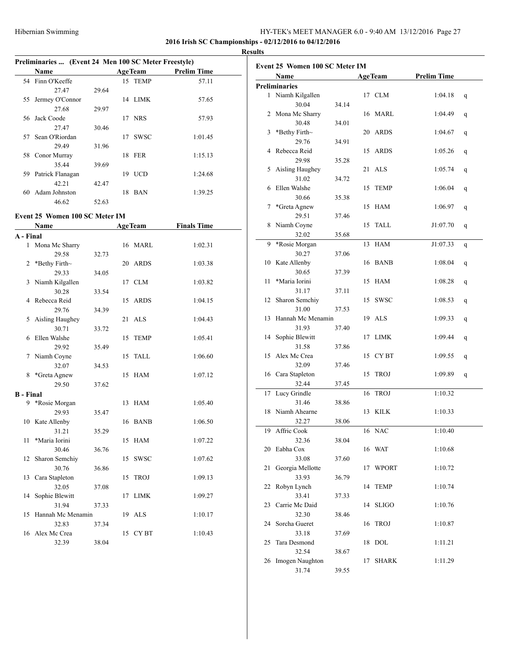#### **2016 Irish SC Championships - 02/12/2016 to 04/12/2016**

|    | Preliminaries  (Event 24 Men 100 SC Meter Freestyle) |       |    |                |                    |  |  |  |  |  |  |  |  |
|----|------------------------------------------------------|-------|----|----------------|--------------------|--|--|--|--|--|--|--|--|
|    | <b>Name</b>                                          |       |    | <b>AgeTeam</b> | <b>Prelim Time</b> |  |  |  |  |  |  |  |  |
|    | 54 Finn O'Keeffe                                     |       |    | 15 TEMP        | 57.11              |  |  |  |  |  |  |  |  |
|    | 27.47                                                | 29.64 |    |                |                    |  |  |  |  |  |  |  |  |
| 55 | Jermey O'Connor                                      |       |    | 14 LIMK        | 57.65              |  |  |  |  |  |  |  |  |
|    | 27.68                                                | 29.97 |    |                |                    |  |  |  |  |  |  |  |  |
|    | 56 Jack Coode                                        |       |    | 17 NRS         | 57.93              |  |  |  |  |  |  |  |  |
|    | 27.47                                                | 30.46 |    |                |                    |  |  |  |  |  |  |  |  |
| 57 | Sean O'Riordan                                       |       | 17 | <b>SWSC</b>    | 1:01.45            |  |  |  |  |  |  |  |  |
|    | 29.49                                                | 31.96 |    |                |                    |  |  |  |  |  |  |  |  |
|    | 58 Conor Murray                                      |       |    | 18 FER         | 1:15.13            |  |  |  |  |  |  |  |  |
|    | 35.44                                                | 39.69 |    |                |                    |  |  |  |  |  |  |  |  |
| 59 | Patrick Flanagan                                     |       | 19 | <b>UCD</b>     | 1:24.68            |  |  |  |  |  |  |  |  |
|    | 42.21                                                | 42.47 |    |                |                    |  |  |  |  |  |  |  |  |
| 60 | Adam Johnston                                        |       | 18 | <b>BAN</b>     | 1:39.25            |  |  |  |  |  |  |  |  |
|    | 46.62                                                | 52.63 |    |                |                    |  |  |  |  |  |  |  |  |

#### **Event 25 Women 100 SC Meter IM**

|                  | Name              |       |    | <b>AgeTeam</b> | <b>Finals Time</b> |
|------------------|-------------------|-------|----|----------------|--------------------|
| A - Final        |                   |       |    |                |                    |
|                  | 1 Mona Mc Sharry  |       |    | 16 MARL        | 1:02.31            |
|                  | 29.58             | 32.73 |    |                |                    |
| 2                | *Bethy Firth~     |       |    | 20 ARDS        | 1:03.38            |
|                  | 29.33             | 34.05 |    |                |                    |
| 3                | Niamh Kilgallen   |       | 17 | <b>CLM</b>     | 1:03.82            |
|                  | 30.28             | 33.54 |    |                |                    |
| 4                | Rebecca Reid      |       | 15 | <b>ARDS</b>    | 1:04.15            |
|                  | 29.76             | 34.39 |    |                |                    |
| 5                | Aisling Haughey   |       | 21 | <b>ALS</b>     | 1:04.43            |
|                  | 30.71             | 33.72 |    |                |                    |
| 6                | Ellen Walshe      |       | 15 | <b>TEMP</b>    | 1:05.41            |
|                  | 29.92             | 35.49 |    |                |                    |
| 7                | Niamh Coyne       |       |    | 15 TALL        | 1:06.60            |
|                  | 32.07             | 34.53 |    |                |                    |
| 8                | *Greta Agnew      |       | 15 | <b>HAM</b>     | 1:07.12            |
|                  | 29.50             | 37.62 |    |                |                    |
| <b>B</b> - Final |                   |       |    |                |                    |
| 9                | *Rosie Morgan     |       | 13 | <b>HAM</b>     | 1:05.40            |
|                  | 29.93             | 35.47 |    |                |                    |
| 10               | Kate Allenby      |       | 16 | <b>BANB</b>    | 1:06.50            |
|                  | 31.21             | 35.29 |    |                |                    |
| 11               | *Maria Iorini     |       | 15 | <b>HAM</b>     | 1:07.22            |
|                  | 30.46             | 36.76 |    |                |                    |
| 12               | Sharon Semchiy    |       | 15 | <b>SWSC</b>    | 1:07.62            |
|                  | 30.76             | 36.86 |    |                |                    |
| 13               | Cara Stapleton    |       | 15 | <b>TROJ</b>    | 1:09.13            |
|                  | 32.05             | 37.08 |    |                |                    |
| 14               | Sophie Blewitt    |       | 17 | LIMK           | 1:09.27            |
|                  | 31.94             | 37.33 |    |                |                    |
| 15               | Hannah Mc Menamin |       |    | 19 ALS         | 1:10.17            |
|                  | 32.83             | 37.34 |    |                |                    |
| 16               | Alex Mc Crea      |       | 15 | <b>CYBT</b>    | 1:10.43            |
|                  | 32.39             | 38.04 |    |                |                    |

|                      | Event 25 Women 100 SC Meter IM |       |    |                |                    |   |
|----------------------|--------------------------------|-------|----|----------------|--------------------|---|
|                      | Name                           |       |    | <b>AgeTeam</b> | <b>Prelim Time</b> |   |
| <b>Preliminaries</b> |                                |       |    |                |                    |   |
|                      | 1 Niamh Kilgallen              |       |    | 17 CLM         | 1:04.18            | q |
|                      | 30.04                          | 34.14 |    | 16 MARL        |                    |   |
|                      | 2 Mona Mc Sharry<br>30.48      | 34.01 |    |                | 1:04.49            |   |
|                      | 3 *Bethy Firth~                |       |    | 20 ARDS        |                    |   |
|                      | 29.76                          | 34.91 |    |                | 1:04.67            |   |
|                      | 4 Rebecca Reid                 |       |    | 15 ARDS        | 1:05.26            |   |
|                      | 29.98                          |       |    |                |                    |   |
|                      |                                | 35.28 |    | 21 ALS         |                    |   |
| 5                    | Aisling Haughey<br>31.02       |       |    |                | 1:05.74            |   |
|                      | 6 Ellen Walshe                 | 34.72 |    |                |                    |   |
|                      | 30.66                          |       |    | 15 TEMP        | 1:06.04            |   |
|                      |                                | 35.38 |    | 15 HAM         |                    |   |
|                      | 7 *Greta Agnew                 |       |    |                | 1:06.97            |   |
|                      | 29.51                          | 37.46 |    |                |                    |   |
|                      | 8 Niamh Coyne                  |       |    | 15 TALL        | J1:07.70           |   |
|                      | 32.02                          | 35.68 |    |                |                    |   |
|                      | 9 *Rosie Morgan                |       |    | 13 HAM         | J1:07.33           |   |
|                      | 30.27                          | 37.06 |    |                |                    |   |
|                      | 10 Kate Allenby                |       |    | 16 BANB        | 1:08.04            |   |
|                      | 30.65                          | 37.39 |    |                |                    |   |
| 11                   | *Maria Iorini                  |       |    | 15 HAM         | 1:08.28            |   |
|                      | 31.17                          | 37.11 |    |                |                    |   |
|                      | 12 Sharon Semchiy              |       |    | 15 SWSC        | 1:08.53            |   |
|                      | 31.00                          | 37.53 |    |                |                    |   |
| 13                   | Hannah Mc Menamin              |       |    | 19 ALS         | 1:09.33            |   |
|                      | 31.93                          | 37.40 |    |                |                    |   |
|                      | 14 Sophie Blewitt              |       |    | 17 LIMK        | 1:09.44            |   |
|                      | 31.58                          | 37.86 |    |                |                    |   |
|                      | 15 Alex Mc Crea                |       |    | 15 CYBT        | 1:09.55            |   |
|                      | 32.09                          | 37.46 |    |                |                    |   |
|                      | 16 Cara Stapleton              |       |    | 15 TROJ        | 1:09.89            |   |
|                      | 32.44                          | 37.45 |    |                |                    |   |
|                      | 17 Lucy Grindle                |       | 16 | <b>TROJ</b>    | 1:10.32            |   |
|                      | 31.46                          | 38.86 |    |                |                    |   |
|                      | 18 Niamh Ahearne               |       |    | 13 KILK        | 1:10.33            |   |
|                      | 32.27                          | 38.06 |    |                |                    |   |
|                      | 19 Affric Cook                 |       |    | 16 NAC         | 1:10.40            |   |
|                      | 32.36                          | 38.04 |    |                |                    |   |
|                      | 20 Eabha Cox                   |       |    | 16 WAT         | 1:10.68            |   |
|                      | 33.08                          | 37.60 |    |                |                    |   |
| 21                   | Georgia Mellotte               |       |    | 17 WPORT       | 1:10.72            |   |
|                      | 33.93                          | 36.79 |    |                |                    |   |
|                      | 22 Robyn Lynch                 |       |    | 14 TEMP        | 1:10.74            |   |
|                      | 33.41                          | 37.33 |    |                |                    |   |
|                      | 23 Carrie Mc Daid              |       |    | 14 SLIGO       | 1:10.76            |   |
|                      | 32.30                          | 38.46 |    |                |                    |   |
|                      | 24 Sorcha Gueret               |       |    | 16 TROJ        | 1:10.87            |   |
|                      | 33.18                          | 37.69 |    |                |                    |   |
| 25                   | Tara Desmond                   |       |    | 18 DOL         | 1:11.21            |   |
|                      | 32.54                          | 38.67 |    |                |                    |   |
|                      | 26 Imogen Naughton             |       |    | 17 SHARK       | 1:11.29            |   |
|                      | 31.74                          | 39.55 |    |                |                    |   |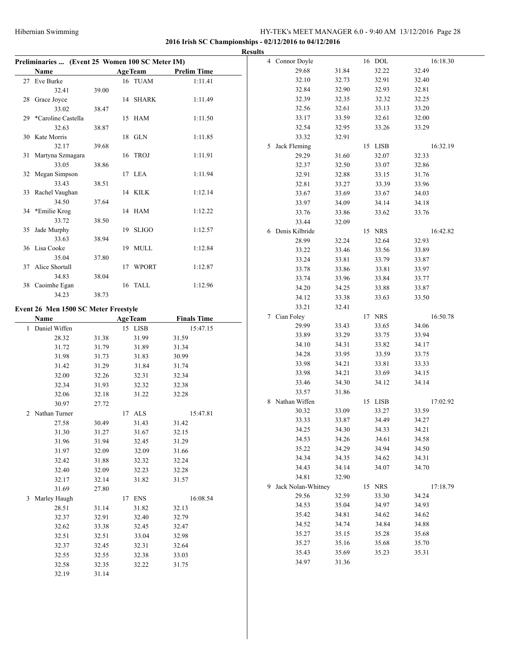|                                                 |                |                |                |                    | <b>Results</b>       |       |         |          |
|-------------------------------------------------|----------------|----------------|----------------|--------------------|----------------------|-------|---------|----------|
| Preliminaries  (Event 25 Women 100 SC Meter IM) |                |                |                |                    | 4 Connor Doyle       |       | 16 DOL  | 16:18.30 |
| Name                                            |                | <b>AgeTeam</b> |                | <b>Prelim Time</b> | 29.68                | 31.84 | 32.22   | 32.49    |
| 27 Eve Burke                                    |                |                | 16 TUAM        | 1:11.41            | 32.10                | 32.73 | 32.91   | 32.40    |
| 32.41                                           | 39.00          |                |                |                    | 32.84                | 32.90 | 32.93   | 32.81    |
| 28 Grace Joyce                                  |                |                | 14 SHARK       | 1:11.49            | 32.39                | 32.35 | 32.32   | 32.25    |
| 33.02                                           | 38.47          |                |                |                    | 32.56                | 32.61 | 33.13   | 33.20    |
| 29 *Caroline Castella                           |                |                | 15 HAM         | 1:11.50            | 33.17                | 33.59 | 32.61   | 32.00    |
| 32.63                                           | 38.87          |                |                |                    | 32.54                | 32.95 | 33.26   | 33.29    |
| 30 Kate Morris                                  |                |                | 18 GLN         | 1:11.85            | 33.32                | 32.91 |         |          |
| 32.17                                           | 39.68          |                |                |                    | 5 Jack Fleming       |       | 15 LISB | 16:32.19 |
| 31 Martyna Szmagara                             |                |                | 16 TROJ        | 1:11.91            | 29.29                | 31.60 | 32.07   | 32.33    |
| 33.05                                           | 38.86          |                |                |                    | 32.37                | 32.50 | 33.07   | 32.86    |
| 32 Megan Simpson                                |                |                | 17 LEA         | 1:11.94            | 32.91                | 32.88 | 33.15   | 31.76    |
| 33.43                                           | 38.51          |                |                |                    | 32.81                | 33.27 | 33.39   | 33.96    |
| 33 Rachel Vaughan                               |                |                | 14 KILK        | 1:12.14            | 33.67                | 33.69 | 33.67   | 34.03    |
| 34.50                                           | 37.64          |                |                |                    | 33.97                | 34.09 | 34.14   | 34.18    |
| 34 *Emilie Krog                                 |                |                | 14 HAM         | 1:12.22            | 33.76                | 33.86 | 33.62   | 33.76    |
| 33.72                                           | 38.50          |                |                |                    | 33.44                | 32.09 |         |          |
| 35 Jade Murphy                                  |                |                | 19 SLIGO       | 1:12.57            | 6 Denis Kilbride     |       | 15 NRS  | 16:42.82 |
| 33.63                                           | 38.94          |                |                |                    | 28.99                | 32.24 | 32.64   | 32.93    |
| 36 Lisa Cooke                                   |                |                | 19 MULL        | 1:12.84            | 33.22                | 33.46 | 33.56   | 33.89    |
| 35.04                                           | 37.80          |                |                |                    | 33.24                | 33.81 | 33.79   | 33.87    |
| 37 Alice Shortall<br>34.83                      | 38.04          |                | 17 WPORT       | 1:12.87            | 33.78                | 33.86 | 33.81   | 33.97    |
| 38 Caoimhe Egan                                 |                |                | 16 TALL        | 1:12.96            | 33.74                | 33.96 | 33.84   | 33.77    |
| 34.23                                           | 38.73          |                |                |                    | 34.20                | 34.25 | 33.88   | 33.87    |
|                                                 |                |                |                |                    | 34.12                | 33.38 | 33.63   | 33.50    |
| Event 26 Men 1500 SC Meter Freestyle            |                |                |                |                    | 33.21                | 32.41 |         |          |
|                                                 |                |                |                |                    |                      |       |         |          |
| Name                                            |                | <b>AgeTeam</b> |                | <b>Finals Time</b> | 7 Cian Foley         |       | 17 NRS  | 16:50.78 |
| 1 Daniel Wiffen                                 |                |                | 15 LISB        | 15:47.15           | 29.99                | 33.43 | 33.65   | 34.06    |
| 28.32                                           | 31.38          |                | 31.99          | 31.59              | 33.89                | 33.29 | 33.75   | 33.94    |
| 31.72                                           | 31.79          |                | 31.89          | 31.34              | 34.10                | 34.31 | 33.82   | 34.17    |
| 31.98                                           | 31.73          |                | 31.83          | 30.99              | 34.28                | 33.95 | 33.59   | 33.75    |
| 31.42                                           | 31.29          |                | 31.84          | 31.74              | 33.98                | 34.21 | 33.81   | 33.33    |
| 32.00                                           | 32.26          |                | 32.31          | 32.34              | 33.98                | 34.21 | 33.69   | 34.15    |
| 32.34                                           | 31.93          |                | 32.32          | 32.38              | 33.46                | 34.30 | 34.12   | 34.14    |
| 32.06                                           | 32.18          |                | 31.22          | 32.28              | 33.57                | 31.86 |         |          |
| 30.97                                           | 27.72          |                |                |                    | 8 Nathan Wiffen      |       | 15 LISB | 17:02.92 |
| 2 Nathan Turner                                 |                |                | 17 ALS         | 15:47.81           | 30.32                | 33.09 | 33.27   | 33.59    |
| 27.58                                           | 30.49          |                | 31.43          | 31.42              | 33.33                | 33.87 | 34.49   | 34.27    |
| 31.30                                           | 31.27          |                | 31.67          | 32.15              | 34.25                | 34.30 | 34.33   | 34.21    |
| 31.96                                           | 31.94          |                | 32.45          | 31.29              | 34.53                | 34.26 | 34.61   | 34.58    |
| 31.97                                           | 32.09          |                | 32.09          | 31.66              | 35.22                | 34.29 | 34.94   | 34.50    |
| 32.42                                           | 31.88          |                | 32.32          | 32.24              | 34.34                | 34.35 | 34.62   | 34.31    |
| 32.40                                           | 32.09          |                | 32.23          | 32.28              | 34.43                | 34.14 | 34.07   | 34.70    |
| 32.17                                           | 32.14          |                | 31.82          | 31.57              | 34.81                | 32.90 |         |          |
| 31.69                                           | 27.80          |                |                |                    | 9 Jack Nolan-Whitney |       | 15 NRS  | 17:18.79 |
| 3 Marley Haugh                                  |                |                | 17 ENS         | 16:08.54           | 29.56                | 32.59 | 33.30   | 34.24    |
| 28.51                                           | 31.14          |                | 31.82          | 32.13              | 34.53                | 35.04 | 34.97   | 34.93    |
| 32.37                                           | 32.91          |                | 32.40          | 32.79              | 35.42                | 34.81 | 34.62   | 34.62    |
| 32.62                                           | 33.38          |                | 32.45          | 32.47              | 34.52                | 34.74 | 34.84   | 34.88    |
| 32.51                                           | 32.51          |                | 33.04          | 32.98              | 35.27                | 35.15 | 35.28   | 35.68    |
| 32.37                                           | 32.45          |                | 32.31          | 32.64              | 35.27                | 35.16 | 35.68   | 35.70    |
|                                                 |                |                |                |                    | 35.43                | 35.69 | 35.23   | 35.31    |
| 32.55<br>32.58                                  | 32.55<br>32.35 |                | 32.38<br>32.22 | 33.03<br>31.75     | 34.97                | 31.36 |         |          |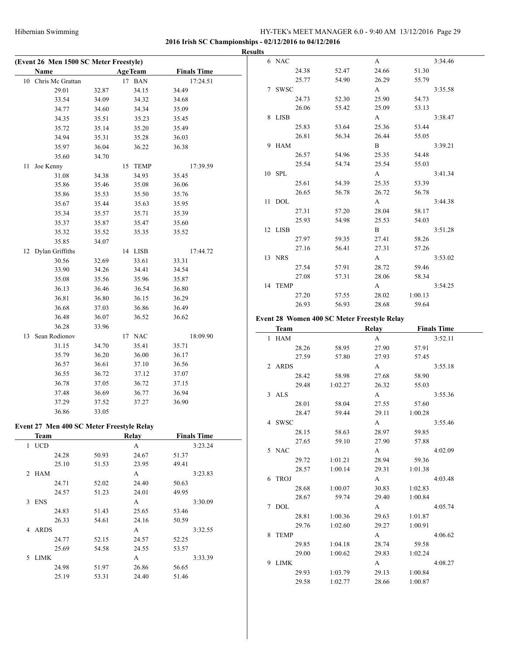**2016 Irish SC Championships - 02/12/2016 to 04/12/2016**

|    |                                           |                |                          |                                | <b>Results</b> |
|----|-------------------------------------------|----------------|--------------------------|--------------------------------|----------------|
|    | (Event 26 Men 1500 SC Meter Freestyle)    |                |                          |                                |                |
|    | Name<br>10 Chris Mc Grattan               |                | <b>AgeTeam</b><br>17 BAN | <b>Finals Time</b><br>17:24.51 |                |
|    | 29.01                                     |                | 34.15                    | 34.49                          |                |
|    | 33.54                                     | 32.87<br>34.09 |                          | 34.68                          |                |
|    |                                           |                | 34.32                    |                                |                |
|    | 34.77                                     | 34.60          | 34.34                    | 35.09                          |                |
|    | 34.35                                     | 35.51          | 35.23                    | 35.45                          |                |
|    | 35.72                                     | 35.14          | 35.20                    | 35.49                          |                |
|    | 34.94                                     | 35.31          | 35.28                    | 36.03                          |                |
|    | 35.97                                     | 36.04          | 36.22                    | 36.38                          |                |
|    | 35.60                                     | 34.70          |                          |                                |                |
| 11 | Joe Kenny                                 |                | 15 TEMP                  | 17:39.59                       |                |
|    | 31.08                                     | 34.38          | 34.93                    | 35.45                          |                |
|    | 35.86                                     | 35.46          | 35.08                    | 36.06                          |                |
|    | 35.86                                     | 35.53          | 35.50                    | 35.76                          |                |
|    | 35.67                                     | 35.44          | 35.63                    | 35.95                          |                |
|    | 35.34                                     | 35.57          | 35.71                    | 35.39                          |                |
|    | 35.37                                     | 35.87          | 35.47                    | 35.60                          |                |
|    | 35.32                                     | 35.52          | 35.35                    | 35.52                          |                |
|    | 35.85                                     | 34.07          |                          |                                |                |
| 12 | Dylan Griffiths                           |                | 14 LISB                  | 17:44.72                       |                |
|    | 30.56                                     | 32.69          | 33.61                    | 33.31                          |                |
|    | 33.90                                     |                | 34.41                    |                                |                |
|    |                                           | 34.26          |                          | 34.54                          |                |
|    | 35.08                                     | 35.56          | 35.96                    | 35.87                          |                |
|    | 36.13                                     | 36.46          | 36.54                    | 36.80                          |                |
|    | 36.81                                     | 36.80          | 36.15                    | 36.29                          |                |
|    | 36.68                                     | 37.03          | 36.86                    | 36.49                          |                |
|    | 36.48                                     | 36.07          | 36.52                    | 36.62                          | Ev             |
|    | 36.28                                     | 33.96          |                          |                                |                |
| 13 | Sean Rodionov                             |                | 17 NAC                   | 18:09.90                       |                |
|    | 31.15                                     | 34.70          | 35.41                    | 35.71                          |                |
|    | 35.79                                     | 36.20          | 36.00                    | 36.17                          |                |
|    | 36.57                                     | 36.61          | 37.10                    | 36.56                          |                |
|    | 36.55                                     | 36.72          | 37.12                    | 37.07                          |                |
|    | 36.78                                     | 37.05          | 36.72                    | 37.15                          |                |
|    | 37.48                                     | 36.69          | 36.77                    | 36.94                          |                |
|    | 37.29                                     | 37.52          | 37.27                    | 36.90                          |                |
|    | 36.86                                     | 33.05          |                          |                                |                |
|    |                                           |                |                          |                                |                |
|    | Event 27 Men 400 SC Meter Freestyle Relay |                |                          |                                |                |
|    | <b>Team</b>                               |                | Relay                    | <b>Finals Time</b>             |                |
| 1  | $UCD$                                     |                | A                        | 3:23.24                        |                |
|    | 24.28                                     | 50.93          | 24.67                    | 51.37                          |                |
|    | 25.10                                     | 51.53          | 23.95                    | 49.41                          |                |
|    | 2 HAM                                     |                | A                        | 3:23.83                        |                |
|    | 24.71                                     | 52.02          | 24.40                    | 50.63                          |                |
|    | 24.57                                     | 51.23          | 24.01                    | 49.95                          |                |
| 3  | ENS                                       |                | A                        | 3:30.09                        |                |
|    | 24.83                                     | 51.43          | 25.65                    | 53.46                          |                |
|    | 26.33                                     | 54.61          | 24.16                    | 50.59                          |                |
|    | 4 ARDS                                    |                | A                        | 3:32.55                        |                |
|    | 24.77                                     | 52.15          | 24.57                    | 52.25                          |                |
|    | 25.69                                     | 54.58          | 24.55                    | 53.57                          |                |
| 5  | LIMK                                      |                | A                        | 3:33.39                        |                |
|    | 24.98                                     | 51.97          | 26.86                    | 56.65                          |                |
|    | 25.19                                     | 53.31          | 24.40                    | 51.46                          |                |
|    |                                           |                |                          |                                |                |

| Э |            |       |       |              |         |         |
|---|------------|-------|-------|--------------|---------|---------|
| 6 | <b>NAC</b> |       |       | A            |         | 3:34.46 |
|   |            | 24.38 | 52.47 | 24.66        | 51.30   |         |
|   |            | 25.77 | 54.90 | 26.29        | 55.79   |         |
|   | 7 SWSC     |       |       | A            |         | 3:35.58 |
|   |            | 24.73 | 52.30 | 25.90        | 54.73   |         |
|   |            | 26.06 | 55.42 | 25.09        | 53.13   |         |
|   | 8 LISB     |       |       | A            |         | 3:38.47 |
|   |            | 25.83 | 53.64 | 25.36        | 53.44   |         |
|   |            | 26.81 | 56.34 | 26.44        | 55.05   |         |
| 9 | HAM        |       |       | $\mathbf{B}$ |         | 3:39.21 |
|   |            | 26.57 | 54.96 | 25.35        | 54.48   |         |
|   |            | 25.54 | 54.74 | 25.54        | 55.03   |         |
|   | 10 SPL     |       |       | $\mathbf{A}$ |         | 3:41.34 |
|   |            | 25.61 | 54.39 | 25.35        | 53.39   |         |
|   |            | 26.65 | 56.78 | 26.72        | 56.78   |         |
|   | 11 DOL     |       |       | $\mathbf{A}$ |         | 3:44.38 |
|   |            | 27.31 | 57.20 | 28.04        | 58.17   |         |
|   |            | 25.93 | 54.98 | 25.53        | 54.03   |         |
|   | 12 LISB    |       |       | $\mathbf{B}$ |         | 3:51.28 |
|   |            | 27.97 | 59.35 | 27.41        | 58.26   |         |
|   |            | 27.16 | 56.41 | 27.31        | 57.26   |         |
|   | 13 NRS     |       |       | A            |         | 3:53.02 |
|   |            | 27.54 | 57.91 | 28.72        | 59.46   |         |
|   |            | 27.08 | 57.31 | 28.06        | 58.34   |         |
|   | 14 TEMP    |       |       | $\mathbf{A}$ |         | 3:54.25 |
|   |            | 27.20 | 57.55 | 28.02        | 1:00.13 |         |
|   |            | 26.93 | 56.93 | 28.68        | 59.64   |         |
|   |            |       |       |              |         |         |

#### **Event 28 Women 400 SC Meter Freestyle Relay**

|   | Team        |         | <b>Relay</b> |         | <b>Finals Time</b> |
|---|-------------|---------|--------------|---------|--------------------|
|   | 1 HAM       |         | A            |         | 3:52.11            |
|   | 28.26       | 58.95   | 27.90        | 57.91   |                    |
|   | 27.59       | 57.80   | 27.93        | 57.45   |                    |
|   | 2 ARDS      |         | A            |         | 3:55.18            |
|   | 28.42       | 58.98   | 27.68        | 58.90   |                    |
|   | 29.48       | 1:02.27 | 26.32        | 55.03   |                    |
|   | 3 ALS       |         | $\mathbf{A}$ |         | 3:55.36            |
|   | 28.01       | 58.04   | 27.55        | 57.60   |                    |
|   | 28.47       | 59.44   | 29.11        | 1:00.28 |                    |
|   | 4 SWSC      |         | A            |         | 3:55.46            |
|   | 28.15       | 58.63   | 28.97        | 59.85   |                    |
|   | 27.65       | 59.10   | 27.90        | 57.88   |                    |
|   | 5 NAC       |         | A            |         | 4:02.09            |
|   | 29.72       | 1:01.21 | 28.94        | 59.36   |                    |
|   | 28.57       | 1:00.14 | 29.31        | 1:01.38 |                    |
| 6 | <b>TROJ</b> |         | A            |         | 4:03.48            |
|   | 28.68       | 1:00.07 | 30.83        | 1:02.83 |                    |
|   | 28.67       | 59.74   | 29.40        | 1:00.84 |                    |
| 7 | <b>DOL</b>  |         | A            |         | 4:05.74            |
|   | 28.81       | 1:00.36 | 29.63        | 1:01.87 |                    |
|   | 29.76       | 1:02.60 | 29.27        | 1:00.91 |                    |
| 8 | <b>TEMP</b> |         | A            |         | 4:06.62            |
|   | 29.85       | 1:04.18 | 28.74        | 59.58   |                    |
|   | 29.00       | 1:00.62 | 29.83        | 1:02.24 |                    |
| 9 | LIMK        |         | A            |         | 4:08.27            |
|   | 29.93       | 1:03.79 | 29.13        | 1:00.84 |                    |
|   | 29.58       | 1:02.77 | 28.66        | 1:00.87 |                    |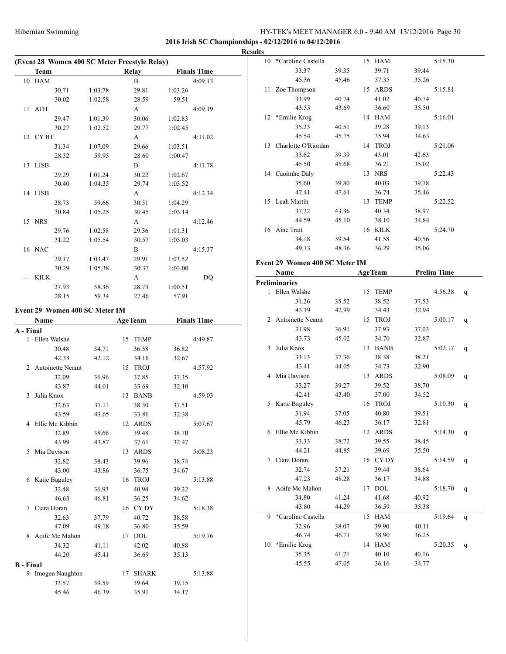#### **2016 Irish SC Championships - 02/12/2016 to 04/12/2016**

|                  | (Event 28 Women 400 SC Meter Freestyle Relay) |         |    |                |         |                    | <b>Results</b> |
|------------------|-----------------------------------------------|---------|----|----------------|---------|--------------------|----------------|
|                  | Team                                          |         |    | <b>Relay</b>   |         | <b>Finals Time</b> |                |
|                  | 10 HAM                                        |         |    | B              |         | 4:09.13            |                |
|                  | 30.71                                         | 1:03.78 |    | 29.81          | 1:03.26 |                    |                |
|                  | 30.02                                         | 1:02.58 |    | 28.59          | 59.51   |                    |                |
|                  | 11 ATH                                        |         |    | A              |         | 4:09.19            |                |
|                  | 29.47                                         | 1:01.39 |    | 30.06          | 1:02.83 |                    |                |
|                  | 30.27                                         | 1:02.52 |    | 29.77          | 1:02.45 |                    |                |
|                  | 12 CYBT                                       |         |    | A              |         | 4:11.02            |                |
|                  | 31.34                                         | 1:07.09 |    | 29.66          | 1:03.51 |                    |                |
|                  | 28.32                                         | 59.95   |    | 28.60          | 1:00.47 |                    |                |
|                  | 13 LISB                                       |         |    | B              |         | 4:11.78            |                |
|                  |                                               |         |    |                |         |                    |                |
|                  | 29.29                                         | 1:01.24 |    | 30.22          | 1:02.67 |                    |                |
|                  | 30.40                                         | 1:04.35 |    | 29.74          | 1:03.52 |                    |                |
|                  | 14 LISB                                       |         |    | A              |         | 4:12.34            |                |
|                  | 28.73                                         | 59.66   |    | 30.51          | 1:04.29 |                    |                |
|                  | 30.84                                         | 1:05.25 |    | 30.45          | 1:03.14 |                    |                |
|                  | 15 NRS                                        |         |    | A              |         | 4:12.46            |                |
|                  | 29.76                                         | 1:02.58 |    | 29.36          | 1:01.31 |                    |                |
|                  | 31.22                                         | 1:05.54 |    | 30.57          | 1:03.03 |                    |                |
|                  | 16 NAC                                        |         |    | B              |         | 4:15.37            |                |
|                  | 29.17                                         | 1:03.47 |    | 29.91          | 1:03.52 |                    | Ev             |
|                  | 30.29                                         | 1:05.38 |    | 30.37          | 1:03.00 |                    |                |
|                  | KILK                                          |         |    | A              |         | DQ                 |                |
|                  | 27.93                                         | 58.36   |    | 28.73          | 1:00.51 |                    | Pre            |
|                  | 28.15                                         | 59.34   |    | 27.46          | 57.91   |                    |                |
|                  | Event 29 Women 400 SC Meter IM                |         |    |                |         |                    |                |
|                  | Name                                          |         |    | <b>AgeTeam</b> |         | <b>Finals Time</b> |                |
| A - Final        |                                               |         |    |                |         |                    |                |
|                  | 1 Ellen Walshe                                |         |    | 15 TEMP        |         | 4:49.87            |                |
|                  | 30.48                                         | 34.71   |    | 36.58          | 36.82   |                    |                |
|                  | 42.33                                         | 42.12   |    | 34.16          | 32.67   |                    |                |
|                  | 2 Antoinette Neamt                            |         |    | 15 TROJ        |         | 4:57.92            |                |
|                  | 32.09                                         | 36.96   |    | 37.85          | 37.35   |                    |                |
|                  | 43.87                                         | 44.01   |    | 33.69          | 32.10   |                    |                |
|                  | 3 Julia Knox                                  |         |    |                |         | 4:59.03            |                |
|                  |                                               |         |    | 13 BANB        |         |                    |                |
|                  | 32.63                                         | 37.11   |    | 38.30          | 37.51   |                    |                |
|                  | 43.59                                         | 43.65   |    | 33.86          | 32.38   |                    |                |
|                  | 4 Ellie Mc Kibbin                             |         |    | 12 ARDS        |         | 5:07.67            |                |
|                  | 32.89                                         | 38.66   |    | 39.48          | 38.70   |                    |                |
|                  | 43.99                                         | 43.87   |    | 37.61          | 32.47   |                    |                |
| 5                | Mia Davison                                   |         |    | 13 ARDS        |         | 5:08.23            |                |
|                  | 32.82                                         | 38.43   |    | 39.96          | 38.74   |                    |                |
|                  | 43.00                                         | 43.86   |    | 36.75          | 34.67   |                    |                |
|                  | 6 Katie Baguley                               |         |    | 16 TROJ        |         | 5:13.88            |                |
|                  | 32.48                                         | 36.93   |    | 40.94          | 39.22   |                    |                |
|                  | 46.63                                         | 46.81   |    | 36.25          | 34.62   |                    |                |
|                  | 7 Ciara Doran                                 |         |    | 16 CYDY        |         | 5:18.38            |                |
|                  | 32.63                                         | 37.79   |    | 40.72          | 38.58   |                    |                |
|                  | 47.09                                         | 49.18   |    | 36.80          | 35.59   |                    |                |
| 8                | Aoife Mc Mahon                                |         |    | 17 DOL         |         | 5:19.76            |                |
|                  | 34.32                                         | 41.11   |    | 42.02          | 40.88   |                    |                |
|                  | 44.20                                         | 45.41   |    | 36.69          | 35.13   |                    |                |
| <b>B</b> - Final |                                               |         |    |                |         |                    |                |
|                  | 9 Imogen Naughton                             |         | 17 | <b>SHARK</b>   |         | 5:13.88            |                |
|                  | 33.57                                         | 39.59   |    | 39.64          | 39.15   |                    |                |
|                  |                                               |         |    |                |         |                    |                |

45.46 46.39 35.91 34.17

|   | 10 *Caroline Castella          |       | 15 HAM         |       | 5:15.30            |   |
|---|--------------------------------|-------|----------------|-------|--------------------|---|
|   | 33.37                          | 39.35 | 39.71          | 39.44 |                    |   |
|   | 45.36                          | 45.46 | 37.35          | 35.26 |                    |   |
|   | 11 Zoe Thompson                |       | 15 ARDS        |       | 5:15.81            |   |
|   | 33.99                          | 40.74 | 41.02          | 40.74 |                    |   |
|   | 43.53                          | 43.69 | 36.60          | 35.50 |                    |   |
|   | 12 *Emilie Krog                |       | 14 HAM         |       | 5:16.01            |   |
|   | 35.23                          | 40.51 | 39.28          | 39.13 |                    |   |
|   | 45.54                          | 45.75 | 35.94          | 34.63 |                    |   |
|   |                                |       |                |       | 5:21.06            |   |
|   | 13 Charlotte O'Riordan         |       | 14 TROJ        |       |                    |   |
|   | 33.62                          | 39.39 | 43.01          | 42.63 |                    |   |
|   | 45.50                          | 45.68 | 36.21          | 35.02 |                    |   |
|   | 14 Caoimhe Daly                |       | 13 NRS         |       | 5:22.43            |   |
|   | 35.60                          | 39.80 | 40.03          | 39.78 |                    |   |
|   | 47.41                          | 47.61 | 36.74          | 35.46 |                    |   |
|   | 15 Leah Martin                 |       | 13 TEMP        |       | 5:22.52            |   |
|   | 37.22                          | 43.36 | 40.34          | 38.97 |                    |   |
|   | 44.59                          | 45.10 | 38.10          | 34.84 |                    |   |
|   | 16 Áine Trait                  |       | 16 KILK        |       | 5:24.70            |   |
|   | 34.18                          | 39.54 | 41.58          | 40.56 |                    |   |
|   | 49.13                          | 48.36 | 36.29          | 35.06 |                    |   |
|   |                                |       |                |       |                    |   |
|   | Event 29 Women 400 SC Meter IM |       |                |       |                    |   |
|   | Name                           |       | <b>AgeTeam</b> |       | <b>Prelim Time</b> |   |
|   | <b>Preliminaries</b>           |       |                |       |                    |   |
|   | 1 Ellen Walshe                 |       | 15 TEMP        |       | 4:56.38            | q |
|   | 31.26                          | 35.52 | 38.52          | 37.53 |                    |   |
|   | 43.19                          | 42.99 | 34.43          | 32.94 |                    |   |
|   | 2 Antoinette Neamt             |       | 15 TROJ        |       | 5:00.17            | q |
|   | 31.98                          | 36.91 | 37.93          | 37.03 |                    |   |
|   | 43.73                          | 45.02 | 34.70          | 32.87 |                    |   |
|   | 3 Julia Knox                   |       | 13 BANB        |       | 5:02.17            | q |
|   | 33.13                          | 37.36 | 38.38          | 38.21 |                    |   |
|   | 43.41                          | 44.05 | 34.73          | 32.90 |                    |   |
|   | 4 Mia Davison                  |       | 13 ARDS        |       | 5:08.09            | q |
|   | 33.27                          | 39.27 | 39.52          | 38.70 |                    |   |
|   | 42.41                          | 43.40 | 37.00          | 34.52 |                    |   |
|   | 5 Katie Baguley                |       | 16 TROJ        |       | 5:10.30            | q |
|   | 31.94                          | 37.05 | 40.80          | 39.51 |                    |   |
|   | 45.79                          | 46.23 | 36.17          | 32.81 |                    |   |
|   | 6 Ellie Mc Kibbin              |       | 12 ARDS        |       | 5:14.30            | q |
|   | 33.33                          | 38.72 | 39.55          | 38.45 |                    |   |
|   | 44.21                          | 44.85 | 39.69          | 35.50 |                    |   |
| 7 | Ciara Doran                    |       | 16 CYDY        |       | 5:14.59            | q |
|   | 32.74                          | 37.21 | 39.44          | 38.64 |                    |   |
|   | 47.23                          | 48.28 | 36.17          | 34.88 |                    |   |
|   | 8 Aoife Mc Mahon               |       | 17 DOL         |       | 5:18.70            | q |
|   | 34.80                          | 41.24 | 41.68          | 40.92 |                    |   |
|   | 43.80                          | 44.29 | 36.59          | 35.38 |                    |   |
| 9 | *Caroline Castella             |       | 15 HAM         |       | 5:19.64            |   |
|   |                                |       | 39.90          |       |                    | q |
|   | 32.96                          | 38.07 |                | 40.11 |                    |   |
|   | 46.74                          | 46.71 | 38.90          | 36.25 |                    |   |
|   | 10 *Emilie Krog                |       | 14 HAM         |       | 5:20.35            | q |
|   | 35.35                          | 41.21 | 40.10          | 40.16 |                    |   |
|   | 45.55                          | 47.05 | 36.16          | 34.77 |                    |   |
|   |                                |       |                |       |                    |   |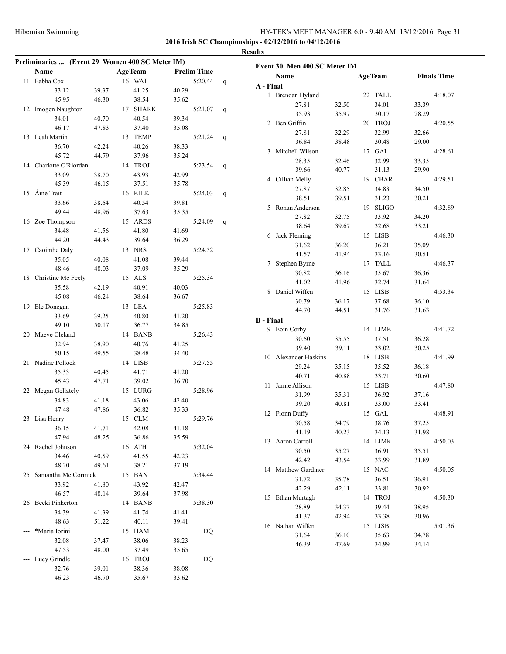| Preliminaries  (Event 29 Women 400 SC Meter IM) |                |                 |                |                    |   |                  | Event 30 Men 400 SC       |
|-------------------------------------------------|----------------|-----------------|----------------|--------------------|---|------------------|---------------------------|
| Name                                            |                | <b>AgeTeam</b>  |                | <b>Prelim Time</b> |   |                  |                           |
| 11 Eabha Cox                                    |                | 16 WAT          |                | 5:20.44            | q |                  | Name                      |
| 33.12                                           | 39.37          | 41.25           | 40.29          |                    |   | A - Final        |                           |
| 45.95                                           | 46.30          | 38.54           | 35.62          |                    |   |                  | 1 Brendan Hyland<br>27.81 |
| 12 Imogen Naughton                              |                | 17 SHARK        |                | 5:21.07            | q |                  | 35.93                     |
| 34.01                                           | 40.70          | 40.54           | 39.34          |                    |   |                  | 2 Ben Griffin             |
| 46.17                                           | 47.83          | 37.40           | 35.08          |                    |   |                  | 27.81                     |
| 13 Leah Martin                                  |                | 13 TEMP         |                | 5:21.24            | q |                  | 36.84                     |
| 36.70                                           | 42.24          | 40.26           | 38.33          |                    |   |                  | 3 Mitchell Wilson         |
| 45.72                                           | 44.79          | 37.96           | 35.24          |                    |   |                  | 28.35                     |
| 14 Charlotte O'Riordan                          |                | 14 TROJ         |                | 5:23.54            | q |                  | 39.66                     |
| 33.09                                           | 38.70          | 43.93           | 42.99          |                    |   |                  | 4 Cillian Melly           |
| 45.39                                           | 46.15          | 37.51           | 35.78          |                    |   |                  | 27.87                     |
| 15 Áine Trait                                   |                | 16 KILK         |                | 5:24.03            | q |                  | 38.51                     |
| 33.66                                           | 38.64          | 40.54           | 39.81          |                    |   |                  | 5 Ronan Anderson          |
| 49.44                                           | 48.96          | 37.63           | 35.35          |                    |   |                  | 27.82                     |
| 16 Zoe Thompson                                 |                | 15 ARDS         |                | 5:24.09            | q |                  | 38.64                     |
| 34.48                                           | 41.56          | 41.80           | 41.69          |                    |   |                  | 6 Jack Fleming            |
| 44.20                                           | 44.43          | 39.64           | 36.29          |                    |   |                  | 31.62                     |
| 17 Caoimhe Daly                                 |                | 13 NRS          |                | 5:24.52            |   |                  | 41.57                     |
| 35.05                                           | 40.08          | 41.08           | 39.44          |                    |   |                  | 7 Stephen Byrne           |
| 48.46                                           | 48.03          | 37.09           | 35.29          |                    |   |                  | 30.82                     |
| 18 Christine Mc Feely                           |                | 15 ALS          |                | 5:25.34            |   |                  | 41.02                     |
| 35.58                                           | 42.19          | 40.91           | 40.03          |                    |   |                  | 8 Daniel Wiffen           |
| 45.08                                           | 46.24          | 38.64           | 36.67          |                    |   |                  | 30.79                     |
| 19 Ele Donegan                                  |                | 13 LEA          |                | 5:25.83            |   |                  | 44.70                     |
| 33.69                                           | 39.25          | 40.80           | 41.20          |                    |   | <b>B</b> - Final |                           |
| 49.10                                           | 50.17          | 36.77           | 34.85          |                    |   |                  | 9 Eoin Corby              |
| 20 Maeve Cleland                                |                | 14 BANB         |                | 5:26.43            |   |                  | 30.60                     |
| 32.94                                           | 38.90          | 40.76           | 41.25          |                    |   |                  | 39.40                     |
| 50.15                                           | 49.55          | 38.48           | 34.40          |                    |   |                  | 10 Alexander Haskins      |
| 21 Nadine Pollock                               |                | 14 LISB         |                | 5:27.55            |   |                  | 29.24                     |
| 35.33                                           | 40.45          | 41.71           | 41.20          |                    |   |                  | 40.71                     |
| 45.43                                           | 47.71          | 39.02           | 36.70          |                    |   |                  | 11 Jamie Allison          |
| 22 Megan Gellately                              |                | 15 LURG         |                | 5:28.96            |   |                  | 31.99                     |
| 34.83                                           | 41.18          | 43.06           | 42.40          |                    |   |                  | 39.20                     |
| 47.48                                           | 47.86          | 36.82           | 35.33          |                    |   |                  | 12 Fionn Duffy            |
| 23 Lisa Henry                                   |                | 15 CLM          |                | 5:29.76            |   |                  | 30.58                     |
| 36.15                                           | 41.71          | 42.08           | 41.18          |                    |   |                  | 41.19                     |
| 47.94                                           | 48.25          | 36.86           | 35.59          |                    |   |                  | 13 Aaron Carroll          |
| 24 Rachel Johnson                               |                | 16 ATH<br>41.55 |                | 5:32.04            |   |                  | 30.50                     |
| 34.46<br>48.20                                  | 40.59<br>49.61 |                 | 42.23          |                    |   |                  | 42.42                     |
|                                                 |                | 38.21           | 37.19          |                    |   |                  | 14 Matthew Gardiner       |
| 25 Samantha Mc Cormick                          |                | 15 BAN          |                | 5:34.44            |   |                  | 31.72                     |
| 33.92<br>46.57                                  | 41.80<br>48.14 | 43.92<br>39.64  | 42.47<br>37.98 |                    |   |                  | 42.29                     |
| 26 Becki Pinkerton                              |                | 14 BANB         |                | 5:38.30            |   |                  | 15 Ethan Murtagh          |
| 34.39                                           | 41.39          | 41.74           | 41.41          |                    |   |                  | 28.89                     |
| 48.63                                           | 51.22          | 40.11           | 39.41          |                    |   |                  | 41.37                     |
| *Maria Iorini                                   |                | 15 HAM          |                | DQ                 |   |                  | 16 Nathan Wiffen          |
| 32.08                                           | 37.47          | 38.06           | 38.23          |                    |   |                  | 31.64                     |
| 47.53                                           | 48.00          | 37.49           | 35.65          |                    |   |                  | 46.39                     |
| --- Lucy Grindle                                |                | 16 TROJ         |                | DQ                 |   |                  |                           |
| 32.76                                           | 39.01          | 38.36           | 38.08          |                    |   |                  |                           |
| 46.23                                           | 46.70          | 35.67           | 33.62          |                    |   |                  |                           |
|                                                 |                |                 |                |                    |   |                  |                           |

|    | Name                     |                | <b>AgeTeam</b>   |       | <b>Finals Time</b> |
|----|--------------------------|----------------|------------------|-------|--------------------|
|    | A - Final                |                |                  |       |                    |
|    | 1 Brendan Hyland         |                | 22 TALL          |       | 4:18.07            |
|    | 27.81                    | 32.50          | 34.01            | 33.39 |                    |
|    | 35.93                    | 35.97          | 30.17            | 28.29 |                    |
|    | 2 Ben Griffin            |                | 20 TROJ          |       | 4:20.55            |
|    | 27.81                    | 32.29          | 32.99            | 32.66 |                    |
|    | 36.84                    | 38.48          | 30.48            | 29.00 |                    |
|    | 3 Mitchell Wilson        |                | 17 GAL           |       | 4:28.61            |
|    | 28.35                    | 32.46          | 32.99            | 33.35 |                    |
|    | 39.66                    | 40.77          | 31.13            | 29.90 |                    |
|    | 4 Cillian Melly          |                | 19 CBAR          |       | 4:29.51            |
|    | 27.87                    | 32.85          | 34.83            | 34.50 |                    |
|    | 38.51                    | 39.51          | 31.23            | 30.21 |                    |
|    | 5 Ronan Anderson         |                | 19 SLIGO         |       | 4:32.89            |
|    | 27.82                    | 32.75          | 33.92            | 34.20 |                    |
|    | 38.64                    | 39.67          | 32.68            | 33.21 |                    |
|    | 6 Jack Fleming           |                | 15 LISB          |       | 4:46.30            |
|    | 31.62                    |                | 36.21            | 35.09 |                    |
|    | 41.57                    | 36.20<br>41.94 | 33.16            |       |                    |
|    |                          |                |                  | 30.51 |                    |
|    | 7 Stephen Byrne<br>30.82 |                | 17 TALL<br>35.67 | 36.36 | 4:46.37            |
|    | 41.02                    | 36.16          |                  |       |                    |
|    |                          | 41.96          | 32.74            | 31.64 |                    |
| 8  | Daniel Wiffen            |                | 15 LISB          |       | 4:53.34            |
|    | 30.79                    | 36.17          | 37.68            | 36.10 |                    |
|    | 44.70                    | 44.51          | 31.76            | 31.63 |                    |
|    | <b>B</b> - Final         |                |                  |       |                    |
|    | 9 Eoin Corby             |                | 14 LIMK          |       | 4:41.72            |
|    | 30.60                    | 35.55          | 37.51            | 36.28 |                    |
|    | 39.40                    | 39.11          | 33.02            | 30.25 |                    |
|    | 10 Alexander Haskins     |                | 18 LISB          |       | 4:41.99            |
|    | 29.24                    | 35.15          | 35.52            | 36.18 |                    |
|    | 40.71                    | 40.88          | 33.71            | 30.60 |                    |
| 11 | Jamie Allison            |                | 15 LISB          |       | 4:47.80            |
|    | 31.99                    | 35.31          | 36.92            | 37.16 |                    |
|    | 39.20                    | 40.81          | 33.00            | 33.41 |                    |
|    | 12 Fionn Duffy           |                | 15 GAL           |       | 4:48.91            |
|    | 30.58                    | 34.79          | 38.76            | 37.25 |                    |
|    | 41.19                    | 40.23          | 34.13            | 31.98 |                    |
| 13 | Aaron Carroll            |                | 14 LIMK          |       | 4:50.03            |
|    | 30.50                    | 35.27          | 36.91            | 35.51 |                    |
|    | 42.42                    | 43.54          | 33.99            | 31.89 |                    |
| 14 | Matthew Gardiner         |                | 15 NAC           |       | 4:50.05            |
|    | 31.72                    | 35.78          | 36.51            | 36.91 |                    |
|    | 42.29                    | 42.11          | 33.81            | 30.92 |                    |
| 15 | Ethan Murtagh            |                | 14 TROJ          |       | 4:50.30            |
|    | 28.89                    | 34.37          | 39.44            | 38.95 |                    |
|    | 41.37                    | 42.94          | 33.38            | 30.96 |                    |
|    | 16 Nathan Wiffen         |                | 15 LISB          |       | 5:01.36            |
|    |                          |                |                  |       |                    |
|    | 31.64                    | 36.10          | 35.63            | 34.78 |                    |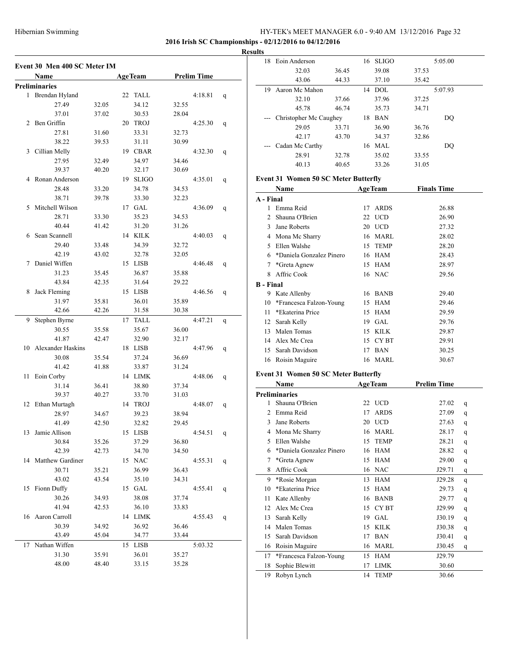18 Eoin Anderson 16 SLIGO 5:05.00

#### **2016 Irish SC Championships - 02/12/2016 to 04/12/2016**

#### **Results**

|    | Event 30 Men 400 SC Meter IM |       |    |                |       |                    |   |
|----|------------------------------|-------|----|----------------|-------|--------------------|---|
|    | Name                         |       |    | <b>AgeTeam</b> |       | <b>Prelim Time</b> |   |
|    | <b>Preliminaries</b>         |       |    |                |       |                    |   |
|    | 1 Brendan Hyland             |       |    | 22 TALL        |       | 4:18.81            | q |
|    | 27.49                        | 32.05 |    | 34.12          | 32.55 |                    |   |
|    | 37.01                        | 37.02 |    | 30.53          | 28.04 |                    |   |
| 2  | Ben Griffin                  |       |    | 20 TROJ        |       | 4:25.30            | q |
|    | 27.81                        | 31.60 |    | 33.31          | 32.73 |                    |   |
|    | 38.22                        | 39.53 |    | 31.11          | 30.99 |                    |   |
| 3  | Cillian Melly                |       |    | 19 CBAR        |       | 4:32.30            | q |
|    | 27.95                        | 32.49 |    | 34.97          | 34.46 |                    |   |
|    | 39.37                        | 40.20 |    | 32.17          | 30.69 |                    |   |
| 4  | Ronan Anderson               |       |    | 19 SLIGO       |       | 4:35.01            | q |
|    | 28.48                        | 33.20 |    | 34.78          | 34.53 |                    |   |
|    | 38.71                        | 39.78 |    | 33.30          | 32.23 |                    |   |
| 5  | Mitchell Wilson              |       |    | 17 GAL         |       | 4:36.09            | q |
|    | 28.71                        | 33.30 |    | 35.23          | 34.53 |                    |   |
|    | 40.44                        | 41.42 |    | 31.20          | 31.26 |                    |   |
| 6  | Sean Scannell                |       |    | 14 KILK        |       | 4:40.03            | q |
|    | 29.40                        | 33.48 |    | 34.39          | 32.72 |                    |   |
|    | 42.19                        | 43.02 |    | 32.78          | 32.05 |                    |   |
| 7  | Daniel Wiffen                |       |    | 15 LISB        |       | 4:46.48            | q |
|    | 31.23                        | 35.45 |    | 36.87          | 35.88 |                    |   |
|    | 43.84                        | 42.35 |    | 31.64          | 29.22 |                    |   |
| 8  | Jack Fleming                 |       |    | 15 LISB        |       | 4:46.56            | q |
|    | 31.97                        | 35.81 |    | 36.01          | 35.89 |                    |   |
|    | 42.66                        | 42.26 |    | 31.58          | 30.38 |                    |   |
| 9  | Stephen Byrne                |       |    | 17 TALL        |       | 4:47.21            | q |
|    | 30.55                        | 35.58 |    | 35.67          | 36.00 |                    |   |
|    | 41.87                        | 42.47 |    | 32.90          | 32.17 |                    |   |
|    | 10 Alexander Haskins         |       |    | 18 LISB        |       | 4:47.96            | q |
|    | 30.08                        | 35.54 |    | 37.24          | 36.69 |                    |   |
|    | 41.42                        | 41.88 |    | 33.87          | 31.24 |                    |   |
| 11 | Eoin Corby                   |       |    | 14 LIMK        |       | 4:48.06            | q |
|    | 31.14                        | 36.41 |    | 38.80          | 37.34 |                    |   |
|    | 39.37                        | 40.27 |    | 33.70          | 31.03 |                    |   |
|    | 12 Ethan Murtagh             |       |    | 14 TROJ        |       | 4:48.07            | q |
|    | 28.97                        | 34.67 |    | 39.23          | 38.94 |                    |   |
|    | 41.49                        | 42.50 |    | 32.82          | 29.45 |                    |   |
|    | 13 Jamie Allison             |       |    | 15 LISB        |       | 4:54.51            | q |
|    | 30.84                        | 35.26 |    | 37.29          | 36.80 |                    |   |
|    | 42.39                        | 42.73 |    | 34.70          | 34.50 |                    |   |
|    | 14 Matthew Gardiner          |       |    | 15 NAC         |       | 4:55.31            | q |
|    | 30.71                        | 35.21 |    | 36.99          | 36.43 |                    |   |
|    | 43.02                        | 43.54 |    | 35.10          | 34.31 |                    |   |
| 15 | Fionn Duffy                  |       |    | 15 GAL         |       | 4:55.41            | q |
|    | 30.26                        | 34.93 |    | 38.08          | 37.74 |                    |   |
|    | 41.94                        | 42.53 |    | 36.10          | 33.83 |                    |   |
|    | 16 Aaron Carroll             |       |    | 14 LIMK        |       | 4:55.43            | q |
|    | 30.39                        | 34.92 |    | 36.92          | 36.46 |                    |   |
|    | 43.49                        | 45.04 |    | 34.77          | 33.44 |                    |   |
| 17 | Nathan Wiffen                |       | 15 | LISB           |       | 5:03.32            |   |
|    | 31.30                        | 35.91 |    | 36.01          | 35.27 |                    |   |
|    | 48.00                        | 48.40 |    | 33.15          | 35.28 |                    |   |
|    |                              |       |    |                |       |                    |   |

|                  | 32.03                                     | 36.45 |    | 39.08          | 37.53 |                    |   |
|------------------|-------------------------------------------|-------|----|----------------|-------|--------------------|---|
|                  | 43.06                                     | 44.33 |    | 37.10          | 35.42 |                    |   |
|                  | 19 Aaron Mc Mahon                         |       | 14 | <b>DOL</b>     |       | 5:07.93            |   |
|                  | 32.10                                     | 37.66 |    | 37.96          | 37.25 |                    |   |
|                  | 45.78                                     | 46.74 |    | 35.73          | 34.71 |                    |   |
|                  | Christopher Mc Caughey                    |       |    | 18 BAN         |       | DQ                 |   |
|                  | 29.05                                     | 33.71 |    | 36.90          | 36.76 |                    |   |
|                  | 42.17                                     | 43.70 |    | 34.37          | 32.86 |                    |   |
|                  |                                           |       |    | 16 MAL         |       |                    |   |
|                  | Cadan Mc Carthy                           |       |    |                |       | DQ                 |   |
|                  | 28.91                                     | 32.78 |    | 35.02          | 33.55 |                    |   |
|                  | 40.13                                     | 40.65 |    | 33.26          | 31.05 |                    |   |
|                  | Event 31 Women 50 SC Meter Butterfly      |       |    |                |       |                    |   |
|                  | Name                                      |       |    | <b>AgeTeam</b> |       | <b>Finals Time</b> |   |
| A - Final        |                                           |       |    |                |       |                    |   |
| 1                | Emma Reid                                 |       | 17 | <b>ARDS</b>    |       | 26.88              |   |
| 2                | Shauna O'Brien                            |       | 22 | <b>UCD</b>     |       | 26.90              |   |
| 3                | Jane Roberts                              |       | 20 | <b>UCD</b>     |       | 27.32              |   |
|                  | 4 Mona Mc Sharry                          |       |    | 16 MARL        |       | 28.02              |   |
|                  | 5 Ellen Walshe                            |       | 15 | <b>TEMP</b>    |       | 28.20              |   |
|                  | 6 *Daniela Gonzalez Pinero                |       |    | 16 HAM         |       | 28.43              |   |
| 7                | *Greta Agnew                              |       |    | 15 HAM         |       | 28.97              |   |
| 8                | Affric Cook                               |       |    | 16 NAC         |       | 29.56              |   |
| <b>B</b> - Final |                                           |       |    |                |       |                    |   |
|                  |                                           |       |    | 16 BANB        |       | 29.40              |   |
| 10               | 9 Kate Allenby<br>*Francesca Falzon-Young |       | 15 | HAM            |       | 29.46              |   |
| 11               | *Ekaterina Price                          |       | 15 | HAM            |       | 29.59              |   |
|                  |                                           |       |    |                |       |                    |   |
|                  | 12 Sarah Kelly                            |       |    | 19 GAL         |       | 29.76              |   |
|                  | 13 Malen Tomas                            |       |    | 15 KILK        |       | 29.87              |   |
|                  | 14 Alex Mc Crea                           |       | 15 | CY BT          |       | 29.91              |   |
|                  | 15 Sarah Davidson                         |       | 17 | <b>BAN</b>     |       | 30.25              |   |
|                  | 16 Roisin Maguire                         |       |    | 16 MARL        |       | 30.67              |   |
|                  | Event 31 Women 50 SC Meter Butterfly      |       |    |                |       |                    |   |
|                  | Name                                      |       |    | <b>AgeTeam</b> |       | <b>Prelim Time</b> |   |
|                  | <b>Preliminaries</b>                      |       |    |                |       |                    |   |
| 1                | Shauna O'Brien                            |       | 22 | <b>UCD</b>     |       | 27.02              | q |
| 2                | Emma Reid                                 |       | 17 | <b>ARDS</b>    |       | 27.09              | q |
| 3                | Jane Roberts                              |       | 20 | <b>UCD</b>     |       | 27.63              | q |
|                  | 4 Mona Mc Sharry                          |       | 16 | MARL           |       | 28.17              | q |
| 5                | Ellen Walshe                              |       | 15 | <b>TEMP</b>    |       | 28.21              | q |
| 6                | *Daniela Gonzalez Pinero                  |       | 16 | HAM            |       | 28.82              |   |
| 7                | *Greta Agnew                              |       | 15 | <b>HAM</b>     |       | 29.00              | q |
| 8                | Affric Cook                               |       | 16 | <b>NAC</b>     |       | J29.71             | q |
|                  |                                           |       |    |                |       |                    | q |
| 9                | *Rosie Morgan                             |       | 13 | <b>HAM</b>     |       | J29.28             | q |
| 10               | *Ekaterina Price                          |       | 15 | <b>HAM</b>     |       | 29.73              | q |
| 11               | Kate Allenby                              |       | 16 | <b>BANB</b>    |       | 29.77              | q |
| 12               | Alex Mc Crea                              |       | 15 | <b>CYBT</b>    |       | J29.99             | q |
| 13               | Sarah Kelly                               |       | 19 | GAL            |       | J30.19             | q |
| 14               | Malen Tomas                               |       | 15 | <b>KILK</b>    |       | J30.38             | q |
| 15               | Sarah Davidson                            |       | 17 | <b>BAN</b>     |       | J30.41             | q |
| 16               | Roisin Maguire                            |       | 16 | MARL           |       | J30.45             | q |
| 17               | *Francesca Falzon-Young                   |       | 15 | <b>HAM</b>     |       | J29.79             |   |
| 18               | Sophie Blewitt                            |       | 17 | LIMK           |       | 30.60              |   |
| 19               | Robyn Lynch                               |       | 14 | <b>TEMP</b>    |       | 30.66              |   |
|                  |                                           |       |    |                |       |                    |   |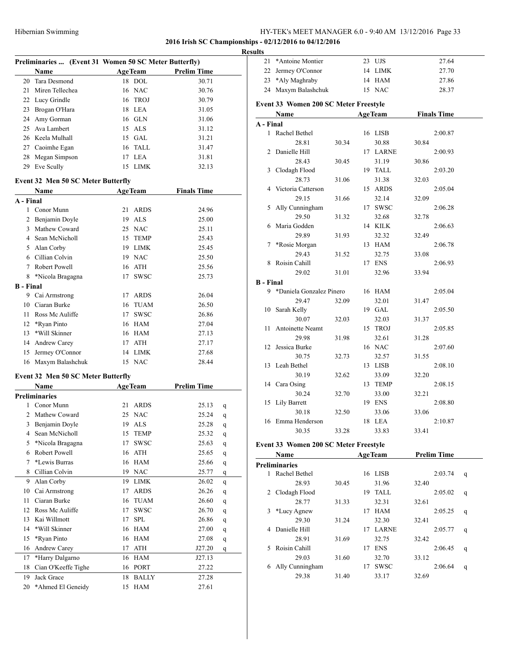**2016 Irish SC Championships - 02/12/2016 to 04/12/2016**

#### **Results**

|                  |                                           | Preliminaries  (Event 31 Women 50 SC Meter Butterfly) |                |                    |  |  |  |  |
|------------------|-------------------------------------------|-------------------------------------------------------|----------------|--------------------|--|--|--|--|
|                  | Name                                      |                                                       | <b>AgeTeam</b> | <b>Prelim Time</b> |  |  |  |  |
| 20               | Tara Desmond                              |                                                       | 18 DOL         | 30.71              |  |  |  |  |
| 21               | Miren Tellechea                           |                                                       | 16 NAC         | 30.76              |  |  |  |  |
| 22               | Lucy Grindle                              |                                                       | 16 TROJ        | 30.79              |  |  |  |  |
| 23               | Brogan O'Hara                             | 18                                                    | <b>LEA</b>     | 31.05              |  |  |  |  |
| 24               | Amy Gorman                                |                                                       | 16 GLN         | 31.06              |  |  |  |  |
| 25               | Ava Lambert                               |                                                       | 15 ALS         | 31.12              |  |  |  |  |
| 26               | Keela Mulhall                             | 15                                                    | <b>GAL</b>     | 31.21              |  |  |  |  |
| 27               | Caoimhe Egan                              | 16                                                    | <b>TALL</b>    | 31.47              |  |  |  |  |
| 28               | Megan Simpson                             | 17                                                    | <b>LEA</b>     | 31.81              |  |  |  |  |
| 29               | Eve Scully                                | 15                                                    | <b>LIMK</b>    | 32.13              |  |  |  |  |
|                  | <b>Event 32 Men 50 SC Meter Butterfly</b> |                                                       |                |                    |  |  |  |  |
|                  | Name                                      |                                                       | <b>AgeTeam</b> | <b>Finals Time</b> |  |  |  |  |
| A - Final        |                                           |                                                       |                |                    |  |  |  |  |
| 1                | Conor Munn                                | 21                                                    | <b>ARDS</b>    | 24.96              |  |  |  |  |
| 2                | Benjamin Doyle                            | 19                                                    | <b>ALS</b>     | 25.00              |  |  |  |  |
| $\mathbf{3}$     | Mathew Coward                             | 25                                                    | <b>NAC</b>     | 25.11              |  |  |  |  |
| 4                | Sean McNicholl                            | 15                                                    | <b>TEMP</b>    | 25.43              |  |  |  |  |
| 5                | Alan Corby                                | 19                                                    | <b>LIMK</b>    | 25.45              |  |  |  |  |
| 6                | Cillian Colvin                            |                                                       | 19 NAC         | 25.50              |  |  |  |  |
| 7                | Robert Powell                             | 16                                                    | <b>ATH</b>     | 25.56              |  |  |  |  |
| 8                | *Nicola Bragagna                          | 17                                                    | <b>SWSC</b>    | 25.73              |  |  |  |  |
| <b>B</b> - Final |                                           |                                                       |                |                    |  |  |  |  |
| 9                | Cai Armstrong                             | 17                                                    | <b>ARDS</b>    | 26.04              |  |  |  |  |

|           | <b>DUALL IVIOL YIULIULI</b> |    | 1.111       | 23.TJ |
|-----------|-----------------------------|----|-------------|-------|
| 5.        | Alan Corby                  | 19 | LIMK        | 25.45 |
|           | 6 Cillian Colvin            |    | 19 NAC      | 25.50 |
| 7         | Robert Powell               |    | 16 ATH      | 25.56 |
|           | 8 *Nicola Bragagna          |    | 17 SWSC     | 25.73 |
| ا - Final |                             |    |             |       |
| 9         | Cai Armstrong               | 17 | ARDS        | 26.04 |
| 10.       | Ciaran Burke                |    | 16 TUAM     | 26.50 |
| 11        | Ross Mc Auliffe             | 17 | <b>SWSC</b> | 26.86 |
|           | 12 *Ryan Pinto              |    | 16 HAM      | 27.04 |
| 13.       | *Will Skinner               |    | 16 HAM      | 27.13 |
|           | 14 Andrew Carey             | 17 | ATH         | 27.17 |
|           | 15 Jermey O'Connor          |    | 14 LIMK     | 27.68 |
|           | 16 Maxym Balashchuk         |    | 15 NAC      | 28.44 |

#### **Event 32 Men 50 SC Meter Butterfly**

|    | Name                 |    | <b>AgeTeam</b> | <b>Prelim Time</b> |   |
|----|----------------------|----|----------------|--------------------|---|
|    | <b>Preliminaries</b> |    |                |                    |   |
| 1  | Conor Munn           | 21 | <b>ARDS</b>    | 25.13              | q |
| 2  | Mathew Coward        | 25 | <b>NAC</b>     | 25.24              | q |
| 3  | Benjamin Doyle       | 19 | <b>ALS</b>     | 25.28              | q |
| 4  | Sean McNicholl       | 15 | <b>TEMP</b>    | 25.32              | q |
| 5  | *Nicola Bragagna     | 17 | <b>SWSC</b>    | 25.63              | q |
| 6  | Robert Powell        | 16 | <b>ATH</b>     | 25.65              | q |
| 7  | *Lewis Burras        | 16 | <b>HAM</b>     | 25.66              | q |
| 8  | Cillian Colvin       | 19 | <b>NAC</b>     | 25.77              | q |
| 9  | Alan Corby           | 19 | <b>LIMK</b>    | 26.02              | q |
| 10 | Cai Armstrong        | 17 | <b>ARDS</b>    | 26.26              | q |
| 11 | Ciaran Burke         | 16 | <b>TUAM</b>    | 26.60              | q |
| 12 | Ross Mc Auliffe      | 17 | <b>SWSC</b>    | 26.70              | q |
| 13 | Kai Willmott         | 17 | <b>SPL</b>     | 26.86              | q |
| 14 | *Will Skinner        | 16 | <b>HAM</b>     | 27.00              | q |
| 15 | *Ryan Pinto          | 16 | <b>HAM</b>     | 27.08              | q |
| 16 | Andrew Carey         | 17 | ATH            | J27.20             | q |
| 17 | *Harry Dalgarno      | 16 | <b>HAM</b>     | J27.13             |   |
| 18 | Cian O'Keeffe Tighe  | 16 | <b>PORT</b>    | 27.22              |   |
| 19 | Jack Grace           | 18 | <b>BALLY</b>   | 27.28              |   |
| 20 | *Ahmed El Geneidy    | 15 | <b>HAM</b>     | 27.61              |   |

| uns              |                                       |       |    |                |       |                    |   |
|------------------|---------------------------------------|-------|----|----------------|-------|--------------------|---|
| 21               | *Antoine Montier                      |       |    | 23 UJS         |       | 27.64              |   |
| 22               | Jermey O'Connor                       |       |    | 14 LIMK        |       | 27.70              |   |
| 23               | *Aly Maghraby                         |       |    | 14 HAM         |       | 27.86              |   |
| 24               | Maxym Balashchuk                      |       |    | 15 NAC         |       | 28.37              |   |
|                  |                                       |       |    |                |       |                    |   |
|                  | Event 33 Women 200 SC Meter Freestyle |       |    |                |       |                    |   |
|                  | Name                                  |       |    | <b>AgeTeam</b> |       | <b>Finals Time</b> |   |
| A - Final        |                                       |       |    |                |       |                    |   |
| 1                | Rachel Bethel                         |       |    | 16 LISB        |       | 2:00.87            |   |
|                  | 28.81                                 | 30.34 |    | 30.88          | 30.84 |                    |   |
| 2                | Danielle Hill                         |       |    | 17 LARNE       |       | 2:00.93            |   |
|                  | 28.43                                 | 30.45 |    | 31.19          | 30.86 |                    |   |
| 3                | Clodagh Flood                         |       |    | 19 TALL        |       | 2:03.20            |   |
|                  | 28.73                                 | 31.06 |    | 31.38          | 32.03 |                    |   |
| 4                | Victoria Catterson                    |       |    | 15 ARDS        |       | 2:05.04            |   |
|                  | 29.15                                 | 31.66 |    | 32.14          | 32.09 |                    |   |
| 5                | Ally Cunningham                       |       |    | 17 SWSC        |       | 2:06.28            |   |
|                  | 29.50                                 | 31.32 |    | 32.68          | 32.78 |                    |   |
| 6                | Maria Godden                          |       |    | 14 KILK        |       | 2:06.63            |   |
|                  | 29.89                                 | 31.93 |    | 32.32          | 32.49 |                    |   |
| 7                | *Rosie Morgan                         |       |    | 13 HAM         |       | 2:06.78            |   |
|                  | 29.43                                 | 31.52 |    | 32.75          | 33.08 |                    |   |
| 8                | Roisin Cahill                         |       |    | 17 ENS         |       | 2:06.93            |   |
|                  | 29.02                                 | 31.01 |    | 32.96          | 33.94 |                    |   |
| <b>B</b> - Final |                                       |       |    |                |       |                    |   |
| 9                | *Daniela Gonzalez Pinero              |       |    | 16 HAM         |       | 2:05.04            |   |
|                  | 29.47                                 | 32.09 |    | 32.01          | 31.47 |                    |   |
| 10               | Sarah Kelly                           |       |    | 19 GAL         |       | 2:05.50            |   |
|                  | 30.07                                 | 32.03 |    | 32.03          | 31.37 |                    |   |
| 11               | Antoinette Neamt                      |       | 15 | TROJ           |       | 2:05.85            |   |
|                  | 29.98                                 |       |    |                |       |                    |   |
|                  |                                       | 31.98 |    | 32.61          | 31.28 |                    |   |
| 12               | Jessica Burke                         |       |    | 16 NAC         |       | 2:07.60            |   |
|                  | 30.75                                 | 32.73 |    | 32.57          | 31.55 |                    |   |
| 13               | Leah Bethel                           |       |    | 13 LISB        |       | 2:08.10            |   |
|                  | 30.19                                 | 32.62 |    | 33.09          | 32.20 |                    |   |
|                  | 14 Cara Osing                         |       |    | 13 TEMP        |       | 2:08.15            |   |
|                  | 30.24                                 | 32.70 |    | 33.00          | 32.21 |                    |   |
| 15               | Lily Barrett                          |       |    | 19 ENS         |       | 2:08.80            |   |
|                  | 30.18                                 | 32.50 |    | 33.06          | 33.06 |                    |   |
|                  | 16 Emma Henderson                     |       |    | 18 LEA         |       | 2:10.87            |   |
|                  | 30.35                                 | 33.28 |    | 33.83          | 33.41 |                    |   |
|                  | Event 33 Women 200 SC Meter Freestyle |       |    |                |       |                    |   |
|                  | Name                                  |       |    | <b>AgeTeam</b> |       | <b>Prelim Time</b> |   |
|                  | <b>Preliminaries</b>                  |       |    |                |       |                    |   |
| 1                | Rachel Bethel                         |       |    | 16 LISB        |       | 2:03.74            | q |
|                  | 28.93                                 | 30.45 |    | 31.96          | 32.40 |                    |   |
| 2                | Clodagh Flood                         |       |    | 19 TALL        |       | 2:05.02            | q |
|                  | 28.77                                 | 31.33 |    | 32.31          | 32.61 |                    |   |
| 3                | *Lucy Agnew                           |       | 17 | HAM            |       | 2:05.25            | q |
|                  | 29.30                                 | 31.24 |    | 32.30          | 32.41 |                    |   |
|                  | 4 Danielle Hill                       |       |    | 17 LARNE       |       | 2:05.77            | q |
|                  |                                       |       |    |                |       |                    |   |

28.91 31.69 32.75 32.42 Roisin Cahill 17 ENS 2:06.45 q 29.03 31.60 32.70 33.12 Ally Cunningham 17 SWSC 2:06.64 q 29.38 31.40 33.17 32.69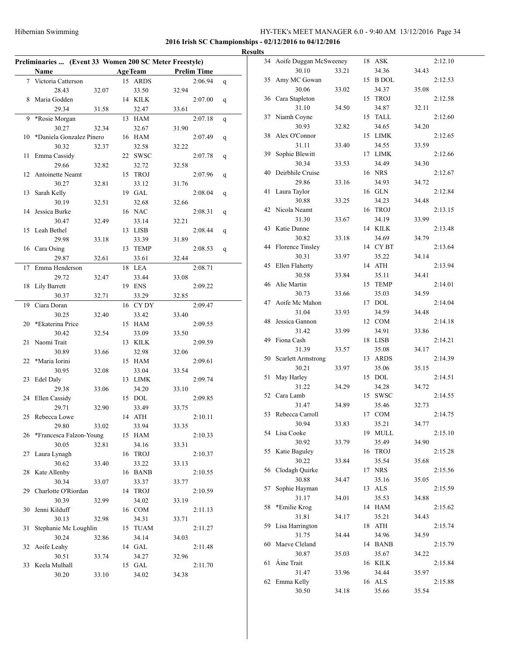**2016 Irish SC Championships - 02/12/2016 to 04/12/2016**

#### **Results**

| Preliminaries  (Event 33 Women 200 SC Meter Freestyle) |                            |       |  |                |                    |   |  |  |  |
|--------------------------------------------------------|----------------------------|-------|--|----------------|--------------------|---|--|--|--|
|                                                        | Name                       |       |  | <b>AgeTeam</b> | <b>Prelim Time</b> |   |  |  |  |
| $7^{\circ}$                                            | Victoria Catterson         |       |  | 15 ARDS        | 2:06.94            | q |  |  |  |
|                                                        | 28.43                      | 32.07 |  | 33.50          | 32.94              |   |  |  |  |
| 8                                                      | Maria Godden               |       |  | 14 KILK        | 2:07.00            | q |  |  |  |
|                                                        | 29.34                      | 31.58 |  | 32.47          | 33.61              |   |  |  |  |
| 9                                                      | *Rosie Morgan              |       |  | 13 HAM         | 2:07.18            | q |  |  |  |
|                                                        | 30.27                      | 32.34 |  | 32.67          | 31.90              |   |  |  |  |
| 10                                                     | *Daniela Gonzalez Pinero   |       |  | 16 HAM         | 2:07.49            | q |  |  |  |
|                                                        | 30.32                      | 32.37 |  | 32.58          | 32.22              |   |  |  |  |
| 11                                                     | Emma Cassidy               |       |  | 22 SWSC        | 2:07.78            | q |  |  |  |
|                                                        | 29.66                      | 32.82 |  | 32.72          | 32.58              |   |  |  |  |
| 12                                                     | Antoinette Neamt           |       |  | 15 TROJ        | 2:07.96            | q |  |  |  |
|                                                        | 30.27                      | 32.81 |  | 33.12          | 31.76              |   |  |  |  |
| 13                                                     | Sarah Kelly                |       |  | 19 GAL         | 2:08.04            | q |  |  |  |
|                                                        | 30.19                      | 32.51 |  | 32.68          | 32.66              |   |  |  |  |
| 14                                                     | Jessica Burke              |       |  | 16 NAC         | 2:08.31            |   |  |  |  |
|                                                        | 30.47                      | 32.49 |  | 33.14          | 32.21              | q |  |  |  |
| 15                                                     | Leah Bethel                |       |  | 13 LISB        | 2:08.44            |   |  |  |  |
|                                                        | 29.98                      | 33.18 |  | 33.39          | 31.89              | q |  |  |  |
|                                                        | 16 Cara Osing              |       |  | 13 TEMP        | 2:08.53            |   |  |  |  |
|                                                        | 29.87                      | 32.61 |  |                | 32.44              | q |  |  |  |
|                                                        |                            |       |  | 33.61          |                    |   |  |  |  |
| 17                                                     | Emma Henderson             |       |  | 18 LEA         | 2:08.71            |   |  |  |  |
|                                                        | 29.72                      | 32.47 |  | 33.44          | 33.08              |   |  |  |  |
| 18                                                     | Lily Barrett               |       |  | 19 ENS         | 2:09.22            |   |  |  |  |
|                                                        | 30.37                      | 32.71 |  | 33.29          | 32.85              |   |  |  |  |
| 19                                                     | Ciara Doran                |       |  | 16 CYDY        | 2:09.47            |   |  |  |  |
|                                                        | 30.25                      | 32.40 |  | 33.42          | 33.40              |   |  |  |  |
| 20                                                     | *Ekaterina Price           |       |  | 15 HAM         | 2:09.55            |   |  |  |  |
|                                                        | 30.42                      | 32.54 |  | 33.09          | 33.50              |   |  |  |  |
| 21                                                     | Naomi Trait                |       |  | 13 KILK        | 2:09.59            |   |  |  |  |
|                                                        | 30.89                      | 33.66 |  | 32.98          | 32.06              |   |  |  |  |
| 22                                                     | *Maria Iorini              |       |  | 15 HAM         | 2:09.61            |   |  |  |  |
|                                                        | 30.95                      | 32.08 |  | 33.04          | 33.54              |   |  |  |  |
| 23                                                     | Edel Daly                  |       |  | 13 LIMK        | 2:09.74            |   |  |  |  |
|                                                        | 29.38                      | 33.06 |  | 34.20          | 33.10              |   |  |  |  |
| 24                                                     | Ellen Cassidy              |       |  | 15 DOL         | 2:09.85            |   |  |  |  |
|                                                        | 29.71                      | 32.90 |  | 33.49          | 33.75              |   |  |  |  |
|                                                        | 25 Rebecca Lowe            |       |  | 14 ATH         | 2:10.11            |   |  |  |  |
|                                                        | 29.80                      | 33.02 |  | 33.94          | 33.35              |   |  |  |  |
|                                                        | 26 *Francesca Falzon-Young |       |  | 15 HAM         | 2:10.33            |   |  |  |  |
|                                                        | 30.05                      | 32.81 |  | 34.16          | 33.31              |   |  |  |  |
| 27                                                     | Laura Lynagh               |       |  | 16 TROJ        | 2:10.37            |   |  |  |  |
|                                                        | 30.62                      | 33.40 |  | 33.22          | 33.13              |   |  |  |  |
| 28                                                     | Kate Allenby               |       |  | 16 BANB        | 2:10.55            |   |  |  |  |
|                                                        | 30.34                      | 33.07 |  | 33.37          | 33.77              |   |  |  |  |
| 29                                                     | Charlotte O'Riordan        |       |  | 14 TROJ        | 2:10.59            |   |  |  |  |
|                                                        | 30.39                      | 32.99 |  | 34.02          | 33.19              |   |  |  |  |
| 30                                                     | Jenni Kilduff              |       |  | 16 COM         | 2:11.13            |   |  |  |  |
|                                                        | 30.13                      | 32.98 |  | 34.31          | 33.71              |   |  |  |  |
| 31                                                     | Stephanie Mc Loughlin      |       |  | 15 TUAM        | 2:11.27            |   |  |  |  |
|                                                        | 30.24                      | 32.86 |  | 34.14          | 34.03              |   |  |  |  |
| 32                                                     | Aoife Leahy                |       |  | 14 GAL         | 2:11.48            |   |  |  |  |
|                                                        | 30.51                      | 33.74 |  | 34.27          | 32.96              |   |  |  |  |
|                                                        | 33 Keela Mulhall           |       |  | 15 GAL         | 2:11.70            |   |  |  |  |
|                                                        | 30.20                      | 33.10 |  | 34.02          | 34.38              |   |  |  |  |
|                                                        |                            |       |  |                |                    |   |  |  |  |

| 34 | Aoife Duggan McSweeney    |       | 18 | ASK                    |       | 2:12.10 |
|----|---------------------------|-------|----|------------------------|-------|---------|
|    | 30.10                     | 33.21 |    | 34.36                  | 34.43 |         |
| 35 | Amy MC Gowan              |       | 15 | <b>B</b> DOL           |       | 2:12.53 |
|    | 30.06                     | 33.02 |    | 34.37                  | 35.08 |         |
| 36 | Cara Stapleton            |       | 15 | TROJ                   |       | 2:12.58 |
|    | 31.10                     | 34.50 |    | 34.87                  | 32.11 |         |
| 37 | Niamh Coyne               |       | 15 | TALL                   |       | 2:12.60 |
|    | 30.93                     | 32.82 |    | 34.65                  | 34.20 |         |
| 38 | Alex O'Connor             |       | 15 | LIMK                   |       |         |
|    |                           |       |    |                        |       | 2:12.65 |
|    | 31.11                     | 33.40 |    | 34.55                  | 33.59 |         |
| 39 | Sophie Blewitt            |       | 17 | LIMK                   |       | 2:12.66 |
|    | 30.34                     | 33.53 |    | 34.49                  | 34.30 |         |
| 40 | Deirbhile Cruise          |       |    | 16 NRS                 |       | 2:12.67 |
|    | 29.86                     | 33.16 |    | 34.93                  | 34.72 |         |
| 41 | Laura Taylor              |       |    | 16 GLN                 |       | 2:12.84 |
|    | 30.88                     | 33.25 |    | 34.23                  | 34.48 |         |
| 42 | Nicola Neamt              |       | 16 | <b>TROJ</b>            |       | 2:13.15 |
|    | 31.30                     | 33.67 |    | 34.19                  | 33.99 |         |
| 43 | Katie Dunne               |       | 14 | KILK                   |       | 2:13.48 |
|    | 30.82                     | 33.18 |    | 34.69                  | 34.79 |         |
| 44 | <b>Florence Tinsley</b>   |       |    | 14 CYBT                |       | 2:13.64 |
|    | 30.31                     | 33.97 |    | 35.22                  | 34.14 |         |
| 45 | Ellen Flaherty            |       | 14 | ATH                    |       | 2:13.94 |
|    | 30.58                     | 33.84 |    | 35.11                  | 34.41 |         |
| 46 | Alie Martin               |       | 15 | <b>TEMP</b>            |       | 2:14.01 |
|    | 30.73                     | 33.66 |    | 35.03                  | 34.59 |         |
| 47 | Aoife Mc Mahon            |       | 17 | <b>DOL</b>             |       |         |
|    |                           |       |    |                        |       | 2:14.04 |
|    | 31.04                     | 33.93 |    | 34.59                  | 34.48 |         |
| 48 | Jessica Gannon            |       |    | 12 COM                 |       | 2:14.18 |
|    | 31.42                     | 33.99 |    | 34.91                  | 33.86 |         |
| 49 | Fiona Cash                |       | 18 | LISB                   |       | 2:14.21 |
|    | 31.39                     | 33.57 |    | 35.08                  | 34.17 |         |
| 50 | <b>Scarlett Armstrong</b> |       | 13 | <b>ARDS</b>            |       | 2:14.39 |
|    | 30.21                     | 33.97 |    | 35.06                  | 35.15 |         |
| 51 | May Harley                |       | 15 | DOL                    |       | 2:14.51 |
|    | 31.22                     | 34.29 |    | 34.28                  | 34.72 |         |
| 52 | Cara Lamb                 |       | 15 | SWSC                   |       | 2:14.55 |
|    | 31.47                     | 34.89 |    | 35.46                  | 32.73 |         |
| 53 | Rebecca Carroll           |       | 17 | <b>COM</b>             |       | 2:14.75 |
|    | 30.94                     | 33.83 |    | 35.21                  | 34.77 |         |
|    | 54 Lisa Cooke             |       | 19 | $\operatorname{MULTL}$ |       | 2:15.10 |
|    | 30.92                     | 33.79 |    | 35.49                  | 34.90 |         |
| 55 | Katie Baguley             |       | 16 | <b>TROJ</b>            |       | 2:15.28 |
|    | 30.22                     | 33.84 |    | 35.54                  | 35.68 |         |
| 56 | Clodagh Quirke            |       |    | 17 NRS                 |       | 2:15.56 |
|    | 30.88                     | 34.47 |    | 35.16                  | 35.05 |         |
| 57 | Sophie Hayman             |       | 13 | ALS                    |       | 2:15.59 |
|    |                           |       |    |                        |       |         |
|    | 31.17                     | 34.01 |    | 35.53                  | 34.88 |         |
| 58 | *Emilie Krog              |       |    | 14 HAM                 |       | 2:15.62 |
|    | 31.81                     | 34.17 |    | 35.21                  | 34.43 |         |
| 59 | Lisa Harrington           |       | 18 | ATH                    |       | 2:15.74 |
|    | 31.75                     | 34.44 |    | 34.96                  | 34.59 |         |
| 60 | Maeve Cleland             |       |    | 14 BANB                |       | 2:15.79 |
|    | 30.87                     | 35.03 |    | 35.67                  | 34.22 |         |
| 61 | Áine Trait                |       |    | 16 KILK                |       | 2:15.84 |
|    | 31.47                     | 33.96 |    | 34.44                  | 35.97 |         |
| 62 | Emma Kelly                |       |    | 16 ALS                 |       | 2:15.88 |
|    | 30.50                     | 34.18 |    | 35.66                  | 35.54 |         |
|    |                           |       |    |                        |       |         |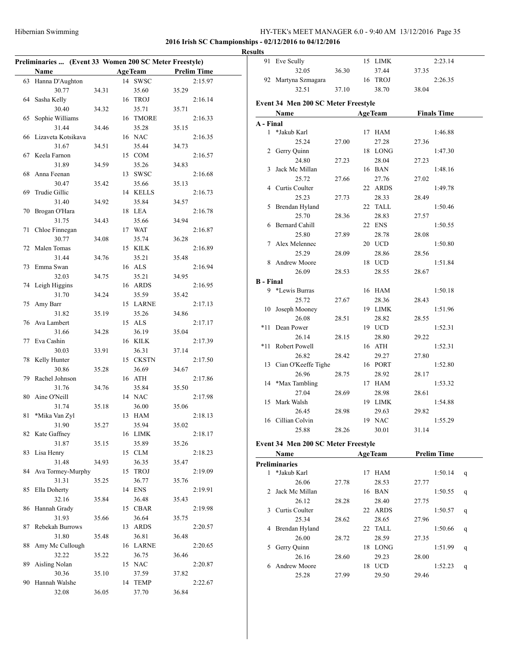91 Eve Scully 15 LIMK 2:23.14

### **2016 Irish SC Championships - 02/12/2016 to 04/12/2016**

#### **Results**

|    | Preliminaries  (Event 33 Women 200 SC Meter Freestyle) |       |    |                |       |                    |
|----|--------------------------------------------------------|-------|----|----------------|-------|--------------------|
|    | Name                                                   |       |    | <b>AgeTeam</b> |       | <b>Prelim Time</b> |
| 63 | Hanna D'Aughton                                        |       | 14 | <b>SWSC</b>    |       | 2:15.97            |
|    | 30.77                                                  | 34.31 |    | 35.60          | 35.29 |                    |
| 64 | Sasha Kelly                                            |       | 16 | <b>TROJ</b>    |       | 2:16.14            |
|    | 30.40                                                  | 34.32 |    | 35.71          | 35.71 |                    |
| 65 | Sophie Williams                                        |       | 16 | <b>TMORE</b>   |       | 2:16.33            |
|    | 31.44                                                  | 34.46 |    | 35.28          | 35.15 |                    |
| 66 | Lizaveta Kotsikava                                     |       |    | 16 NAC         |       | 2:16.35            |
|    | 31.67                                                  | 34.51 |    | 35.44          | 34.73 |                    |
|    |                                                        |       |    | 15 COM         |       |                    |
| 67 | Keela Farnon                                           |       |    |                |       | 2:16.57            |
|    | 31.89                                                  | 34.59 |    | 35.26          | 34.83 |                    |
| 68 | Anna Feenan                                            |       | 13 | <b>SWSC</b>    |       | 2:16.68            |
|    | 30.47                                                  | 35.42 |    | 35.66          | 35.13 |                    |
| 69 | Trudie Gillic                                          |       |    | 14 KELLS       |       | 2:16.73            |
|    | 31.40                                                  | 34.92 |    | 35.84          | 34.57 |                    |
| 70 | Brogan O'Hara                                          |       |    | 18 LEA         |       | 2:16.78            |
|    | 31.75                                                  | 34.43 |    | 35.66          | 34.94 |                    |
| 71 | Chloe Finnegan                                         |       |    | 17 WAT         |       | 2:16.87            |
|    | 30.77                                                  | 34.08 |    | 35.74          | 36.28 |                    |
| 72 | Malen Tomas                                            |       | 15 | <b>KILK</b>    |       | 2:16.89            |
|    | 31.44                                                  | 34.76 |    | 35.21          | 35.48 |                    |
| 73 | Emma Swan                                              |       |    | 16 ALS         |       | 2:16.94            |
|    | 32.03                                                  | 34.75 |    | 35.21          | 34.95 |                    |
| 74 | Leigh Higgins                                          |       | 16 | <b>ARDS</b>    |       | 2:16.95            |
|    | 31.70                                                  | 34.24 |    | 35.59          | 35.42 |                    |
| 75 | Amy Barr                                               |       |    | 15 LARNE       |       | 2:17.13            |
|    | 31.82                                                  | 35.19 |    | 35.26          | 34.86 |                    |
| 76 | Ava Lambert                                            |       | 15 | <b>ALS</b>     |       | 2:17.17            |
|    | 31.66                                                  | 34.28 |    | 36.19          | 35.04 |                    |
| 77 | Eva Cashin                                             |       |    | 16 KILK        |       | 2:17.39            |
|    | 30.03                                                  | 33.91 |    | 36.31          | 37.14 |                    |
| 78 | Kelly Hunter                                           |       | 15 | <b>CKSTN</b>   |       | 2:17.50            |
|    | 30.86                                                  | 35.28 |    | 36.69          | 34.67 |                    |
| 79 | Rachel Johnson                                         |       |    | 16 ATH         |       | 2:17.86            |
|    | 31.76                                                  | 34.76 |    | 35.84          | 35.50 |                    |
| 80 | Aine O'Neill                                           |       |    | 14 NAC         |       | 2:17.98            |
|    | 31.74                                                  | 35.18 |    | 36.00          | 35.06 |                    |
| 81 | *Mika Van Zyl                                          |       |    | 13 HAM         |       | 2:18.13            |
|    | 31.90                                                  | 35.27 |    | 35.94          | 35.02 |                    |
| 82 | Kate Gaffney                                           |       |    | 16 LIMK        |       | 2:18.17            |
|    | 31.87                                                  | 35.15 |    | 35.89          | 35.26 |                    |
| 83 | Lisa Henry                                             |       |    | 15 CLM         |       | 2:18.23            |
|    | 31.48                                                  | 34.93 |    | 36.35          | 35.47 |                    |
| 84 | Ava Tormey-Murphy                                      |       |    | 15 TROJ        |       | 2:19.09            |
|    | 31.31                                                  | 35.25 |    | 36.77          | 35.76 |                    |
| 85 | Ella Doherty                                           |       | 14 | <b>ENS</b>     |       | 2:19.91            |
|    | 32.16                                                  | 35.84 |    | 36.48          | 35.43 |                    |
| 86 | Hannah Grady                                           |       | 15 | CBAR           |       | 2:19.98            |
|    | 31.93                                                  | 35.66 |    | 36.64          | 35.75 |                    |
| 87 | Rebekah Burrows                                        |       | 13 | <b>ARDS</b>    |       | 2:20.57            |
|    | 31.80                                                  | 35.48 |    | 36.81          | 36.48 |                    |
| 88 | Amy Mc Cullough                                        |       | 16 | LARNE          |       | 2:20.65            |
|    | 32.22                                                  | 35.22 |    | 36.75          | 36.46 |                    |
| 89 | Aisling Nolan                                          |       |    | 15 NAC         |       | 2:20.87            |
|    | 30.36                                                  | 35.10 |    | 37.59          | 37.82 |                    |
| 90 | Hannah Walshe                                          |       |    | 14 TEMP        |       | 2:22.67            |
|    | 32.08                                                  | 36.05 |    | 37.70          | 36.84 |                    |

|                  | 32.05                                       | 36.30 |    | 37.44           | 37.35 |                    |   |
|------------------|---------------------------------------------|-------|----|-----------------|-------|--------------------|---|
|                  | 92 Martyna Szmagara                         |       |    | 16 TROJ         |       | 2:26.35            |   |
|                  | 32.51                                       | 37.10 |    | 38.70           | 38.04 |                    |   |
|                  | Event 34 Men 200 SC Meter Freestyle         |       |    |                 |       |                    |   |
|                  | Name                                        |       |    | <b>AgeTeam</b>  |       | <b>Finals Time</b> |   |
| A - Final        |                                             |       |    |                 |       |                    |   |
|                  | 1 *Jakub Karl                               |       |    | 17 HAM          |       | 1:46.88            |   |
|                  | 25.24                                       | 27.00 |    | 27.28           | 27.36 |                    |   |
| $\overline{2}$   | Gerry Quinn                                 |       |    | 18 LONG         |       | 1:47.30            |   |
|                  | 24.80                                       | 27.23 |    | 28.04           | 27.23 |                    |   |
| 3                | Jack Mc Millan                              |       |    | 16 BAN          |       | 1:48.16            |   |
|                  | 25.72                                       | 27.66 |    | 27.76           | 27.02 |                    |   |
|                  | 4 Curtis Coulter                            |       |    | 22 ARDS         |       | 1:49.78            |   |
|                  | 25.23                                       | 27.73 |    | 28.33           | 28.49 |                    |   |
|                  | 5 Brendan Hyland                            |       |    | 22 TALL         |       | 1:50.46            |   |
|                  | 25.70                                       | 28.36 |    | 28.83           | 27.57 |                    |   |
|                  | 6 Bernard Cahill                            |       |    | 22 ENS          |       | 1:50.55            |   |
|                  | 25.80                                       | 27.89 |    | 28.78           | 28.08 |                    |   |
| 7                | Alex Melennec                               |       |    | 20 UCD          |       | 1:50.80            |   |
|                  | 25.29                                       | 28.09 |    | 28.86           | 28.56 |                    |   |
|                  | 8 Andrew Moore                              |       |    | 18 UCD          |       | 1:51.84            |   |
|                  | 26.09                                       | 28.53 |    | 28.55           | 28.67 |                    |   |
| <b>B</b> - Final |                                             |       |    |                 |       |                    |   |
| 9.               | *Lewis Burras                               |       |    | 16 HAM          |       | 1:50.18            |   |
|                  | 25.72                                       | 27.67 |    | 28.36           | 28.43 |                    |   |
|                  | 10 Joseph Mooney                            |       |    | 19 LIMK         |       | 1:51.96            |   |
|                  | 26.08                                       | 28.51 |    | 28.82           | 28.55 |                    |   |
| *11              | Dean Power                                  |       |    | 19 UCD          |       | 1:52.31            |   |
|                  | 26.14                                       | 28.15 |    | 28.80           | 29.22 |                    |   |
| *11              | Robert Powell                               |       |    | 16 ATH          |       | 1:52.31            |   |
|                  | 26.82                                       | 28.42 |    | 29.27           | 27.80 |                    |   |
|                  | 13 Cian O'Keeffe Tighe                      |       |    | 16 PORT         |       | 1:52.80            |   |
|                  | 26.96                                       | 28.75 |    | 28.92           | 28.17 |                    |   |
| 14               | *Max Tambling                               |       |    | 17 HAM          |       | 1:53.32            |   |
|                  | 27.04                                       | 28.69 |    | 28.98           | 28.61 |                    |   |
| 15               | Mark Walsh                                  |       |    | 19 LIMK         |       | 1:54.88            |   |
|                  | 26.45                                       | 28.98 |    | 29.63           | 29.82 |                    |   |
| 16               | Cillian Colvin                              |       |    | 19 NAC          |       | 1:55.29            |   |
|                  | 25.88                                       | 28.26 |    | 30.01           | 31.14 |                    |   |
|                  |                                             |       |    |                 |       |                    |   |
|                  | Event 34 Men 200 SC Meter Freestyle<br>Name |       |    | <b>AgeTeam</b>  |       | <b>Prelim Time</b> |   |
|                  |                                             |       |    |                 |       |                    |   |
| 1                | <b>Preliminaries</b><br>*Jakub Karl         |       |    |                 |       |                    |   |
|                  | 26.06                                       | 27.78 |    | 17 HAM<br>28.53 | 27.77 | 1:50.14            | q |
| 2                | Jack Mc Millan                              |       |    | 16 BAN          |       | 1:50.55            |   |
|                  | 26.12                                       | 28.28 |    | 28.40           | 27.75 |                    | q |
| 3                | Curtis Coulter                              |       |    | 22 ARDS         |       | 1:50.57            |   |
|                  | 25.34                                       | 28.62 |    | 28.65           | 27.96 |                    | q |
| 4                | Brendan Hyland                              |       | 22 | <b>TALL</b>     |       | 1:50.66            |   |
|                  | 26.00                                       | 28.72 |    | 28.59           | 27.35 |                    | q |
| 5                | Gerry Quinn                                 |       |    | 18 LONG         |       | 1:51.99            |   |
|                  | 26.16                                       | 28.60 |    | 29.23           | 28.00 |                    | q |
|                  | 6 Andrew Moore                              |       |    | 18 UCD          |       | 1:52.23            |   |
|                  | 25.28                                       | 27.99 |    | 29.50           | 29.46 |                    | q |
|                  |                                             |       |    |                 |       |                    |   |
|                  |                                             |       |    |                 |       |                    |   |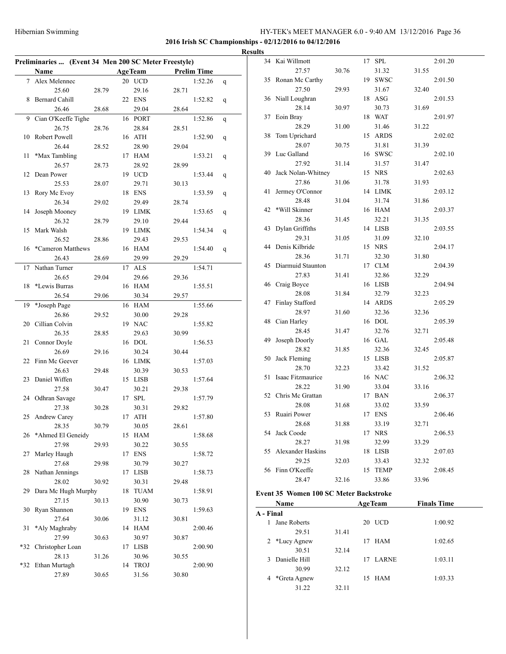**2016 Irish SC Championships - 02/12/2016 to 04/12/2016**

|       | Preliminaries  (Event 34 Men 200 SC Meter Freestyle) |       |    |                |       |                    |   |
|-------|------------------------------------------------------|-------|----|----------------|-------|--------------------|---|
|       | Name                                                 |       |    | <b>AgeTeam</b> |       | <b>Prelim Time</b> |   |
| 7     | Alex Melennec                                        |       |    | 20 UCD         |       | 1:52.26            | q |
|       | 25.60                                                | 28.79 |    | 29.16          | 28.71 |                    |   |
| 8     | <b>Bernard Cahill</b>                                |       |    | 22 ENS         |       | 1:52.82            | q |
|       | 26.46                                                | 28.68 |    | 29.04          | 28.64 |                    |   |
| 9     | Cian O'Keeffe Tighe                                  |       |    | 16 PORT        |       | 1:52.86            | q |
|       | 26.75                                                | 28.76 |    | 28.84          | 28.51 |                    |   |
| 10    | Robert Powell                                        |       |    | 16 ATH         |       | 1:52.90            | q |
|       | 26.44                                                | 28.52 |    | 28.90          | 29.04 |                    |   |
| 11    | *Max Tambling                                        |       |    | 17 HAM         |       | 1:53.21            | q |
|       | 26.57                                                | 28.73 |    | 28.92          | 28.99 |                    |   |
| 12    | Dean Power                                           |       |    | 19 UCD         |       | 1:53.44            | q |
|       | 25.53                                                | 28.07 |    | 29.71          | 30.13 |                    |   |
| 13    | Rory Mc Evoy                                         |       |    | 18 ENS         |       | 1:53.59            | q |
|       | 26.34                                                | 29.02 |    | 29.49          | 28.74 |                    |   |
| 14    | Joseph Mooney                                        |       |    | 19 LIMK        |       | 1:53.65            | q |
|       | 26.32                                                | 28.79 |    | 29.10          | 29.44 |                    |   |
| 15    | Mark Walsh                                           |       |    | 19 LIMK        |       | 1:54.34            | q |
|       | 26.52                                                | 28.86 |    | 29.43          | 29.53 |                    |   |
| 16    | *Cameron Matthews                                    |       |    | 16 HAM         |       | 1:54.40            | q |
|       | 26.43                                                | 28.69 |    | 29.99          | 29.29 |                    |   |
| 17    | Nathan Turner                                        |       |    | 17 ALS         |       | 1:54.71            |   |
|       | 26.65                                                | 29.04 |    | 29.66          | 29.36 |                    |   |
| 18    | *Lewis Burras                                        |       |    | 16 HAM         |       | 1:55.51            |   |
|       | 26.54                                                | 29.06 |    | 30.34          | 29.57 |                    |   |
| 19    | *Joseph Page                                         |       |    | 16 HAM         |       | 1:55.66            |   |
|       | 26.86                                                | 29.52 |    | 30.00          | 29.28 |                    |   |
| 20    | Cillian Colvin                                       |       |    | 19 NAC         |       | 1:55.82            |   |
|       | 26.35                                                | 28.85 |    | 29.63          | 30.99 |                    |   |
| 21    | Connor Doyle                                         |       |    | 16 DOL         |       | 1:56.53            |   |
|       | 26.69                                                | 29.16 |    | 30.24          | 30.44 |                    |   |
| 22    | Finn Mc Geever                                       |       |    | 16 LIMK        |       | 1:57.03            |   |
|       | 26.63                                                | 29.48 |    | 30.39          | 30.53 |                    |   |
| 23    | Daniel Wiffen                                        |       |    | 15 LISB        |       | 1:57.64            |   |
|       | 27.58                                                | 30.47 |    | 30.21          | 29.38 |                    |   |
|       | 24 Odhran Savage                                     |       |    | 17 SPL         |       | 1:57.79            |   |
|       | 27.38                                                | 30.28 |    | 30.31          | 29.82 |                    |   |
|       | 25 Andrew Carey                                      |       |    | 17 ATH         |       | 1:57.80            |   |
|       | 28.35                                                | 30.79 |    | 30.05          | 28.61 |                    |   |
| 26    | *Ahmed El Geneidy                                    |       | 15 | <b>HAM</b>     |       | 1:58.68            |   |
|       | 27.98                                                | 29.93 |    | 30.22          | 30.55 |                    |   |
| 27    | Marley Haugh                                         |       |    | 17 ENS         |       | 1:58.72            |   |
|       | 27.68                                                | 29.98 |    | 30.79          | 30.27 |                    |   |
| 28    | Nathan Jennings                                      |       | 17 | LISB           |       | 1:58.73            |   |
|       | 28.02                                                | 30.92 |    | 30.31          | 29.48 |                    |   |
| 29    | Dara Mc Hugh Murphy                                  |       | 18 | <b>TUAM</b>    |       | 1:58.91            |   |
|       | 27.15                                                | 30.13 |    | 30.90          | 30.73 |                    |   |
| 30    | Ryan Shannon                                         |       |    | 19 ENS         |       | 1:59.63            |   |
|       | 27.64                                                | 30.06 |    | 31.12          | 30.81 |                    |   |
| 31    | *Aly Maghraby                                        |       |    | 14 HAM         |       | 2:00.46            |   |
|       | 27.99                                                | 30.63 |    | 30.97          | 30.87 |                    |   |
| $*32$ | Christopher Loan                                     |       |    | 17 LISB        |       | 2:00.90            |   |
|       | 28.13                                                | 31.26 |    | 30.96          | 30.55 |                    |   |
| *32   | Ethan Murtagh                                        |       |    | 14 TROJ        |       | 2:00.90            |   |
|       | 27.89                                                | 30.65 |    | 31.56          | 30.80 |                    |   |
|       |                                                      |       |    |                |       |                    |   |

| <b>Results</b> |                       |       |         |       |         |
|----------------|-----------------------|-------|---------|-------|---------|
|                | 34 Kai Willmott       |       | 17 SPL  |       | 2:01.20 |
|                | 27.57                 | 30.76 | 31.32   | 31.55 |         |
|                | 35 Ronan Mc Carthy    |       | 19 SWSC |       | 2:01.50 |
|                | 27.50                 | 29.93 | 31.67   | 32.40 |         |
|                | 36 Niall Loughran     |       | 18 ASG  |       | 2:01.53 |
|                | 28.14                 | 30.97 | 30.73   | 31.69 |         |
|                | 37 Eoin Bray          |       | 18 WAT  |       | 2:01.97 |
|                | 28.29                 | 31.00 | 31.46   | 31.22 |         |
| 38             | Tom Uprichard         |       | 15 ARDS |       | 2:02.02 |
|                | 28.07                 | 30.75 | 31.81   | 31.39 |         |
|                | 39 Luc Galland        |       | 16 SWSC |       | 2:02.10 |
|                | 27.92                 | 31.14 | 31.57   | 31.47 |         |
|                | 40 Jack Nolan-Whitney |       | 15 NRS  |       | 2:02.63 |
|                | 27.86                 | 31.06 | 31.78   | 31.93 |         |
| 41             | Jermey O'Connor       |       | 14 LIMK |       | 2:03.12 |
|                | 28.48                 | 31.04 | 31.74   | 31.86 |         |
|                | 42 *Will Skinner      |       | 16 HAM  |       | 2:03.37 |
|                | 28.36                 | 31.45 | 32.21   | 31.35 |         |
|                | 43 Dylan Griffiths    |       | 14 LISB |       | 2:03.55 |
|                | 29.31                 | 31.05 | 31.09   | 32.10 |         |
|                | 44 Denis Kilbride     |       | 15 NRS  |       | 2:04.17 |
|                | 28.36                 | 31.71 | 32.30   | 31.80 |         |
|                | 45 Diarmuid Staunton  |       | 17 CLM  |       | 2:04.39 |
|                | 27.83                 | 31.41 | 32.86   | 32.29 |         |
| 46             | Craig Boyce           |       | 16 LISB |       | 2:04.94 |
|                | 28.08                 | 31.84 | 32.79   | 32.23 |         |
| 47             | Finlay Stafford       |       | 14 ARDS |       | 2:05.29 |
|                | 28.97                 | 31.60 | 32.36   | 32.36 |         |
|                | 48 Cian Harley        |       | 16 DOL  |       | 2:05.39 |
|                | 28.45                 | 31.47 | 32.76   | 32.71 |         |
| 49             | Joseph Doorly         |       | 16 GAL  |       | 2:05.48 |
|                | 28.82                 | 31.85 | 32.36   | 32.45 |         |
|                | 50 Jack Fleming       |       | 15 LISB |       | 2:05.87 |
|                | 28.70                 | 32.23 | 33.42   | 31.52 |         |
| 51             | Isaac Fitzmaurice     |       | 16 NAC  |       | 2:06.32 |
|                | 28.22                 | 31.90 | 33.04   | 33.16 |         |
|                | 52 Chris Mc Grattan   |       | 17 BAN  |       | 2:06.37 |
|                | 28.08                 | 31.68 | 33.02   | 33.59 |         |
|                | 53 Ruairi Power       |       | 17 ENS  |       | 2:06.46 |
|                | 28.68                 | 31.88 | 33.19   | 32.71 |         |
|                | 54 Jack Coode         |       | 17 NRS  |       | 2:06.53 |
|                | 28.27                 | 31.98 | 32.99   | 33.29 |         |
| 55             | Alexander Haskins     |       | 18 LISB |       | 2:07.03 |
|                | 29.25                 | 32.03 | 33.43   | 32.32 |         |
| 56             | Finn O'Keeffe         |       | 15 TEMP |       | 2:08.45 |
|                | 28.47                 | 32.16 | 33.86   | 33.96 |         |
|                |                       |       |         |       |         |

#### **Event 35 Women 100 SC Meter Backstroke**

| Name      |               |       |    | <b>AgeTeam</b> | <b>Finals Time</b> |  |
|-----------|---------------|-------|----|----------------|--------------------|--|
| A - Final |               |       |    |                |                    |  |
|           | Jane Roberts  |       |    | 20 UCD         | 1:00.92            |  |
|           | 29.51         | 31.41 |    |                |                    |  |
|           | 2 *Lucy Agnew |       | 17 | <b>HAM</b>     | 1:02.65            |  |
|           | 30.51         | 32.14 |    |                |                    |  |
| 3         | Danielle Hill |       | 17 | <b>LARNE</b>   | 1:03.11            |  |
|           | 30.99         | 32.12 |    |                |                    |  |
| 4         | *Greta Agnew  |       |    | 15 HAM         | 1:03.33            |  |
|           | 31.22         | 32.11 |    |                |                    |  |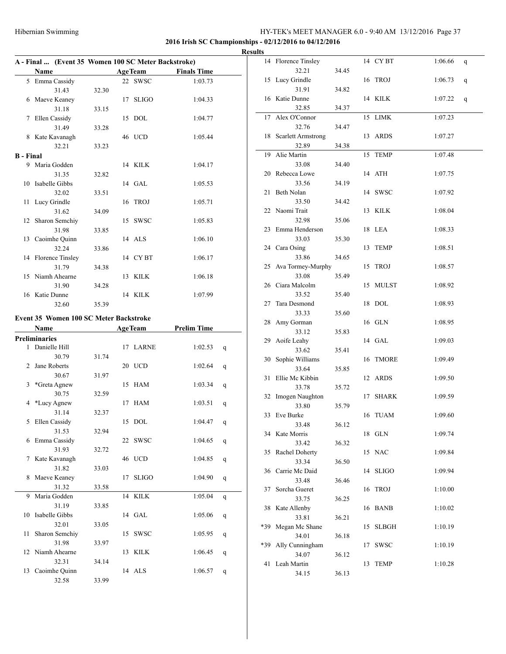#### **2016 Irish SC Championships - 02/12/2016 to 04/12/2016**

|                  |                     |       | A - Final  (Event 35 Women 100 SC Meter Backstroke) |                |                    |  |  |  |  |
|------------------|---------------------|-------|-----------------------------------------------------|----------------|--------------------|--|--|--|--|
|                  | Name                |       |                                                     | <b>AgeTeam</b> | <b>Finals Time</b> |  |  |  |  |
|                  | 5 Emma Cassidy      |       |                                                     | 22 SWSC        | 1:03.73            |  |  |  |  |
|                  | 31.43               | 32.30 |                                                     |                |                    |  |  |  |  |
|                  | 6 Maeve Keaney      |       | 17                                                  | <b>SLIGO</b>   | 1:04.33            |  |  |  |  |
|                  | 31.18               | 33.15 |                                                     |                |                    |  |  |  |  |
| 7                | Ellen Cassidy       |       |                                                     | 15 DOL         | 1:04.77            |  |  |  |  |
|                  | 31.49               | 33.28 |                                                     |                |                    |  |  |  |  |
|                  | 8 Kate Kavanagh     |       |                                                     | 46 UCD         | 1:05.44            |  |  |  |  |
|                  | 32.21               | 33.23 |                                                     |                |                    |  |  |  |  |
| <b>B</b> - Final |                     |       |                                                     |                |                    |  |  |  |  |
| 9                | Maria Godden        |       |                                                     | 14 KILK        | 1:04.17            |  |  |  |  |
|                  | 31.35               | 32.82 |                                                     |                |                    |  |  |  |  |
|                  | 10 Isabelle Gibbs   |       |                                                     | 14 GAL         | 1:05.53            |  |  |  |  |
|                  | 32.02               | 33.51 |                                                     |                |                    |  |  |  |  |
|                  | 11 Lucy Grindle     |       |                                                     | 16 TROJ        | 1:05.71            |  |  |  |  |
|                  | 31.62               | 34.09 |                                                     |                |                    |  |  |  |  |
|                  | 12 Sharon Semchiy   |       |                                                     | 15 SWSC        | 1:05.83            |  |  |  |  |
|                  | 31.98               | 33.85 |                                                     |                |                    |  |  |  |  |
|                  | 13 Caoimhe Quinn    |       |                                                     | 14 ALS         | 1:06.10            |  |  |  |  |
|                  | 32.24               | 33.86 |                                                     |                |                    |  |  |  |  |
|                  | 14 Florence Tinsley |       |                                                     | 14 CYBT        | 1:06.17            |  |  |  |  |
|                  | 31.79               | 34.38 |                                                     |                |                    |  |  |  |  |
| 15               | Niamh Ahearne       |       |                                                     | 13 KILK        | 1:06.18            |  |  |  |  |
|                  | 31.90               | 34.28 |                                                     |                |                    |  |  |  |  |
| 16               | Katie Dunne         |       |                                                     | 14 KILK        | 1:07.99            |  |  |  |  |
|                  | 32.60               | 35.39 |                                                     |                |                    |  |  |  |  |

#### **Event 35 Women 100 SC Meter Backstroke**

|                | Name             |       | <b>AgeTeam</b> | <b>Prelim Time</b> |   |
|----------------|------------------|-------|----------------|--------------------|---|
|                | Preliminaries    |       |                |                    |   |
|                | 1 Danielle Hill  |       | 17 LARNE       | 1:02.53            | q |
|                | 30.79            | 31.74 |                |                    |   |
| $\mathfrak{D}$ | Jane Roberts     |       | 20 UCD         | 1:02.64            | q |
|                | 30.67            | 31.97 |                |                    |   |
| 3              | *Greta Agnew     |       | 15 HAM         | 1:03.34            | q |
|                | 30.75            | 32.59 |                |                    |   |
| 4              | *Lucy Agnew      |       | 17 HAM         | 1:03.51            | q |
|                | 31.14            | 32.37 |                |                    |   |
| 5              | Ellen Cassidy    |       | 15 DOL         | 1:04.47            | q |
|                | 31.53            | 32.94 |                |                    |   |
| 6              | Emma Cassidy     |       | 22 SWSC        | 1:04.65            | q |
|                | 31.93            | 32.72 |                |                    |   |
| 7              | Kate Kavanagh    |       | 46 UCD         | 1:04.85            | q |
|                | 31.82            | 33.03 |                |                    |   |
| 8              | Maeve Keaney     |       | 17 SLIGO       | 1:04.90            | q |
|                | 31.32            | 33.58 |                |                    |   |
| 9              | Maria Godden     |       | 14 KILK        | 1:05.04            | q |
|                | 31.19            | 33.85 |                |                    |   |
| 10             | Isabelle Gibbs   |       | 14 GAL         | 1:05.06            | q |
|                | 32.01            | 33.05 |                |                    |   |
| 11             | Sharon Semchiy   |       | 15 SWSC        | 1:05.95            | q |
|                | 31.98            | 33.97 |                |                    |   |
|                | 12 Niamh Ahearne |       | 13 KILK        | 1:06.45            | q |
|                | 32.31            | 34.14 |                |                    |   |
|                | 13 Caoimhe Quinn |       | $14$ ALS       | 1:06.57            | q |
|                | 32.58            | 33.99 |                |                    |   |

| <b>Results</b> |                          |       |    |             |         |              |
|----------------|--------------------------|-------|----|-------------|---------|--------------|
|                | 14 Florence Tinsley      |       |    | 14 CYBT     | 1:06.66 | q            |
|                | 32.21                    | 34.45 |    |             |         |              |
|                | 15 Lucy Grindle          |       |    | 16 TROJ     | 1:06.73 | $\mathbf{q}$ |
|                | 31.91                    | 34.82 |    |             |         |              |
|                | 16 Katie Dunne           |       |    | 14 KILK     | 1:07.22 | q            |
|                | 32.85                    | 34.37 |    |             |         |              |
|                | 17 Alex O'Connor         |       |    | 15 LIMK     | 1:07.23 |              |
|                | 32.76                    | 34.47 |    |             |         |              |
|                | 18 Scarlett Armstrong    |       |    | 13 ARDS     | 1:07.27 |              |
|                | 32.89                    | 34.38 |    |             |         |              |
|                | 19 Alie Martin           |       |    | 15 TEMP     | 1:07.48 |              |
|                | 33.08                    | 34.40 |    |             |         |              |
|                | 20 Rebecca Lowe          |       |    | 14 ATH      | 1:07.75 |              |
|                | 33.56                    | 34.19 |    |             |         |              |
|                | 21 Beth Nolan            |       |    | 14 SWSC     | 1:07.92 |              |
|                | 33.50                    | 34.42 |    |             |         |              |
|                | 22 Naomi Trait           |       |    | 13 KILK     | 1:08.04 |              |
|                | 32.98                    | 35.06 |    |             |         |              |
|                | 23 Emma Henderson        |       |    | 18 LEA      | 1:08.33 |              |
|                | 33.03                    | 35.30 |    |             |         |              |
|                | 24 Cara Osing            |       |    | 13 TEMP     | 1:08.51 |              |
|                | 33.86                    | 34.65 |    |             |         |              |
|                | 25 Ava Tormey-Murphy     |       |    | 15 TROJ     | 1:08.57 |              |
|                | 33.08                    | 35.49 |    |             |         |              |
|                | 26 Ciara Malcolm         |       |    | 15 MULST    | 1:08.92 |              |
|                | 33.52                    | 35.40 |    |             |         |              |
|                | 27 Tara Desmond<br>33.33 | 35.60 |    | 18 DOL      | 1:08.93 |              |
|                | 28 Amy Gorman            |       |    | 16 GLN      | 1:08.95 |              |
|                | 33.12                    | 35.83 |    |             |         |              |
|                | 29 Aoife Leahy           |       |    | 14 GAL      | 1:09.03 |              |
|                | 33.62                    | 35.41 |    |             |         |              |
|                | 30 Sophie Williams       |       |    | 16 TMORE    | 1:09.49 |              |
|                | 33.64                    | 35.85 |    |             |         |              |
|                | 31 Ellie Mc Kibbin       |       |    | 12 ARDS     | 1:09.50 |              |
|                | 33.78                    | 35.72 |    |             |         |              |
|                | 32 Imogen Naughton       |       |    | 17 SHARK    | 1:09.59 |              |
|                | 33.80                    | 35.79 |    |             |         |              |
|                | 33 Eve Burke             |       |    | 16 TUAM     | 1:09.60 |              |
|                | 33.48                    | 36.12 |    |             |         |              |
|                | 34 Kate Morris           |       |    | 18 GLN      | 1:09.74 |              |
|                | 33.42                    | 36.32 |    |             |         |              |
|                | 35 Rachel Doherty        |       |    | 15 NAC      | 1:09.84 |              |
|                | 33.34                    | 36.50 |    |             |         |              |
|                | 36 Carrie Mc Daid        |       |    | 14 SLIGO    | 1:09.94 |              |
|                | 33.48                    | 36.46 |    |             |         |              |
| 37             | Sorcha Gueret            |       |    | 16 TROJ     | 1:10.00 |              |
|                | 33.75                    | 36.25 |    | 16 BANB     |         |              |
|                | 38 Kate Allenby<br>33.81 | 36.21 |    |             | 1:10.02 |              |
|                | *39 Megan Mc Shane       |       |    | 15 SLBGH    | 1:10.19 |              |
|                | 34.01                    | 36.18 |    |             |         |              |
| *39            | Ally Cunningham          |       | 17 | <b>SWSC</b> | 1:10.19 |              |
|                | 34.07                    | 36.12 |    |             |         |              |
| 41             | Leah Martin              |       | 13 | TEMP        | 1:10.28 |              |
|                | 34.15                    | 36.13 |    |             |         |              |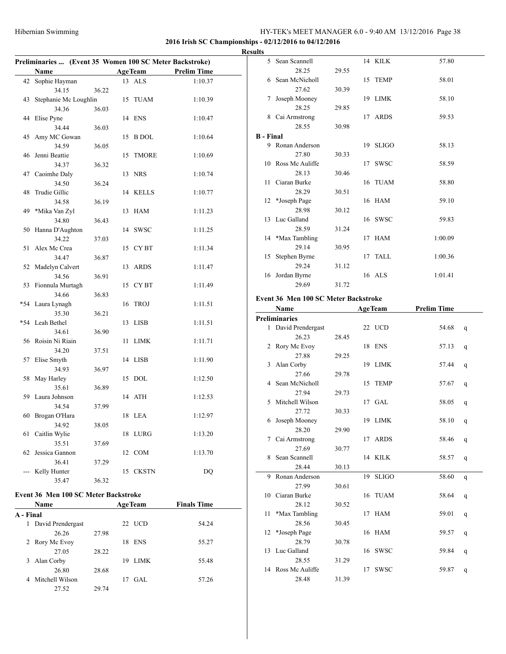$\overline{a}$ 

#### HY-TEK's MEET MANAGER 6.0 - 9:40 AM 13/12/2016 Page 38

#### **2016 Irish SC Championships - 02/12/2016 to 04/12/2016 Results**

L,

| Preliminaries  (Event 35 Women 100 SC Meter Backstroke) |                       |       |    |                  |                    |  |  |  |
|---------------------------------------------------------|-----------------------|-------|----|------------------|--------------------|--|--|--|
|                                                         | Name                  |       |    | <b>AgeTeam</b>   | <b>Prelim Time</b> |  |  |  |
| 42                                                      | Sophie Hayman         |       | 13 | <b>ALS</b>       | 1:10.37            |  |  |  |
|                                                         | 34.15                 | 36.22 |    |                  |                    |  |  |  |
| 43                                                      | Stephanie Mc Loughlin |       | 15 | <b>TUAM</b>      | 1:10.39            |  |  |  |
|                                                         | 34.36                 | 36.03 |    |                  |                    |  |  |  |
| 44                                                      | Elise Pyne            |       | 14 | <b>ENS</b>       | 1:10.47            |  |  |  |
|                                                         | 34.44                 | 36.03 |    |                  |                    |  |  |  |
| 45                                                      | Amy MC Gowan          |       | 15 | <b>B</b> DOL     | 1:10.64            |  |  |  |
|                                                         | 34.59                 | 36.05 |    |                  |                    |  |  |  |
| 46                                                      | Jenni Beattie         |       | 15 | <b>TMORE</b>     | 1:10.69            |  |  |  |
|                                                         | 34.37                 | 36.32 |    |                  |                    |  |  |  |
| 47                                                      | Caoimhe Daly          |       | 13 | <b>NRS</b>       | 1:10.74            |  |  |  |
|                                                         | 34.50                 | 36.24 |    |                  |                    |  |  |  |
| 48                                                      | Trudie Gillic         |       | 14 | <b>KELLS</b>     | 1:10.77            |  |  |  |
|                                                         | 34.58                 | 36.19 |    |                  |                    |  |  |  |
| 49                                                      | *Mika Van Zyl         |       | 13 | <b>HAM</b>       | 1:11.23            |  |  |  |
|                                                         | 34.80                 | 36.43 |    |                  |                    |  |  |  |
| 50                                                      | Hanna D'Aughton       |       | 14 | <b>SWSC</b>      | 1:11.25            |  |  |  |
|                                                         | 34.22                 | 37.03 |    |                  |                    |  |  |  |
| 51                                                      | Alex Mc Crea          |       | 15 | CY <sub>BT</sub> | 1:11.34            |  |  |  |
|                                                         | 34.47                 | 36.87 |    |                  |                    |  |  |  |
| 52                                                      | Madelyn Calvert       |       | 13 | <b>ARDS</b>      | 1:11.47            |  |  |  |
|                                                         | 34.56                 | 36.91 |    |                  |                    |  |  |  |
| 53                                                      | Fionnula Murtagh      |       | 15 | CY <sub>BT</sub> | 1:11.49            |  |  |  |
|                                                         | 34.66                 | 36.83 |    |                  |                    |  |  |  |
| $*54$                                                   | Laura Lynagh          |       | 16 | <b>TROJ</b>      | 1:11.51            |  |  |  |
|                                                         | 35.30                 | 36.21 |    |                  |                    |  |  |  |
| $*54$                                                   | Leah Bethel           |       | 13 | <b>LISB</b>      | 1:11.51            |  |  |  |
|                                                         | 34.61                 | 36.90 |    |                  |                    |  |  |  |
| 56                                                      | Roisin Ni Riain       |       | 11 | <b>LIMK</b>      | 1:11.71            |  |  |  |
|                                                         | 34.20                 | 37.51 |    |                  |                    |  |  |  |
| 57                                                      | Elise Smyth           |       | 14 | <b>LISB</b>      | 1:11.90            |  |  |  |
|                                                         | 34.93                 | 36.97 |    |                  |                    |  |  |  |
| 58                                                      | May Harley            |       | 15 | <b>DOL</b>       | 1:12.50            |  |  |  |
|                                                         | 35.61                 | 36.89 |    |                  |                    |  |  |  |
| 59                                                      | Laura Johnson         |       | 14 | <b>ATH</b>       | 1:12.53            |  |  |  |
|                                                         | 34.54                 | 37.99 |    |                  |                    |  |  |  |
| 60                                                      | Brogan O'Hara         |       | 18 | <b>LEA</b>       | 1:12.97            |  |  |  |
|                                                         | 34.92                 | 38.05 |    |                  |                    |  |  |  |
| 61                                                      | Caitlin Wylie         |       | 18 | LURG             | 1:13.20            |  |  |  |
|                                                         | 35.51                 | 37.69 |    |                  |                    |  |  |  |
| 62                                                      | Jessica Gannon        |       | 12 | <b>COM</b>       | 1:13.70            |  |  |  |
|                                                         | 36.41                 | 37.29 |    |                  |                    |  |  |  |
|                                                         | Kelly Hunter          |       | 15 | <b>CKSTN</b>     | DQ                 |  |  |  |
|                                                         | 35.47                 | 36.32 |    |                  |                    |  |  |  |

#### **Event 36 Men 100 SC Meter Backstroke**

|           | <b>Name</b>       |       | <b>AgeTeam</b>    | <b>Finals Time</b> |
|-----------|-------------------|-------|-------------------|--------------------|
| A - Final |                   |       |                   |                    |
| 1         | David Prendergast |       | 22 UCD            | 54.24              |
|           | 26.26             | 27.98 |                   |                    |
|           | 2 Rory Mc Evoy    |       | <b>ENS</b><br>18  | 55.27              |
|           | 27.05             | 28.22 |                   |                    |
| 3         | Alan Corby        |       | <b>LIMK</b><br>19 | 55.48              |
|           | 26.80             | 28.68 |                   |                    |
| 4         | Mitchell Wilson   |       | GAL.<br>17        | 57.26              |
|           | 27.52             | 29.74 |                   |                    |

| 5.               | Sean Scannell      |       | 14 KILK  | 57.80   |
|------------------|--------------------|-------|----------|---------|
|                  | 28.25              | 29.55 |          |         |
|                  | 6 Sean McNicholl   |       | 15 TEMP  | 58.01   |
|                  | 27.62              | 30.39 |          |         |
| 7                | Joseph Mooney      |       | 19 LIMK  | 58.10   |
|                  | 28.25              | 29.85 |          |         |
| 8                | Cai Armstrong      |       | 17 ARDS  | 59.53   |
|                  | 28.55              | 30.98 |          |         |
| <b>B</b> - Final |                    |       |          |         |
|                  | 9 Ronan Anderson   |       | 19 SLIGO | 58.13   |
|                  | 27.80              | 30.33 |          |         |
|                  | 10 Ross Mc Auliffe |       | 17 SWSC  | 58.59   |
|                  | 28.13              | 30.46 |          |         |
|                  | 11 Ciaran Burke    |       | 16 TUAM  | 58.80   |
|                  | 28.29              | 30.51 |          |         |
|                  | 12 *Joseph Page    |       | 16 HAM   | 59.10   |
|                  | 28.98              | 30.12 |          |         |
|                  | 13 Luc Galland     |       | 16 SWSC  | 59.83   |
|                  | 28.59              | 31.24 |          |         |
|                  | 14 *Max Tambling   |       | 17 HAM   | 1:00.09 |
|                  | 29.14              | 30.95 |          |         |
|                  | 15 Stephen Byrne   |       | 17 TALL  | 1:00.36 |
|                  | 29.24              | 31.12 |          |         |
| 16               | Jordan Byrne       |       | 16 ALS   | 1:01.41 |
|                  | 29.69              | 31.72 |          |         |

#### **Event 36 Men 100 SC Meter Backstroke**

|    | Name                 |       |    | <b>AgeTeam</b> | <b>Prelim Time</b> |              |
|----|----------------------|-------|----|----------------|--------------------|--------------|
|    | <b>Preliminaries</b> |       |    |                |                    |              |
|    | 1 David Prendergast  |       |    | 22 UCD         | 54.68              | q            |
|    | 26.23                | 28.45 |    |                |                    |              |
|    | 2 Rory Mc Evoy       |       |    | 18 ENS         | 57.13              | q            |
|    | 27.88                | 29.25 |    |                |                    |              |
|    | 3 Alan Corby         |       |    | 19 LIMK        | 57.44              | q            |
|    | 27.66                | 29.78 |    |                |                    |              |
|    | 4 Sean McNicholl     |       |    | 15 TEMP        | 57.67              | q            |
|    | 27.94                | 29.73 |    |                |                    |              |
|    | 5 Mitchell Wilson    |       |    | $17$ GAL       | 58.05              | q            |
|    | 27.72                | 30.33 |    |                |                    |              |
|    | 6 Joseph Mooney      |       |    | 19 LIMK        | 58.10              | q            |
|    | 28.20                | 29.90 |    |                |                    |              |
| 7  | Cai Armstrong        |       |    | 17 ARDS        | 58.46              | q            |
|    | 27.69                | 30.77 |    |                |                    |              |
| 8  | Sean Scannell        |       |    | 14 KILK        | 58.57              | q            |
|    | 28.44                | 30.13 |    |                |                    |              |
| 9  | Ronan Anderson       |       |    | 19 SLIGO       | 58.60              | $\mathsf{q}$ |
|    | 27.99                | 30.61 |    |                |                    |              |
| 10 | Ciaran Burke         |       |    | 16 TUAM        | 58.64              | q            |
|    | 28.12                | 30.52 |    |                |                    |              |
| 11 | *Max Tambling        |       |    | 17 HAM         | 59.01              | q            |
|    | 28.56                | 30.45 |    |                |                    |              |
| 12 | *Joseph Page         |       |    | 16 HAM         | 59.57              | q            |
|    | 28.79                | 30.78 |    |                |                    |              |
|    | 13 Luc Galland       |       |    | 16 SWSC        | 59.84              | q            |
|    | 28.55                | 31.29 |    |                |                    |              |
|    | 14 Ross Mc Auliffe   |       | 17 | <b>SWSC</b>    | 59.87              | q            |
|    | 28.48                | 31.39 |    |                |                    |              |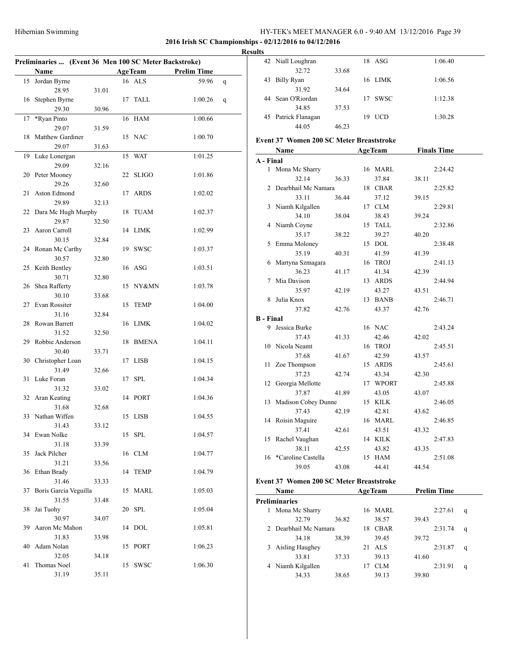#### **2016 Irish SC Championships - 02/12/2016 to 04/12/2016**

#### **Results**

|    | Preliminaries  (Event 36 Men 100 SC Meter Backstroke) |       |    |                |                    |   |
|----|-------------------------------------------------------|-------|----|----------------|--------------------|---|
|    | Name                                                  |       |    | <b>AgeTeam</b> | <b>Prelim Time</b> |   |
|    |                                                       |       |    | 16 ALS         | 59.96              |   |
| 15 | Jordan Byrne                                          |       |    |                |                    | q |
|    | 28.95<br>Stephen Byrne                                | 31.01 |    |                |                    |   |
| 16 | 29.30                                                 |       | 17 | TALL           | 1:00.26            | q |
|    |                                                       | 30.96 |    |                |                    |   |
| 17 | *Ryan Pinto                                           |       |    | 16 HAM         | 1:00.66            |   |
|    | 29.07                                                 | 31.59 |    |                |                    |   |
| 18 | Matthew Gardiner                                      |       |    | 15 NAC         | 1:00.70            |   |
|    | 29.07                                                 | 31.63 |    |                |                    |   |
| 19 | Luke Lonergan                                         |       | 15 | WAT            | 1:01.25            |   |
|    | 29.09                                                 | 32.16 |    |                |                    |   |
| 20 | Peter Mooney                                          |       | 22 | SLIGO          | 1:01.86            |   |
|    | 29.26                                                 | 32.60 |    |                |                    |   |
| 21 | Aston Edmond                                          |       | 17 | <b>ARDS</b>    | 1:02.02            |   |
|    | 29.89                                                 | 32.13 |    |                |                    |   |
|    | 22 Dara Mc Hugh Murphy                                |       | 18 | <b>TUAM</b>    | 1:02.37            |   |
|    | 29.87                                                 | 32.50 |    |                |                    |   |
| 23 | Aaron Carroll                                         |       |    | 14 LIMK        | 1:02.99            |   |
|    | 30.15                                                 | 32.84 |    |                |                    |   |
| 24 | Ronan Mc Carthy                                       |       |    | 19 SWSC        | 1:03.37            |   |
|    | 30.57                                                 | 32.80 |    |                |                    |   |
| 25 | Keith Bentley                                         |       |    | 16 ASG         | 1:03.51            |   |
|    | 30.71                                                 | 32.80 |    |                |                    |   |
| 26 | Shea Rafferty                                         |       |    | 15 NY&MN       | 1:03.78            |   |
|    | 30.10                                                 | 33.68 |    |                |                    |   |
| 27 | Evan Rossiter                                         |       | 15 | TEMP           | 1:04.00            |   |
|    | 31.16                                                 | 32.84 |    |                |                    |   |
| 28 | Rowan Barrett                                         |       |    | 16 LIMK        | 1:04.02            |   |
|    | 31.52                                                 | 32.50 |    |                |                    |   |
| 29 | Robbie Anderson                                       |       |    | 18 BMENA       | 1:04.11            |   |
|    | 30.40                                                 | 33.71 |    |                |                    |   |
|    | 30 Christopher Loan                                   |       | 17 | <b>LISB</b>    | 1:04.15            |   |
|    | 31.49                                                 | 32.66 |    |                |                    |   |
| 31 | Luke Foran                                            |       | 17 | <b>SPL</b>     | 1:04.34            |   |
|    | 31.32                                                 | 33.02 |    |                |                    |   |
| 32 | Aran Keating                                          |       |    | 14 PORT        | 1:04.36            |   |
|    | 31.68                                                 | 32.68 |    |                |                    |   |
|    | 33 Nathan Wiffen                                      |       |    | 15 LISB        | 1:04.55            |   |
|    | 31.43                                                 | 33.12 |    |                |                    |   |
|    | 34 Ewan Nolke                                         |       |    | 15 SPL         | 1:04.57            |   |
|    | 31.18                                                 | 33.39 |    |                |                    |   |
| 35 | Jack Pilcher                                          |       |    | 16 CLM         | 1:04.77            |   |
|    | 31.21                                                 | 33.56 |    |                |                    |   |
| 36 | Ethan Brady                                           |       | 14 | <b>TEMP</b>    | 1:04.79            |   |
|    | 31.46                                                 | 33.33 |    |                |                    |   |
| 37 | Boris Garcia Veguilla                                 |       | 15 | <b>MARL</b>    | 1:05.03            |   |
|    | 31.55                                                 | 33.48 |    |                |                    |   |
| 38 | Jai Tuohy                                             |       |    | 20 SPL         | 1:05.04            |   |
|    | 30.97                                                 | 34.07 |    |                |                    |   |
| 39 | Aaron Mc Mahon                                        |       |    | 14 DOL         | 1:05.81            |   |
|    | 31.83                                                 | 33.98 |    |                |                    |   |
| 40 | Adam Nolan                                            |       | 15 | <b>PORT</b>    | 1:06.23            |   |
|    | 32.05                                                 | 34.18 |    |                |                    |   |
| 41 | Thomas Noel                                           |       | 15 | SWSC           | 1:06.30            |   |
|    | 31.19                                                 | 35.11 |    |                |                    |   |

|    | 42 Niall Loughran   |       |    | 18 ASG     | 1:06.40 |
|----|---------------------|-------|----|------------|---------|
|    | 32.72               | 33.68 |    |            |         |
| 43 | <b>Billy Ryan</b>   |       |    | 16 LIMK    | 1:06.56 |
|    | 31.92               | 34.64 |    |            |         |
|    | 44 Sean O'Riordan   |       |    | 17 SWSC    | 1:12.38 |
|    | 34.85               | 37.53 |    |            |         |
|    | 45 Patrick Flanagan |       | 19 | <b>UCD</b> | 1:30.28 |
|    | 44.05               | 46.23 |    |            |         |
|    |                     |       |    |            |         |

#### **Event 37 Women 200 SC Meter Breaststroke**

|                  | Name                   |       |    | <b>AgeTeam</b> |       | <b>Finals Time</b> |
|------------------|------------------------|-------|----|----------------|-------|--------------------|
| A - Final        |                        |       |    |                |       |                    |
| 1                | Mona Mc Sharry         |       |    | 16 MARL        |       | 2:24.42            |
|                  | 32.14                  | 36.33 |    | 37.84          | 38.11 |                    |
| 2                | Dearbhail Mc Namara    |       | 18 | <b>CBAR</b>    |       | 2:25.82            |
|                  | 33.11                  | 36.44 |    | 37.12          | 39.15 |                    |
|                  | 3 Niamh Kilgallen      |       |    | 17 CLM         |       | 2:29.81            |
|                  | 34.10                  | 38.04 |    | 38.43          | 39.24 |                    |
|                  | 4 Niamh Coyne          |       | 15 | TALL           |       | 2:32.86            |
|                  | 35.17                  | 38.22 |    | 39.27          | 40.20 |                    |
|                  | 5 Emma Moloney         |       | 15 | $\rm DOL$      |       | 2:38.48            |
|                  | 35.19                  | 40.31 |    | 41.59          | 41.39 |                    |
|                  | 6 Martyna Szmagara     |       | 16 | <b>TROJ</b>    |       | 2:41.13            |
|                  | 36.23                  | 41.17 |    | 41.34          | 42.39 |                    |
| 7                | Mia Davison            |       |    | 13 ARDS        |       | 2:44.94            |
|                  | 35.97                  | 42.19 |    | 43.27          | 43.51 |                    |
| 8                | Julia Knox             |       | 13 | <b>BANB</b>    |       | 2:46.71            |
|                  | 37.82                  | 42.76 |    | 43.37          | 42.76 |                    |
| <b>B</b> - Final |                        |       |    |                |       |                    |
|                  | 9 Jessica Burke        |       |    | 16 NAC         |       | 2:43.24            |
|                  | 37.43                  | 41.33 |    | 42.46          | 42.02 |                    |
|                  | 10 Nicola Neamt        |       |    | 16 TROJ        |       | 2:45.51            |
|                  | 37.68                  | 41.67 |    | 42.59          | 43.57 |                    |
|                  | 11 Zoe Thompson        |       |    | 15 ARDS        |       | 2:45.61            |
|                  | 37.23                  | 42.74 |    | 43.34          | 42.30 |                    |
|                  | 12 Georgia Mellotte    |       |    | 17 WPORT       |       | 2:45.88            |
|                  | 37.87                  | 41.89 |    | 43.05          | 43.07 |                    |
|                  | 13 Madison Cobey Dunne |       |    | 15 KILK        |       | 2:46.05            |
|                  | 37.43                  | 42.19 |    | 42.81          | 43.62 |                    |
|                  | 14 Roisin Maguire      |       |    | 16 MARL        |       | 2:46.85            |
|                  | 37.41                  | 42.61 |    | 43.51          | 43.32 |                    |
|                  | 15 Rachel Vaughan      |       |    | 14 KILK        |       | 2:47.83            |
|                  | 38.11                  | 42.55 |    | 43.82          | 43.35 |                    |
| 16               | *Caroline Castella     |       |    | 15 HAM         |       | 2:51.08            |
|                  | 39.05                  | 43.08 |    | 44.41          | 44.54 |                    |

#### **Event 37 Women 200 SC Meter Breaststroke**

|   | <b>Name</b>           |       |    | <b>AgeTeam</b> |       | <b>Prelim Time</b> |   |
|---|-----------------------|-------|----|----------------|-------|--------------------|---|
|   | <b>Preliminaries</b>  |       |    |                |       |                    |   |
|   | Mona Mc Sharry        |       | 16 | MARL           |       | 2:27.61            | q |
|   | 32.79                 | 36.82 |    | 38.57          | 39.43 |                    |   |
|   | 2 Dearbhail Mc Namara |       | 18 | <b>CBAR</b>    |       | 2:31.74            | q |
|   | 34.18                 | 38.39 |    | 39.45          | 39.72 |                    |   |
| 3 | Aisling Haughey       |       | 21 | ALS            |       | 2:31.87            | q |
|   | 33.81                 | 37.33 |    | 39.13          | 41.60 |                    |   |
| 4 | Niamh Kilgallen       |       | 17 | CLM            |       | 2:31.91            | q |
|   | 34.33                 | 38.65 |    | 39.13          | 39.80 |                    |   |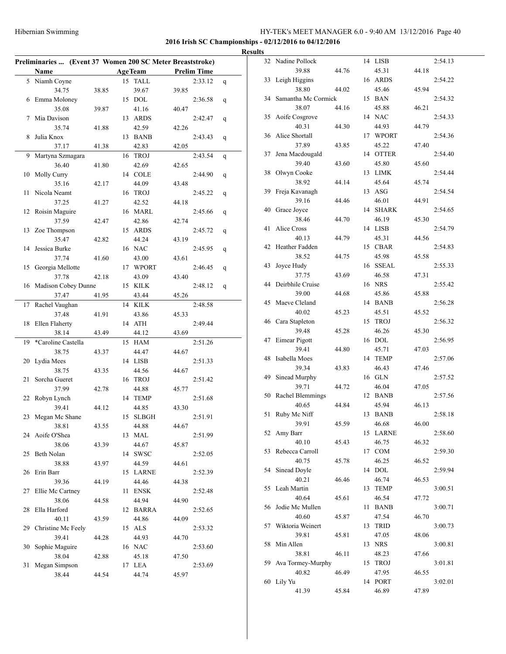|    | Preliminaries  (Event 37 Women 200 SC Meter Breaststroke) |       |    |                |       |                    |   |
|----|-----------------------------------------------------------|-------|----|----------------|-------|--------------------|---|
|    | Name                                                      |       |    | <b>AgeTeam</b> |       | <b>Prelim Time</b> |   |
| 5  | Niamh Coyne                                               |       | 15 | <b>TALL</b>    |       | 2:33.12            | q |
|    | 34.75                                                     | 38.85 |    | 39.67          | 39.85 |                    |   |
| 6  | Emma Moloney                                              |       |    | 15 DOL         |       | 2:36.58            | q |
|    | 35.08                                                     | 39.87 |    | 41.16          | 40.47 |                    |   |
| 7  | Mia Davison                                               |       |    | 13 ARDS        |       | 2:42.47            | q |
|    | 35.74                                                     | 41.88 |    | 42.59          | 42.26 |                    |   |
| 8  | Julia Knox                                                |       |    | 13 BANB        |       | 2:43.43            | q |
|    | 37.17                                                     | 41.38 |    | 42.83          | 42.05 |                    |   |
| 9  | Martyna Szmagara                                          |       | 16 | <b>TROJ</b>    |       | 2:43.54            | q |
|    | 36.40                                                     | 41.80 |    | 42.69          | 42.65 |                    |   |
| 10 | Molly Curry                                               |       |    | 14 COLE        |       | 2:44.90            | q |
|    | 35.16                                                     | 42.17 |    | 44.09          | 43.48 |                    |   |
| 11 | Nicola Neamt                                              |       | 16 | <b>TROJ</b>    |       | 2:45.22            | q |
|    | 37.25                                                     | 41.27 |    | 42.52          | 44.18 |                    |   |
| 12 | Roisin Maguire                                            |       |    | 16 MARL        |       | 2:45.66            |   |
|    | 37.59                                                     | 42.47 |    | 42.86          | 42.74 |                    | q |
|    |                                                           |       |    | 15 ARDS        |       |                    |   |
| 13 | Zoe Thompson                                              |       |    |                |       | 2:45.72            | q |
|    | 35.47                                                     | 42.82 |    | 44.24          | 43.19 |                    |   |
| 14 | Jessica Burke                                             |       |    | 16 NAC         |       | 2:45.95            | q |
|    | 37.74                                                     | 41.60 |    | 43.00          | 43.61 |                    |   |
| 15 | Georgia Mellotte                                          |       |    | 17 WPORT       |       | 2:46.45            | q |
|    | 37.78                                                     | 42.18 |    | 43.09          | 43.40 |                    |   |
| 16 | Madison Cobey Dunne                                       |       | 15 | KILK           |       | 2:48.12            | q |
|    | 37.47                                                     | 41.95 |    | 43.44          | 45.26 |                    |   |
| 17 | Rachel Vaughan                                            |       | 14 | <b>KILK</b>    |       | 2:48.58            |   |
|    | 37.48                                                     | 41.91 |    | 43.86          | 45.33 |                    |   |
| 18 | Ellen Flaherty                                            |       | 14 | ATH            |       | 2:49.44            |   |
|    | 38.14                                                     | 43.49 |    | 44.12          | 43.69 |                    |   |
| 19 | *Caroline Castella                                        |       | 15 | <b>HAM</b>     |       | 2:51.26            |   |
|    | 38.75                                                     | 43.37 |    | 44.47          | 44.67 |                    |   |
| 20 | Lydia Mees                                                |       |    | 14 LISB        |       | 2:51.33            |   |
|    | 38.75                                                     | 43.35 |    | 44.56          | 44.67 |                    |   |
| 21 | Sorcha Gueret                                             |       |    | 16 TROJ        |       | 2:51.42            |   |
|    | 37.99                                                     | 42.78 |    | 44.88          | 45.77 |                    |   |
| 22 | Robyn Lynch                                               |       |    | 14 TEMP        |       | 2:51.68            |   |
|    | 39.41                                                     | 44.12 |    | 44.85          | 43.30 |                    |   |
| 23 | Megan Mc Shane                                            |       | 15 | <b>SLBGH</b>   |       | 2:51.91            |   |
|    |                                                           |       |    |                |       |                    |   |
|    | 38.81                                                     | 43.55 |    | 44.88          | 44.67 |                    |   |
|    | 24 Aoife O'Shea                                           |       |    | 13 MAL         |       | 2:51.99            |   |
|    | 38.06                                                     | 43.39 |    | 44.67          | 45.87 |                    |   |
| 25 | Beth Nolan                                                |       |    | 14 SWSC        |       | 2:52.05            |   |
|    | 38.88                                                     | 43.97 |    | 44.59          | 44.61 |                    |   |
| 26 | Erin Barr                                                 |       |    | 15 LARNE       |       | 2:52.39            |   |
|    | 39.36                                                     | 44.19 |    | 44.46          | 44.38 |                    |   |
| 27 | Ellie Mc Cartney                                          |       |    | 11 ENSK        |       | 2:52.48            |   |
|    | 38.06                                                     | 44.58 |    | 44.94          | 44.90 |                    |   |
| 28 | Ella Harford                                              |       |    | 12 BARRA       |       | 2:52.65            |   |
|    | 40.11                                                     | 43.59 |    | 44.86          | 44.09 |                    |   |
| 29 | Christine Mc Feely                                        |       |    | 15 ALS         |       | 2:53.32            |   |
|    | 39.41                                                     | 44.28 |    | 44.93          | 44.70 |                    |   |
| 30 | Sophie Maguire                                            |       |    | 16 NAC         |       | 2:53.60            |   |
|    | 38.04                                                     | 42.88 |    | 45.18          | 47.50 |                    |   |
|    |                                                           |       |    |                |       |                    |   |
| 31 | Megan Simpson                                             |       |    | 17 LEA         |       | 2:53.69            |   |

| <b>Results</b> |                        |       |    |                 |       |         |
|----------------|------------------------|-------|----|-----------------|-------|---------|
|                | 32 Nadine Pollock      |       |    | 14 LISB         |       | 2:54.13 |
|                | 39.88                  | 44.76 |    | 45.31           | 44.18 |         |
|                | 33 Leigh Higgins       |       |    | 16 ARDS         |       | 2:54.22 |
|                | 38.80                  | 44.02 |    | 45.46           | 45.94 |         |
|                | 34 Samantha Mc Cormick |       |    | 15 BAN          |       | 2:54.32 |
|                | 38.07                  | 44.16 |    | 45.88           | 46.21 |         |
|                | 35 Aoife Cosgrove      |       |    | 14 NAC          |       | 2:54.33 |
|                | 40.31                  | 44.30 |    | 44.93           | 44.79 |         |
|                | 36 Alice Shortall      |       |    | 17 WPORT        |       | 2:54.36 |
|                | 37.89                  | 43.85 |    | 45.22           | 47.40 |         |
|                |                        |       |    | 14 OTTER        |       | 2:54.40 |
| 37             | Jena Macdougald        |       |    |                 |       |         |
|                | 39.40                  | 43.60 |    | 45.80           | 45.60 |         |
| 38             | Olwyn Cooke            |       |    | 13 LIMK         |       | 2:54.44 |
|                | 38.92                  | 44.14 |    | 45.64           | 45.74 |         |
|                | 39 Freja Kavanagh      |       |    | 13 ASG          |       | 2:54.54 |
|                | 39.16                  | 44.46 |    | 46.01           | 44.91 |         |
|                | 40 Grace Joyce         |       |    | 14 SHARK        |       | 2:54.65 |
|                | 38.46                  | 44.70 |    | 46.19           | 45.30 |         |
| 41             | Alice Cross            |       |    | 14 LISB         |       | 2:54.79 |
|                | 40.13                  | 44.79 |    | 45.31           | 44.56 |         |
| 42             | Heather Fadden         |       |    | 15 CBAR         |       | 2:54.83 |
|                | 38.52                  | 44.75 |    | 45.98           | 45.58 |         |
| 43             | Joyce Hudy             |       |    | 16 SSEAL        |       | 2:55.33 |
|                | 37.75                  | 43.69 |    | 46.58           | 47.31 |         |
| 44             | Deirbhile Cruise       |       |    | 16 NRS          |       | 2:55.42 |
|                | 39.00                  | 44.68 |    | 45.86           | 45.88 |         |
| 45             | Maeve Cleland          |       |    | 14 BANB         |       | 2:56.28 |
|                | 40.02                  | 45.23 |    | 45.51           | 45.52 |         |
|                | 46 Cara Stapleton      |       |    | 15 TROJ         |       | 2:56.32 |
|                | 39.48                  | 45.28 |    | 46.26           | 45.30 |         |
|                | 47 Eimear Pigott       |       |    | 16 DOL          |       | 2:56.95 |
|                | 39.41                  | 44.80 |    | 45.71           | 47.03 |         |
| 48             | Isabella Moes          |       |    | 14 TEMP         |       | 2:57.06 |
|                | 39.34                  | 43.83 |    | 46.43           | 47.46 |         |
|                | 49 Sinead Murphy       |       |    | 16 GLN          |       | 2:57.52 |
|                | 39.71                  | 44.72 |    | 46.04           | 47.05 |         |
|                | 50 Rachel Blemmings    |       |    | 12 BANB         |       | 2:57.56 |
|                | 40.65                  | 44.84 |    | 45.94           | 46.13 |         |
| 51             | Ruby Mc Niff           |       |    | 13 BANB         |       | 2:58.18 |
|                | 39.91                  | 45.59 |    | 46.68           | 46.00 |         |
|                | 52 Amy Barr            |       |    | 15 LARNE        |       | 2:58.60 |
|                | 40.10                  | 45.43 |    |                 | 46.32 |         |
|                |                        |       |    | 46.75<br>17 COM |       |         |
| 53             | Rebecca Carroll        |       |    |                 |       | 2:59.30 |
|                | 40.75                  | 45.78 |    | 46.25           | 46.52 |         |
| 54             | Sinead Doyle           |       |    | 14 DOL          |       | 2:59.94 |
|                | 40.21                  | 46.46 |    | 46.74           | 46.53 |         |
| 55             | Leah Martin            |       |    | 13 TEMP         |       | 3:00.51 |
|                | 40.64                  | 45.61 |    | 46.54           | 47.72 |         |
| 56             | Jodie Mc Mullen        |       | 11 | <b>BANB</b>     |       | 3:00.71 |
|                | 40.60                  | 45.87 |    | 47.54           | 46.70 |         |
| 57             | Wiktoria Weinert       |       | 13 | TRID            |       | 3:00.73 |
|                | 39.81                  | 45.81 |    | 47.05           | 48.06 |         |
| 58             | Min Allen              |       |    | 13 NRS          |       | 3:00.81 |
|                | 38.81                  | 46.11 |    | 48.23           | 47.66 |         |
| 59             | Ava Tormey-Murphy      |       |    | 15 TROJ         |       | 3:01.81 |
|                | 40.82                  | 46.49 |    | 47.95           | 46.55 |         |
|                | 60 Lily Yu             |       |    | 14 PORT         |       | 3:02.01 |
|                | 41.39                  | 45.84 |    | 46.89           | 47.89 |         |
|                |                        |       |    |                 |       |         |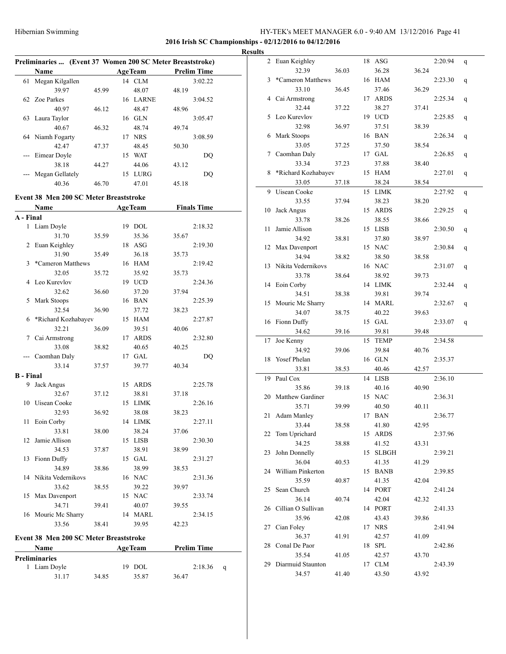#### **2016 Irish SC Championships - 02/12/2016 to 04/12/2016**

## **Results**

|                  | Preliminaries  (Event 37 Women 200 SC Meter Breaststroke) |       |                |                    |              |
|------------------|-----------------------------------------------------------|-------|----------------|--------------------|--------------|
|                  | Name                                                      |       | <b>AgeTeam</b> | <b>Prelim Time</b> |              |
| 61               | Megan Kilgallen                                           |       | 14 CLM         |                    | 3:02.22      |
|                  | 39.97                                                     | 45.99 | 48.07          | 48.19              |              |
| 62               | Zoe Parkes                                                |       | 16 LARNE       |                    | 3:04.52      |
|                  | 40.97                                                     | 46.12 | 48.47          | 48.96              |              |
| 63               | Laura Taylor                                              |       | 16 GLN         |                    | 3:05.47      |
|                  | 40.67                                                     | 46.32 | 48.74          | 49.74              |              |
|                  | 64 Niamh Fogarty                                          |       | 17 NRS         |                    | 3:08.59      |
|                  | 42.47                                                     | 47.37 | 48.45          | 50.30              |              |
| $\frac{1}{2}$    | Eimear Doyle                                              |       | 15 WAT         |                    | DQ           |
|                  | 38.18                                                     |       | 44.06          |                    |              |
|                  | Megan Gellately                                           | 44.27 | 15 LURG        | 43.12              | DQ           |
|                  | 40.36                                                     | 46.70 | 47.01          |                    |              |
|                  |                                                           |       |                | 45.18              |              |
|                  | <b>Event 38 Men 200 SC Meter Breaststroke</b>             |       |                |                    |              |
|                  | Name                                                      |       | <b>AgeTeam</b> | <b>Finals Time</b> |              |
| A - Final        |                                                           |       |                |                    |              |
| $\mathbf{1}$     | Liam Doyle                                                |       | 19 DOL         |                    | 2:18.32      |
|                  | 31.70                                                     | 35.59 | 35.36          | 35.67              |              |
| 2                | Euan Keighley                                             |       | 18 ASG         |                    | 2:19.30      |
|                  | 31.90                                                     | 35.49 | 36.18          | 35.73              |              |
| 3                | *Cameron Matthews                                         |       | 16 HAM         |                    | 2:19.42      |
|                  | 32.05                                                     | 35.72 | 35.92          | 35.73              |              |
| 4                | Leo Kurevlov                                              |       | 19 UCD         |                    | 2:24.36      |
|                  | 32.62                                                     | 36.60 | 37.20          | 37.94              |              |
| 5                | Mark Stoops                                               |       | 16 BAN         |                    | 2:25.39      |
|                  | 32.54                                                     | 36.90 | 37.72          | 38.23              |              |
| 6                | *Richard Kozhabayev                                       |       | 15 HAM         |                    | 2:27.87      |
|                  | 32.21                                                     | 36.09 | 39.51          | 40.06              |              |
| 7                | Cai Armstrong                                             |       | 17 ARDS        |                    | 2:32.80      |
|                  | 33.08                                                     | 38.82 | 40.65          | 40.25              |              |
|                  | Caomhan Daly                                              |       | 17 GAL         |                    | DQ           |
|                  | 33.14                                                     | 37.57 | 39.77          | 40.34              |              |
| <b>B</b> - Final |                                                           |       |                |                    |              |
| 9.               | Jack Angus                                                |       | 15 ARDS        |                    | 2:25.78      |
|                  | 32.67                                                     | 37.12 | 38.81          | 37.18              |              |
| 10               | Uisean Cooke                                              |       | 15 LIMK        |                    | 2:26.16      |
|                  | 32.93                                                     | 36.92 | 38.08          | 38.23              |              |
| 11               | Eoin Corby                                                |       | 14 LIMK        |                    | 2:27.11      |
|                  | 33.81                                                     | 38.00 | 38.24          | 37.06              |              |
| 12               | Jamie Allison                                             |       | 15 LISB        |                    | 2:30.30      |
|                  | 34.53                                                     | 37.87 | 38.91          | 38.99              |              |
| 13               | Fionn Duffy                                               |       | 15 GAL         |                    | 2:31.27      |
|                  | 34.89                                                     | 38.86 | 38.99          | 38.53              |              |
| 14               | Nikita Vedernikovs                                        |       | 16 NAC         |                    | 2:31.36      |
|                  | 33.62                                                     | 38.55 | 39.22          | 39.97              |              |
| 15               | Max Davenport                                             |       | 15 NAC         |                    | 2:33.74      |
|                  | 34.71                                                     | 39.41 | 40.07          | 39.55              |              |
| 16               | Mouric Mc Sharry                                          |       | 14 MARL        |                    | 2:34.15      |
|                  | 33.56                                                     | 38.41 | 39.95          | 42.23              |              |
|                  |                                                           |       |                |                    |              |
|                  | <b>Event 38 Men 200 SC Meter Breaststroke</b>             |       |                |                    |              |
|                  | Name                                                      |       | <b>AgeTeam</b> | <b>Prelim Time</b> |              |
|                  | <b>Preliminaries</b>                                      |       |                |                    |              |
|                  | 1 Liam Doyle                                              |       | 19 DOL         |                    | 2:18.36<br>q |
|                  | 31.17                                                     | 34.85 | 35.87          | 36.47              |              |

| 2  | Euan Keighley           |       | 18 | ASG          |       | 2:20.94 | q |
|----|-------------------------|-------|----|--------------|-------|---------|---|
|    | 32.39                   | 36.03 |    | 36.28        | 36.24 |         |   |
| 3  | *Cameron Matthews       |       | 16 | <b>HAM</b>   |       | 2:23.30 | q |
|    | 33.10                   | 36.45 |    | 37.46        | 36.29 |         |   |
| 4  | Cai Armstrong           |       | 17 | <b>ARDS</b>  |       | 2:25.34 | q |
|    | 32.44                   | 37.22 |    | 38.27        | 37.41 |         |   |
| 5  | Leo Kurevlov            |       | 19 | <b>UCD</b>   |       | 2:25.85 | q |
|    | 32.98                   | 36.97 |    | 37.51        | 38.39 |         |   |
| 6  | Mark Stoops             |       | 16 | <b>BAN</b>   |       | 2:26.34 | q |
|    | 33.05                   | 37.25 |    | 37.50        | 38.54 |         |   |
| 7  | Caomhan Daly            |       |    | 17 GAL       |       | 2:26.85 | q |
|    | 33.34                   | 37.23 |    | 37.88        | 38.40 |         |   |
| 8  | *Richard Kozhabayev     |       | 15 | HAM          |       | 2:27.01 | q |
|    | 33.05                   | 37.18 |    | 38.24        | 38.54 |         |   |
| 9  | Uisean Cooke            |       | 15 | LIMK         |       | 2:27.92 |   |
|    |                         |       |    |              |       |         | q |
|    | 33.55                   | 37.94 |    | 38.23        | 38.20 |         |   |
| 10 | Jack Angus              |       | 15 | <b>ARDS</b>  |       | 2:29.25 | q |
|    | 33.78                   | 38.26 |    | 38.55        | 38.66 |         |   |
| 11 | Jamie Allison           |       | 15 | <b>LISB</b>  |       | 2:30.50 | q |
|    | 34.92                   | 38.81 |    | 37.80        | 38.97 |         |   |
| 12 | Max Davenport           |       | 15 | <b>NAC</b>   |       | 2:30.84 | q |
|    | 34.94                   | 38.82 |    | 38.50        | 38.58 |         |   |
| 13 | Nikita Vedernikovs      |       | 16 | <b>NAC</b>   |       | 2:31.07 | q |
|    | 33.78                   | 38.64 |    | 38.92        | 39.73 |         |   |
| 14 | Eoin Corby              |       | 14 | <b>LIMK</b>  |       | 2:32.44 | q |
|    | 34.51                   | 38.38 |    | 39.81        | 39.74 |         |   |
| 15 | Mouric Mc Sharry        |       | 14 | <b>MARL</b>  |       | 2:32.67 | q |
|    | 34.07                   | 38.75 |    | 40.22        | 39.63 |         |   |
| 16 | Fionn Duffy             |       |    | 15 GAL       |       | 2:33.07 | q |
|    | 34.62                   | 39.16 |    | 39.81        | 39.48 |         |   |
| 17 | Joe Kenny               |       | 15 | <b>TEMP</b>  |       | 2:34.58 |   |
|    | 34.92                   | 39.06 |    | 39.84        | 40.76 |         |   |
| 18 | Yosef Phelan            |       | 16 | <b>GLN</b>   |       | 2:35.37 |   |
|    | 33.81                   | 38.53 |    | 40.46        | 42.57 |         |   |
| 19 | Paul Cox                |       | 14 | <b>LISB</b>  |       | 2:36.10 |   |
|    | 35.86                   | 39.18 |    | 40.16        | 40.90 |         |   |
| 20 | <b>Matthew Gardiner</b> |       | 15 | <b>NAC</b>   |       | 2:36.31 |   |
|    | 35.71                   | 39.99 |    | 40.50        | 40.11 |         |   |
| 21 | Adam Manley             |       | 17 | <b>BAN</b>   |       | 2:36.77 |   |
|    | 33.44                   | 38.58 |    | 41.80        | 42.95 |         |   |
| 22 | Tom Uprichard           |       | 15 | ARDS         |       | 2:37.96 |   |
|    | 34.25                   | 38.88 |    | 41.52        | 43.31 |         |   |
| 23 | John Donnelly           |       | 15 | <b>SLBGH</b> |       | 2:39.21 |   |
|    | 36.04                   | 40.53 |    | 41.35        | 41.29 |         |   |
| 24 | William Pinkerton       |       | 15 | <b>BANB</b>  |       | 2:39.85 |   |
|    |                         |       |    | 41.35        |       |         |   |
| 25 | 35.59<br>Sean Church    | 40.87 |    | 14 PORT      | 42.04 | 2:41.24 |   |
|    |                         |       |    |              |       |         |   |
|    | 36.14                   | 40.74 |    | 42.04        | 42.32 |         |   |
| 26 | Cillian O Sullivan      |       |    | 14 PORT      |       | 2:41.33 |   |
|    | 35.96                   | 42.08 |    | 43.43        | 39.86 |         |   |
| 27 | Cian Foley              |       |    | 17 NRS       |       | 2:41.94 |   |
|    | 36.37                   | 41.91 |    | 42.57        | 41.09 |         |   |
| 28 | Conal De Paor           |       | 18 | SPL          |       | 2:42.86 |   |
|    | 35.54                   | 41.05 |    | 42.57        | 43.70 |         |   |
| 29 | Diarmuid Staunton       |       |    | 17 CLM       |       | 2:43.39 |   |
|    | 34.57                   | 41.40 |    | 43.50        | 43.92 |         |   |
|    |                         |       |    |              |       |         |   |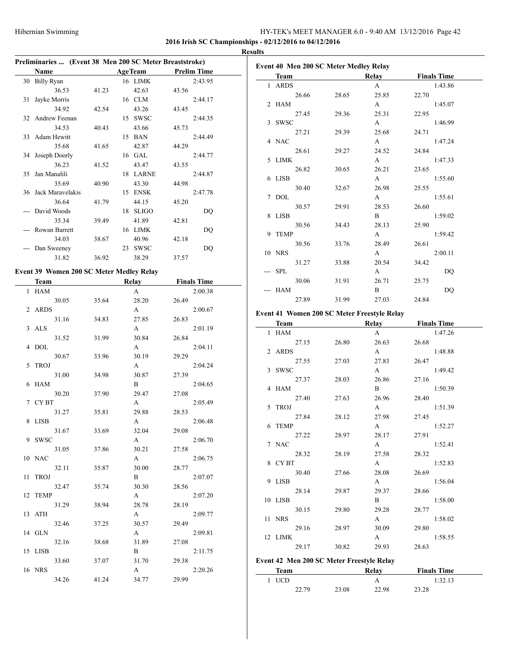#### **2016 Irish SC Championships - 02/12/2016 to 04/12/2016**

|    | Preliminaries  (Event 38 Men 200 SC Meter Breaststroke) |       |                |                    |    |
|----|---------------------------------------------------------|-------|----------------|--------------------|----|
|    | Name                                                    |       | <b>AgeTeam</b> | <b>Prelim Time</b> | Ev |
|    | 30 Billy Ryan                                           |       | 16 LIMK        | 2:43.95            |    |
|    | 36.53                                                   | 41.23 | 42.63          | 43.56              |    |
| 31 | Jayke Morris                                            |       | 16 CLM         | 2:44.17            |    |
|    | 34.92                                                   | 42.54 | 43.26          | 43.45              |    |
|    | 32 Andrew Feenan                                        |       | 15 SWSC        | 2:44.35            |    |
|    | 34.53                                                   | 40.43 | 43.66          | 45.73              |    |
| 33 | Adam Hewitt                                             |       | 15 BAN         | 2:44.49            |    |
|    | 35.68                                                   | 41.65 | 42.87          | 44.29              |    |
|    | 34 Joseph Doorly                                        |       | 16 GAL         | 2:44.77            |    |
|    |                                                         |       |                |                    |    |
|    | 36.23                                                   | 41.52 | 43.47          | 43.55              |    |
| 35 | Jan Manalili                                            |       | 18 LARNE       | 2:44.87            |    |
|    | 35.69                                                   | 40.90 | 43.30          | 44.98              |    |
|    | 36 Jack Maravelakis                                     |       | 15 ENSK        | 2:47.78            |    |
|    | 36.64                                                   | 41.79 | 44.15          | 45.20              |    |
|    | David Woods                                             |       | 18 SLIGO       | DQ                 |    |
|    | 35.34                                                   | 39.49 | 41.89          | 42.81              |    |
|    | Rowan Barrett                                           |       | 16 LIMK        | DQ                 |    |
|    | 34.03                                                   | 38.67 | 40.96          | 42.18              |    |
|    | Dan Sweeney                                             |       | 23 SWSC        | DQ                 |    |
|    | 31.82                                                   | 36.92 | 38.29          | 37.57              |    |
|    | Event 39 Women 200 SC Meter Medley Relay                |       |                |                    |    |
|    |                                                         |       |                |                    |    |
|    | <b>Team</b>                                             |       | <b>Relay</b>   | <b>Finals Time</b> |    |
| 1  | HAM                                                     |       | A              | 2:00.38            |    |
|    | 30.05                                                   | 35.64 | 28.20          | 26.49              |    |
| 2  | <b>ARDS</b>                                             |       | A              | 2:00.67            | Ev |
|    | 31.16                                                   | 34.83 | 27.85          | 26.83              |    |
| 3  | ALS                                                     |       | A              | 2:01.19            |    |
|    | 31.52                                                   | 31.99 | 30.84          | 26.84              |    |
| 4  | DOL                                                     |       | A              | 2:04.11            |    |
|    | 30.67                                                   | 33.96 | 30.19          | 29.29              |    |
| 5  | <b>TROJ</b>                                             |       | A              | 2:04.24            |    |
|    | 31.00                                                   | 34.98 | 30.87          | 27.39              |    |
| 6  | HAM                                                     |       | B              | 2:04.65            |    |
|    | 30.20                                                   | 37.90 | 29.47          | 27.08              |    |
| 7  | CY BT                                                   |       | A              | 2:05.49            |    |
|    | 31.27                                                   | 35.81 | 29.88          | 28.53              |    |
|    | 8 LISB                                                  |       | A              | 2:06.48            |    |
|    | 31.67                                                   | 33.69 | 32.04          | 29.08              |    |
|    | 9 SWSC                                                  |       | A              | 2:06.70            |    |
|    | 31.05                                                   | 37.86 | 30.21          | 27.58              |    |
|    | 10 NAC                                                  |       | A              | 2:06.75            |    |
|    | 32.11                                                   | 35.87 | 30.00          | 28.77              |    |
|    | 11 TROJ                                                 |       | B              | 2:07.07            |    |
|    | 32.47                                                   | 35.74 | 30.30          | 28.56              |    |
|    | 12 TEMP                                                 |       | A              | 2:07.20            |    |
|    |                                                         |       |                |                    |    |
|    | 31.29                                                   | 38.94 | 28.78          | 28.19              |    |
|    | 13 ATH                                                  |       | A              | 2:09.77            |    |
|    | 32.46                                                   | 37.25 | 30.57          | 29.49              |    |
|    | 14 GLN                                                  |       | A              | 2:09.81            |    |
|    | 32.16                                                   | 38.68 | 31.89          | 27.08              |    |
|    | 15 LISB                                                 |       | B              | 2:11.75            |    |
|    | 33.60                                                   | 37.07 | 31.70          | 29.38              | Ev |
|    | 16 NRS                                                  |       | A              | 2:20.26            |    |
|    | 34.26                                                   | 41.24 | 34.77          | 29.99              |    |
|    |                                                         |       |                |                    |    |

| Team                                                       | Relay | <b>Finals Time</b> |
|------------------------------------------------------------|-------|--------------------|
| 1 ARDS                                                     | A     | 1:43.86            |
| 26.66<br>28.65                                             | 25.85 | 22.70              |
| 2 HAM                                                      | A     | 1:45.07            |
| 27.45<br>29.36                                             | 25.31 | 22.95              |
| 3 SWSC                                                     | A     | 1:46.99            |
| 27.21<br>29.39                                             | 25.68 | 24.71              |
| 4 NAC                                                      | A     | 1:47.24            |
| 28.61<br>29.27                                             | 24.52 | 24.84              |
| LIMK                                                       | A     | 1:47.33            |
| 26.82<br>30.65                                             | 26.21 | 23.65              |
| 6 LISB                                                     | А     | 1:55.60            |
| 30.40<br>32.67                                             | 26.98 | 25.55              |
| <b>DOL</b>                                                 | A     | 1:55.61            |
| 30.57<br>29.91                                             | 28.53 | 26.60              |
| 8 LISB                                                     | B     | 1:59.02            |
| 30.56<br>34.43                                             | 28.13 | 25.90              |
| <b>TEMP</b>                                                | A     | 1:59.42            |
| 30.56<br>33.76                                             | 28.49 | 26.61              |
| 10 NRS                                                     | A     | 2:00.11            |
| 31.27<br>33.88                                             | 20.54 | 34.42              |
| <b>SPL</b>                                                 | A     | DQ                 |
| 30.06<br>31.91                                             | 26.71 | 25.75              |
| <b>HAM</b>                                                 | B     | DQ                 |
| 27.89<br>31.99                                             | 27.03 | 24.84              |
| Event 41 Women 200 SC Meter Freestyle Relay<br><b>Team</b> | Relay | <b>Finals Time</b> |

| <b>leam</b>                               |       | Relay        | <b>Finals</b> Time |
|-------------------------------------------|-------|--------------|--------------------|
| 1 HAM                                     |       | A            | 1:47.26            |
| 27.15                                     | 26.80 | 26.63        | 26.68              |
| 2 ARDS                                    |       | A            | 1:48.88            |
| 27.55                                     | 27.03 | 27.83        | 26.47              |
| 3 SWSC                                    |       | $\mathbf{A}$ | 1:49.42            |
| 27.37                                     | 28.03 | 26.86        | 27.16              |
| 4 HAM                                     |       | $\mathbf{B}$ | 1:50.39            |
| 27.40                                     | 27.63 | 26.96        | 28.40              |
| 5 TROJ                                    |       | $\mathbf{A}$ | 1:51.39            |
| 27.84                                     | 28.12 | 27.98        | 27.45              |
| 6 TEMP                                    |       | $\mathbf{A}$ | 1:52.27            |
| 27.22                                     | 28.97 | 28.17        | 27.91              |
| 7 NAC                                     |       | $\mathbf{A}$ | 1:52.41            |
| 28.32                                     | 28.19 | 27.58        | 28.32              |
| 8 CYBT                                    |       | $\mathbf{A}$ | 1:52.83            |
| 30.40                                     | 27.66 | 28.08        | 26.69              |
| 9 LISB                                    |       | $\mathbf{A}$ | 1:56.04            |
| 28.14                                     | 29.87 | 29.37        | 28.66              |
| 10 LISB                                   |       | $\mathbf{B}$ | 1:58.00            |
| 30.15                                     | 29.80 | 29.28        | 28.77              |
| 11 NRS                                    |       | $\mathbf{A}$ | 1:58.02            |
| 29.16                                     | 28.97 | 30.09        | 29.80              |
| 12 LIMK                                   |       | $\mathbf{A}$ | 1:58.55            |
| 29.17                                     | 30.82 | 29.93        | 28.63              |
| Event 42 Men 200 SC Meter Freestyle Relay |       |              |                    |
| <b>Team</b>                               |       | Relay        | <b>Finals Time</b> |
| $1$ $\,$ UCD $\,$                         |       | A            | 1:32.13            |

22.79 23.08 22.98 23.28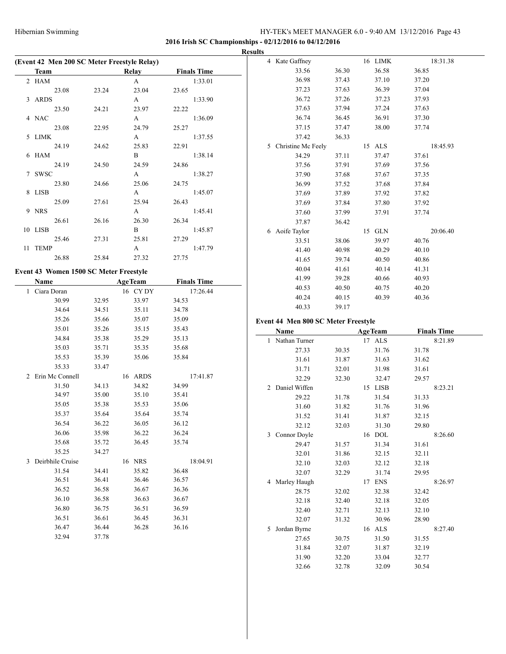|                                             |       |                |                    | <b>Results</b>                      |                |                    |                    |
|---------------------------------------------|-------|----------------|--------------------|-------------------------------------|----------------|--------------------|--------------------|
| (Event 42 Men 200 SC Meter Freestyle Relay) |       |                |                    | 4 Kate Gaffney                      |                | 16 LIMK            | 18:31.38           |
| <b>Team</b>                                 |       | Relay          | <b>Finals Time</b> | 33.56                               | 36.30          | 36.58              | 36.85              |
| $2$ HAM $\,$                                |       | $\mathbf{A}$   | 1:33.01            | 36.98                               | 37.43          | 37.10              | 37.20              |
| 23.08                                       | 23.24 | 23.04          | 23.65              | 37.23                               | 37.63          | 36.39              | 37.04              |
| 3 ARDS                                      |       | $\mathbf{A}$   | 1:33.90            | 36.72                               | 37.26          | 37.23              | 37.93              |
| 23.50                                       | 24.21 | 23.97          | 22.22              | 37.63                               | 37.94          | 37.24              | 37.63              |
| 4 NAC                                       |       | $\mathbf{A}$   | 1:36.09            | 36.74                               | 36.45          | 36.91              | 37.30              |
| 23.08                                       | 22.95 | 24.79          | 25.27              | 37.15                               | 37.47          | 38.00              | 37.74              |
| 5 LIMK                                      |       | A              | 1:37.55            | 37.42                               | 36.33          |                    |                    |
| 24.19                                       | 24.62 | 25.83          | 22.91              | 5 Christine Mc Feely                |                | 15 ALS             | 18:45.93           |
| 6 HAM                                       |       | $\, {\bf B}$   | 1:38.14            | 34.29                               | 37.11          | 37.47              | 37.61              |
| 24.19                                       | 24.50 | 24.59          | 24.86              | 37.56                               | 37.91          | 37.69              | 37.56              |
| 7 SWSC                                      |       | A              | 1:38.27            | 37.90                               | 37.68          | 37.67              | 37.35              |
| 23.80                                       | 24.66 | 25.06          | 24.75              | 36.99                               | 37.52          | 37.68              | 37.84              |
| 8 LISB                                      |       | $\mathbf{A}$   | 1:45.07            | 37.69                               | 37.89          | 37.92              | 37.82              |
| 25.09                                       | 27.61 | 25.94          | 26.43              | 37.69                               | 37.84          | 37.80              | 37.92              |
| 9 NRS                                       |       | A              | 1:45.41            | 37.60                               | 37.99          | 37.91              | 37.74              |
| 26.61                                       | 26.16 | 26.30          | 26.34              | 37.87                               | 36.42          |                    |                    |
| 10 LISB                                     |       | B              | 1:45.87            | 6 Aoife Taylor                      |                | 15 GLN             | 20:06.40           |
| 25.46                                       | 27.31 | 25.81          | 27.29              | 33.51                               | 38.06          | 39.97              | 40.76              |
| 11 TEMP                                     |       | $\mathbf{A}$   | 1:47.79            | 41.40                               | 40.98          | 40.29              | 40.10              |
| 26.88                                       | 25.84 | 27.32          | 27.75              | 41.65                               | 39.74          | 40.50              | 40.86              |
|                                             |       |                |                    |                                     |                |                    |                    |
| Event 43 Women 1500 SC Meter Freestyle      |       |                |                    | 40.04                               | 41.61          | 40.14<br>40.66     | 41.31              |
|                                             |       |                |                    |                                     |                |                    | 40.93              |
| Name                                        |       | <b>AgeTeam</b> | <b>Finals Time</b> | 41.99                               | 39.28          |                    |                    |
| 1 Ciara Doran                               |       | 16 CY DY       | 17:26.44           | 40.53                               | 40.50          | 40.75              | 40.20              |
| 30.99                                       | 32.95 | 33.97          | 34.53              | 40.24                               | 40.15          | 40.39              | 40.36              |
| 34.64                                       | 34.51 | 35.11          | 34.78              | 40.33                               | 39.17          |                    |                    |
| 35.26                                       | 35.66 | 35.07          | 35.09              |                                     |                |                    |                    |
| 35.01                                       | 35.26 | 35.15          | 35.43              | Event 44 Men 800 SC Meter Freestyle |                |                    |                    |
| 34.84                                       | 35.38 | 35.29          | 35.13              | Name                                |                | <b>AgeTeam</b>     | <b>Finals Time</b> |
| 35.03                                       | 35.71 | 35.35          | 35.68              | 1 Nathan Turner                     |                | 17 ALS             | 8:21.89            |
| 35.53                                       | 35.39 | 35.06          | 35.84              | 27.33                               | 30.35          | 31.76              | 31.78              |
| 35.33                                       | 33.47 |                |                    | 31.61                               | 31.87          | 31.63              | 31.62              |
| 2 Erin Mc Connell                           |       | 16 ARDS        | 17:41.87           | 31.71                               | 32.01          | 31.98              | 31.61              |
| 31.50                                       | 34.13 | 34.82          | 34.99              | 32.29                               | 32.30          | 32.47              | 29.57              |
| 34.97                                       | 35.00 | 35.10          | 35.41              | 2 Daniel Wiffen                     |                | 15 LISB            | 8:23.21            |
| 35.05                                       | 35.38 | 35.53          | 35.06              | 29.22                               | 31.78          | 31.54              | 31.33              |
| 35.37                                       |       |                | 35.74              | 31.60                               | 31.82          | 31.76              | 31.96              |
|                                             | 35.64 | 35.64          |                    | 31.52                               | 31.41          | 31.87              | 32.15              |
| 36.54                                       | 36.22 | 36.05          | 36.12              | 32.12                               | 32.03          | 31.30              | 29.80              |
| 36.06                                       | 35.98 | 36.22          | 36.24              | 3 Connor Doyle                      |                | 16 DOL             | 8:26.60            |
| 35.68                                       | 35.72 | 36.45          | 35.74              | 29.47                               | 31.57          | 31.34              | 31.61              |
| 35.25                                       | 34.27 |                |                    | 32.01                               | 31.86          | 32.15              | 32.11              |
| 3 Deirbhile Cruise                          |       | 16 NRS         | 18:04.91           | 32.10                               | 32.03          | 32.12              | 32.18              |
| 31.54                                       | 34.41 | 35.82          | 36.48              | 32.07                               | 32.29          | 31.74              | 29.95              |
| 36.51                                       | 36.41 | 36.46          | 36.57              | 4 Marley Haugh                      |                | 17 ENS             | 8:26.97            |
| 36.52                                       | 36.58 | 36.67          | 36.36              | 28.75                               | 32.02          | 32.38              | 32.42              |
| 36.10                                       | 36.58 | 36.63          | 36.67              | 32.18                               | 32.40          | 32.18              | 32.05              |
| 36.80                                       | 36.75 | 36.51          | 36.59              | 32.40                               | 32.71          | 32.13              | 32.10              |
| 36.51                                       | 36.61 | 36.45          | 36.31              | 32.07                               | 31.32          | 30.96              | 28.90              |
| 36.47                                       | 36.44 | 36.28          | 36.16              | 5 Jordan Byrne                      |                | $16$ $\,$ ALS $\,$ | 8:27.40            |
| 32.94                                       | 37.78 |                |                    | 27.65                               | 30.75          | 31.50              | 31.55              |
|                                             |       |                |                    | 31.84                               | 32.07          | 31.87              | 32.19              |
|                                             |       |                |                    | 31.90<br>32.66                      | 32.20<br>32.78 | 33.04<br>32.09     | 32.77<br>30.54     |